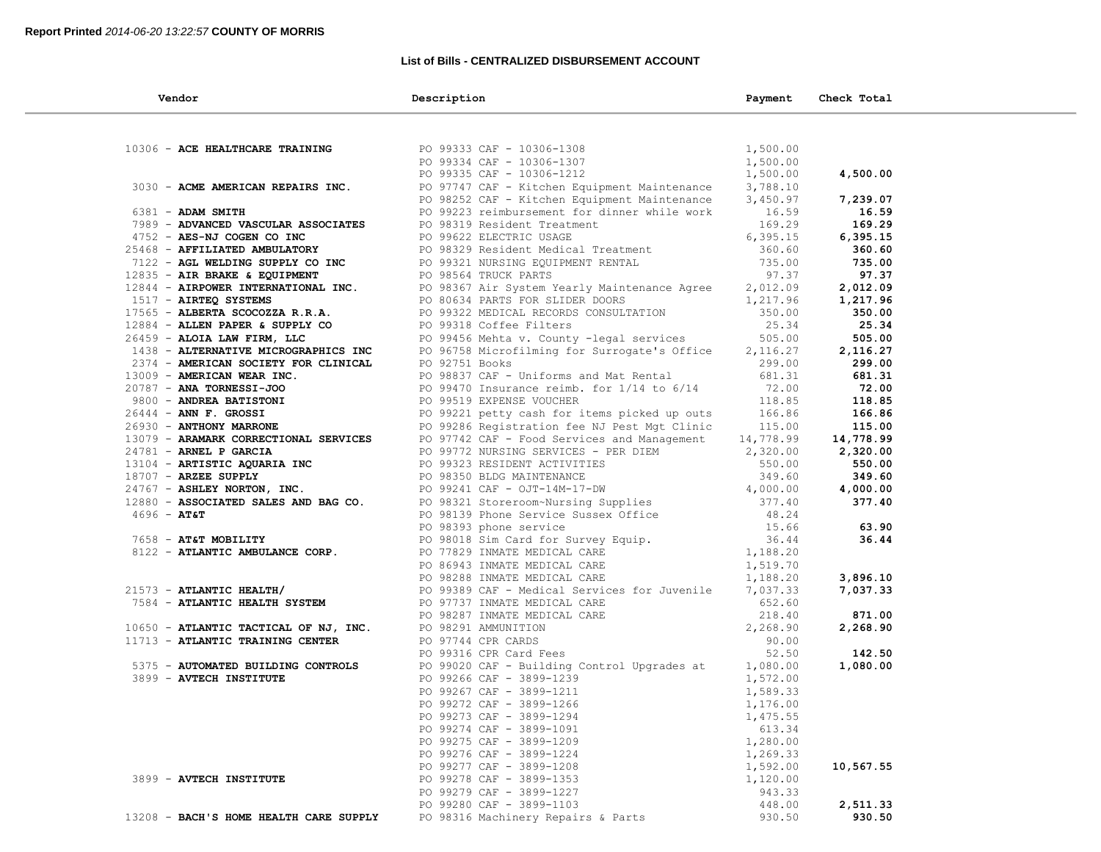### **List of Bills - CENTRALIZED DISBURSEMENT ACCOUNT**

| Vendor                                                                                                                                                                                                | Description                                                                                                                                                                                                                                  | Payment   | Check Total        |  |
|-------------------------------------------------------------------------------------------------------------------------------------------------------------------------------------------------------|----------------------------------------------------------------------------------------------------------------------------------------------------------------------------------------------------------------------------------------------|-----------|--------------------|--|
|                                                                                                                                                                                                       |                                                                                                                                                                                                                                              |           |                    |  |
| 10306 - ACE HEALTHCARE TRAINING                                                                                                                                                                       |                                                                                                                                                                                                                                              | 1,500.00  |                    |  |
|                                                                                                                                                                                                       |                                                                                                                                                                                                                                              | 1,500.00  |                    |  |
|                                                                                                                                                                                                       | PO 99333 CAF - 10306-1308<br>PO 99334 CAF - 10306-1307<br>PO 99335 CAF - 10306-1212                                                                                                                                                          | 1,500.00  | 4,500.00           |  |
| 3030 - ACME AMERICAN REPAIRS INC.                                                                                                                                                                     | PO 97747 CAF - Kitchen Equipment Maintenance 3,788.10                                                                                                                                                                                        |           |                    |  |
|                                                                                                                                                                                                       | PO 98252 CAF - Kitchen Equipment Maintenance                                                                                                                                                                                                 | 3,450.97  | 7,239.07           |  |
| $6381$ - ADAM SMITH                                                                                                                                                                                   | PO 99223 reimbursement for dinner while work 16.59                                                                                                                                                                                           |           | 16.59              |  |
| 7989 - ADVANCED VASCULAR ASSOCIATES                                                                                                                                                                   |                                                                                                                                                                                                                                              | 169.29    | 169.29             |  |
| 4752 - AES-NJ COGEN CO INC                                                                                                                                                                            | PO 98319 Resident Treatment<br>PO 99622 ELECTRIC USAGE                                                                                                                                                                                       | 6, 395.15 | 6,395.15           |  |
| $4752 - AB5 - AC$<br>$25468 - AFFILIATED AMBULATORY$<br>$7122 - AGL WELDING SUPPLY CO INC PC$<br>$12835 - AIR BRAKE & EQUIPMENT PC$<br>$12844 - AIRPOWER INTERNATIONAL INC. F\n1517 - AIRTEQ SYSTEMS$ | PO 98329 Resident Medical Treatment 360.60<br>PO 99321 NURSING EQUIPMENT RENTAL 735.00<br>PO 98564 TRUCK PARTS 97.37                                                                                                                         |           | 360.60             |  |
|                                                                                                                                                                                                       |                                                                                                                                                                                                                                              |           | 735.00             |  |
|                                                                                                                                                                                                       |                                                                                                                                                                                                                                              |           | 97.37              |  |
|                                                                                                                                                                                                       | PO 98367 Air System Yearly Maintenance Agree 2,012.09                                                                                                                                                                                        |           | 2,012.09           |  |
|                                                                                                                                                                                                       |                                                                                                                                                                                                                                              |           | 1,217.96           |  |
|                                                                                                                                                                                                       | PO 80634 PARTS FOR SLIDER DOORS<br>PO 99322 MEDICAL RECORDS CONSULTATION 350.00<br>PO 99318 Coffee Filters 25.34<br>PO 99456 Mehta v. County -legal services 505.00                                                                          |           | 350.00             |  |
| 17983 ABBEAR SCOOPER A SUPPLY CO<br>26459 - ALGIA LAW FIRM, LLC<br>1438 - ALTERNATIVE MICROGRAPHICS INC<br>12884 - ALLEN PAPER & SUPPLY CO                                                            |                                                                                                                                                                                                                                              |           | 25.34              |  |
| 26459 - ALOIA LAW FIRM, LLC                                                                                                                                                                           |                                                                                                                                                                                                                                              |           | 505.00             |  |
|                                                                                                                                                                                                       | PO 96758 Microfilming for Surrogate's Office                                                                                                                                                                                                 | 2,116.27  | 2,116.27           |  |
| 2374 - AMERICAN SOCIETY FOR CLINICAL                                                                                                                                                                  | PO 92751 Books                                                                                                                                                                                                                               | 299.00    | 299.00             |  |
| 13009 - AMERICAN WEAR INC.                                                                                                                                                                            | PO 98837 CAF - Uniforms and Mat Rental                                                                                                                                                                                                       | 681.31    | 681.31             |  |
| 20787 - ANA TORNESSI-JOO                                                                                                                                                                              | PO 99470 Insurance reimb. for $1/14$ to $6/14$                                                                                                                                                                                               | 72.00     | 72.00              |  |
| 20767 - ANA IONNESSI COO<br>9800 - ANDREA BATISTONI<br>26444 - ANN F. GROSSI<br>26930 - ANTHONY MARRONE<br>13079 - ARAMARK CORRECTIONAL SERVICES                                                      | PO 99519 EXPENSE VOUCHER                                                                                                                                                                                                                     | 118.85    | 118.85             |  |
|                                                                                                                                                                                                       | PO 99221 petty cash for items picked up outs<br>PO 99286 Registration fee NJ Pest Mgt Clinic 115.00                                                                                                                                          |           | 166.86             |  |
|                                                                                                                                                                                                       |                                                                                                                                                                                                                                              |           | 115.00             |  |
|                                                                                                                                                                                                       | PO 97742 CAF - Food Services and Management 14,778.99                                                                                                                                                                                        |           | 14,778.99          |  |
| 24781 - ARNEL P GARCIA                                                                                                                                                                                | PO 99772 NURSING SERVICES - PER DIEM 2,320.00                                                                                                                                                                                                |           | 2,320.00           |  |
| 13104 - ARTISTIC AQUARIA INC<br>18707 - ARZEE SUPPLY<br>24767 - ASHLEY NORTON, INC.<br>12880 - ASSOCIATED SALES AND BAG CO.                                                                           | PO 99772 NORSING SERVICES - PER DIEM<br>PO 99323 RESIDENT ACTIVITIES<br>PO 98350 BLDG MAINTENANCE<br>PO 98350 BLDG MAINTENANCE<br>PO 98321 Storeroom~Nursing Supplies<br>90 98321 Storeroom~Nursing Supplies<br>90 98321 Storeroom~Nursing   |           | 550.00             |  |
|                                                                                                                                                                                                       |                                                                                                                                                                                                                                              |           | 349.60             |  |
|                                                                                                                                                                                                       |                                                                                                                                                                                                                                              |           | 4,000.00<br>377.40 |  |
| $4696 - AT&T$                                                                                                                                                                                         |                                                                                                                                                                                                                                              |           |                    |  |
|                                                                                                                                                                                                       |                                                                                                                                                                                                                                              |           | 63.90              |  |
| 7658 - AT&T MOBILITY                                                                                                                                                                                  |                                                                                                                                                                                                                                              |           | 36.44              |  |
| 8122 - ATLANTIC AMBULANCE CORP.                                                                                                                                                                       |                                                                                                                                                                                                                                              |           |                    |  |
|                                                                                                                                                                                                       |                                                                                                                                                                                                                                              |           |                    |  |
|                                                                                                                                                                                                       | PO 86943 INMATE MEDICAL CARE 1,519.70<br>PO 98288 INMATE MEDICAL CARE 1,188.20                                                                                                                                                               |           | 3,896.10           |  |
| $21573$ - ATLANTIC HEALTH/                                                                                                                                                                            | PO 99389 CAF - Medical Services for Juvenile 7,037.33                                                                                                                                                                                        |           | 7,037.33           |  |
| 7584 - ATLANTIC HEALTH SYSTEM                                                                                                                                                                         | PO 9737 INMATE MEDICAL CARE<br>PO 97737 INMATE MEDICAL CARE<br>PO 98287 INMATE MEDICAL CARE<br>PO 98291 AMMUNITION<br>PO 97744 CPR CARDS<br>PO 99316 CPR Card Fees<br>PO 99020 CAF - Building Control Upgrades at 1,080.00<br>PO 99020 CAF - |           |                    |  |
|                                                                                                                                                                                                       |                                                                                                                                                                                                                                              |           | 871.00             |  |
| 10650 - ATLANTIC TACTICAL OF NJ, INC.                                                                                                                                                                 |                                                                                                                                                                                                                                              |           | 2,268.90           |  |
| 11713 - ATLANTIC TRAINING CENTER                                                                                                                                                                      |                                                                                                                                                                                                                                              |           |                    |  |
|                                                                                                                                                                                                       |                                                                                                                                                                                                                                              |           | 142.50             |  |
| 5375 - AUTOMATED BUILDING CONTROLS                                                                                                                                                                    |                                                                                                                                                                                                                                              |           | 1,080.00           |  |
| 3899 - AVTECH INSTITUTE                                                                                                                                                                               |                                                                                                                                                                                                                                              | 1,572.00  |                    |  |
|                                                                                                                                                                                                       | PO 99266 CAF - 3899-1239<br>PO 99267 CAF - 3899-1211<br>PO 99272 CAF - 3899-1266                                                                                                                                                             | 1,589.33  |                    |  |
|                                                                                                                                                                                                       |                                                                                                                                                                                                                                              | 1,176.00  |                    |  |
|                                                                                                                                                                                                       | PO 99273 CAF - 3899-1294                                                                                                                                                                                                                     | 1,475.55  |                    |  |
|                                                                                                                                                                                                       | PO 99274 CAF - 3899-1091                                                                                                                                                                                                                     | 613.34    |                    |  |
|                                                                                                                                                                                                       | PO 99275 CAF - 3899-1209                                                                                                                                                                                                                     | 1,280.00  |                    |  |
|                                                                                                                                                                                                       | PO 99276 CAF - 3899-1224                                                                                                                                                                                                                     | 1,269.33  |                    |  |
|                                                                                                                                                                                                       | PO 99277 CAF - 3899-1208                                                                                                                                                                                                                     | 1,592.00  | 10,567.55          |  |
| 3899 - AVTECH INSTITUTE                                                                                                                                                                               | PO 99278 CAF - 3899-1353                                                                                                                                                                                                                     | 1,120.00  |                    |  |
|                                                                                                                                                                                                       | PO 99279 CAF - 3899-1227                                                                                                                                                                                                                     | 943.33    |                    |  |
|                                                                                                                                                                                                       | PO 99280 CAF - 3899-1103                                                                                                                                                                                                                     | 448.00    | 2,511.33           |  |
| 13208 - BACH'S HOME HEALTH CARE SUPPLY                                                                                                                                                                | PO 98316 Machinery Repairs & Parts                                                                                                                                                                                                           | 930.50    | 930.50             |  |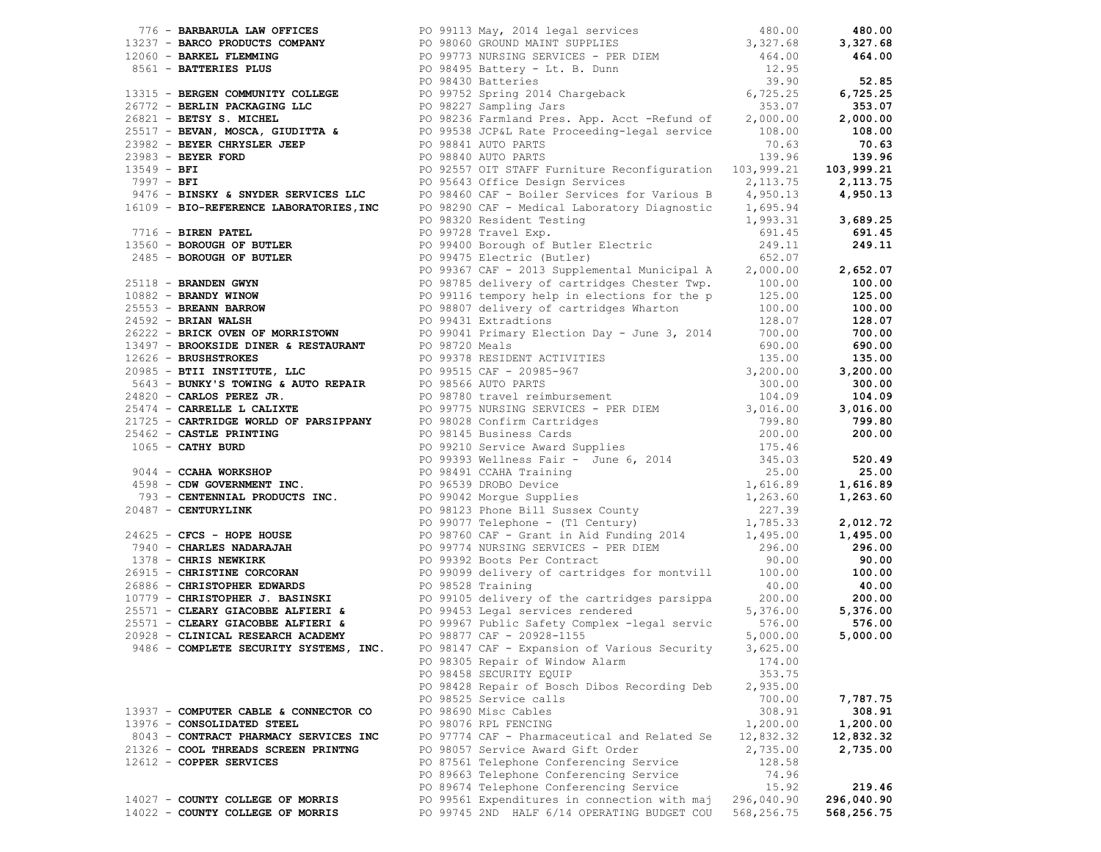|                                        | 1991 - BRANCHON ART (PTORT 200 - 200 - 200 - 200 - 200 - 200 - 200 - 200 - 200 - 200 - 200 - 200 - 200 - 200 - 200 - 200 - 200 - 200 - 200 - 200 - 200 - 200 - 200 - 200 - 200 - 200 - 200 - 200 - 200 - 200 - 200 - 200 - 2 |                |            |
|----------------------------------------|------------------------------------------------------------------------------------------------------------------------------------------------------------------------------------------------------------------------------|----------------|------------|
|                                        |                                                                                                                                                                                                                              |                |            |
|                                        |                                                                                                                                                                                                                              |                |            |
|                                        |                                                                                                                                                                                                                              |                |            |
|                                        |                                                                                                                                                                                                                              |                |            |
|                                        |                                                                                                                                                                                                                              |                |            |
|                                        |                                                                                                                                                                                                                              |                |            |
|                                        |                                                                                                                                                                                                                              |                |            |
|                                        |                                                                                                                                                                                                                              |                |            |
|                                        |                                                                                                                                                                                                                              |                |            |
|                                        |                                                                                                                                                                                                                              |                |            |
|                                        |                                                                                                                                                                                                                              |                |            |
|                                        |                                                                                                                                                                                                                              |                |            |
|                                        |                                                                                                                                                                                                                              |                |            |
|                                        |                                                                                                                                                                                                                              |                |            |
|                                        |                                                                                                                                                                                                                              |                |            |
|                                        |                                                                                                                                                                                                                              |                |            |
|                                        |                                                                                                                                                                                                                              |                |            |
|                                        |                                                                                                                                                                                                                              |                |            |
|                                        |                                                                                                                                                                                                                              |                |            |
|                                        |                                                                                                                                                                                                                              |                |            |
|                                        |                                                                                                                                                                                                                              |                |            |
|                                        |                                                                                                                                                                                                                              |                |            |
|                                        |                                                                                                                                                                                                                              |                |            |
|                                        |                                                                                                                                                                                                                              |                |            |
|                                        |                                                                                                                                                                                                                              |                |            |
|                                        |                                                                                                                                                                                                                              |                |            |
|                                        |                                                                                                                                                                                                                              |                |            |
|                                        |                                                                                                                                                                                                                              |                |            |
|                                        |                                                                                                                                                                                                                              |                |            |
|                                        |                                                                                                                                                                                                                              |                |            |
|                                        |                                                                                                                                                                                                                              |                |            |
|                                        |                                                                                                                                                                                                                              |                |            |
|                                        |                                                                                                                                                                                                                              |                |            |
|                                        |                                                                                                                                                                                                                              |                |            |
|                                        |                                                                                                                                                                                                                              |                |            |
|                                        |                                                                                                                                                                                                                              |                |            |
|                                        |                                                                                                                                                                                                                              |                |            |
|                                        |                                                                                                                                                                                                                              |                |            |
|                                        |                                                                                                                                                                                                                              |                |            |
|                                        |                                                                                                                                                                                                                              |                |            |
|                                        |                                                                                                                                                                                                                              |                |            |
|                                        |                                                                                                                                                                                                                              |                |            |
|                                        |                                                                                                                                                                                                                              |                |            |
|                                        |                                                                                                                                                                                                                              |                |            |
| 9486 - COMPLETE SECURITY SYSTEMS, INC. | PO 98147 CAF - Expansion of Various Security                                                                                                                                                                                 | 3,625.00       |            |
|                                        | PO 98305 Repair of Window Alarm                                                                                                                                                                                              | 174.00         |            |
|                                        | PO 98458 SECURITY EQUIP                                                                                                                                                                                                      | 353.75         |            |
|                                        | PO 98428 Repair of Bosch Dibos Recording Deb                                                                                                                                                                                 | 2,935.00       |            |
|                                        | PO 98525 Service calls                                                                                                                                                                                                       | 700.00         | 7,787.75   |
| 13937 - COMPUTER CABLE & CONNECTOR CO  | PO 98690 Misc Cables                                                                                                                                                                                                         | 308.91         | 308.91     |
| 13976 - CONSOLIDATED STEEL             | PO 98076 RPL FENCING                                                                                                                                                                                                         | 1,200.00       | 1,200.00   |
| 8043 - CONTRACT PHARMACY SERVICES INC  | PO 97774 CAF - Pharmaceutical and Related Se                                                                                                                                                                                 | 12,832.32      | 12,832.32  |
| 21326 - COOL THREADS SCREEN PRINTNG    | PO 98057 Service Award Gift Order                                                                                                                                                                                            | 2,735.00       | 2,735.00   |
| 12612 - COPPER SERVICES                | PO 87561 Telephone Conferencing Service                                                                                                                                                                                      | 128.58         |            |
|                                        | PO 89663 Telephone Conferencing Service<br>PO 89674 Telephone Conferencing Service                                                                                                                                           | 74.96<br>15.92 | 219.46     |
| 14027 - COUNTY COLLEGE OF MORRIS       | PO 99561 Expenditures in connection with maj                                                                                                                                                                                 | 296,040.90     | 296,040.90 |
| 14022 - COUNTY COLLEGE OF MORRIS       | PO 99745 2ND HALF 6/14 OPERATING BUDGET COU                                                                                                                                                                                  | 568,256.75     | 568,256.75 |
|                                        |                                                                                                                                                                                                                              |                |            |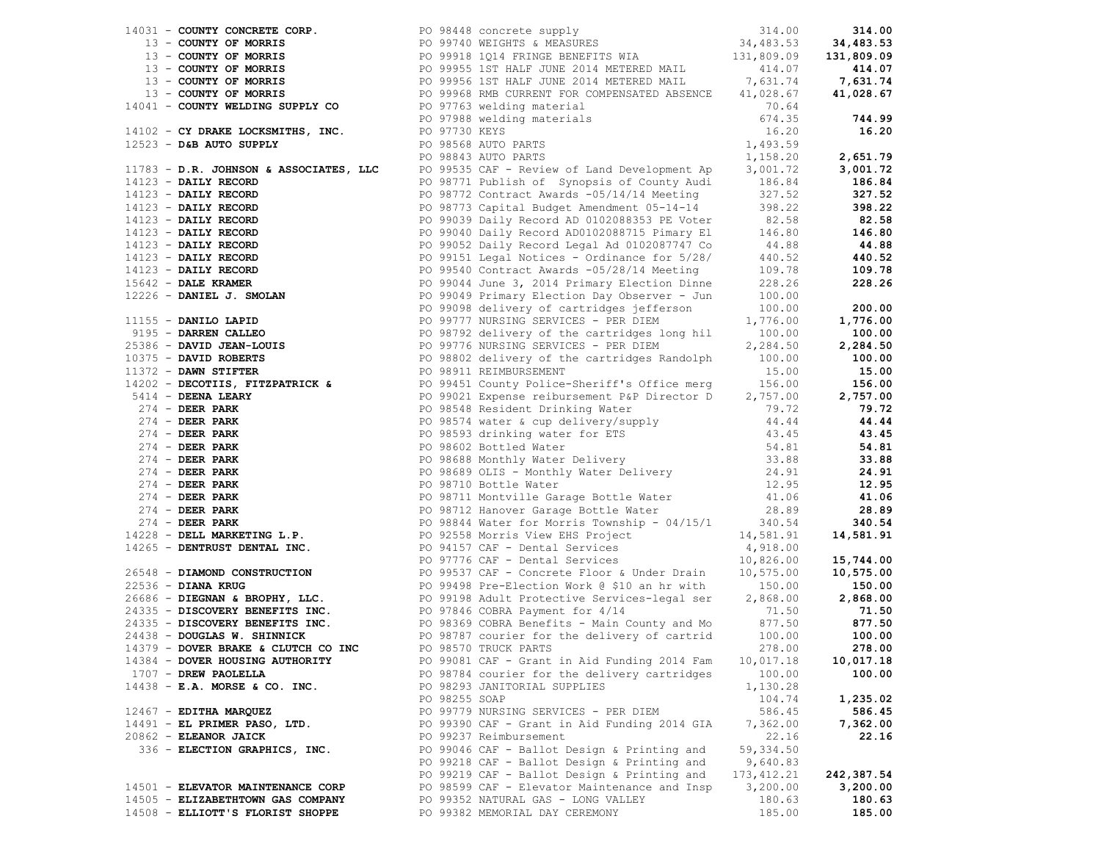|                          |                                   |               | 14111 - Compare Concess on the second space of the second of the second of the second of the second of the second of the second of the second of the second of the second of the second of the second of the second of the se |             |               |
|--------------------------|-----------------------------------|---------------|-------------------------------------------------------------------------------------------------------------------------------------------------------------------------------------------------------------------------------|-------------|---------------|
|                          |                                   |               |                                                                                                                                                                                                                               |             |               |
|                          |                                   |               |                                                                                                                                                                                                                               |             |               |
|                          |                                   |               |                                                                                                                                                                                                                               |             |               |
|                          |                                   |               |                                                                                                                                                                                                                               |             |               |
|                          |                                   |               |                                                                                                                                                                                                                               |             |               |
|                          |                                   |               |                                                                                                                                                                                                                               |             |               |
|                          |                                   |               |                                                                                                                                                                                                                               |             |               |
|                          |                                   |               |                                                                                                                                                                                                                               |             |               |
|                          |                                   |               |                                                                                                                                                                                                                               |             |               |
|                          |                                   |               |                                                                                                                                                                                                                               |             |               |
|                          |                                   |               |                                                                                                                                                                                                                               |             |               |
|                          |                                   |               |                                                                                                                                                                                                                               |             |               |
|                          |                                   |               |                                                                                                                                                                                                                               |             |               |
|                          |                                   |               |                                                                                                                                                                                                                               |             |               |
|                          |                                   |               |                                                                                                                                                                                                                               |             |               |
|                          |                                   |               |                                                                                                                                                                                                                               |             |               |
|                          |                                   |               |                                                                                                                                                                                                                               |             |               |
|                          |                                   |               |                                                                                                                                                                                                                               |             |               |
|                          |                                   |               |                                                                                                                                                                                                                               |             |               |
|                          |                                   |               |                                                                                                                                                                                                                               |             |               |
|                          |                                   |               |                                                                                                                                                                                                                               |             |               |
|                          |                                   |               |                                                                                                                                                                                                                               |             |               |
|                          |                                   |               |                                                                                                                                                                                                                               |             |               |
|                          |                                   |               |                                                                                                                                                                                                                               |             |               |
|                          |                                   |               |                                                                                                                                                                                                                               |             |               |
|                          |                                   |               |                                                                                                                                                                                                                               |             |               |
|                          |                                   |               |                                                                                                                                                                                                                               |             |               |
|                          |                                   |               |                                                                                                                                                                                                                               |             |               |
|                          |                                   |               |                                                                                                                                                                                                                               |             |               |
|                          |                                   |               |                                                                                                                                                                                                                               |             |               |
|                          |                                   |               |                                                                                                                                                                                                                               |             |               |
|                          |                                   |               |                                                                                                                                                                                                                               |             |               |
|                          |                                   |               |                                                                                                                                                                                                                               |             |               |
|                          |                                   |               |                                                                                                                                                                                                                               |             |               |
|                          |                                   |               |                                                                                                                                                                                                                               |             |               |
|                          |                                   |               |                                                                                                                                                                                                                               |             |               |
|                          |                                   |               |                                                                                                                                                                                                                               |             |               |
|                          |                                   |               |                                                                                                                                                                                                                               |             |               |
|                          |                                   |               |                                                                                                                                                                                                                               |             |               |
|                          |                                   |               |                                                                                                                                                                                                                               |             |               |
|                          |                                   |               |                                                                                                                                                                                                                               |             |               |
|                          |                                   |               |                                                                                                                                                                                                                               |             |               |
|                          |                                   |               |                                                                                                                                                                                                                               |             |               |
|                          |                                   |               |                                                                                                                                                                                                                               |             |               |
|                          |                                   |               |                                                                                                                                                                                                                               |             |               |
|                          |                                   |               | 24335 - DISCOVERY BENEFITS INC.<br>24335 - DISCOVERY BENEFITS INC. PO 98369 COBRA Benefits - Main County and Mo 877.50 877.50<br>24438 - DOUGLAS W. SHINNICK PO 98787 courier for the delivery of cartrid 100.00 100.00       |             |               |
|                          |                                   |               |                                                                                                                                                                                                                               |             |               |
|                          |                                   |               |                                                                                                                                                                                                                               |             |               |
|                          |                                   |               | 14379 - DOVER BRAKE & CLUTCH CO INC PO 98570 TRUCK PARTS                                                                                                                                                                      |             | 278.00 278.00 |
|                          | 14384 - DOVER HOUSING AUTHORITY   |               | PO 99081 CAF - Grant in Aid Funding 2014 Fam                                                                                                                                                                                  | 10,017.18   | 10,017.18     |
| 1707 - DREW PAOLELLA     |                                   |               | PO 98784 courier for the delivery cartridges                                                                                                                                                                                  | 100.00      | 100.00        |
|                          | $14438$ - E.A. MORSE & CO. INC.   |               | PO 98293 JANITORIAL SUPPLIES                                                                                                                                                                                                  | 1,130.28    |               |
|                          |                                   | PO 98255 SOAP |                                                                                                                                                                                                                               | 104.74      | 1,235.02      |
| $12467$ - EDITHA MARQUEZ |                                   |               | PO 99779 NURSING SERVICES - PER DIEM                                                                                                                                                                                          | 586.45      | 586.45        |
|                          | $14491$ - EL PRIMER PASO, LTD.    |               | PO 99390 CAF - Grant in Aid Funding 2014 GIA                                                                                                                                                                                  | 7,362.00    | 7,362.00      |
| $20862$ - ELEANOR JAICK  |                                   |               | PO 99237 Reimbursement                                                                                                                                                                                                        | 22.16       | 22.16         |
|                          | 336 - ELECTION GRAPHICS, INC.     |               | PO 99046 CAF - Ballot Design & Printing and                                                                                                                                                                                   | 59, 334.50  |               |
|                          |                                   |               | PO 99218 CAF - Ballot Design & Printing and                                                                                                                                                                                   | 9,640.83    |               |
|                          |                                   |               | PO 99219 CAF - Ballot Design & Printing and                                                                                                                                                                                   | 173, 412.21 | 242,387.54    |
|                          | 14501 - ELEVATOR MAINTENANCE CORP |               | PO 98599 CAF - Elevator Maintenance and Insp                                                                                                                                                                                  | 3,200.00    | 3,200.00      |
|                          | 14505 - ELIZABETHTOWN GAS COMPANY |               | PO 99352 NATURAL GAS - LONG VALLEY                                                                                                                                                                                            | 180.63      | 180.63        |
|                          | 14508 - ELLIOTT'S FLORIST SHOPPE  |               | PO 99382 MEMORIAL DAY CEREMONY                                                                                                                                                                                                | 185.00      | 185.00        |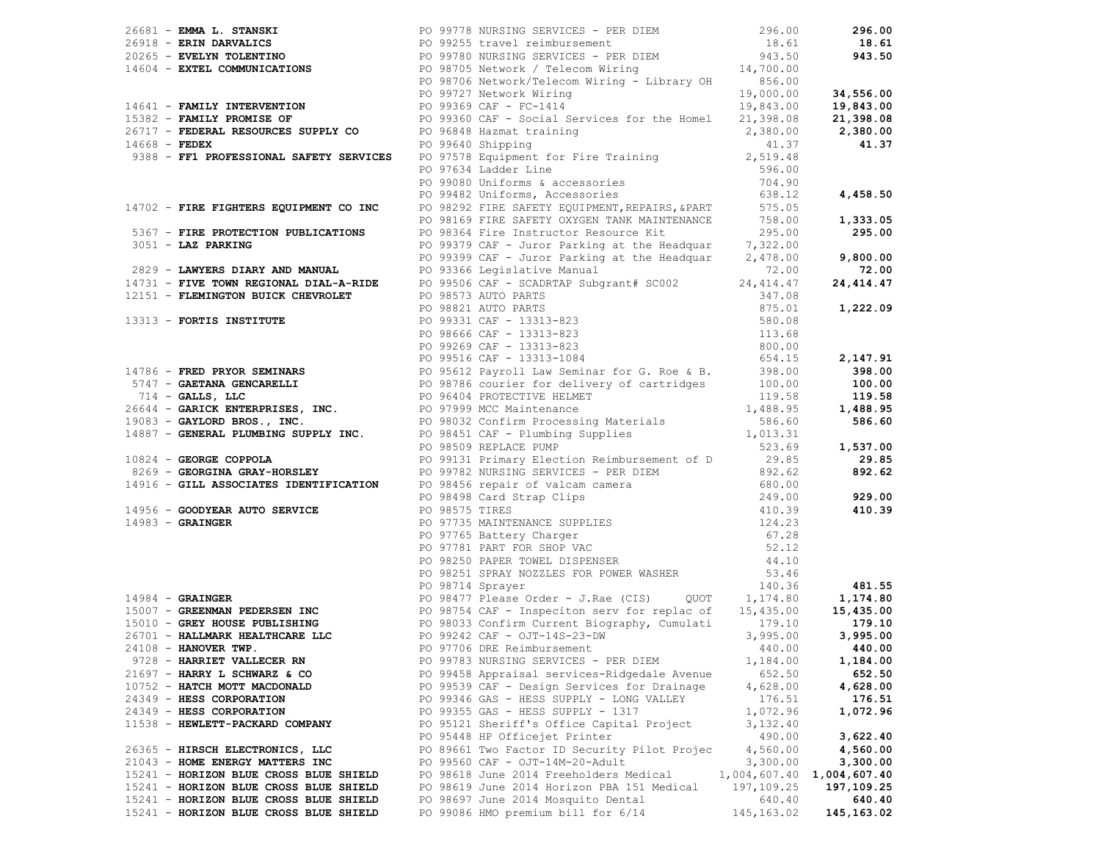|                                        | 26681 - EMMA L. STANSKI<br>296.00<br>296.00<br>296.00<br>296.00<br>296.00<br>296.00<br>296.00<br>296.00<br>296.00<br>296.00<br>296.00<br>296.00<br>296.00<br>296.00<br>296.00<br>296.00<br>296.00<br>296.00<br>296.00<br>296.00<br>296.00<br>296.00<br>296.00<br>296.00<br>296.0                                                                                                                                                                                                            |                             |               |
|----------------------------------------|---------------------------------------------------------------------------------------------------------------------------------------------------------------------------------------------------------------------------------------------------------------------------------------------------------------------------------------------------------------------------------------------------------------------------------------------------------------------------------------------|-----------------------------|---------------|
|                                        |                                                                                                                                                                                                                                                                                                                                                                                                                                                                                             |                             |               |
|                                        |                                                                                                                                                                                                                                                                                                                                                                                                                                                                                             |                             |               |
|                                        |                                                                                                                                                                                                                                                                                                                                                                                                                                                                                             |                             |               |
|                                        |                                                                                                                                                                                                                                                                                                                                                                                                                                                                                             |                             |               |
|                                        |                                                                                                                                                                                                                                                                                                                                                                                                                                                                                             |                             |               |
|                                        |                                                                                                                                                                                                                                                                                                                                                                                                                                                                                             |                             |               |
|                                        |                                                                                                                                                                                                                                                                                                                                                                                                                                                                                             |                             |               |
|                                        |                                                                                                                                                                                                                                                                                                                                                                                                                                                                                             |                             | 4,458.50      |
|                                        |                                                                                                                                                                                                                                                                                                                                                                                                                                                                                             |                             |               |
|                                        |                                                                                                                                                                                                                                                                                                                                                                                                                                                                                             |                             |               |
|                                        |                                                                                                                                                                                                                                                                                                                                                                                                                                                                                             |                             | 1,333.05      |
|                                        |                                                                                                                                                                                                                                                                                                                                                                                                                                                                                             |                             | 295.00        |
|                                        |                                                                                                                                                                                                                                                                                                                                                                                                                                                                                             |                             |               |
|                                        |                                                                                                                                                                                                                                                                                                                                                                                                                                                                                             |                             | 9,800.00      |
|                                        |                                                                                                                                                                                                                                                                                                                                                                                                                                                                                             |                             | 72.00         |
|                                        |                                                                                                                                                                                                                                                                                                                                                                                                                                                                                             |                             | 24, 414.47    |
|                                        |                                                                                                                                                                                                                                                                                                                                                                                                                                                                                             |                             |               |
|                                        |                                                                                                                                                                                                                                                                                                                                                                                                                                                                                             |                             | 1,222.09      |
|                                        |                                                                                                                                                                                                                                                                                                                                                                                                                                                                                             |                             |               |
|                                        |                                                                                                                                                                                                                                                                                                                                                                                                                                                                                             |                             |               |
|                                        |                                                                                                                                                                                                                                                                                                                                                                                                                                                                                             |                             |               |
|                                        |                                                                                                                                                                                                                                                                                                                                                                                                                                                                                             |                             | 2,147.91      |
|                                        |                                                                                                                                                                                                                                                                                                                                                                                                                                                                                             |                             | 398.00        |
|                                        |                                                                                                                                                                                                                                                                                                                                                                                                                                                                                             |                             | 100.00        |
|                                        |                                                                                                                                                                                                                                                                                                                                                                                                                                                                                             |                             | 119.58        |
|                                        |                                                                                                                                                                                                                                                                                                                                                                                                                                                                                             |                             | 1,488.95      |
|                                        |                                                                                                                                                                                                                                                                                                                                                                                                                                                                                             |                             | 586.60        |
|                                        |                                                                                                                                                                                                                                                                                                                                                                                                                                                                                             |                             |               |
|                                        |                                                                                                                                                                                                                                                                                                                                                                                                                                                                                             |                             | 1,537.00      |
|                                        |                                                                                                                                                                                                                                                                                                                                                                                                                                                                                             |                             | 29.85         |
|                                        |                                                                                                                                                                                                                                                                                                                                                                                                                                                                                             |                             | 892.62        |
|                                        |                                                                                                                                                                                                                                                                                                                                                                                                                                                                                             |                             |               |
|                                        |                                                                                                                                                                                                                                                                                                                                                                                                                                                                                             |                             | 929.00        |
|                                        |                                                                                                                                                                                                                                                                                                                                                                                                                                                                                             |                             | 410.39        |
|                                        |                                                                                                                                                                                                                                                                                                                                                                                                                                                                                             |                             |               |
|                                        |                                                                                                                                                                                                                                                                                                                                                                                                                                                                                             |                             |               |
|                                        |                                                                                                                                                                                                                                                                                                                                                                                                                                                                                             |                             |               |
|                                        |                                                                                                                                                                                                                                                                                                                                                                                                                                                                                             |                             |               |
|                                        |                                                                                                                                                                                                                                                                                                                                                                                                                                                                                             |                             |               |
|                                        |                                                                                                                                                                                                                                                                                                                                                                                                                                                                                             |                             |               |
|                                        | 14985 - FRAD FRONTENS EXPERIMENT DE DISPUBLIQUE (1915 - 1911-1918 - 1913)<br>14995 - <b>FRAD FRONTENS EQUIPMENT CONG.</b> 1920-2011 Consideration: The Training (1913)<br>14996 - <b>FRAD FRONTENTS EQUIPMENT</b> CONG. 1920-2011 SERIES (1<br>14984 - GRAINGER<br>14984 - GRAINGER<br>15007 - GREENMAN PEDERSEN INC<br>15007 - GREENMAN PEDERSEN INC<br>15007 - GREENMAN PEDERSEN INC<br>15007 - GREENMAN PEDERSEN INC<br>15007 - GREENMAN PEDERSEN INC<br>1599999999999999999999999999999 |                             |               |
|                                        |                                                                                                                                                                                                                                                                                                                                                                                                                                                                                             |                             |               |
|                                        |                                                                                                                                                                                                                                                                                                                                                                                                                                                                                             |                             |               |
|                                        |                                                                                                                                                                                                                                                                                                                                                                                                                                                                                             |                             |               |
|                                        |                                                                                                                                                                                                                                                                                                                                                                                                                                                                                             |                             |               |
| 24108 - HANOVER TWP.                   | PO 97706 DRE Reimbursement                                                                                                                                                                                                                                                                                                                                                                                                                                                                  |                             | 440.00 440.00 |
| 9728 - HARRIET VALLECER RN             | PO 99783 NURSING SERVICES - PER DIEM                                                                                                                                                                                                                                                                                                                                                                                                                                                        | 1,184.00                    | 1,184.00      |
| $21697$ - HARRY L SCHWARZ & CO         | PO 99458 Appraisal services-Ridgedale Avenue                                                                                                                                                                                                                                                                                                                                                                                                                                                | 652.50                      | 652.50        |
| 10752 - HATCH MOTT MACDONALD           | PO 99539 CAF - Design Services for Drainage                                                                                                                                                                                                                                                                                                                                                                                                                                                 | 4,628.00                    | 4,628.00      |
| 24349 - HESS CORPORATION               | PO 99346 GAS - HESS SUPPLY - LONG VALLEY                                                                                                                                                                                                                                                                                                                                                                                                                                                    | 176.51                      | 176.51        |
| 24349 - HESS CORPORATION               | PO 99355 GAS - HESS SUPPLY - 1317                                                                                                                                                                                                                                                                                                                                                                                                                                                           | 1,072.96                    | 1,072.96      |
| 11538 - HEWLETT-PACKARD COMPANY        | PO 95121 Sheriff's Office Capital Project                                                                                                                                                                                                                                                                                                                                                                                                                                                   | 3,132.40                    |               |
|                                        | PO 95448 HP Officejet Printer                                                                                                                                                                                                                                                                                                                                                                                                                                                               | 490.00                      | 3,622.40      |
| 26365 - HIRSCH ELECTRONICS, LLC        | PO 89661 Two Factor ID Security Pilot Projec                                                                                                                                                                                                                                                                                                                                                                                                                                                | 4,560.00                    | 4,560.00      |
| 21043 - HOME ENERGY MATTERS INC        | PO 99560 CAF - OJT-14M-20-Adult                                                                                                                                                                                                                                                                                                                                                                                                                                                             | 3,300.00                    | 3,300.00      |
| 15241 - HORIZON BLUE CROSS BLUE SHIELD | PO 98618 June 2014 Freeholders Medical                                                                                                                                                                                                                                                                                                                                                                                                                                                      | $1,004,607.40$ 1,004,607.40 |               |
| 15241 - HORIZON BLUE CROSS BLUE SHIELD | PO 98619 June 2014 Horizon PBA 151 Medical                                                                                                                                                                                                                                                                                                                                                                                                                                                  | 197,109.25                  | 197,109.25    |
| 15241 - HORIZON BLUE CROSS BLUE SHIELD | PO 98697 June 2014 Mosquito Dental                                                                                                                                                                                                                                                                                                                                                                                                                                                          | 640.40                      | 640.40        |
| 15241 - HORIZON BLUE CROSS BLUE SHIELD | PO 99086 HMO premium bill for 6/14                                                                                                                                                                                                                                                                                                                                                                                                                                                          | 145, 163.02                 | 145, 163.02   |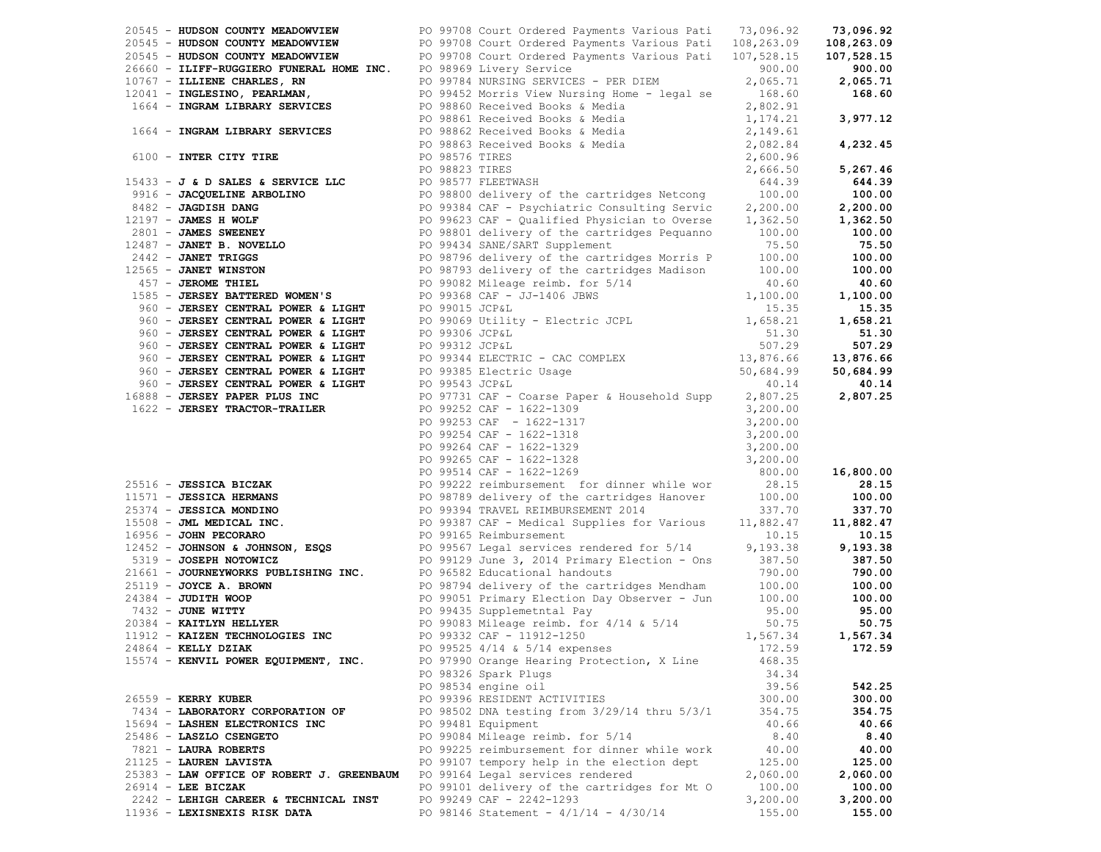| 20545 - HUDSON COUNTY MEADOWVIEW<br>2016 - HOUSSAN CORPINEATE (1997) 199741 - 1997-1992<br>2016 - HOUSSAN CORPINEATE (1997-1992) 19974 - 1997-1992<br>2016 - THIRP-ROBATEDO TOWARDS, INN (1997-1992) 19974 - 1997-1992<br>2019 - THIRP-ROBATEDO TOWARDS, INN (1997-1992 | PO 99708 Court Ordered Payments Various Pati 73,096.92                                                    |          | 73,096.92     |
|-------------------------------------------------------------------------------------------------------------------------------------------------------------------------------------------------------------------------------------------------------------------------|-----------------------------------------------------------------------------------------------------------|----------|---------------|
| 20545 - HUDSON COUNTY MEADOWVIEW PO 99708 Court Ordered Payments Various Pati 108,263.09<br>20545 - HUDSON COUNTY MEADOWVIEW PO 99708 Court Ordered Payments Various Pati 107,528.15                                                                                    |                                                                                                           |          | 108,263.09    |
|                                                                                                                                                                                                                                                                         |                                                                                                           |          |               |
|                                                                                                                                                                                                                                                                         |                                                                                                           |          |               |
|                                                                                                                                                                                                                                                                         |                                                                                                           |          |               |
|                                                                                                                                                                                                                                                                         |                                                                                                           |          |               |
|                                                                                                                                                                                                                                                                         |                                                                                                           |          |               |
|                                                                                                                                                                                                                                                                         |                                                                                                           |          |               |
|                                                                                                                                                                                                                                                                         |                                                                                                           |          |               |
|                                                                                                                                                                                                                                                                         |                                                                                                           |          |               |
|                                                                                                                                                                                                                                                                         |                                                                                                           |          |               |
|                                                                                                                                                                                                                                                                         |                                                                                                           |          |               |
|                                                                                                                                                                                                                                                                         |                                                                                                           |          |               |
|                                                                                                                                                                                                                                                                         |                                                                                                           |          |               |
|                                                                                                                                                                                                                                                                         |                                                                                                           |          |               |
|                                                                                                                                                                                                                                                                         |                                                                                                           |          |               |
|                                                                                                                                                                                                                                                                         |                                                                                                           |          |               |
|                                                                                                                                                                                                                                                                         |                                                                                                           |          |               |
|                                                                                                                                                                                                                                                                         |                                                                                                           |          |               |
|                                                                                                                                                                                                                                                                         |                                                                                                           |          |               |
|                                                                                                                                                                                                                                                                         |                                                                                                           |          |               |
|                                                                                                                                                                                                                                                                         |                                                                                                           |          |               |
|                                                                                                                                                                                                                                                                         |                                                                                                           |          |               |
|                                                                                                                                                                                                                                                                         |                                                                                                           |          |               |
|                                                                                                                                                                                                                                                                         |                                                                                                           |          |               |
|                                                                                                                                                                                                                                                                         |                                                                                                           |          |               |
|                                                                                                                                                                                                                                                                         |                                                                                                           |          |               |
|                                                                                                                                                                                                                                                                         |                                                                                                           |          |               |
|                                                                                                                                                                                                                                                                         |                                                                                                           |          |               |
|                                                                                                                                                                                                                                                                         |                                                                                                           |          |               |
|                                                                                                                                                                                                                                                                         |                                                                                                           |          |               |
|                                                                                                                                                                                                                                                                         |                                                                                                           |          |               |
|                                                                                                                                                                                                                                                                         |                                                                                                           |          |               |
|                                                                                                                                                                                                                                                                         |                                                                                                           |          |               |
|                                                                                                                                                                                                                                                                         |                                                                                                           |          |               |
|                                                                                                                                                                                                                                                                         |                                                                                                           |          |               |
|                                                                                                                                                                                                                                                                         |                                                                                                           |          |               |
|                                                                                                                                                                                                                                                                         |                                                                                                           |          |               |
|                                                                                                                                                                                                                                                                         |                                                                                                           |          | 28.15         |
| 99265 CAF - 1622-1328<br>PO 99265 CAF - 1622-1328<br>PO 99514 CAF - 1622-1269<br>PO 99514 CAF - 1622-1269<br>PO 99514 CAF - 1622-1269<br>PO 99514 CAF - 1622-1269<br>PO 99389 delivery of the catridges Hanover<br>PO 99389 delivery of the                             |                                                                                                           |          | 100.00        |
|                                                                                                                                                                                                                                                                         |                                                                                                           |          | 337.70        |
|                                                                                                                                                                                                                                                                         |                                                                                                           |          | 11,882.47     |
|                                                                                                                                                                                                                                                                         |                                                                                                           |          | 10.15         |
|                                                                                                                                                                                                                                                                         |                                                                                                           |          |               |
|                                                                                                                                                                                                                                                                         |                                                                                                           |          | 9,193.38      |
| 21661 - JOURNEYWORKS PUBLISHING INC. PO 96582 Educational handouts                                                                                                                                                                                                      | PO 99129 June 3, 2014 Primary Election - Ons 387.50<br>PO 96582 Educational handouts 790.00               |          | 387.50        |
|                                                                                                                                                                                                                                                                         |                                                                                                           |          | 790.00        |
|                                                                                                                                                                                                                                                                         |                                                                                                           |          | 100.00        |
| 25119 - <b>JOYCE A. BROWN</b><br>24384 - <b>JUDITH WOOP</b><br>7432 - <b>JUNE WITTY</b><br>20384 - KAITLYN HELLYER                                                                                                                                                      | PO 98794 delivery of the cartridges Mendham 100.00<br>PO 99051 Primary Election Day Observer - Jun 100.00 |          | 100.00        |
|                                                                                                                                                                                                                                                                         | PO 99435 Supplemetntal Pay<br>PO 99083 Mileage reimb. for 4/14 & 5/14                                     | 95.00    | 95.00         |
|                                                                                                                                                                                                                                                                         |                                                                                                           | 50.75    | 50.75         |
| 11912 - KAIZEN TECHNOLOGIES INC                                                                                                                                                                                                                                         | PO 99332 CAF - 11912-1250                                                                                 | 1,567.34 | 1,567.34      |
| 24864 - KELLY DZIAK                                                                                                                                                                                                                                                     | PO 99525 4/14 & 5/14 expenses                                                                             |          | 172.59 172.59 |
| 15574 - KENVIL POWER EQUIPMENT, INC.                                                                                                                                                                                                                                    | PO 97990 Orange Hearing Protection, X Line                                                                | 468.35   |               |
|                                                                                                                                                                                                                                                                         | PO 98326 Spark Plugs                                                                                      | 34.34    |               |
|                                                                                                                                                                                                                                                                         | PO 98534 engine oil                                                                                       | 39.56    | 542.25        |
| $26559$ – KERRY KUBER                                                                                                                                                                                                                                                   | PO 99396 RESIDENT ACTIVITIES                                                                              | 300.00   | 300.00        |
| 7434 - LABORATORY CORPORATION OF                                                                                                                                                                                                                                        | PO 98502 DNA testing from 3/29/14 thru 5/3/1                                                              | 354.75   | 354.75        |
| 15694 - LASHEN ELECTRONICS INC                                                                                                                                                                                                                                          | PO 99481 Equipment                                                                                        | 40.66    | 40.66         |
| 25486 - LASZLO CSENGETO                                                                                                                                                                                                                                                 | PO 99084 Mileage reimb. for 5/14                                                                          | 8.40     | 8.40          |
| 7821 - LAURA ROBERTS                                                                                                                                                                                                                                                    | PO 99225 reimbursement for dinner while work                                                              | 40.00    | 40.00         |
|                                                                                                                                                                                                                                                                         |                                                                                                           |          |               |
| 21125 - LAUREN LAVISTA                                                                                                                                                                                                                                                  | PO 99107 tempory help in the election dept                                                                | 125.00   | 125.00        |
| 25383 - LAW OFFICE OF ROBERT J. GREENBAUM                                                                                                                                                                                                                               | PO 99164 Legal services rendered                                                                          | 2,060.00 | 2,060.00      |
| $26914$ - LEE BICZAK                                                                                                                                                                                                                                                    | PO 99101 delivery of the cartridges for Mt O                                                              | 100.00   | 100.00        |
| 2242 - LEHIGH CAREER & TECHNICAL INST                                                                                                                                                                                                                                   | PO 99249 CAF - 2242-1293                                                                                  | 3,200.00 | 3,200.00      |
| 11936 - LEXISNEXIS RISK DATA                                                                                                                                                                                                                                            | PO 98146 Statement - $4/1/14$ - $4/30/14$                                                                 | 155.00   | 155.00        |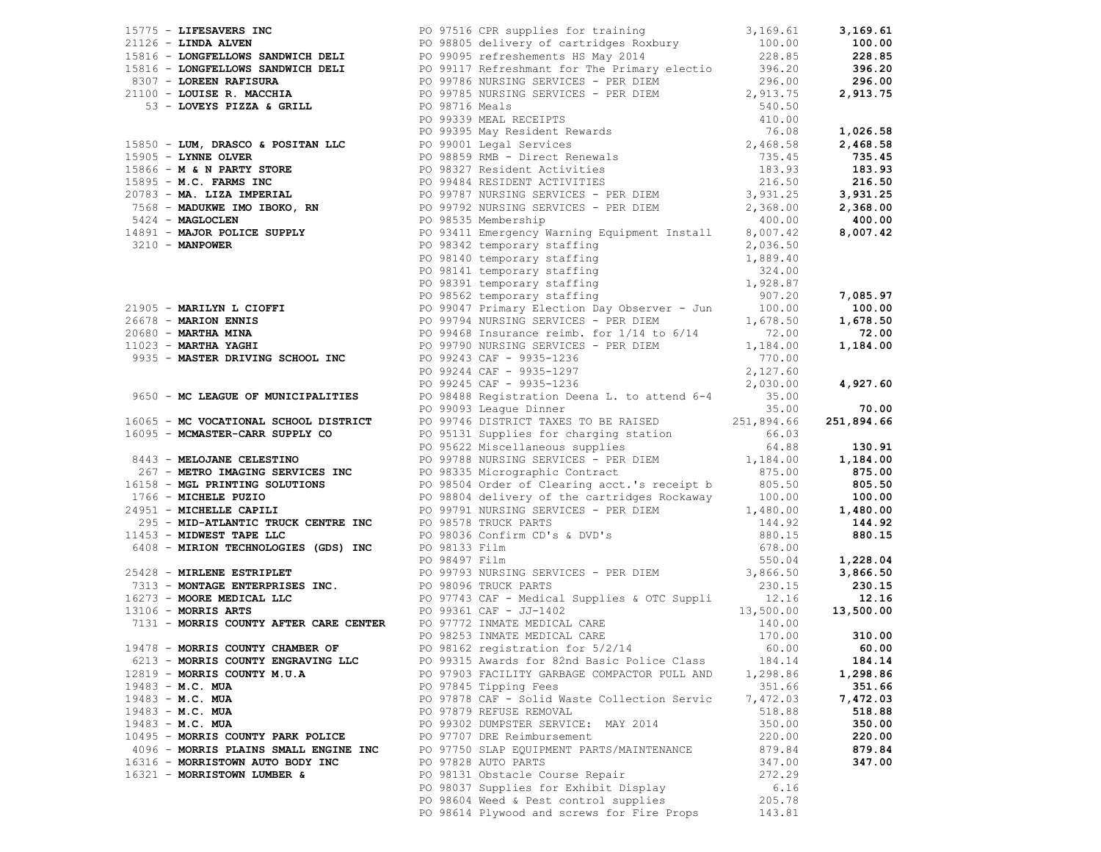|                                       | 277. A LINEARCH MARK (1971) (1971) (1971) (1971) (1971) (1971) (1971) (1971) (1972) (1972) (1972) (1972) (1972) (1972) (1972) (1972) (1972) (1972) (1972) (1972) (1972) (1972) (1972) (1972) (1972) (1972) (1972) (1972) (197 |          |          |
|---------------------------------------|-------------------------------------------------------------------------------------------------------------------------------------------------------------------------------------------------------------------------------|----------|----------|
|                                       |                                                                                                                                                                                                                               |          |          |
|                                       |                                                                                                                                                                                                                               |          |          |
|                                       |                                                                                                                                                                                                                               |          |          |
|                                       |                                                                                                                                                                                                                               |          |          |
|                                       |                                                                                                                                                                                                                               |          |          |
|                                       |                                                                                                                                                                                                                               |          |          |
|                                       |                                                                                                                                                                                                                               |          |          |
|                                       |                                                                                                                                                                                                                               |          |          |
|                                       |                                                                                                                                                                                                                               |          |          |
|                                       |                                                                                                                                                                                                                               |          |          |
|                                       |                                                                                                                                                                                                                               |          |          |
|                                       |                                                                                                                                                                                                                               |          |          |
|                                       |                                                                                                                                                                                                                               |          |          |
|                                       |                                                                                                                                                                                                                               |          |          |
|                                       |                                                                                                                                                                                                                               |          |          |
|                                       |                                                                                                                                                                                                                               |          |          |
|                                       |                                                                                                                                                                                                                               |          |          |
|                                       |                                                                                                                                                                                                                               |          |          |
|                                       |                                                                                                                                                                                                                               |          |          |
|                                       |                                                                                                                                                                                                                               |          |          |
| 19478 - MORRIS COUNTY CHAMBER OF      | PO 98162 registration for 5/2/14                                                                                                                                                                                              | 60.00    | 60.00    |
| 6213 - MORRIS COUNTY ENGRAVING LLC    | PO 99315 Awards for 82nd Basic Police Class                                                                                                                                                                                   | 184.14   | 184.14   |
| 12819 - MORRIS COUNTY M.U.A           | PO 97903 FACILITY GARBAGE COMPACTOR PULL AND                                                                                                                                                                                  | 1,298.86 | 1,298.86 |
| $19483 - M.C. MUA$                    | PO 97845 Tipping Fees                                                                                                                                                                                                         | 351.66   | 351.66   |
| $19483 - M.C. MUA$                    | PO 97878 CAF - Solid Waste Collection Servic                                                                                                                                                                                  | 7,472.03 | 7,472.03 |
| $19483 - M.C. MUA$                    | PO 97879 REFUSE REMOVAL                                                                                                                                                                                                       | 518.88   | 518.88   |
| $19483 - M.C. MUA$                    | PO 99302 DUMPSTER SERVICE: MAY 2014                                                                                                                                                                                           | 350.00   | 350.00   |
| 10495 - MORRIS COUNTY PARK POLICE     | PO 97707 DRE Reimbursement                                                                                                                                                                                                    | 220.00   | 220.00   |
| 4096 - MORRIS PLAINS SMALL ENGINE INC | PO 97750 SLAP EQUIPMENT PARTS/MAINTENANCE                                                                                                                                                                                     | 879.84   | 879.84   |
| 16316 - MORRISTOWN AUTO BODY INC      | PO 97828 AUTO PARTS                                                                                                                                                                                                           | 347.00   | 347.00   |
| 16321 - MORRISTOWN LUMBER &           | PO 98131 Obstacle Course Repair                                                                                                                                                                                               | 272.29   |          |
|                                       | PO 98037 Supplies for Exhibit Display                                                                                                                                                                                         | 6.16     |          |
|                                       | PO 98604 Weed & Pest control supplies                                                                                                                                                                                         | 205.78   |          |
|                                       | PO 98614 Plywood and screws for Fire Props                                                                                                                                                                                    | 143.81   |          |
|                                       |                                                                                                                                                                                                                               |          |          |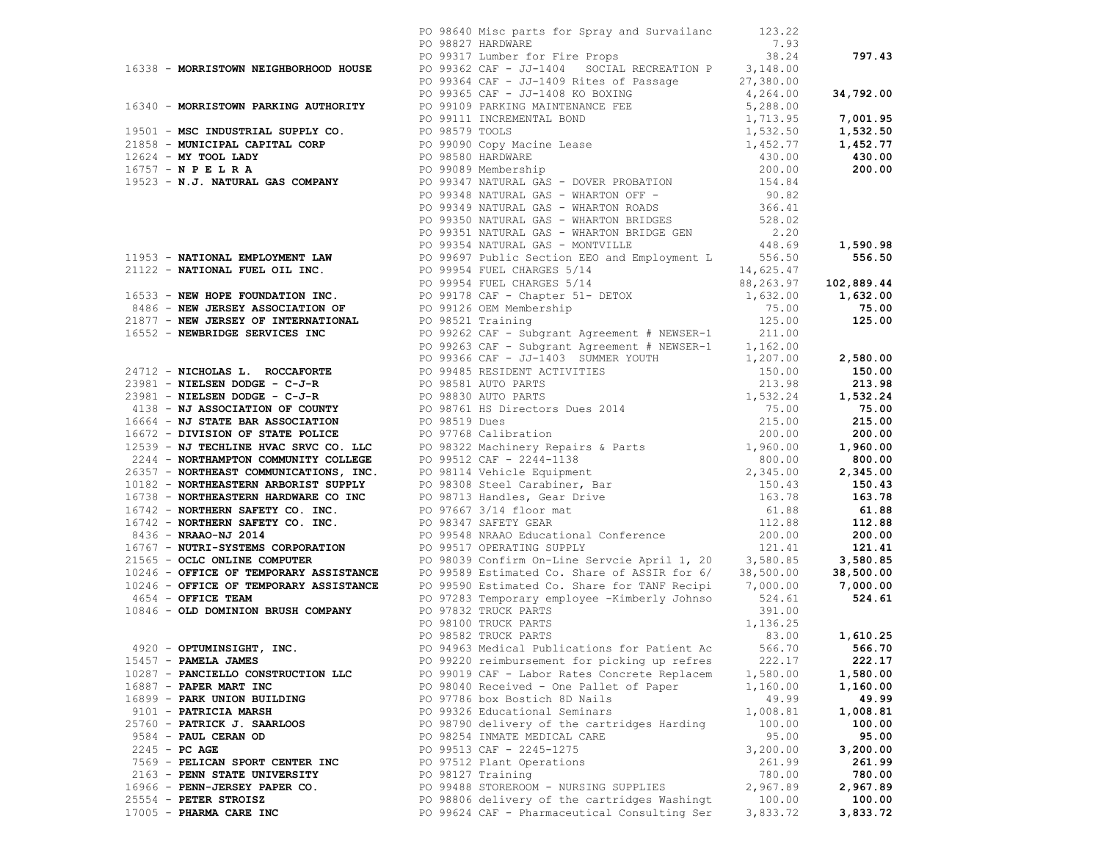|                                    | PO 98640 Misc parts for Spray and Survailanc 123.22                                                                                                                                                                           |          |          |
|------------------------------------|-------------------------------------------------------------------------------------------------------------------------------------------------------------------------------------------------------------------------------|----------|----------|
|                                    |                                                                                                                                                                                                                               |          |          |
|                                    |                                                                                                                                                                                                                               |          |          |
|                                    |                                                                                                                                                                                                                               |          |          |
|                                    |                                                                                                                                                                                                                               |          |          |
|                                    |                                                                                                                                                                                                                               |          |          |
|                                    |                                                                                                                                                                                                                               |          |          |
|                                    |                                                                                                                                                                                                                               |          |          |
|                                    |                                                                                                                                                                                                                               |          |          |
|                                    |                                                                                                                                                                                                                               |          |          |
|                                    |                                                                                                                                                                                                                               |          |          |
|                                    |                                                                                                                                                                                                                               |          |          |
|                                    |                                                                                                                                                                                                                               |          |          |
|                                    |                                                                                                                                                                                                                               |          |          |
|                                    |                                                                                                                                                                                                                               |          |          |
|                                    |                                                                                                                                                                                                                               |          |          |
|                                    |                                                                                                                                                                                                                               |          |          |
|                                    |                                                                                                                                                                                                                               |          |          |
|                                    |                                                                                                                                                                                                                               |          |          |
|                                    |                                                                                                                                                                                                                               |          |          |
|                                    |                                                                                                                                                                                                                               |          |          |
|                                    |                                                                                                                                                                                                                               |          |          |
|                                    |                                                                                                                                                                                                                               |          |          |
|                                    |                                                                                                                                                                                                                               |          |          |
|                                    |                                                                                                                                                                                                                               |          |          |
|                                    |                                                                                                                                                                                                                               |          |          |
|                                    |                                                                                                                                                                                                                               |          |          |
|                                    |                                                                                                                                                                                                                               |          |          |
|                                    |                                                                                                                                                                                                                               |          |          |
|                                    |                                                                                                                                                                                                                               |          |          |
|                                    |                                                                                                                                                                                                                               |          |          |
|                                    |                                                                                                                                                                                                                               |          |          |
|                                    |                                                                                                                                                                                                                               |          |          |
|                                    |                                                                                                                                                                                                                               |          |          |
|                                    |                                                                                                                                                                                                                               |          |          |
|                                    |                                                                                                                                                                                                                               |          |          |
|                                    |                                                                                                                                                                                                                               |          |          |
|                                    |                                                                                                                                                                                                                               |          |          |
|                                    |                                                                                                                                                                                                                               |          |          |
|                                    |                                                                                                                                                                                                                               |          |          |
|                                    |                                                                                                                                                                                                                               |          |          |
|                                    |                                                                                                                                                                                                                               |          |          |
|                                    |                                                                                                                                                                                                                               |          |          |
|                                    |                                                                                                                                                                                                                               |          |          |
|                                    |                                                                                                                                                                                                                               |          |          |
|                                    |                                                                                                                                                                                                                               |          |          |
|                                    |                                                                                                                                                                                                                               |          |          |
|                                    | 17.14 - Montmann are communications of the vertex and the state of the state of the state of the state of the state of the state of the state of the state of the state of the state of the state of the state of the state o |          |          |
|                                    |                                                                                                                                                                                                                               |          |          |
|                                    |                                                                                                                                                                                                                               |          |          |
|                                    |                                                                                                                                                                                                                               |          |          |
| 4920 - OPTUMINSIGHT, INC.          | PO 94963 Medical Publications for Patient Ac                                                                                                                                                                                  | 566.70   | 566.70   |
| $15457$ - PAMELA JAMES             | PO 99220 reimbursement for picking up refres                                                                                                                                                                                  | 222.17   | 222.17   |
| 10287 - PANCIELLO CONSTRUCTION LLC | PO 99019 CAF - Labor Rates Concrete Replacem                                                                                                                                                                                  | 1,580.00 | 1,580.00 |
| 16887 - PAPER MART INC             | PO 98040 Received - One Pallet of Paper                                                                                                                                                                                       | 1,160.00 | 1,160.00 |
| 16899 - PARK UNION BUILDING        | PO 97786 box Bostich 8D Nails                                                                                                                                                                                                 | 49.99    | 49.99    |
| 9101 - PATRICIA MARSH              | PO 99326 Educational Seminars                                                                                                                                                                                                 | 1,008.81 | 1,008.81 |
| 25760 - PATRICK J. SAARLOOS        | PO 98790 delivery of the cartridges Harding                                                                                                                                                                                   | 100.00   | 100.00   |
| 9584 - PAUL CERAN OD               | PO 98254 INMATE MEDICAL CARE                                                                                                                                                                                                  | 95.00    | 95.00    |
|                                    |                                                                                                                                                                                                                               | 3,200.00 |          |
| $2245 - PC AGE$                    | PO 99513 CAF - 2245-1275                                                                                                                                                                                                      |          | 3,200.00 |
| 7569 - PELICAN SPORT CENTER INC    | PO 97512 Plant Operations                                                                                                                                                                                                     | 261.99   | 261.99   |
| 2163 - PENN STATE UNIVERSITY       | PO 98127 Training                                                                                                                                                                                                             | 780.00   | 780.00   |
| 16966 - PENN-JERSEY PAPER CO.      | PO 99488 STOREROOM - NURSING SUPPLIES                                                                                                                                                                                         | 2,967.89 | 2,967.89 |
| 25554 - PETER STROISZ              | PO 98806 delivery of the cartridges Washingt                                                                                                                                                                                  | 100.00   | 100.00   |
| 17005 - PHARMA CARE INC            | PO 99624 CAF - Pharmaceutical Consulting Ser                                                                                                                                                                                  | 3,833.72 | 3,833.72 |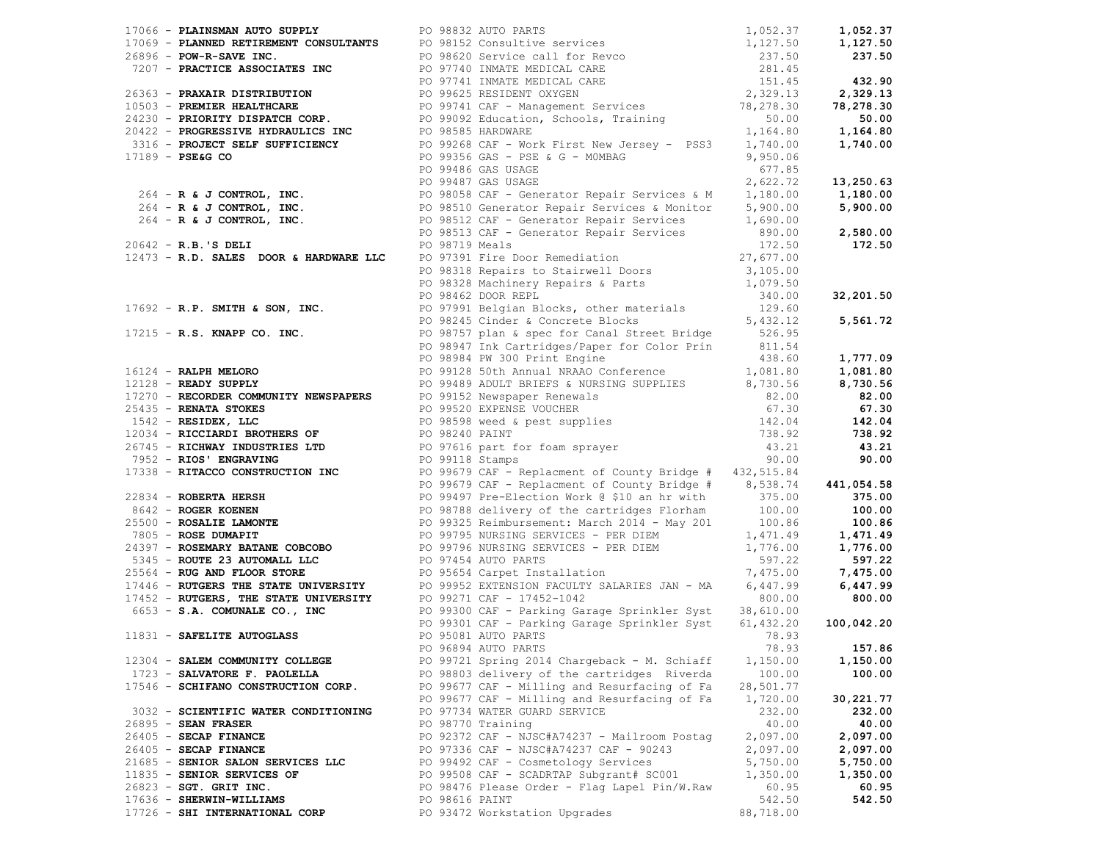|                                      |                | 1795: ALANEHAM MATO MATHA (1971-1975) (1971-1975) (1972-1975) (1972-1975) (1972-1975) (1972-1975) (1972-1975) (1972-1975) (1972-1975) (1973-1975) (1973-1975) (1973-1975) (1973-1975) (1973-1975) (1973-1975) (1973-1975) (19 |           |              |
|--------------------------------------|----------------|-------------------------------------------------------------------------------------------------------------------------------------------------------------------------------------------------------------------------------|-----------|--------------|
|                                      |                |                                                                                                                                                                                                                               |           |              |
|                                      |                |                                                                                                                                                                                                                               |           |              |
|                                      |                |                                                                                                                                                                                                                               |           |              |
|                                      |                | PO 95081 AUTO PARTS                                                                                                                                                                                                           | 78.93     |              |
| 11831 - SAFELITE AUTOGLASS           |                | PO 96894 AUTO PARTS                                                                                                                                                                                                           |           | 78.93 157.86 |
| 12304 - SALEM COMMUNITY COLLEGE      |                | PO 99721 Spring 2014 Chargeback - M. Schiaff                                                                                                                                                                                  | 1,150.00  | 1,150.00     |
| 1723 - SALVATORE F. PAOLELLA         |                | PO 98803 delivery of the cartridges Riverda                                                                                                                                                                                   | 100.00    | 100.00       |
| 17546 - SCHIFANO CONSTRUCTION CORP.  |                | PO 99677 CAF - Milling and Resurfacing of Fa                                                                                                                                                                                  | 28,501.77 |              |
|                                      |                | PO 99677 CAF - Milling and Resurfacing of Fa                                                                                                                                                                                  | 1,720.00  | 30,221.77    |
| 3032 - SCIENTIFIC WATER CONDITIONING |                | PO 97734 WATER GUARD SERVICE                                                                                                                                                                                                  | 232.00    | 232.00       |
| 26895 - SEAN FRASER                  |                | PO 98770 Training                                                                                                                                                                                                             | 40.00     | 40.00        |
| 26405 - SECAP FINANCE                |                | PO 92372 CAF - NJSC#A74237 - Mailroom Postag                                                                                                                                                                                  | 2,097.00  | 2,097.00     |
| 26405 - SECAP FINANCE                |                | PO 97336 CAF - NJSC#A74237 CAF - 90243                                                                                                                                                                                        | 2,097.00  | 2,097.00     |
| 21685 - SENIOR SALON SERVICES LLC    |                | PO 99492 CAF - Cosmetology Services                                                                                                                                                                                           | 5,750.00  | 5,750.00     |
| 11835 - SENIOR SERVICES OF           |                | PO 99508 CAF - SCADRTAP Subgrant# SC001                                                                                                                                                                                       | 1,350.00  | 1,350.00     |
| 26823 - SGT. GRIT INC.               |                | PO 98476 Please Order - Flag Lapel Pin/W.Raw                                                                                                                                                                                  | 60.95     | 60.95        |
| 17636 - SHERWIN-WILLIAMS             | PO 98616 PAINT |                                                                                                                                                                                                                               | 542.50    | 542.50       |
| 17726 - SHI INTERNATIONAL CORP       |                | PO 93472 Workstation Upgrades                                                                                                                                                                                                 | 88,718.00 |              |
|                                      |                |                                                                                                                                                                                                                               |           |              |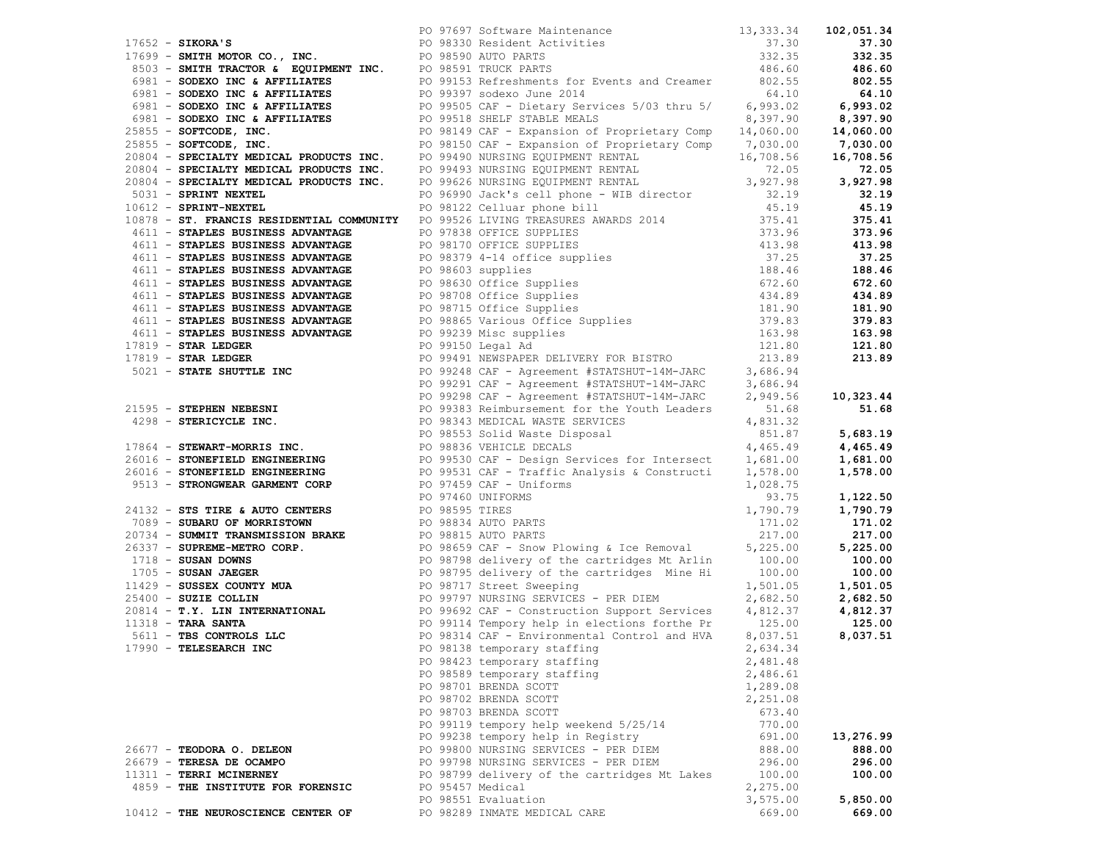| 1757 - Samma Son, 180, 1911 - 1757 - 1757 - 1757 - 1757 - 1757 - 1757 - 1757 - 1757 - 1757 - 1757 - 1757 - 1757 - 1757 - 1757 - 1757 - 1757 - 1757 - 1757 - 1757 - 1757 - 1757 - 1757 - 1757 - 1757 - 1757 - 1757 - 1757 - 17 |                  |                                              |          |           |
|-------------------------------------------------------------------------------------------------------------------------------------------------------------------------------------------------------------------------------|------------------|----------------------------------------------|----------|-----------|
|                                                                                                                                                                                                                               |                  |                                              |          |           |
|                                                                                                                                                                                                                               |                  |                                              |          |           |
|                                                                                                                                                                                                                               |                  |                                              |          |           |
|                                                                                                                                                                                                                               |                  |                                              |          |           |
|                                                                                                                                                                                                                               |                  |                                              |          |           |
|                                                                                                                                                                                                                               |                  |                                              |          |           |
|                                                                                                                                                                                                                               |                  |                                              |          |           |
|                                                                                                                                                                                                                               |                  |                                              |          |           |
|                                                                                                                                                                                                                               |                  |                                              |          |           |
|                                                                                                                                                                                                                               |                  |                                              |          |           |
|                                                                                                                                                                                                                               |                  |                                              |          |           |
|                                                                                                                                                                                                                               |                  |                                              |          |           |
|                                                                                                                                                                                                                               |                  |                                              |          |           |
|                                                                                                                                                                                                                               |                  |                                              |          |           |
|                                                                                                                                                                                                                               |                  |                                              |          |           |
|                                                                                                                                                                                                                               |                  |                                              |          |           |
|                                                                                                                                                                                                                               |                  |                                              |          |           |
|                                                                                                                                                                                                                               |                  |                                              |          |           |
|                                                                                                                                                                                                                               |                  |                                              |          |           |
|                                                                                                                                                                                                                               |                  |                                              |          |           |
|                                                                                                                                                                                                                               |                  |                                              |          |           |
|                                                                                                                                                                                                                               |                  |                                              |          |           |
|                                                                                                                                                                                                                               |                  |                                              |          |           |
|                                                                                                                                                                                                                               |                  |                                              |          |           |
|                                                                                                                                                                                                                               |                  |                                              |          |           |
|                                                                                                                                                                                                                               |                  |                                              |          |           |
|                                                                                                                                                                                                                               |                  |                                              |          |           |
|                                                                                                                                                                                                                               |                  |                                              |          |           |
|                                                                                                                                                                                                                               |                  |                                              |          |           |
|                                                                                                                                                                                                                               |                  |                                              |          |           |
|                                                                                                                                                                                                                               |                  |                                              |          |           |
|                                                                                                                                                                                                                               |                  |                                              |          |           |
|                                                                                                                                                                                                                               |                  |                                              |          |           |
|                                                                                                                                                                                                                               |                  |                                              |          |           |
|                                                                                                                                                                                                                               |                  |                                              |          |           |
|                                                                                                                                                                                                                               |                  |                                              |          |           |
|                                                                                                                                                                                                                               |                  |                                              |          |           |
|                                                                                                                                                                                                                               |                  |                                              |          |           |
|                                                                                                                                                                                                                               |                  |                                              |          |           |
|                                                                                                                                                                                                                               |                  |                                              |          |           |
|                                                                                                                                                                                                                               |                  |                                              |          |           |
|                                                                                                                                                                                                                               |                  |                                              |          |           |
|                                                                                                                                                                                                                               |                  |                                              |          |           |
|                                                                                                                                                                                                                               |                  |                                              |          |           |
|                                                                                                                                                                                                                               |                  |                                              |          |           |
|                                                                                                                                                                                                                               |                  |                                              |          |           |
|                                                                                                                                                                                                                               |                  |                                              |          |           |
|                                                                                                                                                                                                                               |                  |                                              |          |           |
|                                                                                                                                                                                                                               |                  |                                              |          |           |
| 17990 - TELESEARCH INC                                                                                                                                                                                                        |                  | PO 98138 temporary staffing                  | 2,634.34 |           |
|                                                                                                                                                                                                                               |                  | PO 98423 temporary staffing                  | 2,481.48 |           |
|                                                                                                                                                                                                                               |                  | PO 98589 temporary staffing                  | 2,486.61 |           |
|                                                                                                                                                                                                                               |                  | PO 98701 BRENDA SCOTT                        | 1,289.08 |           |
|                                                                                                                                                                                                                               |                  | PO 98702 BRENDA SCOTT                        | 2,251.08 |           |
|                                                                                                                                                                                                                               |                  | PO 98703 BRENDA SCOTT                        | 673.40   |           |
|                                                                                                                                                                                                                               |                  | PO 99119 tempory help weekend 5/25/14        | 770.00   |           |
|                                                                                                                                                                                                                               |                  | PO 99238 tempory help in Registry            | 691.00   | 13,276.99 |
| 26677 - TEODORA O. DELEON                                                                                                                                                                                                     |                  | PO 99800 NURSING SERVICES - PER DIEM         | 888.00   | 888.00    |
| 26679 - TERESA DE OCAMPO                                                                                                                                                                                                      |                  | PO 99798 NURSING SERVICES - PER DIEM         | 296.00   | 296.00    |
| 11311 - TERRI MCINERNEY                                                                                                                                                                                                       |                  | PO 98799 delivery of the cartridges Mt Lakes | 100.00   | 100.00    |
| 4859 - THE INSTITUTE FOR FORENSIC                                                                                                                                                                                             | PO 95457 Medical |                                              | 2,275.00 |           |
|                                                                                                                                                                                                                               |                  | PO 98551 Evaluation                          | 3,575.00 | 5,850.00  |
| 10412 - THE NEUROSCIENCE CENTER OF                                                                                                                                                                                            |                  | PO 98289 INMATE MEDICAL CARE                 | 669.00   | 669.00    |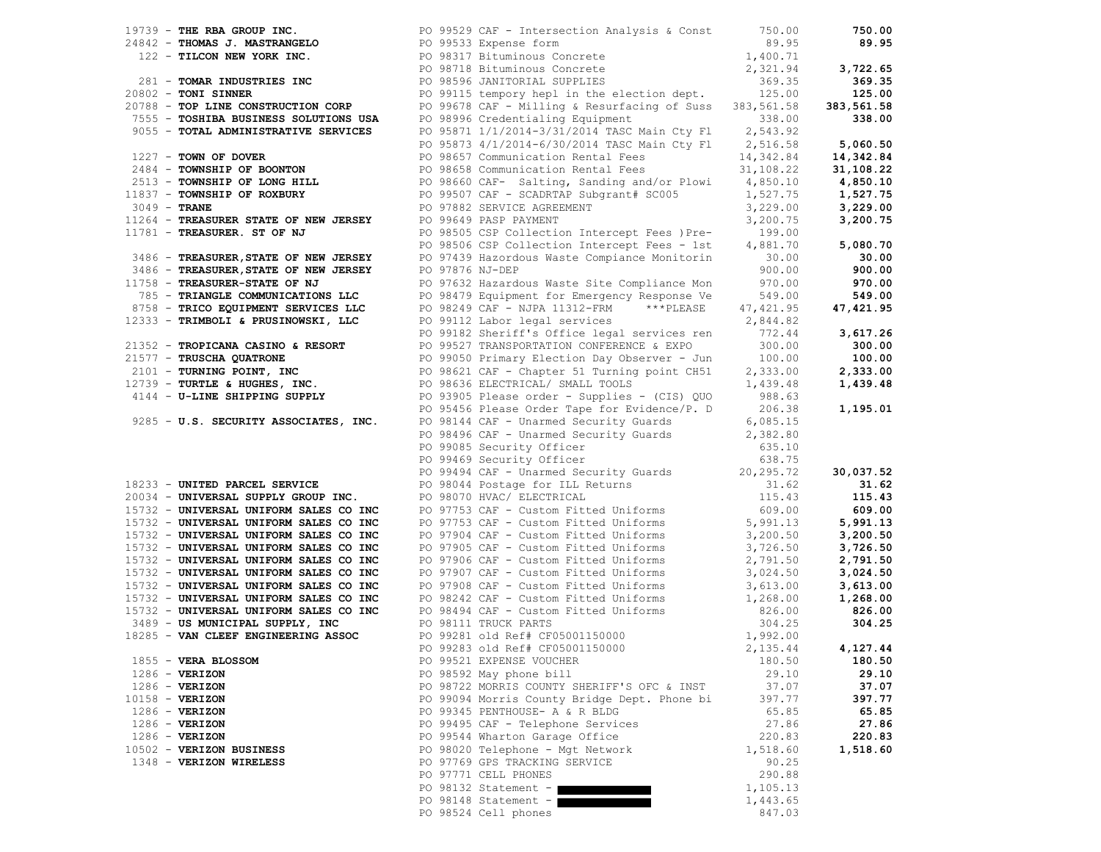|                |                                                                                                                                               |                 | PO 99529 CAF - Intersection Analysis & Const 750.00                                                                                                                                                                                                                                                |                      | 750.00     |
|----------------|-----------------------------------------------------------------------------------------------------------------------------------------------|-----------------|----------------------------------------------------------------------------------------------------------------------------------------------------------------------------------------------------------------------------------------------------------------------------------------------------|----------------------|------------|
|                |                                                                                                                                               |                 |                                                                                                                                                                                                                                                                                                    | 89.95                | 89.95      |
|                |                                                                                                                                               |                 |                                                                                                                                                                                                                                                                                                    |                      |            |
|                |                                                                                                                                               |                 |                                                                                                                                                                                                                                                                                                    | 1,400.71<br>2,321.94 | 3,722.65   |
|                |                                                                                                                                               |                 |                                                                                                                                                                                                                                                                                                    | 369.35               | 369.35     |
|                |                                                                                                                                               |                 | 19739 - THE RBA GROUP INC.<br>24842 - THOMAS J. MASTRANGELO<br>122 - TILCON NEW YORK INC.<br>20098317 Bituminous Concrete<br>20098718 Bituminous Concrete<br>20098718 Bituminous Concrete<br>20098718 Bituminous Concrete<br>20098596 JANITO<br>PO 99115 tempory hepl in the election dept. 125.00 |                      | 125.00     |
|                | 20802 - TONI SINNER<br>20788 - TOP LINE CONSTRUCTION CORP                                                                                     |                 |                                                                                                                                                                                                                                                                                                    |                      |            |
|                |                                                                                                                                               |                 | PO 99678 CAF - Milling & Resurfacing of Suss 383,561.58                                                                                                                                                                                                                                            |                      | 383,561.58 |
|                | 7555 - TOSHIBA BUSINESS SOLUTIONS USA                                                                                                         |                 | PO 98996 Credentialing Equipment                                                                                                                                                                                                                                                                   | 338.00               | 338.00     |
|                | 9055 - TOTAL ADMINISTRATIVE SERVICES                                                                                                          |                 |                                                                                                                                                                                                                                                                                                    |                      |            |
|                |                                                                                                                                               |                 | PO 95871 1/1/2014-3/31/2014 TASC Main Cty F1 2,543.92<br>PO 95873 4/1/2014-6/30/2014 TASC Main Cty F1 2,516.58                                                                                                                                                                                     |                      | 5,060.50   |
|                |                                                                                                                                               |                 |                                                                                                                                                                                                                                                                                                    |                      | 14,342.84  |
|                | 1227 - <b>TOWN OF DOVER</b><br>2484 - <b>TOWNSHIP OF BOONTON</b><br>2513 - <b>TOWNSHIP OF LONG HILL</b><br>11837 - <b>TOWNSHIP OF ROXBURY</b> |                 | PO 98657 Communication Rental Fees 14,342.84<br>PO 98658 Communication Rental Fees 31,108.22                                                                                                                                                                                                       |                      | 31,108.22  |
|                |                                                                                                                                               |                 | PO 98660 CAF- Salting, Sanding and/or Plowi 4,850.10                                                                                                                                                                                                                                               |                      |            |
|                |                                                                                                                                               |                 |                                                                                                                                                                                                                                                                                                    |                      | 4,850.10   |
|                | 11837 - TOWNSHIP OF ROXBURY                                                                                                                   |                 |                                                                                                                                                                                                                                                                                                    |                      | 1,527.75   |
| $3049$ - TRANE |                                                                                                                                               |                 |                                                                                                                                                                                                                                                                                                    |                      | 3,229.00   |
|                |                                                                                                                                               |                 |                                                                                                                                                                                                                                                                                                    |                      | 3,200.75   |
|                | 3049 - <b>TRANE<br/>11264 - TREASURER STATE OF NEW JERSEY</b><br>11781 - <b>TREASURER. ST OF NJ</b><br>11781 - TREASURER. ST OF NJ            |                 | PO 99507 CAF - SCADRTAP Subgrant# SC005 1,527.75<br>PO 97882 SERVICE AGREEMENT 3,229.00<br>PO 99649 PASP PAYMENT 3,200.75<br>PO 98505 CSP Collection Intercent Bellevine 15<br>PO 98505 CSP Collection Intercept Fees ) Pre- 199.00                                                                |                      |            |
|                |                                                                                                                                               |                 | PO 98506 CSP Collection Intercept Fees - 1st 4,881.70                                                                                                                                                                                                                                              |                      | 5,080.70   |
|                | 3486 - TREASURER, STATE OF NEW JERSEY                                                                                                         |                 | PO 97439 Hazordous Waste Compiance Monitorin 30.00                                                                                                                                                                                                                                                 |                      | 30.00      |
|                |                                                                                                                                               |                 |                                                                                                                                                                                                                                                                                                    |                      |            |
|                | 3486 - TREASURER, STATE OF NEW JERSEY                                                                                                         | PO 97876 NJ-DEP |                                                                                                                                                                                                                                                                                                    | 900.00               | 900.00     |
|                | 11758 - TREASURER-STATE OF NJ                                                                                                                 |                 | PO 97632 Hazardous Waste Site Compliance Mon 970.00                                                                                                                                                                                                                                                |                      | 970.00     |
|                | 785 - TRIANGLE COMMUNICATIONS LLC                                                                                                             |                 | PO 98479 Equipment for Emergency Response Ve                                                                                                                                                                                                                                                       | 549.00               | 549.00     |
|                | 8758 - TRICO EQUIPMENT SERVICES LLC                                                                                                           |                 | PO 98249 CAF - NJPA 11312-FRM *** PLEASE                                                                                                                                                                                                                                                           | 47,421.95            | 47, 421.95 |
|                | 12333 - TRIMBOLI & PRUSINOWSKI, LLC                                                                                                           |                 | PO 99112 Labor legal services 2,844.82                                                                                                                                                                                                                                                             |                      |            |
|                |                                                                                                                                               |                 | PO 99182 Sheriff's Office legal services ren 772.44                                                                                                                                                                                                                                                |                      | 3,617.26   |
|                |                                                                                                                                               |                 | PO 99527 TRANSPORTATION CONFERENCE & EXPO                                                                                                                                                                                                                                                          | 300.00               | 300.00     |
|                | 21352 - TROPICANA CASINO & RESORT<br>21577 - TRUSCHA QUATRONE<br>2101 - TURNING POINT, INC                                                    |                 |                                                                                                                                                                                                                                                                                                    |                      |            |
|                |                                                                                                                                               |                 | PO 99050 Primary Election Day Observer - Jun 100.00                                                                                                                                                                                                                                                |                      | 100.00     |
|                |                                                                                                                                               |                 | PO 98621 CAF - Chapter 51 Turning point CH51 2,333.00                                                                                                                                                                                                                                              |                      | 2,333.00   |
|                | 12739 - TURTLE & HUGHES, INC.                                                                                                                 |                 | PO 98636 ELECTRICAL/ SMALL TOOLS                                                                                                                                                                                                                                                                   | 1,439.48             | 1,439.48   |
|                | 4144 - U-LINE SHIPPING SUPPLY                                                                                                                 |                 | PO 93905 Please order - Supplies - (CIS) QUO                                                                                                                                                                                                                                                       | 988.63               |            |
|                |                                                                                                                                               |                 | PO 95456 Please Order Tape for Evidence/P. D                                                                                                                                                                                                                                                       | 206.38               | 1,195.01   |
|                | 9285 - U.S. SECURITY ASSOCIATES, INC.                                                                                                         |                 |                                                                                                                                                                                                                                                                                                    |                      |            |
|                |                                                                                                                                               |                 | PO 98144 CAF - Unarmed Security Guards 6,085.15<br>PO 98496 CAF - Unarmed Security Guards 2,382.80                                                                                                                                                                                                 |                      |            |
|                |                                                                                                                                               |                 |                                                                                                                                                                                                                                                                                                    |                      |            |
|                |                                                                                                                                               |                 |                                                                                                                                                                                                                                                                                                    |                      |            |
|                |                                                                                                                                               |                 | For the security officer<br>Po 99085 Security Officer<br>Po 99469 Security Officer<br>Fo 99469 Security Officer<br>Fo 99494 CAF - Unarmed Security Guards<br>Po 97753 CAF - Custom Fitted Uniforms<br>Po 97753 CAF - Custom Fitted Uniform                                                         |                      |            |
|                |                                                                                                                                               |                 |                                                                                                                                                                                                                                                                                                    |                      | 30,037.52  |
|                | 18233 - UNITED PARCEL SERVICE                                                                                                                 |                 |                                                                                                                                                                                                                                                                                                    |                      | 31.62      |
|                | 20034 - UNIVERSAL SUPPLY GROUP INC.                                                                                                           |                 |                                                                                                                                                                                                                                                                                                    |                      | 115.43     |
|                | 15732 - UNIVERSAL UNIFORM SALES CO INC                                                                                                        |                 |                                                                                                                                                                                                                                                                                                    |                      | 609.00     |
|                |                                                                                                                                               |                 | PO 97753 CAF - Custom Fitted Uniforms<br>PO 97753 CAF - Custom Fitted Uniforms<br>PO 97904 CAF - Custom Fitted Uniforms<br>PO 97905 CAF - Custom Fitted Uniforms<br>PO 97906 CAF - Custom Fitted Uniforms<br>PO 97906 CAF - Custom Fitte                                                           |                      | 5,991.13   |
|                | 15732 - UNIVERSAL UNIFORM SALES CO INC<br>15732 - UNIVERSAL UNIFORM SALES CO INC                                                              |                 |                                                                                                                                                                                                                                                                                                    |                      |            |
|                |                                                                                                                                               |                 |                                                                                                                                                                                                                                                                                                    |                      | 3,200.50   |
|                | 15732 - UNIVERSAL UNIFORM SALES CO INC                                                                                                        |                 |                                                                                                                                                                                                                                                                                                    |                      | 3,726.50   |
|                | 15732 - UNIVERSAL UNIFORM SALES CO INC                                                                                                        |                 |                                                                                                                                                                                                                                                                                                    |                      | 2,791.50   |
|                | 15732 - UNIVERSAL UNIFORM SALES CO INC                                                                                                        |                 |                                                                                                                                                                                                                                                                                                    |                      | 3,024.50   |
|                | 15732 - UNIVERSAL UNIFORM SALES CO INC                                                                                                        |                 |                                                                                                                                                                                                                                                                                                    |                      | 3,613.00   |
|                | 15732 - UNIVERSAL UNIFORM SALES CO INC                                                                                                        |                 |                                                                                                                                                                                                                                                                                                    |                      | 1,268.00   |
|                | 15732 - UNIVERSAL UNIFORM SALES CO INC                                                                                                        |                 |                                                                                                                                                                                                                                                                                                    |                      | 826.00     |
|                | 3489 - US MUNICIPAL SUPPLY, INC                                                                                                               |                 | PO 98111 TRUCK PARTS                                                                                                                                                                                                                                                                               | 304.25               | 304.25     |
|                | 18285 - VAN CLEEF ENGINEERING ASSOC                                                                                                           |                 | PO 99281 old Ref# CF05001150000                                                                                                                                                                                                                                                                    |                      |            |
|                |                                                                                                                                               |                 |                                                                                                                                                                                                                                                                                                    | 1,992.00             |            |
|                |                                                                                                                                               |                 | PO 99283 old Ref# CF05001150000                                                                                                                                                                                                                                                                    | 2,135.44             | 4,127.44   |
|                | 1855 - VERA BLOSSOM                                                                                                                           |                 | PO 99521 EXPENSE VOUCHER                                                                                                                                                                                                                                                                           | 180.50               | 180.50     |
|                | $1286 - VERIZON$                                                                                                                              |                 | PO 98592 May phone bill                                                                                                                                                                                                                                                                            | 29.10                | 29.10      |
|                | 1286 - VERIZON                                                                                                                                |                 | PO 98722 MORRIS COUNTY SHERIFF'S OFC & INST                                                                                                                                                                                                                                                        | 37.07                | 37.07      |
|                | $10158 - VERIZON$                                                                                                                             |                 | PO 99094 Morris County Bridge Dept. Phone bi                                                                                                                                                                                                                                                       | 397.77               | 397.77     |
|                | 1286 - VERIZON                                                                                                                                |                 | PO 99345 PENTHOUSE- A & R BLDG                                                                                                                                                                                                                                                                     | 65.85                | 65.85      |
|                |                                                                                                                                               |                 |                                                                                                                                                                                                                                                                                                    |                      |            |
|                | $1286$ - VERIZON                                                                                                                              |                 | PO 99495 CAF - Telephone Services                                                                                                                                                                                                                                                                  | 27.86                | 27.86      |
|                | $1286 - VERIZON$                                                                                                                              |                 | PO 99544 Wharton Garage Office                                                                                                                                                                                                                                                                     | 220.83               | 220.83     |
|                | 10502 - VERIZON BUSINESS                                                                                                                      |                 | PO 98020 Telephone - Mgt Network                                                                                                                                                                                                                                                                   | 1,518.60             | 1,518.60   |
|                | 1348 - VERIZON WIRELESS                                                                                                                       |                 | PO 97769 GPS TRACKING SERVICE                                                                                                                                                                                                                                                                      | 90.25                |            |
|                |                                                                                                                                               |                 | PO 97771 CELL PHONES                                                                                                                                                                                                                                                                               | 290.88               |            |
|                |                                                                                                                                               |                 | PO 98132 Statement -                                                                                                                                                                                                                                                                               | 1,105.13             |            |
|                |                                                                                                                                               |                 | PO 98148 Statement $-$                                                                                                                                                                                                                                                                             | 1,443.65             |            |
|                |                                                                                                                                               |                 | PO 98524 Cell phones                                                                                                                                                                                                                                                                               | 847.03               |            |
|                |                                                                                                                                               |                 |                                                                                                                                                                                                                                                                                                    |                      |            |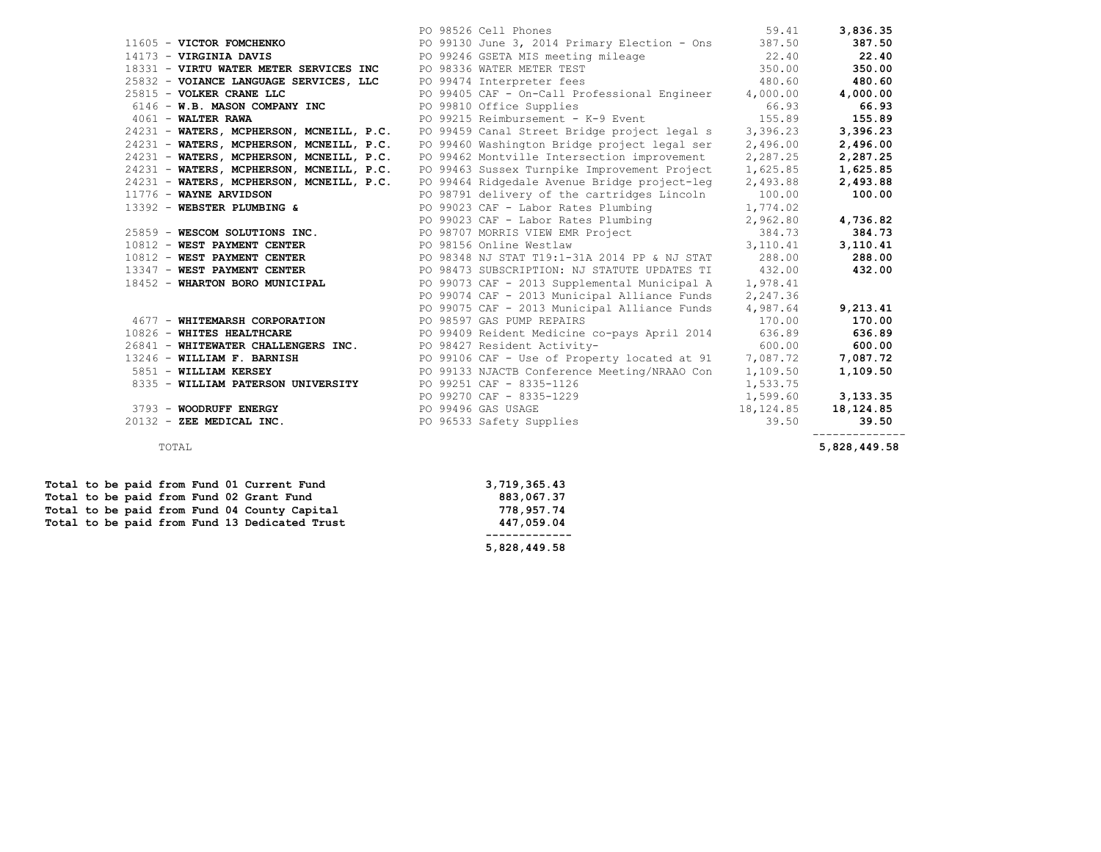|                                              | PO 98526 Cell Phones                                                                                                                                                                                                                                                           | 59.41    | 3,836.35      |
|----------------------------------------------|--------------------------------------------------------------------------------------------------------------------------------------------------------------------------------------------------------------------------------------------------------------------------------|----------|---------------|
|                                              | 11605 - VICTOR FOMCHENKO <b>DEPARTEM PO 99130</b> June 3, 2014 Primary Election - Ons 387.50                                                                                                                                                                                   |          | 387.50        |
|                                              |                                                                                                                                                                                                                                                                                |          |               |
|                                              |                                                                                                                                                                                                                                                                                |          |               |
|                                              |                                                                                                                                                                                                                                                                                |          |               |
|                                              | 14173 - VIRGINIA DAVIS<br>18331 - VIRTU WATER METER SERVICES INC<br>22.40<br>22.40<br>23.40<br>23.40<br>23.40<br>23.40<br>23.40<br>23.40<br>23.40<br>23.40<br>23.40<br>23.40<br>23.40<br>23.40<br>23.40<br>23.40<br>23.40<br>23.40<br>23.40<br>23.40<br>23.40<br>23.40<br>23.4 |          |               |
|                                              |                                                                                                                                                                                                                                                                                |          |               |
| $4061$ - WALTER RAWA                         | PO 99215 Reimbursement - K-9 Event 155.89                                                                                                                                                                                                                                      |          | 155.89        |
| 24231 - WATERS, MCPHERSON, MCNEILL, P.C.     | PO 99459 Canal Street Bridge project legal s                                                                                                                                                                                                                                   | 3,396.23 | 3,396.23      |
| 24231 - WATERS, MCPHERSON, MCNEILL, P.C.     | PO 99460 Washington Bridge project legal ser                                                                                                                                                                                                                                   | 2,496.00 | 2,496.00      |
| 24231 - WATERS, MCPHERSON, MCNEILL, P.C.     | PO 99462 Montville Intersection improvement                                                                                                                                                                                                                                    | 2,287.25 | 2,287.25      |
| 24231 - WATERS, MCPHERSON, MCNEILL, P.C.     | PO 99463 Sussex Turnpike Improvement Project                                                                                                                                                                                                                                   | 1,625.85 | 1,625.85      |
| 24231 - WATERS, MCPHERSON, MCNEILL, P.C.     | PO 99464 Ridgedale Avenue Bridge project-leg                                                                                                                                                                                                                                   | 2,493.88 | 2,493.88      |
| 11776 - WAYNE ARVIDSON                       | PO 98791 delivery of the cartridges Lincoln 100.00                                                                                                                                                                                                                             |          | 100.00        |
|                                              | 13392 - WEBSTER PLUMBING & PO 99023 CAF - Labor Rates Plumbing 1,774.02<br>PO 99023 CAF - Labor Rates Plumbing 2,962.80                                                                                                                                                        |          |               |
|                                              |                                                                                                                                                                                                                                                                                |          | 4,736.82      |
|                                              |                                                                                                                                                                                                                                                                                |          | 384.73        |
|                                              |                                                                                                                                                                                                                                                                                |          | 3, 110.41     |
|                                              |                                                                                                                                                                                                                                                                                |          | 288.00        |
|                                              | 10812 - WEST PAYMENT CENTER<br>19812 - WEST PAYMENT CENTER (288.00)<br>1984 - The MEST PAYMENT CENTER (2013 SUBSCRIPTION: NJ STATUTE UPDATES TI 432.00<br>18452 - WHARTON BORO MUNICIPAL (2013 Supplemental Municipal A 1,978.41)                                              |          | 432.00        |
|                                              |                                                                                                                                                                                                                                                                                |          |               |
|                                              | PO 99074 CAF - 2013 Municipal Alliance Funds                                                                                                                                                                                                                                   | 2,247.36 |               |
|                                              | PO 99075 CAF - 2013 Municipal Alliance Funds 4,987.64                                                                                                                                                                                                                          |          | 9,213.41      |
| 4677 - WHITEMARSH CORPORATION                | PO 98597 GAS PUMP REPAIRS                                                                                                                                                                                                                                                      |          | 170.00 170.00 |
| 10826 - WHITES HEALTHCARE                    | PO 99409 Reident Medicine co-pays April 2014 636.89                                                                                                                                                                                                                            |          | 636.89        |
|                                              | 26841 - WHITEWATER CHALLENGERS INC. PO 98427 Resident Activity-<br><sub>26841</sub> - WHITEWATER CHALLENGERS INC.                                                                                                                                                              |          | 600.00        |
| 13246 - WILLIAM F. BARNISH                   | PO 99106 CAF - Use of Property located at 91 $7,087.72$                                                                                                                                                                                                                        |          | 7,087.72      |
| 5851 - WILLIAM KERSEY                        | PO 99133 NJACTB Conference Meeting/NRAAO Con 1, 109.50                                                                                                                                                                                                                         |          | 1,109.50      |
| 8335 - WILLIAM PATERSON UNIVERSITY           | PO 99251 CAF - 8335-1126                                                                                                                                                                                                                                                       | 1,533.75 |               |
|                                              | PO 99270 CAF - 8335-1229<br>PO 99496 CAS VOIST                                                                                                                                                                                                                                 | 1,599.60 | 3,133.35      |
| 3793 - WOODRUFF ENERGY<br>PO 99496 GAS USAGE | PO 99496 GAS USAGE 18, 124.85<br>PO 96533 Safety Supplies 39.50                                                                                                                                                                                                                |          | 18,124.85     |
| 20132 - ZEE MEDICAL INC.                     |                                                                                                                                                                                                                                                                                |          | 39.50         |
| TOTAL                                        |                                                                                                                                                                                                                                                                                |          | 5,828,449.58  |

|  |  |  |  | Total to be paid from Fund 01 Current Fund    | 3,719,365.43 |
|--|--|--|--|-----------------------------------------------|--------------|
|  |  |  |  | Total to be paid from Fund 02 Grant Fund      | 883,067.37   |
|  |  |  |  | Total to be paid from Fund 04 County Capital  | 778,957.74   |
|  |  |  |  | Total to be paid from Fund 13 Dedicated Trust | 447,059.04   |
|  |  |  |  |                                               |              |
|  |  |  |  |                                               | 5,828,449.58 |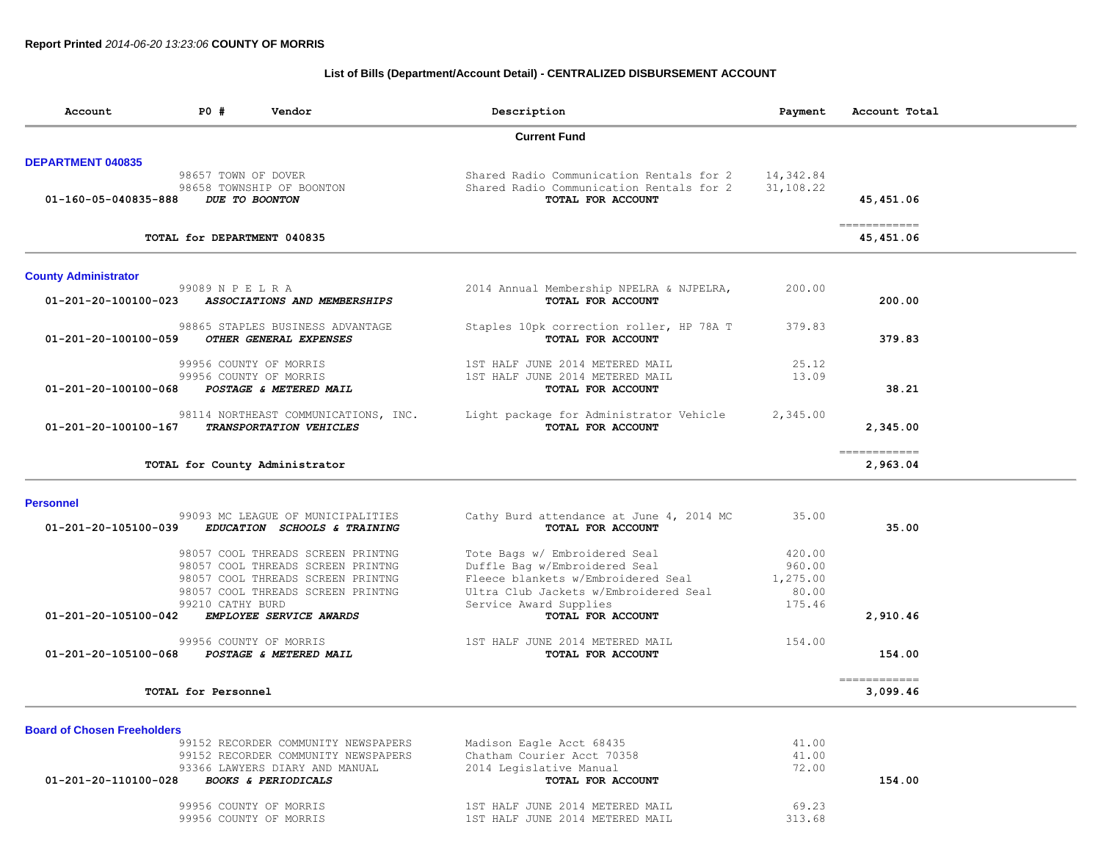## **List of Bills (Department/Account Detail) - CENTRALIZED DISBURSEMENT ACCOUNT**

| Account                            | P0 #                        | Vendor                                                                 | Description                                                   | Payment   | Account Total                            |
|------------------------------------|-----------------------------|------------------------------------------------------------------------|---------------------------------------------------------------|-----------|------------------------------------------|
|                                    |                             |                                                                        | <b>Current Fund</b>                                           |           |                                          |
| <b>DEPARTMENT 040835</b>           |                             |                                                                        |                                                               |           |                                          |
|                                    | 98657 TOWN OF DOVER         |                                                                        | Shared Radio Communication Rentals for 2                      | 14,342.84 |                                          |
| 01-160-05-040835-888               |                             | 98658 TOWNSHIP OF BOONTON<br>DUE TO BOONTON                            | Shared Radio Communication Rentals for 2<br>TOTAL FOR ACCOUNT | 31,108.22 | 45, 451.06                               |
|                                    |                             |                                                                        |                                                               |           |                                          |
|                                    | TOTAL for DEPARTMENT 040835 |                                                                        |                                                               |           | $=$ = = = = = = = = = = = =<br>45,451.06 |
| <b>County Administrator</b>        |                             |                                                                        |                                                               |           |                                          |
|                                    | 99089 N P E L R A           |                                                                        | 2014 Annual Membership NPELRA & NJPELRA,                      | 200.00    |                                          |
| 01-201-20-100100-023               |                             | ASSOCIATIONS AND MEMBERSHIPS                                           | TOTAL FOR ACCOUNT                                             |           | 200.00                                   |
|                                    |                             | 98865 STAPLES BUSINESS ADVANTAGE                                       | Staples 10pk correction roller, HP 78A T                      | 379.83    |                                          |
| 01-201-20-100100-059               |                             | OTHER GENERAL EXPENSES                                                 | TOTAL FOR ACCOUNT                                             |           | 379.83                                   |
|                                    |                             | 99956 COUNTY OF MORRIS                                                 | 1ST HALF JUNE 2014 METERED MAIL                               | 25.12     |                                          |
|                                    |                             | 99956 COUNTY OF MORRIS                                                 | 1ST HALF JUNE 2014 METERED MAIL                               | 13.09     |                                          |
| 01-201-20-100100-068               |                             | POSTAGE & METERED MAIL                                                 | TOTAL FOR ACCOUNT                                             |           | 38.21                                    |
|                                    |                             |                                                                        |                                                               |           |                                          |
| 01-201-20-100100-167               |                             | 98114 NORTHEAST COMMUNICATIONS, INC.<br><b>TRANSPORTATION VEHICLES</b> | Light package for Administrator Vehicle<br>TOTAL FOR ACCOUNT  | 2,345.00  | 2,345.00                                 |
|                                    |                             |                                                                        |                                                               |           | ------------                             |
|                                    |                             | TOTAL for County Administrator                                         |                                                               |           | 2,963.04                                 |
| <b>Personnel</b>                   |                             |                                                                        |                                                               |           |                                          |
|                                    |                             | 99093 MC LEAGUE OF MUNICIPALITIES                                      | Cathy Burd attendance at June 4, 2014 MC                      | 35.00     |                                          |
| 01-201-20-105100-039               |                             | EDUCATION SCHOOLS & TRAINING                                           | TOTAL FOR ACCOUNT                                             |           | 35.00                                    |
|                                    |                             | 98057 COOL THREADS SCREEN PRINTNG                                      | Tote Bags w/ Embroidered Seal                                 | 420.00    |                                          |
|                                    |                             | 98057 COOL THREADS SCREEN PRINTNG                                      | Duffle Bag w/Embroidered Seal                                 | 960.00    |                                          |
|                                    |                             | 98057 COOL THREADS SCREEN PRINTNG                                      | Fleece blankets w/Embroidered Seal                            | 1,275.00  |                                          |
|                                    |                             | 98057 COOL THREADS SCREEN PRINTNG                                      | Ultra Club Jackets w/Embroidered Seal                         | 80.00     |                                          |
|                                    | 99210 CATHY BURD            |                                                                        | Service Award Supplies                                        | 175.46    |                                          |
| 01-201-20-105100-042               |                             | EMPLOYEE SERVICE AWARDS                                                | TOTAL FOR ACCOUNT                                             |           | 2,910.46                                 |
|                                    |                             | 99956 COUNTY OF MORRIS                                                 | 1ST HALF JUNE 2014 METERED MAIL                               | 154.00    |                                          |
| 01-201-20-105100-068               |                             | POSTAGE & METERED MAIL                                                 | TOTAL FOR ACCOUNT                                             |           | 154.00                                   |
|                                    | TOTAL for Personnel         |                                                                        |                                                               |           | ------------<br>3,099.46                 |
|                                    |                             |                                                                        |                                                               |           |                                          |
| <b>Board of Chosen Freeholders</b> |                             |                                                                        |                                                               |           |                                          |
|                                    |                             | 99152 RECORDER COMMUNITY NEWSPAPERS                                    | Madison Eagle Acct 68435                                      | 41.00     |                                          |
|                                    |                             | 99152 RECORDER COMMUNITY NEWSPAPERS                                    | Chatham Courier Acct 70358                                    | 41.00     |                                          |
|                                    |                             | 93366 LAWYERS DIARY AND MANUAL                                         | 2014 Legislative Manual                                       | 72.00     |                                          |
| 01-201-20-110100-028               |                             | <b>BOOKS &amp; PERIODICALS</b>                                         | TOTAL FOR ACCOUNT                                             |           | 154.00                                   |
|                                    |                             | 99956 COUNTY OF MORRIS                                                 | 1ST HALF JUNE 2014 METERED MAIL                               | 69.23     |                                          |
|                                    | 99956 COUNTY OF MORRIS      |                                                                        | 1ST HALF JUNE 2014 METERED MAIL                               | 313.68    |                                          |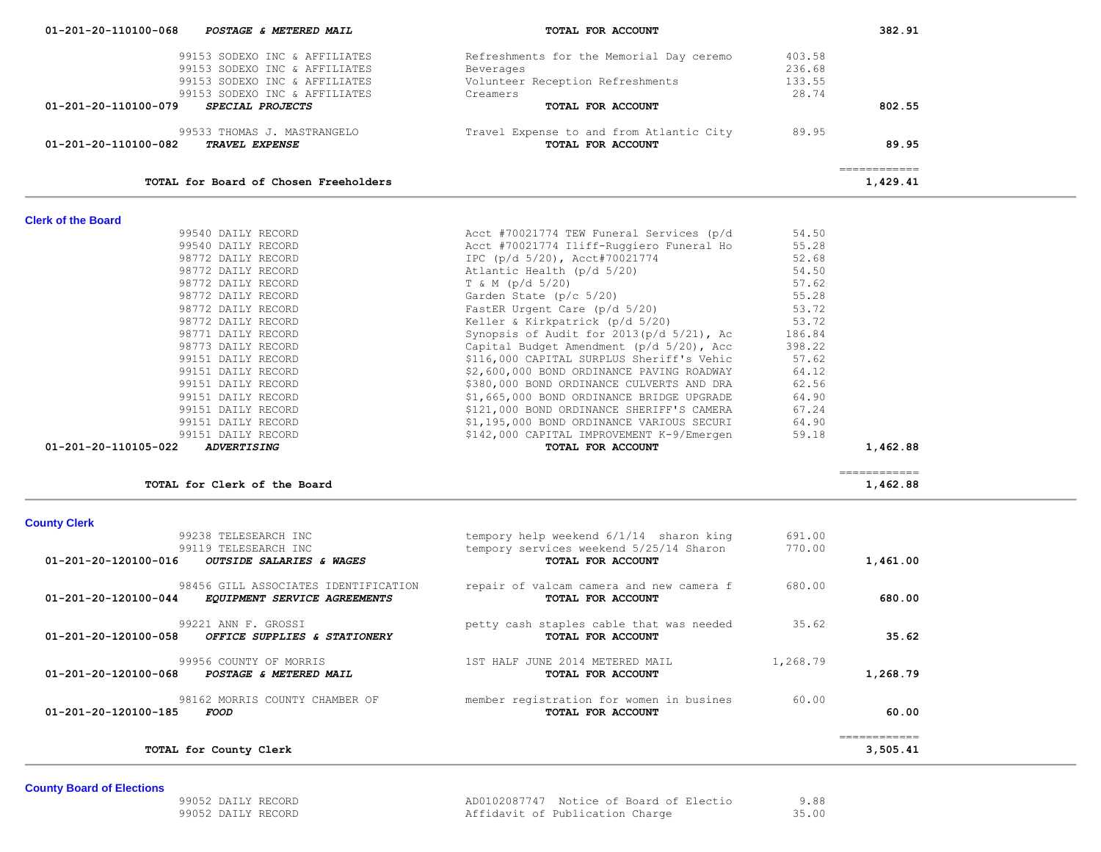| <b>County Board of Elections</b> |                    |                                         |       |
|----------------------------------|--------------------|-----------------------------------------|-------|
|                                  |                    |                                         |       |
|                                  | 99052 DAILY RECORD | AD0102087747 Notice of Board of Electio | 9.88  |
|                                  | 99052 DAILY RECORD | Affidavit of Publication Charge         | 35.00 |

|                                | 99238 TELESEARCH INC<br>99119 TELESEARCH INC                         | tempory help weekend 6/1/14 sharon king                       | 691.00<br>770.00 |          |
|--------------------------------|----------------------------------------------------------------------|---------------------------------------------------------------|------------------|----------|
| $01 - 201 - 20 - 120100 - 016$ | OUTSIDE SALARIES & WAGES                                             | tempory services weekend 5/25/14 Sharon<br>TOTAL FOR ACCOUNT  |                  | 1,461.00 |
| $01 - 201 - 20 - 120100 - 044$ | 98456 GILL ASSOCIATES IDENTIFICATION<br>EQUIPMENT SERVICE AGREEMENTS | repair of valcam camera and new camera f<br>TOTAL FOR ACCOUNT | 680.00           | 680.00   |
| 01-201-20-120100-058           | 99221 ANN F. GROSSI<br>OFFICE SUPPLIES & STATIONERY                  | petty cash staples cable that was needed<br>TOTAL FOR ACCOUNT | 35.62            | 35.62    |
| $01 - 201 - 20 - 120100 - 068$ | 99956 COUNTY OF MORRIS<br>POSTAGE & METERED MAIL                     | 1ST HALF JUNE 2014 METERED MAIL<br>TOTAL FOR ACCOUNT          | 1,268.79         | 1,268.79 |
| 01-201-20-120100-185           | 98162 MORRIS COUNTY CHAMBER OF<br>FOOD                               | member registration for women in busines<br>TOTAL FOR ACCOUNT | 60.00            | 60.00    |
|                                | TOTAL for County Clerk                                               |                                                               |                  | 3,505.41 |

# **County Clerk**

| TOTAL for Clerk of the Board               |                                             |       | 1,462.88 |
|--------------------------------------------|---------------------------------------------|-------|----------|
| 01-201-20-110105-022<br><i>ADVERTISING</i> | TOTAL FOR ACCOUNT                           |       | 1,462.88 |
| 99151 DAILY RECORD                         | \$142,000 CAPITAL IMPROVEMENT K-9/Emergen   | 59.18 |          |
| 99151 DAILY RECORD                         | \$1,195,000 BOND ORDINANCE VARIOUS SECURI   | 64.90 |          |
| 99151 DAILY RECORD                         | \$121,000 BOND ORDINANCE SHERIFF'S CAMERA   | 67.24 |          |
| 99151 DAILY RECORD                         | \$1,665,000 BOND ORDINANCE BRIDGE UPGRADE   | 64.90 |          |
| 99151 DAILY RECORD                         | \$380,000 BOND ORDINANCE CULVERTS AND DRA   | 62.56 |          |
| 99151 DAILY RECORD                         | \$2,600,000 BOND ORDINANCE PAVING ROADWAY   | 64.12 |          |
|                                            | VIIVIVVV VIIIIII UVIIIUVU UIIVIIII U TVIIIV | ----  |          |

| <b>Clerk of the Board</b> |                    |                                              |        |
|---------------------------|--------------------|----------------------------------------------|--------|
|                           | 99540 DAILY RECORD | Acct #70021774 TEW Funeral Services (p/d     | 54.50  |
|                           | 99540 DAILY RECORD | Acct #70021774 Iliff-Ruggiero Funeral Ho     | 55.28  |
|                           | 98772 DAILY RECORD | IPC (p/d 5/20), Acct#70021774                | 52.68  |
|                           | 98772 DAILY RECORD | Atlantic Health (p/d 5/20)                   | 54.50  |
|                           | 98772 DAILY RECORD | T & M (p/d 5/20)                             | 57.62  |
|                           | 98772 DAILY RECORD | Garden State (p/c 5/20)                      | 55.28  |
|                           | 98772 DAILY RECORD | FastER Urgent Care (p/d 5/20)                | 53.72  |
|                           | 98772 DAILY RECORD | Keller & Kirkpatrick (p/d 5/20)              | 53.72  |
|                           | 98771 DAILY RECORD | Synopsis of Audit for $2013(p/d\ 5/21)$ , Ac | 186.84 |
|                           | 98773 DAILY RECORD | Capital Budget Amendment (p/d 5/20), Acc     | 398.22 |
|                           | 99151 DAILY RECORD | \$116,000 CAPITAL SURPLUS Sheriff's Vehic    | 57.62  |
|                           | 99151 DAILY RECORD | \$2,600,000 BOND ORDINANCE PAVING ROADWAY    | 64.12  |
|                           | 99151 DAILY RECORD | \$380,000 BOND ORDINANCE CULVERTS AND DRA    | 62.56  |
|                           | 99151 DAILY RECORD | \$1,665,000 BOND ORDINANCE BRIDGE UPGRADE    | 64.90  |
|                           | 99151 DAILY RECORD | \$121,000 BOND ORDINANCE SHERIFF'S CAMERA    | 67.24  |
|                           | 99151 DAILY RECORD | \$1,195,000 BOND ORDINANCE VARIOUS SECURI    | 64.90  |
|                           | 99151 DATLY RECORD | \$142,000 CAPITAL IMPROVEMENT K-9/Emergen    | 59.18  |

| 01-201-20-110100-068<br>POSTAGE & METERED MAIL  | TOTAL FOR ACCOUNT                        |        | 382.91   |
|-------------------------------------------------|------------------------------------------|--------|----------|
| 99153 SODEXO INC & AFFILIATES                   | Refreshments for the Memorial Day ceremo | 403.58 |          |
| 99153 SODEXO INC & AFFILIATES                   | Beverages                                | 236.68 |          |
| 99153 SODEXO INC & AFFILIATES                   | Volunteer Reception Refreshments         | 133.55 |          |
| 99153 SODEXO INC & AFFILIATES                   | Creamers                                 | 28.74  |          |
| 01-201-20-110100-079<br><i>SPECIAL PROJECTS</i> | TOTAL FOR ACCOUNT                        |        | 802.55   |
| 99533 THOMAS J. MASTRANGELO                     | Travel Expense to and from Atlantic City | 89.95  |          |
| 01-201-20-110100-082<br><b>TRAVEL EXPENSE</b>   | TOTAL FOR ACCOUNT                        |        | 89.95    |
|                                                 |                                          |        |          |
| TOTAL for Board of Chosen Freeholders           |                                          |        | 1,429.41 |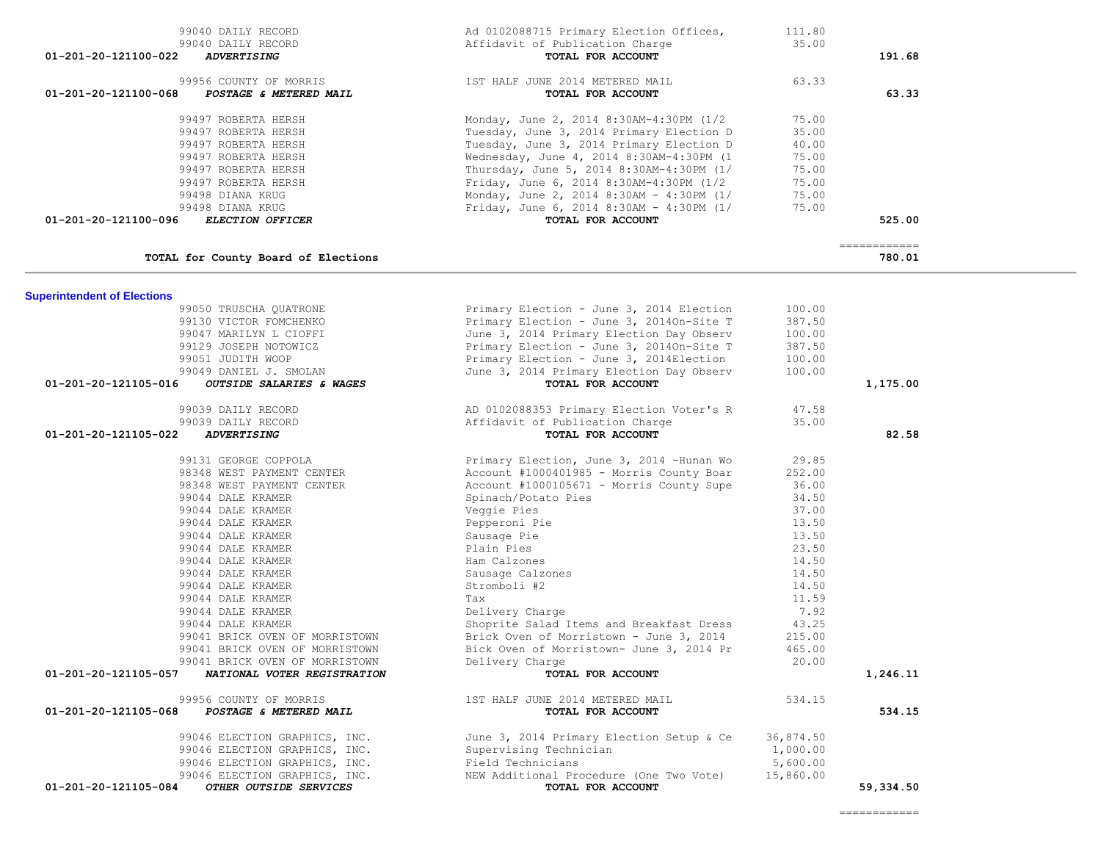| 99051 JUDITH WOOP                                                  | Primary Election - June 3, 2014Election           | 100.00    |              |
|--------------------------------------------------------------------|---------------------------------------------------|-----------|--------------|
| 99049 DANIEL J. SMOLAN                                             | June 3, 2014 Primary Election Day Observ          | 100.00    |              |
| 01-201-20-121105-016<br><i><b>OUTSIDE SALARIES &amp; WAGES</b></i> | TOTAL FOR ACCOUNT                                 |           | 1,175.00     |
| 99039 DAILY RECORD                                                 | AD 0102088353 Primary Election Voter's R          | 47.58     |              |
| 99039 DAILY RECORD                                                 | Affidavit of Publication Charge                   | 35.00     |              |
| 01-201-20-121105-022<br><b>ADVERTISING</b>                         | TOTAL FOR ACCOUNT                                 |           | 82.58        |
| 99131 GEORGE COPPOLA                                               | Primary Election, June 3, 2014 -Hunan Wo          | 29.85     |              |
| 98348 WEST PAYMENT CENTER                                          | Account #1000401985 - Morris County Boar          | 252.00    |              |
| 98348 WEST PAYMENT CENTER                                          | Account #1000105671 - Morris County Supe          | 36.00     |              |
| 99044 DALE KRAMER                                                  | Spinach/Potato Pies                               | 34.50     |              |
| 99044 DALE KRAMER                                                  | Veggie Pies                                       | 37.00     |              |
| 99044 DALE KRAMER                                                  | Pepperoni Pie                                     | 13.50     |              |
| 99044 DALE KRAMER                                                  | Sausage Pie                                       | 13.50     |              |
| 99044 DALE KRAMER                                                  | Plain Pies                                        | 23.50     |              |
| 99044 DALE KRAMER                                                  | Ham Calzones                                      | 14.50     |              |
| 99044 DALE KRAMER                                                  | Sausage Calzones                                  | 14.50     |              |
| 99044 DALE KRAMER                                                  | Stromboli #2                                      | 14.50     |              |
| 99044 DALE KRAMER                                                  | Tax                                               | 11.59     |              |
| 99044 DALE KRAMER                                                  | Delivery Charge                                   | 7.92      |              |
| 99044 DALE KRAMER                                                  | Shoprite Salad Items and Breakfast Dress          | 43.25     |              |
| 99041 BRICK OVEN OF MORRISTOWN                                     | Brick Oven of Morristown - June 3, 2014           | 215.00    |              |
| 99041 BRICK OVEN OF MORRISTOWN                                     | Bick Oven of Morristown- June 3, 2014 Pr          | 465.00    |              |
| 99041 BRICK OVEN OF MORRISTOWN                                     | Delivery Charge                                   | 20.00     |              |
| 01-201-20-121105-057<br>NATIONAL VOTER REGISTRATION                | TOTAL FOR ACCOUNT                                 |           | 1,246.11     |
| 99956 COUNTY OF MORRIS                                             | 1ST HALF JUNE 2014 METERED MAIL                   | 534.15    |              |
| 01-201-20-121105-068<br>POSTAGE & METERED MAIL                     | TOTAL FOR ACCOUNT                                 |           | 534.15       |
| 99046 ELECTION GRAPHICS, INC.                                      | June 3, 2014 Primary Election Setup & Ce          | 36,874.50 |              |
| 99046 ELECTION GRAPHICS, INC.                                      | Supervising Technician                            | 1,000.00  |              |
| 99046 ELECTION GRAPHICS, INC.                                      | Field Technicians                                 | 5,600.00  |              |
| 99046 ELECTION GRAPHICS, INC.                                      | NEW Additional Procedure (One Two Vote) 15,860.00 |           |              |
| 01-201-20-121105-084<br>OTHER OUTSIDE SERVICES                     | TOTAL FOR ACCOUNT                                 |           | 59,334.50    |
|                                                                    |                                                   |           | ------------ |

# **Superintendent of Elections**<br>99050 TRUSCHA QUATRONE

 $\overline{\phantom{a}}$ 

| Ad 0102088715 Primary Election Offices,<br>Affidavit of Publication Charge<br>TOTAL FOR ACCOUNT | 111.80<br>35.00   | 191.68                                                                                                                             |                       |
|-------------------------------------------------------------------------------------------------|-------------------|------------------------------------------------------------------------------------------------------------------------------------|-----------------------|
| 1ST HALF JUNE 2014 METERED MAIL                                                                 | 63.33             |                                                                                                                                    |                       |
|                                                                                                 |                   |                                                                                                                                    |                       |
| Monday, June 2, 2014 8:30AM-4:30PM (1/2                                                         | 75.00             |                                                                                                                                    |                       |
| Tuesday, June 3, 2014 Primary Election D                                                        | 35.00             |                                                                                                                                    |                       |
| Tuesday, June 3, 2014 Primary Election D                                                        | 40.00             |                                                                                                                                    |                       |
|                                                                                                 | 75.00             |                                                                                                                                    |                       |
| Thursday, June 5, 2014 8:30AM-4:30PM (1/                                                        | 75.00             |                                                                                                                                    |                       |
| Friday, June 6, 2014 8:30AM-4:30PM (1/2                                                         | 75.00             |                                                                                                                                    |                       |
|                                                                                                 | 75.00             |                                                                                                                                    |                       |
|                                                                                                 | 75.00             |                                                                                                                                    |                       |
| TOTAL FOR ACCOUNT                                                                               |                   | 525.00                                                                                                                             |                       |
|                                                                                                 |                   | 780.01                                                                                                                             |                       |
|                                                                                                 | TOTAL FOR ACCOUNT | Wednesday, June 4, 2014 8:30AM-4:30PM (1<br>Monday, June 2, 2014 8:30AM - 4:30PM (1/<br>Friday, June 6, 2014 8:30AM - 4:30PM $(1/$ | 63.33<br>============ |

Primary Election - June 3, 2014On-Site T

 99050 TRUSCHA QUATRONE Primary Election - June 3, 2014 Election 100.00 99130 VICTOR FOMCHENKO Primary Election - June 3, 2014On-Site T 387.50 99047 MARILYN L CIOFFI June 3, 2014 Primary Election Day Observ 100.00<br>99129 JOSEPH NOTOWICZ Primary Election - June 3, 2014 On-Site T 387.50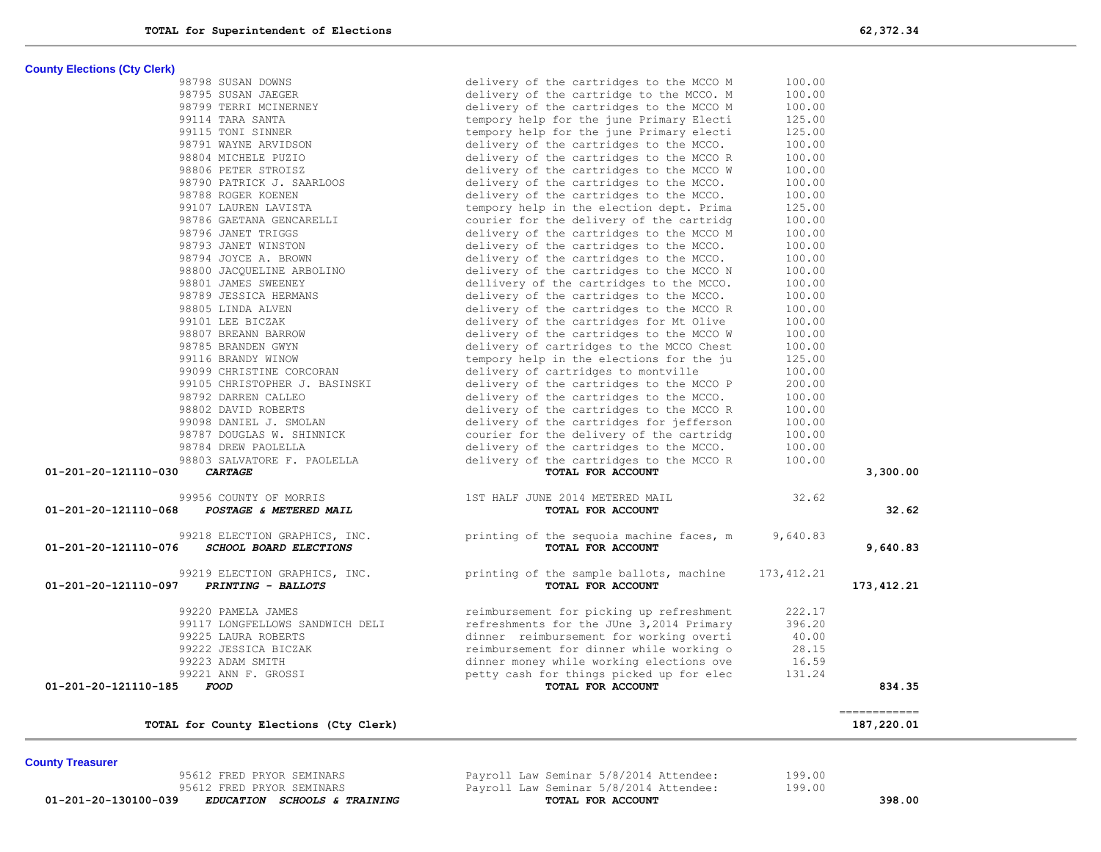95612 FRED PRYOR SEMINARS Payroll Law Seminar 5/8/2014 Attendee: 199.00<br>**01-201-20-130100-039** *EDUCATION SCHOOLS &* **TRAINING TOTAL FOR ACCOUNT** 

 **01-201-20-130100-039** *EDUCATION SCHOOLS & TRAINING* **TOTAL FOR ACCOUNT 398.00**

delivery of the cartridges to the MCCO. 100.00<br>delivery of the cartridges to the MCCO R 100.00

delivery of the cartridges to the MCCO W

**County Elections (Cty Clerk)**

| 99099 CHRISTINE CORCORAN                             | delivery of cartridges to montville       | 100.00      |                            |
|------------------------------------------------------|-------------------------------------------|-------------|----------------------------|
| 99105 CHRISTOPHER J. BASINSKI                        | delivery of the cartridges to the MCCO P  | 200.00      |                            |
| 98792 DARREN CALLEO                                  | delivery of the cartridges to the MCCO.   | 100.00      |                            |
| 98802 DAVID ROBERTS                                  | delivery of the cartridges to the MCCO R  | 100.00      |                            |
| 99098 DANIEL J. SMOLAN                               | delivery of the cartridges for jefferson  | 100.00      |                            |
| 98787 DOUGLAS W. SHINNICK                            | courier for the delivery of the cartridg  | 100.00      |                            |
| 98784 DREW PAOLELLA                                  | delivery of the cartridges to the MCCO.   | 100.00      |                            |
| 98803 SALVATORE F. PAOLELLA                          | delivery of the cartridges to the MCCO R  | 100.00      |                            |
| 01-201-20-121110-030<br><b>CARTAGE</b>               | TOTAL FOR ACCOUNT                         |             | 3,300.00                   |
| 99956 COUNTY OF MORRIS                               | 1ST HALF JUNE 2014 METERED MAIL           | 32.62       |                            |
| 01-201-20-121110-068<br>POSTAGE & METERED MAIL       | TOTAL FOR ACCOUNT                         |             | 32.62                      |
| 99218 ELECTION GRAPHICS, INC.                        | printing of the sequoia machine faces, m  | 9,640.83    |                            |
| 01-201-20-121110-076<br>SCHOOL BOARD ELECTIONS       | <b>TOTAL FOR ACCOUNT</b>                  |             | 9,640.83                   |
| 99219 ELECTION GRAPHICS, INC.                        | printing of the sample ballots, machine   | 173, 412.21 |                            |
| 01-201-20-121110-097<br>PRINTING - BALLOTS           | TOTAL FOR ACCOUNT                         |             | 173, 412.21                |
| 99220 PAMELA JAMES                                   | reimbursement for picking up refreshment  | 222.17      |                            |
| 99117 LONGFELLOWS SANDWICH DELI                      | refreshments for the JUne 3,2014 Primary  | 396.20      |                            |
| 99225 LAURA ROBERTS                                  | dinner reimbursement for working overti   | 40.00       |                            |
| 99222 JESSICA BICZAK                                 | reimbursement for dinner while working o  | 28.15       |                            |
| 99223 ADAM SMITH                                     | dinner money while working elections ove  | 16.59       |                            |
| 99221 ANN F. GROSSI                                  | petty cash for things picked up for elec  | 131.24      |                            |
| 01-201-20-121110-185<br><i>FOOD</i>                  | TOTAL FOR ACCOUNT                         |             | 834.35                     |
| TOTAL for County Elections (Cty Clerk)               |                                           |             | ------------<br>187,220.01 |
|                                                      |                                           |             |                            |
| <b>County Treasurer</b><br>95612 FRED PRYOR SEMINARS | Payroll Law Seminar 5/8/2014 Attendee:    | 199.00      |                            |
| AEC10 FRED BRYOD CEMINIDO                            | Decorall Text Continue E/O/0014 Bittenden | 10000       |                            |

98801 JAMES SWEENEY 100.00<br>98789 JESSICA HERMANS (absolute the cartridges to the MCCO. 100.00

99101 LEE BICZAK delivery of the cartridges for Mt Olive 100.00<br>98807 BREANN BARROW delivery of the cartridges to the MCCO W 100.00

 98785 BRANDEN GWYN delivery of cartridges to the MCCO Chest 100.00 99116 BRANDY WINOW tempory help in the elections for the ju 125.00

98805 LINDA ALVEN delivery of the cartridges to the MCCO R

| 98798 SUSAN DOWNS         | delivery of the cartridges to the MCCO M | 100.00 |
|---------------------------|------------------------------------------|--------|
| 98795 SUSAN JAEGER        | delivery of the cartridge to the MCCO. M | 100.00 |
| 98799 TERRI MCINERNEY     | delivery of the cartridges to the MCCO M | 100.00 |
| 99114 TARA SANTA          | tempory help for the june Primary Electi | 125.00 |
| 99115 TONI SINNER         | tempory help for the june Primary electi | 125.00 |
| 98791 WAYNE ARVIDSON      | delivery of the cartridges to the MCCO.  | 100.00 |
| 98804 MICHELE PUZIO       | delivery of the cartridges to the MCCO R | 100.00 |
| 98806 PETER STROISZ       | delivery of the cartridges to the MCCO W | 100.00 |
| 98790 PATRICK J. SAARLOOS | delivery of the cartridges to the MCCO.  | 100.00 |
| 98788 ROGER KOENEN        | delivery of the cartridges to the MCCO.  | 100.00 |
| 99107 LAUREN LAVISTA      | tempory help in the election dept. Prima | 125.00 |
| 98786 GAETANA GENCARELLI  | courier for the delivery of the cartridg | 100.00 |
| 98796 JANET TRIGGS        | delivery of the cartridges to the MCCO M | 100.00 |
| 98793 JANET WINSTON       | delivery of the cartridges to the MCCO.  | 100.00 |
| 98794 JOYCE A. BROWN      | delivery of the cartridges to the MCCO.  | 100.00 |
| 98800 JACOUELINE ARBOLINO | delivery of the cartridges to the MCCO N | 100.00 |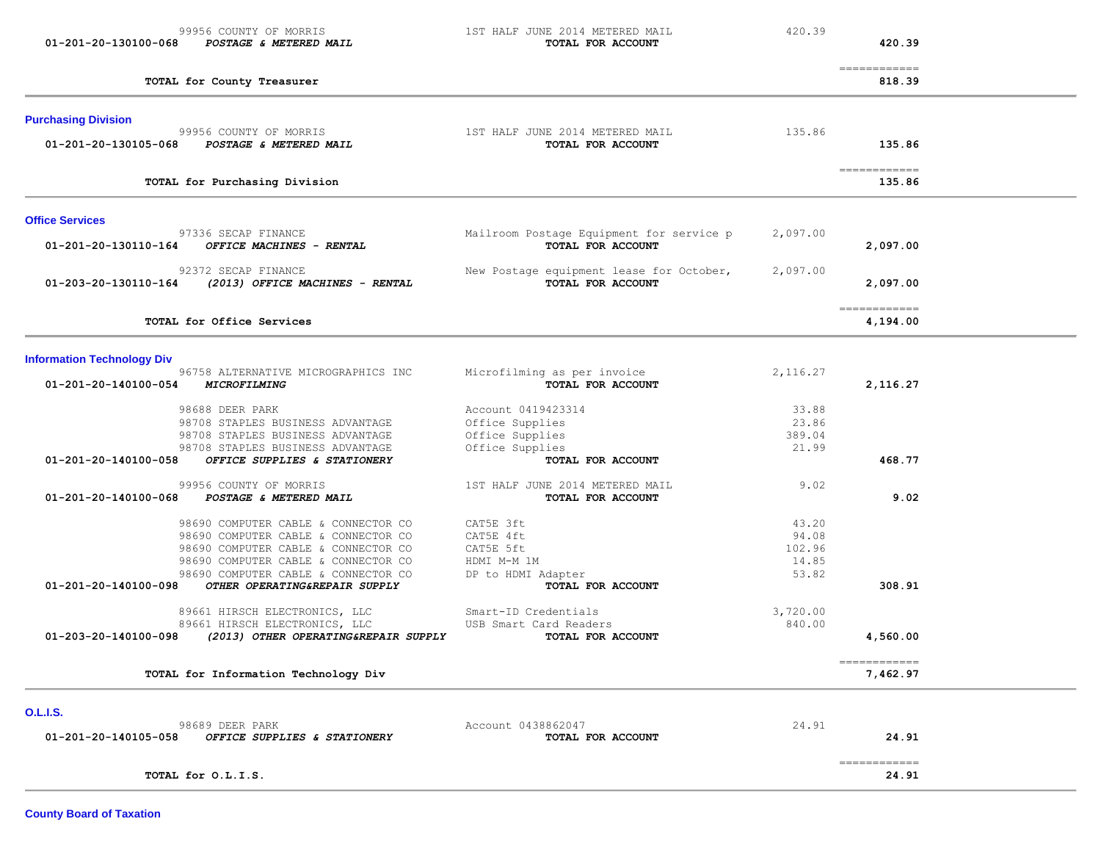| 01-201-20-130100-068              | 99956 COUNTY OF MORRIS<br>POSTAGE & METERED MAIL                           | 1ST HALF JUNE 2014 METERED MAIL<br>TOTAL FOR ACCOUNT          | 420.39          | 420.39                                |  |
|-----------------------------------|----------------------------------------------------------------------------|---------------------------------------------------------------|-----------------|---------------------------------------|--|
|                                   | TOTAL for County Treasurer                                                 |                                                               |                 | -------------<br>818.39               |  |
| <b>Purchasing Division</b>        |                                                                            |                                                               |                 |                                       |  |
| 01-201-20-130105-068              | 99956 COUNTY OF MORRIS<br>POSTAGE & METERED MAIL                           | 1ST HALF JUNE 2014 METERED MAIL<br>TOTAL FOR ACCOUNT          | 135.86          | 135.86                                |  |
|                                   | TOTAL for Purchasing Division                                              |                                                               |                 | $=$ = = = = = = = = = = = =<br>135.86 |  |
| <b>Office Services</b>            |                                                                            |                                                               |                 |                                       |  |
| 01-201-20-130110-164              | 97336 SECAP FINANCE<br>OFFICE MACHINES - RENTAL                            | Mailroom Postage Equipment for service p<br>TOTAL FOR ACCOUNT | 2,097.00        | 2,097.00                              |  |
| 01-203-20-130110-164              | 92372 SECAP FINANCE<br>(2013) OFFICE MACHINES - RENTAL                     | New Postage equipment lease for October,<br>TOTAL FOR ACCOUNT | 2,097.00        | 2,097.00                              |  |
|                                   | TOTAL for Office Services                                                  |                                                               |                 | -------------<br>4,194.00             |  |
| <b>Information Technology Div</b> |                                                                            |                                                               |                 |                                       |  |
| 01-201-20-140100-054              | 96758 ALTERNATIVE MICROGRAPHICS INC<br><i><b>MICROFILMING</b></i>          | Microfilming as per invoice<br>TOTAL FOR ACCOUNT              | 2,116.27        | 2,116.27                              |  |
|                                   | 98688 DEER PARK<br>98708 STAPLES BUSINESS ADVANTAGE                        | Account 0419423314<br>Office Supplies                         | 33.88<br>23.86  |                                       |  |
|                                   | 98708 STAPLES BUSINESS ADVANTAGE                                           | Office Supplies                                               | 389.04          |                                       |  |
| 01-201-20-140100-058              | 98708 STAPLES BUSINESS ADVANTAGE<br>OFFICE SUPPLIES & STATIONERY           | Office Supplies<br>TOTAL FOR ACCOUNT                          | 21.99           | 468.77                                |  |
|                                   | 99956 COUNTY OF MORRIS                                                     | 1ST HALF JUNE 2014 METERED MAIL                               | 9.02            |                                       |  |
| 01-201-20-140100-068              | POSTAGE & METERED MAIL                                                     | TOTAL FOR ACCOUNT                                             |                 | 9.02                                  |  |
|                                   | 98690 COMPUTER CABLE & CONNECTOR CO                                        | CAT5E 3ft                                                     | 43.20           |                                       |  |
|                                   | 98690 COMPUTER CABLE & CONNECTOR CO<br>98690 COMPUTER CABLE & CONNECTOR CO | CAT5E 4ft<br>CAT5E 5ft                                        | 94.08<br>102.96 |                                       |  |
|                                   | 98690 COMPUTER CABLE & CONNECTOR CO                                        | HDMI M-M 1M                                                   | 14.85           |                                       |  |
| 01-201-20-140100-098              | 98690 COMPUTER CABLE & CONNECTOR CO<br>OTHER OPERATING&REPAIR SUPPLY       | DP to HDMI Adapter<br>TOTAL FOR ACCOUNT                       | 53.82           | 308.91                                |  |
|                                   | 89661 HIRSCH ELECTRONICS, LLC                                              | Smart-ID Credentials                                          | 3,720.00        |                                       |  |
| 01-203-20-140100-098              | 89661 HIRSCH ELECTRONICS, LLC<br>(2013) OTHER OPERATING&REPAIR SUPPLY      | USB Smart Card Readers<br>TOTAL FOR ACCOUNT                   | 840.00          | 4,560.00                              |  |
|                                   | TOTAL for Information Technology Div                                       |                                                               |                 | ------------<br>7,462.97              |  |
| <b>O.L.I.S.</b>                   |                                                                            |                                                               |                 |                                       |  |
| 01-201-20-140105-058              | 98689 DEER PARK<br>OFFICE SUPPLIES & STATIONERY                            | Account 0438862047<br>TOTAL FOR ACCOUNT                       | 24.91           | 24.91                                 |  |
|                                   | TOTAL for O.L.I.S.                                                         |                                                               |                 | $=$ = = = = = = = = = = = =<br>24.91  |  |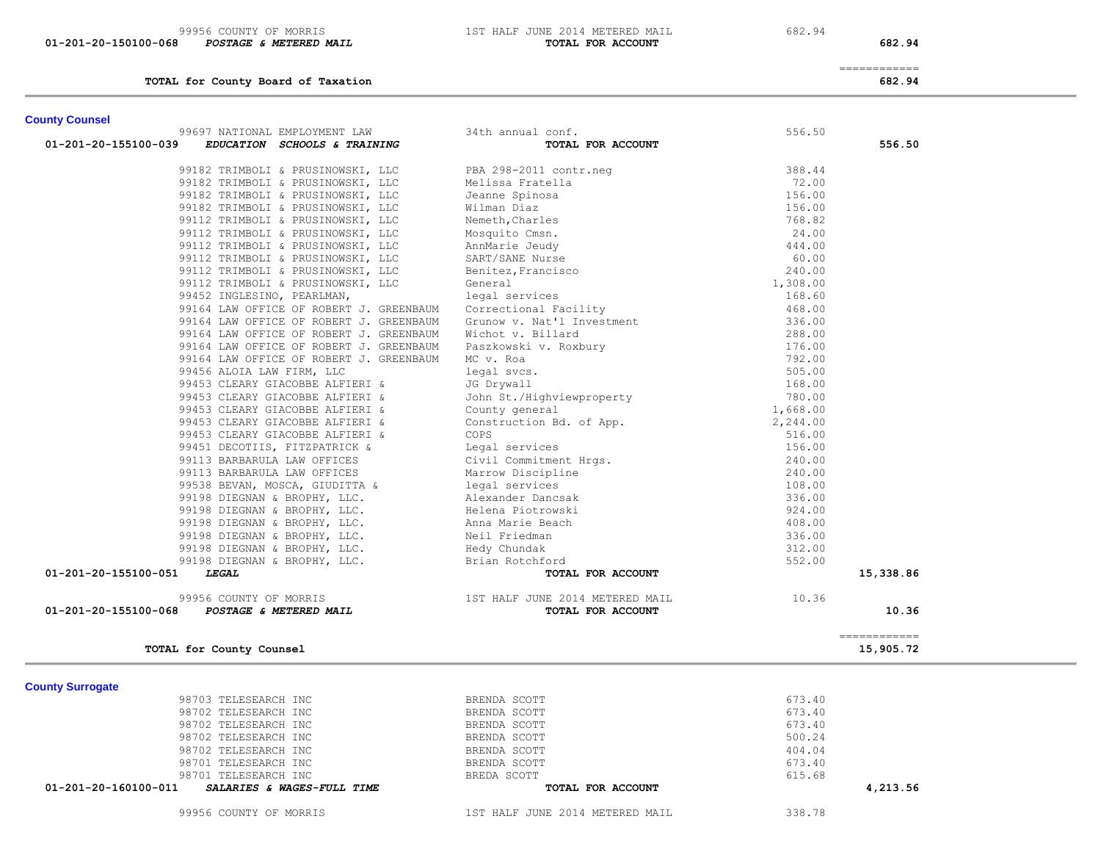99956 COUNTY OF MORRIS 1ST HALF JUNE 2014 METERED MAIL 682.94<br>3 POSTAGE & METERED MAIL 1ST HALF JUNE 2014 **FOR ACCOUNT 01-201-20-150100-068** *POSTAGE & METERED MAIL* **TOTAL FOR ACCOUNT 682.94**

============

**TOTAL for County Board of Taxation 682.94**

# **County Counsel**

| 01-201-20-155100-039<br>EDUCATION SCHOOLS & TRAINING<br>99182 TRIMBOLI & PRUSINOWSKI, LLC<br>99182 TRIMBOLI & PRUSINOWSKI, LLC<br>99182 TRIMBOLI & PRUSINOWSKI, LLC<br>99182 TRIMBOLI & PRUSINOWSKI, LLC<br>99112 TRIMBOLI & PRUSINOWSKI, LLC | TOTAL FOR ACCOUNT<br>PBA 298-2011 contr.neg<br>Melissa Fratella                                                                                                       | 388.44   | 556.50                    |
|-----------------------------------------------------------------------------------------------------------------------------------------------------------------------------------------------------------------------------------------------|-----------------------------------------------------------------------------------------------------------------------------------------------------------------------|----------|---------------------------|
|                                                                                                                                                                                                                                               |                                                                                                                                                                       |          |                           |
|                                                                                                                                                                                                                                               |                                                                                                                                                                       |          |                           |
|                                                                                                                                                                                                                                               |                                                                                                                                                                       |          |                           |
|                                                                                                                                                                                                                                               |                                                                                                                                                                       | 72.00    |                           |
|                                                                                                                                                                                                                                               | Jeanne Spinosa                                                                                                                                                        | 156.00   |                           |
|                                                                                                                                                                                                                                               | Wilman Diaz                                                                                                                                                           | 156.00   |                           |
|                                                                                                                                                                                                                                               | Nemeth, Charles                                                                                                                                                       | 768.82   |                           |
| 99112 TRIMBOLI & PRUSINOWSKI, LLC                                                                                                                                                                                                             | Mosquito Cmsn.                                                                                                                                                        | 24.00    |                           |
| 99112 TRIMBOLI & PRUSINOWSKI, LLC                                                                                                                                                                                                             | AnnMarie Jeudy                                                                                                                                                        | 444.00   |                           |
| 99112 TRIMBOLI & PRUSINOWSKI, LLC                                                                                                                                                                                                             | SART/SANE Nurse                                                                                                                                                       | 60.00    |                           |
| 99112 TRIMBOLI & PRUSINOWSKI, LLC                                                                                                                                                                                                             | Benitez, Francisco                                                                                                                                                    | 240.00   |                           |
| 99112 TRIMBOLI & PRUSINOWSKI, LLC                                                                                                                                                                                                             | General                                                                                                                                                               | 1,308.00 |                           |
| 99452 INGLESINO, PEARLMAN,                                                                                                                                                                                                                    | legal services                                                                                                                                                        | 168.60   |                           |
| 99164 LAW OFFICE OF ROBERT J. GREENBAUM                                                                                                                                                                                                       | Correctional Facility                                                                                                                                                 | 468.00   |                           |
| 99164 LAW OFFICE OF ROBERT J. GREENBAUM                                                                                                                                                                                                       | Grunow v. Nat'l Investment                                                                                                                                            | 336.00   |                           |
| 99164 LAW OFFICE OF ROBERT J. GREENBAUM                                                                                                                                                                                                       | Wichot v. Billard                                                                                                                                                     | 288.00   |                           |
| 99164 LAW OFFICE OF ROBERT J. GREENBAUM                                                                                                                                                                                                       | Paszkowski v. Roxbury                                                                                                                                                 | 176.00   |                           |
| 99164 LAW OFFICE OF ROBERT J. GREENBAUM                                                                                                                                                                                                       | MC v. Roa                                                                                                                                                             | 792.00   |                           |
| 99456 ALOIA LAW FIRM, LLC                                                                                                                                                                                                                     | legal svcs.                                                                                                                                                           | 505.00   |                           |
| 99453 CLEARY GIACOBBE ALFIERI &                                                                                                                                                                                                               | JG Drywall                                                                                                                                                            | 168.00   |                           |
| 99453 CLEARY GIACOBBE ALFIERI &                                                                                                                                                                                                               | John St./Highviewproperty                                                                                                                                             | 780.00   |                           |
| 99453 CLEARY GIACOBBE ALFIERI &                                                                                                                                                                                                               | County general                                                                                                                                                        | 1,668.00 |                           |
| 99453 CLEARY GIACOBBE ALFIERI &                                                                                                                                                                                                               | Construction Bd. of App.                                                                                                                                              | 2,244.00 |                           |
| 99453 CLEARY GIACOBBE ALFIERI &                                                                                                                                                                                                               | COPS                                                                                                                                                                  | 516.00   |                           |
| 99451 DECOTIIS, FITZPATRICK &                                                                                                                                                                                                                 | Legal services                                                                                                                                                        | 156.00   |                           |
| 99113 BARBARULA LAW OFFICES                                                                                                                                                                                                                   | Civil Commitment Hrgs.                                                                                                                                                | 240.00   |                           |
| 99113 BARBARULA LAW OFFICES                                                                                                                                                                                                                   | Marrow Discipline                                                                                                                                                     | 240.00   |                           |
| 99538 BEVAN, MOSCA, GIUDITTA &                                                                                                                                                                                                                |                                                                                                                                                                       | 108.00   |                           |
| 99198 DIEGNAN & BROPHY, LLC.                                                                                                                                                                                                                  |                                                                                                                                                                       | 336.00   |                           |
| 99198 DIEGNAN & BROPHY, LLC.                                                                                                                                                                                                                  |                                                                                                                                                                       | 924.00   |                           |
| 99198 DIEGNAN & BROPHY, LLC.                                                                                                                                                                                                                  |                                                                                                                                                                       | 408.00   |                           |
| 99198 DIEGNAN & BROPHY, LLC.                                                                                                                                                                                                                  |                                                                                                                                                                       | 336.00   |                           |
| 99198 DIEGNAN & BROPHY, LLC.                                                                                                                                                                                                                  |                                                                                                                                                                       | 312.00   |                           |
| 99198 DIEGNAN & BROPHY, LLC.                                                                                                                                                                                                                  |                                                                                                                                                                       | 552.00   |                           |
| 01-201-20-155100-051<br><b>LEGAL</b>                                                                                                                                                                                                          | ---<br>legal services<br>Alexander Dancsak<br>Helena Piotrowski<br>Anna Marie Beach<br>Neil Friedman<br>Hedy Chundak<br>Brian Rotchford<br>TOTAI<br>TOTAL FOR ACCOUNT |          | 15,338.86                 |
| 99956 COUNTY OF MORRIS                                                                                                                                                                                                                        | 1ST HALF JUNE 2014 METERED MAIL                                                                                                                                       | 10.36    |                           |
| 01-201-20-155100-068<br>POSTAGE & METERED MAIL                                                                                                                                                                                                | TOTAL FOR ACCOUNT                                                                                                                                                     |          | 10.36                     |
| TOTAL for County Counsel                                                                                                                                                                                                                      |                                                                                                                                                                       |          | ------------<br>15,905.72 |

99956 COUNTY OF MORRIS 1ST HALF JUNE 2014 METERED MAIL 338.78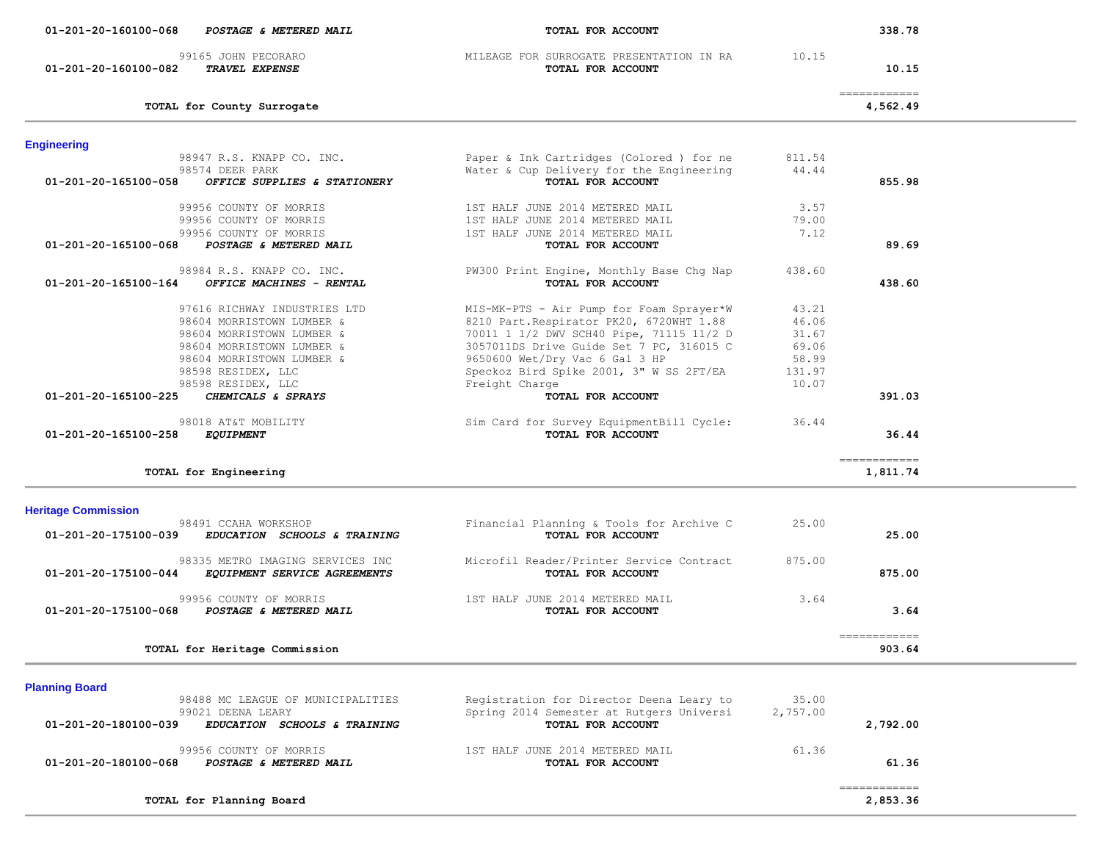| <b>Engineering</b>                                   |                                          |          |                                       |
|------------------------------------------------------|------------------------------------------|----------|---------------------------------------|
| 98947 R.S. KNAPP CO. INC.                            | Paper & Ink Cartridges (Colored ) for ne | 811.54   |                                       |
| 98574 DEER PARK                                      | Water & Cup Delivery for the Engineering | 44.44    |                                       |
| 01-201-20-165100-058<br>OFFICE SUPPLIES & STATIONERY | TOTAL FOR ACCOUNT                        |          | 855.98                                |
|                                                      | 1ST HALF JUNE 2014 METERED MAIL          | 3.57     |                                       |
| 99956 COUNTY OF MORRIS                               |                                          |          |                                       |
| 99956 COUNTY OF MORRIS                               | 1ST HALF JUNE 2014 METERED MAIL          | 79.00    |                                       |
| 99956 COUNTY OF MORRIS                               | 1ST HALF JUNE 2014 METERED MAIL          | 7.12     |                                       |
| 01-201-20-165100-068<br>POSTAGE & METERED MAIL       | TOTAL FOR ACCOUNT                        |          | 89.69                                 |
| 98984 R.S. KNAPP CO. INC.                            | PW300 Print Engine, Monthly Base Chg Nap | 438.60   |                                       |
| 01-201-20-165100-164<br>OFFICE MACHINES - RENTAL     | TOTAL FOR ACCOUNT                        |          | 438.60                                |
| 97616 RICHWAY INDUSTRIES LTD                         | MIS-MK-PTS - Air Pump for Foam Sprayer*W | 43.21    |                                       |
| 98604 MORRISTOWN LUMBER &                            |                                          | 46.06    |                                       |
|                                                      | 8210 Part. Respirator PK20, 6720WHT 1.88 |          |                                       |
| 98604 MORRISTOWN LUMBER &                            | 70011 1 1/2 DWV SCH40 Pipe, 71115 11/2 D | 31.67    |                                       |
| 98604 MORRISTOWN LUMBER &                            | 3057011DS Drive Guide Set 7 PC, 316015 C | 69.06    |                                       |
| 98604 MORRISTOWN LUMBER &                            | 9650600 Wet/Dry Vac 6 Gal 3 HP           | 58.99    |                                       |
| 98598 RESIDEX, LLC                                   | Speckoz Bird Spike 2001, 3" W SS 2FT/EA  | 131.97   |                                       |
| 98598 RESIDEX, LLC                                   | Freight Charge                           | 10.07    |                                       |
| CHEMICALS & SPRAYS<br>01-201-20-165100-225           | TOTAL FOR ACCOUNT                        |          | 391.03                                |
| 98018 AT&T MOBILITY                                  | Sim Card for Survey EquipmentBill Cycle: | 36.44    |                                       |
| 01-201-20-165100-258<br><b>EQUIPMENT</b>             | TOTAL FOR ACCOUNT                        |          | 36.44                                 |
|                                                      |                                          |          |                                       |
| TOTAL for Engineering                                |                                          |          | ============<br>1,811.74              |
| <b>Heritage Commission</b>                           |                                          |          |                                       |
| 98491 CCAHA WORKSHOP                                 | Financial Planning & Tools for Archive C | 25.00    |                                       |
| 01-201-20-175100-039<br>EDUCATION SCHOOLS & TRAINING | TOTAL FOR ACCOUNT                        |          | 25.00                                 |
| 98335 METRO IMAGING SERVICES INC                     | Microfil Reader/Printer Service Contract | 875.00   |                                       |
| 01-201-20-175100-044<br>EQUIPMENT SERVICE AGREEMENTS | TOTAL FOR ACCOUNT                        |          | 875.00                                |
| 99956 COUNTY OF MORRIS                               | 1ST HALF JUNE 2014 METERED MAIL          | 3.64     |                                       |
| POSTAGE & METERED MAIL<br>01-201-20-175100-068       | TOTAL FOR ACCOUNT                        |          | 3.64                                  |
|                                                      |                                          |          |                                       |
|                                                      |                                          |          | $=$ = = = = = = = = = = = =<br>903.64 |
| TOTAL for Heritage Commission                        |                                          |          |                                       |
| <b>Planning Board</b>                                |                                          |          |                                       |
| 98488 MC LEAGUE OF MUNICIPALITIES                    | Registration for Director Deena Leary to | 35.00    |                                       |
| 99021 DEENA LEARY                                    | Spring 2014 Semester at Rutgers Universi | 2,757.00 |                                       |
| 01-201-20-180100-039<br>EDUCATION SCHOOLS & TRAINING | TOTAL FOR ACCOUNT                        |          | 2,792.00                              |
| 99956 COUNTY OF MORRIS                               | 1ST HALF JUNE 2014 METERED MAIL          | 61.36    |                                       |
| 01-201-20-180100-068<br>POSTAGE & METERED MAIL       | TOTAL FOR ACCOUNT                        |          | 61.36                                 |
|                                                      |                                          |          |                                       |
|                                                      |                                          |          | ============                          |
| TOTAL for Planning Board                             |                                          |          | 2,853.36                              |

#### **01-201-20-160100-068** *POSTAGE & METERED MAIL* **TOTAL FOR ACCOUNT 338.78**

 99165 JOHN PECORARO MILEAGE FOR SURROGATE PRESENTATION IN RA 10.15  **01-201-20-160100-082** *TRAVEL EXPENSE* **TOTAL FOR ACCOUNT 10.15**

**TOTAL for County Surrogate 4,562.49**

============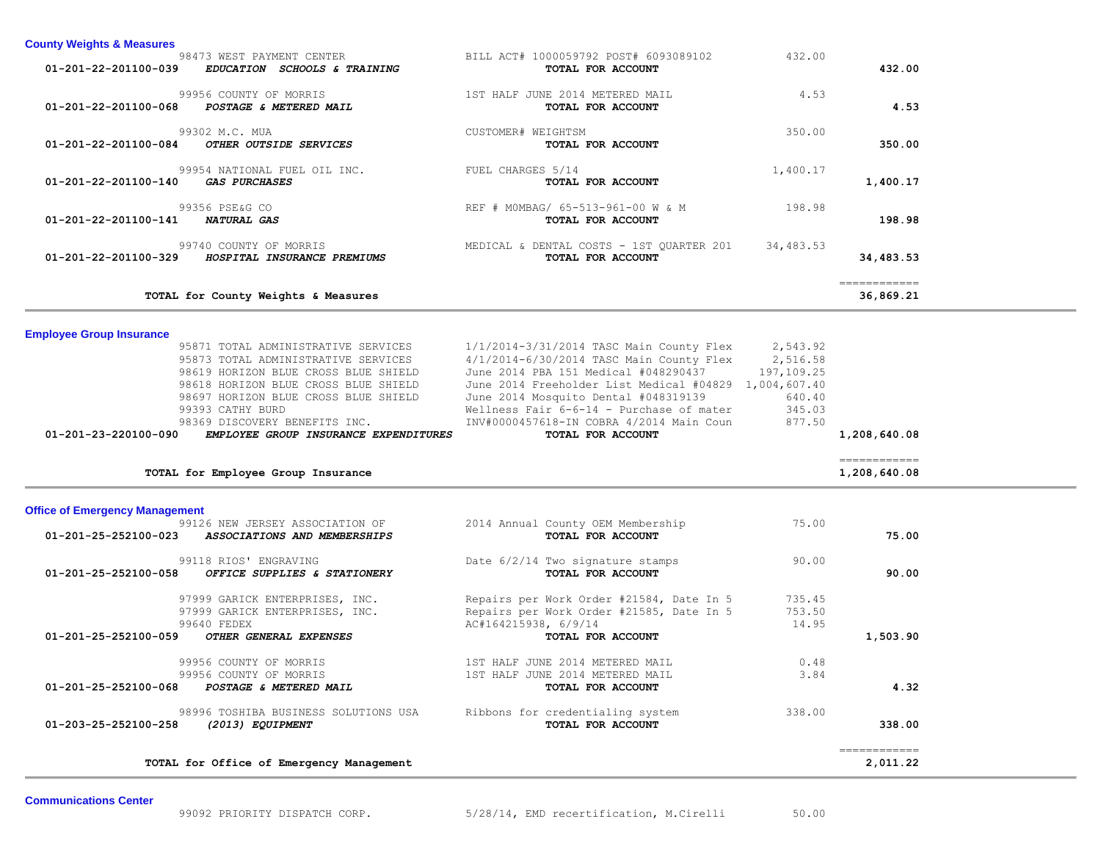| <b>County Weights &amp; Measures</b>                                                                   |                                                               |           |                           |
|--------------------------------------------------------------------------------------------------------|---------------------------------------------------------------|-----------|---------------------------|
| 98473 WEST PAYMENT CENTER<br>01-201-22-201100-039<br><i>EDUCATION</i><br><i>SCHOOLS &amp; TRAINING</i> | BILL ACT# 1000059792 POST# 6093089102<br>TOTAL FOR ACCOUNT    | 432.00    | 432.00                    |
| 99956 COUNTY OF MORRIS<br>01-201-22-201100-068<br>POSTAGE & METERED MAIL                               | 1ST HALF JUNE 2014 METERED MAIL<br>TOTAL FOR ACCOUNT          | 4.53      | 4.53                      |
| 99302 M.C. MUA<br>01-201-22-201100-084<br>OTHER OUTSIDE SERVICES                                       | CUSTOMER# WEIGHTSM<br>TOTAL FOR ACCOUNT                       | 350.00    | 350.00                    |
| 99954 NATIONAL FUEL OIL INC.<br>01-201-22-201100-140<br><i>GAS PURCHASES</i>                           | FUEL CHARGES 5/14<br>TOTAL FOR ACCOUNT                        | 1,400.17  | 1,400.17                  |
| 99356 PSE&G CO<br>01-201-22-201100-141<br><b>NATURAL GAS</b>                                           | REF # MOMBAG/ 65-513-961-00 W & M<br>TOTAL FOR ACCOUNT        | 198.98    | 198.98                    |
| 99740 COUNTY OF MORRIS<br>$01 - 201 - 22 - 201100 - 329$<br>HOSPITAL INSURANCE PREMIUMS                | MEDICAL & DENTAL COSTS - 1ST QUARTER 201<br>TOTAL FOR ACCOUNT | 34,483.53 | 34,483.53                 |
| TOTAL for County Weights & Measures                                                                    |                                                               |           | ------------<br>36,869.21 |

**Employee Group Insurance** 

| 95871 TOTAL ADMINISTRATIVE SERVICES<br>95873 TOTAL ADMINISTRATIVE SERVICES<br>98619 HORIZON BLUE CROSS BLUE SHIELD<br>98618 HORIZON BLUE CROSS BLUE SHIELD<br>98697 HORIZON BLUE CROSS BLUE SHIELD<br>99393 CATHY BURD<br>98369 DISCOVERY BENEFITS INC.<br>01-201-23-220100-090<br>EMPLOYEE GROUP INSURANCE EXPENDITURES | 1/1/2014-3/31/2014 TASC Main County Flex 2,543.92<br>4/1/2014-6/30/2014 TASC Main County Flex 2,516.58<br>June 2014 PBA 151 Medical #048290437 197,109.25<br>June 2014 Freeholder List Medical #04829 1,004,607.40<br>June 2014 Mosquito Dental #048319139<br>Wellness Fair $6-6-14$ - Purchase of mater 345.03<br>INV#0000457618-IN COBRA 4/2014 Main Coun<br>TOTAL FOR ACCOUNT | 640.40<br>877.50          | 1,208,640.08                 |
|--------------------------------------------------------------------------------------------------------------------------------------------------------------------------------------------------------------------------------------------------------------------------------------------------------------------------|----------------------------------------------------------------------------------------------------------------------------------------------------------------------------------------------------------------------------------------------------------------------------------------------------------------------------------------------------------------------------------|---------------------------|------------------------------|
| TOTAL for Employee Group Insurance                                                                                                                                                                                                                                                                                       |                                                                                                                                                                                                                                                                                                                                                                                  |                           | ------------<br>1,208,640.08 |
| <b>Office of Emergency Management</b>                                                                                                                                                                                                                                                                                    |                                                                                                                                                                                                                                                                                                                                                                                  |                           |                              |
| 99126 NEW JERSEY ASSOCIATION OF<br>01-201-25-252100-023 ASSOCIATIONS AND MEMBERSHIPS                                                                                                                                                                                                                                     | 2014 Annual County OEM Membership<br>TOTAL FOR ACCOUNT                                                                                                                                                                                                                                                                                                                           | 75.00                     | 75.00                        |
| 99118 RIOS' ENGRAVING<br>$01 - 201 - 25 - 252100 - 058$<br>OFFICE SUPPLIES & STATIONERY                                                                                                                                                                                                                                  | Date 6/2/14 Two signature stamps<br><b>TOTAL FOR ACCOUNT</b>                                                                                                                                                                                                                                                                                                                     | 90.00                     | 90.00                        |
| 97999 GARICK ENTERPRISES, INC.<br>97999 GARICK ENTERPRISES, INC.<br>99640 FEDEX                                                                                                                                                                                                                                          | Repairs per Work Order #21584, Date In 5<br>Repairs per Work Order #21585, Date In 5<br>AC#164215938, 6/9/14                                                                                                                                                                                                                                                                     | 735.45<br>753.50<br>14.95 |                              |
| 01-201-25-252100-059<br>OTHER GENERAL EXPENSES                                                                                                                                                                                                                                                                           | TOTAL FOR ACCOUNT                                                                                                                                                                                                                                                                                                                                                                |                           | 1,503.90                     |
| 99956 COUNTY OF MORRIS<br>99956 COUNTY OF MORRIS<br>01-201-25-252100-068<br>POSTAGE & METERED MAIL                                                                                                                                                                                                                       | 1ST HALF JUNE 2014 METERED MAIL<br>1ST HALF JUNE 2014 METERED MAIL<br>TOTAL FOR ACCOUNT                                                                                                                                                                                                                                                                                          | 0.48<br>3.84              | 4.32                         |
| 98996 TOSHIBA BUSINESS SOLUTIONS USA<br>01-203-25-252100-258<br>(2013) EQUIPMENT                                                                                                                                                                                                                                         | Ribbons for credentialing system<br>TOTAL FOR ACCOUNT                                                                                                                                                                                                                                                                                                                            | 338.00                    | 338.00                       |
| TOTAL for Office of Emergency Management                                                                                                                                                                                                                                                                                 |                                                                                                                                                                                                                                                                                                                                                                                  |                           | ------------<br>2,011.22     |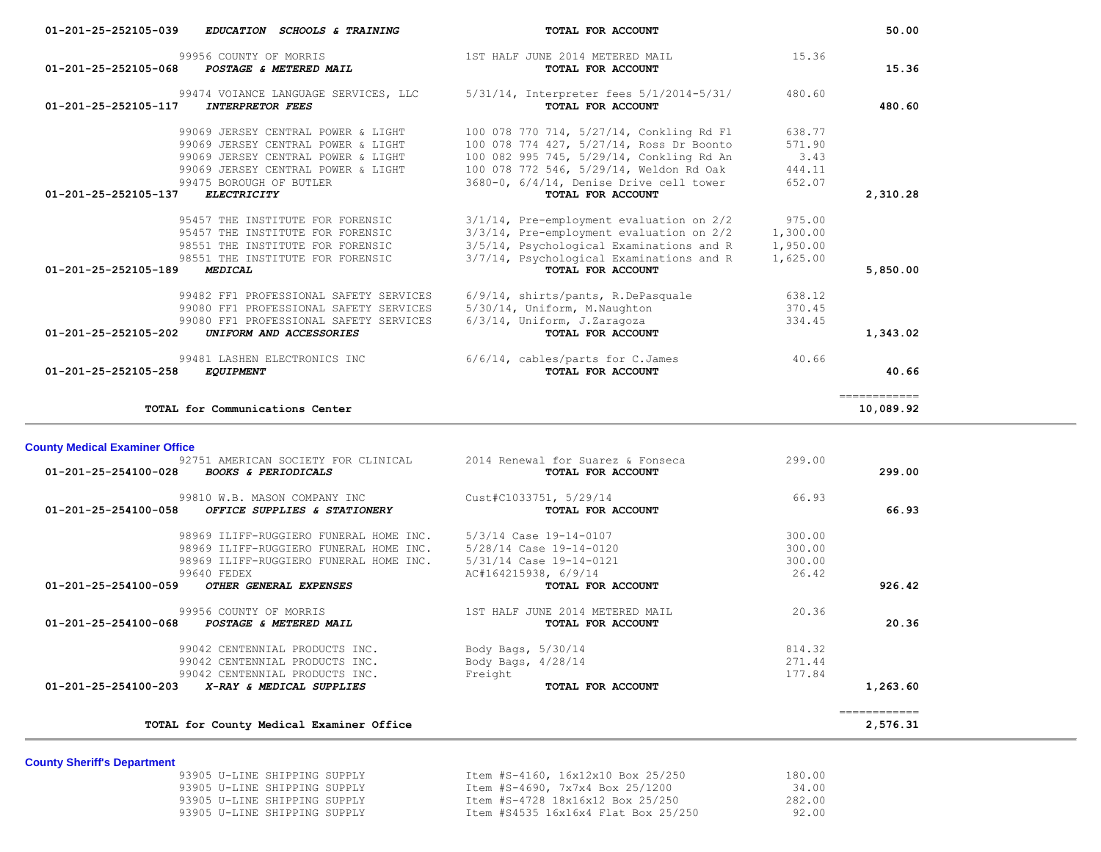| 01-201-25-252105-039 | EDUCATION SCHOOLS & TRAINING                                         | TOTAL FOR ACCOUNT                                                                    |                      | 50.00                                                                                                                                                                                                                                                                                                                                                                                                                                                                                               |
|----------------------|----------------------------------------------------------------------|--------------------------------------------------------------------------------------|----------------------|-----------------------------------------------------------------------------------------------------------------------------------------------------------------------------------------------------------------------------------------------------------------------------------------------------------------------------------------------------------------------------------------------------------------------------------------------------------------------------------------------------|
| 01-201-25-252105-068 | 99956 COUNTY OF MORRIS<br>POSTAGE & METERED MAIL                     | 1ST HALF JUNE 2014 METERED MAIL<br>TOTAL FOR ACCOUNT                                 | 15.36                | 15.36                                                                                                                                                                                                                                                                                                                                                                                                                                                                                               |
| 01-201-25-252105-117 | 99474 VOIANCE LANGUAGE SERVICES, LLC<br><b>INTERPRETOR FEES</b>      | 5/31/14, Interpreter fees 5/1/2014-5/31/<br>TOTAL FOR ACCOUNT                        | 480.60               | 480.60                                                                                                                                                                                                                                                                                                                                                                                                                                                                                              |
|                      | 99069 JERSEY CENTRAL POWER & LIGHT                                   | 100 078 770 714, 5/27/14, Conkling Rd Fl                                             | 638.77               |                                                                                                                                                                                                                                                                                                                                                                                                                                                                                                     |
|                      | 99069 JERSEY CENTRAL POWER & LIGHT                                   | 100 078 774 427, 5/27/14, Ross Dr Boonto                                             | 571.90               |                                                                                                                                                                                                                                                                                                                                                                                                                                                                                                     |
|                      | 99069 JERSEY CENTRAL POWER & LIGHT                                   | 100 082 995 745, 5/29/14, Conkling Rd An                                             | 3.43                 |                                                                                                                                                                                                                                                                                                                                                                                                                                                                                                     |
|                      | 99069 JERSEY CENTRAL POWER & LIGHT                                   | 100 078 772 546, 5/29/14, Weldon Rd Oak                                              | 444.11               |                                                                                                                                                                                                                                                                                                                                                                                                                                                                                                     |
| 01-201-25-252105-137 | 99475 BOROUGH OF BUTLER<br><b>ELECTRICITY</b>                        | 3680-0, 6/4/14, Denise Drive cell tower<br>TOTAL FOR ACCOUNT                         | 652.07               | 2,310.28                                                                                                                                                                                                                                                                                                                                                                                                                                                                                            |
|                      |                                                                      |                                                                                      |                      |                                                                                                                                                                                                                                                                                                                                                                                                                                                                                                     |
|                      | 95457 THE INSTITUTE FOR FORENSIC                                     | $3/1/14$ , Pre-employment evaluation on $2/2$                                        | 975.00               |                                                                                                                                                                                                                                                                                                                                                                                                                                                                                                     |
|                      | 95457 THE INSTITUTE FOR FORENSIC<br>98551 THE INSTITUTE FOR FORENSIC | 3/3/14, Pre-employment evaluation on 2/2<br>3/5/14, Psychological Examinations and R | 1,300.00<br>1,950.00 |                                                                                                                                                                                                                                                                                                                                                                                                                                                                                                     |
|                      | 98551 THE INSTITUTE FOR FORENSIC                                     | 3/7/14, Psychological Examinations and R                                             | 1,625.00             |                                                                                                                                                                                                                                                                                                                                                                                                                                                                                                     |
| 01-201-25-252105-189 | <b>MEDICAL</b>                                                       | TOTAL FOR ACCOUNT                                                                    |                      | 5,850.00                                                                                                                                                                                                                                                                                                                                                                                                                                                                                            |
|                      | 99482 FF1 PROFESSIONAL SAFETY SERVICES                               | 6/9/14, shirts/pants, R.DePasquale                                                   | 638.12               |                                                                                                                                                                                                                                                                                                                                                                                                                                                                                                     |
|                      | 99080 FF1 PROFESSIONAL SAFETY SERVICES                               | 5/30/14, Uniform, M.Naughton                                                         | 370.45               |                                                                                                                                                                                                                                                                                                                                                                                                                                                                                                     |
|                      | 99080 FF1 PROFESSIONAL SAFETY SERVICES                               | $6/3/14$ , Uniform, J.Zaragoza                                                       | 334.45               |                                                                                                                                                                                                                                                                                                                                                                                                                                                                                                     |
| 01-201-25-252105-202 | UNIFORM AND ACCESSORIES                                              | TOTAL FOR ACCOUNT                                                                    |                      | 1,343.02                                                                                                                                                                                                                                                                                                                                                                                                                                                                                            |
|                      | 99481 LASHEN ELECTRONICS INC                                         | $6/6/14$ , cables/parts for C.James                                                  | 40.66                |                                                                                                                                                                                                                                                                                                                                                                                                                                                                                                     |
| 01-201-25-252105-258 | <b>EQUIPMENT</b>                                                     | TOTAL FOR ACCOUNT                                                                    |                      | 40.66                                                                                                                                                                                                                                                                                                                                                                                                                                                                                               |
|                      | TOTAL for Communications Center                                      |                                                                                      |                      | $\begin{array}{cccccccccc} \multicolumn{2}{c}{} & \multicolumn{2}{c}{} & \multicolumn{2}{c}{} & \multicolumn{2}{c}{} & \multicolumn{2}{c}{} & \multicolumn{2}{c}{} & \multicolumn{2}{c}{} & \multicolumn{2}{c}{} & \multicolumn{2}{c}{} & \multicolumn{2}{c}{} & \multicolumn{2}{c}{} & \multicolumn{2}{c}{} & \multicolumn{2}{c}{} & \multicolumn{2}{c}{} & \multicolumn{2}{c}{} & \multicolumn{2}{c}{} & \multicolumn{2}{c}{} & \multicolumn{2}{c}{} & \multicolumn{2}{c}{} & \mult$<br>10,089.92 |

| 66.93  | 66.93  | Cust#C1033751, 5/29/14<br>TOTAL FOR ACCOUNT | 99810 W.B. MASON COMPANY INC<br>01-201-25-254100-058<br>OFFICE SUPPLIES & STATIONERY |
|--------|--------|---------------------------------------------|--------------------------------------------------------------------------------------|
|        | 300.00 | 5/3/14 Case 19-14-0107                      | 98969 ILIFF-RUGGIERO FUNERAL HOME INC.                                               |
|        | 300.00 | 5/28/14 Case 19-14-0120                     | 98969 ILIFF-RUGGIERO FUNERAL HOME INC.                                               |
|        | 300.00 | 5/31/14 Case 19-14-0121                     | 98969 ILIFF-RUGGIERO FUNERAL HOME INC.                                               |
|        | 26.42  | AC#164215938, 6/9/14                        | 99640 FEDEX                                                                          |
| 926.42 |        | TOTAL FOR ACCOUNT                           | $01 - 201 - 25 - 254100 - 059$<br>OTHER GENERAL EXPENSES                             |
|        | 20.36  | 1ST HALF JUNE 2014 METERED MAIL             | 99956 COUNTY OF MORRIS                                                               |
| 20.36  |        | TOTAL FOR ACCOUNT                           | $01 - 201 - 25 - 254100 - 068$<br>POSTAGE & METERED MAIL                             |
|        | 814.32 | Body Bags, 5/30/14                          | 99042 CENTENNIAL PRODUCTS INC.                                                       |
|        | 271.44 | Body Bags, $4/28/14$                        | 99042 CENTENNIAL PRODUCTS INC.                                                       |
|        | 177.84 | Freight                                     | 99042 CENTENNIAL PRODUCTS INC.                                                       |
|        |        |                                             |                                                                                      |

**County Sheriff's Department**

| 93905 U-LINE SHIPPING SUPPLY | Item #S-4160, 16x12x10 Box 25/250   | 180.00 |
|------------------------------|-------------------------------------|--------|
| 93905 U-LINE SHIPPING SUPPLY | Item #S-4690, 7x7x4 Box 25/1200     | 34.00  |
| 93905 U-LINE SHIPPING SUPPLY | Item #S-4728 18x16x12 Box 25/250    | 282.00 |
| 93905 U-LINE SHIPPING SUPPLY | Item #S4535 16x16x4 Flat Box 25/250 | 92.00  |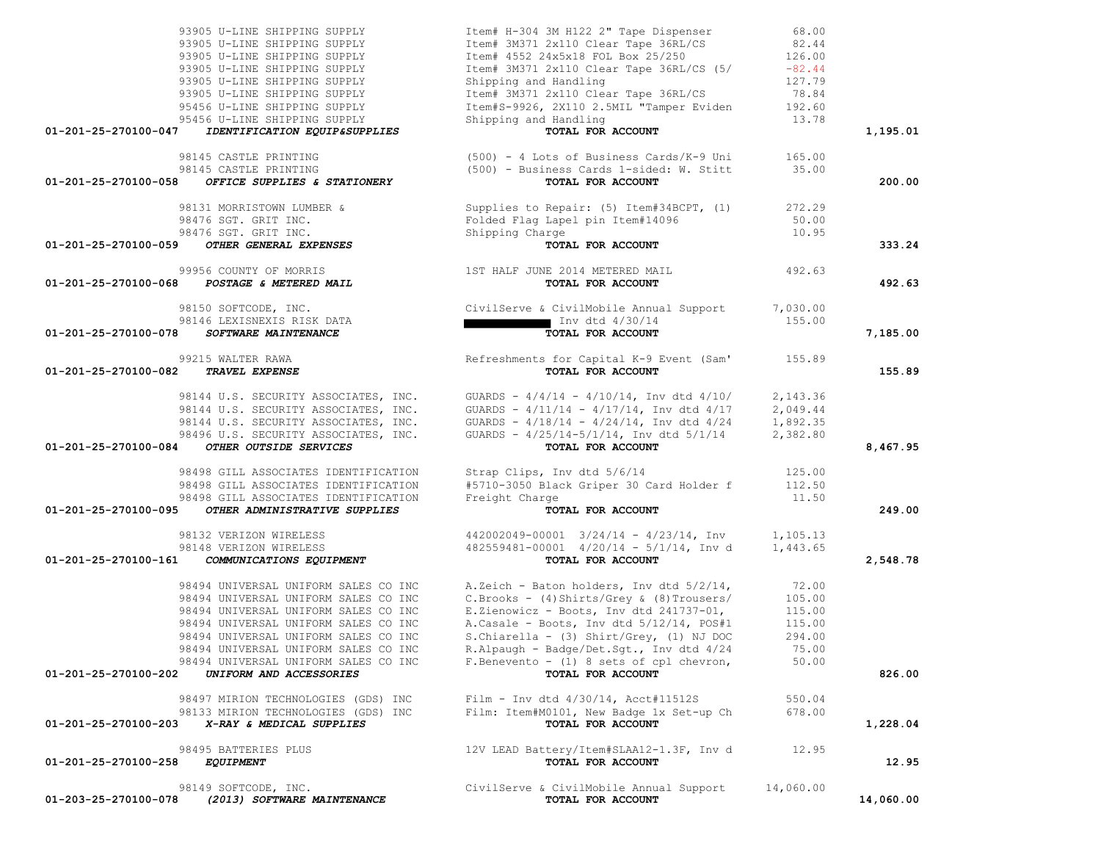| 93905 U-LINE SHIPPING SUPPLY                          | Item# H-304 3M H122 2" Tape Dispenser                                                                                | 68.00     |           |
|-------------------------------------------------------|----------------------------------------------------------------------------------------------------------------------|-----------|-----------|
| 93905 U-LINE SHIPPING SUPPLY                          | Item# 3M371 2x110 Clear Tape 36RL/CS                                                                                 | 82.44     |           |
| 93905 U-LINE SHIPPING SUPPLY                          | Item# 4552 24x5x18 FOL Box 25/250                                                                                    | 126.00    |           |
| 93905 U-LINE SHIPPING SUPPLY                          | Item# 3M371 2x110 Clear Tape 36RL/CS (5/                                                                             | $-82.44$  |           |
| 93905 U-LINE SHIPPING SUPPLY                          | Shipping and Handling                                                                                                | 127.79    |           |
| 93905 U-LINE SHIPPING SUPPLY                          | Item# 3M371 2x110 Clear Tape 36RL/CS                                                                                 | 78.84     |           |
| 95456 U-LINE SHIPPING SUPPLY                          | Item#S-9926, 2X110 2.5MIL "Tamper Eviden                                                                             | 192.60    |           |
| 95456 U-LINE SHIPPING SUPPLY                          | Shipping and Handling                                                                                                | 13.78     |           |
| 01-201-25-270100-047<br>IDENTIFICATION EQUIP&SUPPLIES | TOTAL FOR ACCOUNT                                                                                                    |           | 1,195.01  |
|                                                       |                                                                                                                      |           |           |
| 98145 CASTLE PRINTING                                 | (500) - 4 Lots of Business Cards/K-9 Uni                                                                             | 165.00    |           |
| 98145 CASTLE PRINTING                                 | (500) - Business Cards 1-sided: W. Stitt                                                                             | 35.00     |           |
| 01-201-25-270100-058<br>OFFICE SUPPLIES & STATIONERY  | TOTAL FOR ACCOUNT                                                                                                    |           | 200.00    |
|                                                       |                                                                                                                      |           |           |
| 98131 MORRISTOWN LUMBER &                             | Supplies to Repair: (5) Item#34BCPT, (1)                                                                             | 272.29    |           |
| 98476 SGT. GRIT INC.                                  |                                                                                                                      | 50.00     |           |
| 98476 SGT. GRIT INC.                                  | Folded Flag Lapel pin Item#14096<br>Shipping Charge                                                                  | 10.95     |           |
| OTHER GENERAL EXPENSES<br>01-201-25-270100-059        | TOTAL FOR ACCOUNT                                                                                                    |           | 333.24    |
|                                                       |                                                                                                                      |           |           |
| 99956 COUNTY OF MORRIS                                | 1ST HALF JUNE 2014 METERED MAIL                                                                                      | 492.63    |           |
| 01-201-25-270100-068 POSTAGE & METERED MAIL           | TOTAL FOR ACCOUNT                                                                                                    |           | 492.63    |
|                                                       |                                                                                                                      |           |           |
| 98150 SOFTCODE, INC.                                  | CivilServe & CivilMobile Annual Support                                                                              | 7,030.00  |           |
| 98146 LEXISNEXIS RISK DATA                            | Inv dtd 4/30/14<br><b>TOTAL FOR ACCOUNT</b>                                                                          | 155.00    |           |
| 01-201-25-270100-078<br>SOFTWARE MAINTENANCE          | TOTAL FOR ACCOUNT                                                                                                    |           | 7,185.00  |
|                                                       |                                                                                                                      |           |           |
| 99215 WALTER RAWA                                     | Refreshments for Capital K-9 Event (Sam' 155.89                                                                      |           |           |
| 01-201-25-270100-082<br><b>TRAVEL EXPENSE</b>         | TOTAL FOR ACCOUNT                                                                                                    |           | 155.89    |
|                                                       |                                                                                                                      |           |           |
| 98144 U.S. SECURITY ASSOCIATES, INC.                  | GUARDS - $4/4/14$ - $4/10/14$ , Inv dtd $4/10/$ 2,143.36<br>GUARDS - $4/11/14$ - $4/17/14$ , Inv dtd $4/17$ 2,049.44 |           |           |
| 98144 U.S. SECURITY ASSOCIATES, INC.                  |                                                                                                                      |           |           |
| 98144 U.S. SECURITY ASSOCIATES, INC.                  | GUARDS - $4/18/14$ - $4/24/14$ , Inv dtd $4/24$                                                                      | 1,892.35  |           |
| 98496 U.S. SECURITY ASSOCIATES, INC.                  | GUARDS - 4/25/14-5/1/14, Inv dtd 5/1/14                                                                              | 2,382.80  |           |
| OTHER OUTSIDE SERVICES<br>01-201-25-270100-084        | TOTAL FOR ACCOUNT                                                                                                    |           | 8,467.95  |
|                                                       |                                                                                                                      |           |           |
| 98498 GILL ASSOCIATES IDENTIFICATION                  | Strap Clips, Inv dtd 5/6/14                                                                                          | 125.00    |           |
| 98498 GILL ASSOCIATES IDENTIFICATION                  | #5710-3050 Black Griper 30 Card Holder f                                                                             | 112.50    |           |
| 98498 GILL ASSOCIATES IDENTIFICATION                  | Freight Charge                                                                                                       | 11.50     |           |
| 01-201-25-270100-095<br>OTHER ADMINISTRATIVE SUPPLIES | TOTAL FOR ACCOUNT                                                                                                    |           | 249.00    |
|                                                       |                                                                                                                      |           |           |
| 98132 VERIZON WIRELESS                                | $442002049 - 00001$ $3/24/14 - 4/23/14$ , Inv 1,105.13                                                               |           |           |
| 98148 VERIZON WIRELESS                                | $482559481-00001$ $4/20/14$ - $5/1/14$ , Inv d 1,443.65                                                              |           |           |
| 01-201-25-270100-161<br>COMMUNICATIONS EQUIPMENT      | TOTAL FOR ACCOUNT                                                                                                    |           | 2,548.78  |
|                                                       |                                                                                                                      |           |           |
| 98494 UNIVERSAL UNIFORM SALES CO INC                  | A.Zeich - Baton holders, Inv dtd 5/2/14,                                                                             | 72.00     |           |
| 98494 UNIVERSAL UNIFORM SALES CO INC                  | $C.Brooks - (4) Shirts/Grey & (8) Trousers/$                                                                         | 105.00    |           |
| 98494 UNIVERSAL UNIFORM SALES CO INC                  | E.Zienowicz - Boots, Inv dtd 241737-01,                                                                              | 115.00    |           |
| 98494 UNIVERSAL UNIFORM SALES CO INC                  | A.Casale - Boots, Inv dtd 5/12/14, POS#1                                                                             | 115.00    |           |
| 98494 UNIVERSAL UNIFORM SALES CO INC                  | S.Chiarella - (3) Shirt/Grey, (1) NJ DOC                                                                             | 294.00    |           |
| 98494 UNIVERSAL UNIFORM SALES CO INC                  | R.Alpaugh - Badge/Det.Sgt., Inv dtd 4/24                                                                             | 75.00     |           |
| 98494 UNIVERSAL UNIFORM SALES CO INC                  | F. Benevento - $(1)$ 8 sets of cpl chevron,                                                                          | 50.00     |           |
| 01-201-25-270100-202<br>UNIFORM AND ACCESSORIES       | TOTAL FOR ACCOUNT                                                                                                    |           | 826.00    |
|                                                       |                                                                                                                      |           |           |
| 98497 MIRION TECHNOLOGIES (GDS) INC                   | Film - Inv dtd $4/30/14$ , Acct#11512S                                                                               | 550.04    |           |
| 98133 MIRION TECHNOLOGIES (GDS) INC                   | Film: Item#M0101, New Badge 1x Set-up Ch                                                                             | 678.00    |           |
| 01-201-25-270100-203<br>X-RAY & MEDICAL SUPPLIES      | TOTAL FOR ACCOUNT                                                                                                    |           | 1,228.04  |
|                                                       |                                                                                                                      |           |           |
| 98495 BATTERIES PLUS                                  | 12V LEAD Battery/Item#SLAA12-1.3F, Inv d                                                                             | 12.95     |           |
| 01-201-25-270100-258<br><i>EQUIPMENT</i>              | TOTAL FOR ACCOUNT                                                                                                    |           | 12.95     |
|                                                       |                                                                                                                      |           |           |
| 98149 SOFTCODE, INC.                                  | CivilServe & CivilMobile Annual Support                                                                              | 14,060.00 |           |
| 01-203-25-270100-078<br>(2013) SOFTWARE MAINTENANCE   | TOTAL FOR ACCOUNT                                                                                                    |           | 14,060.00 |
|                                                       |                                                                                                                      |           |           |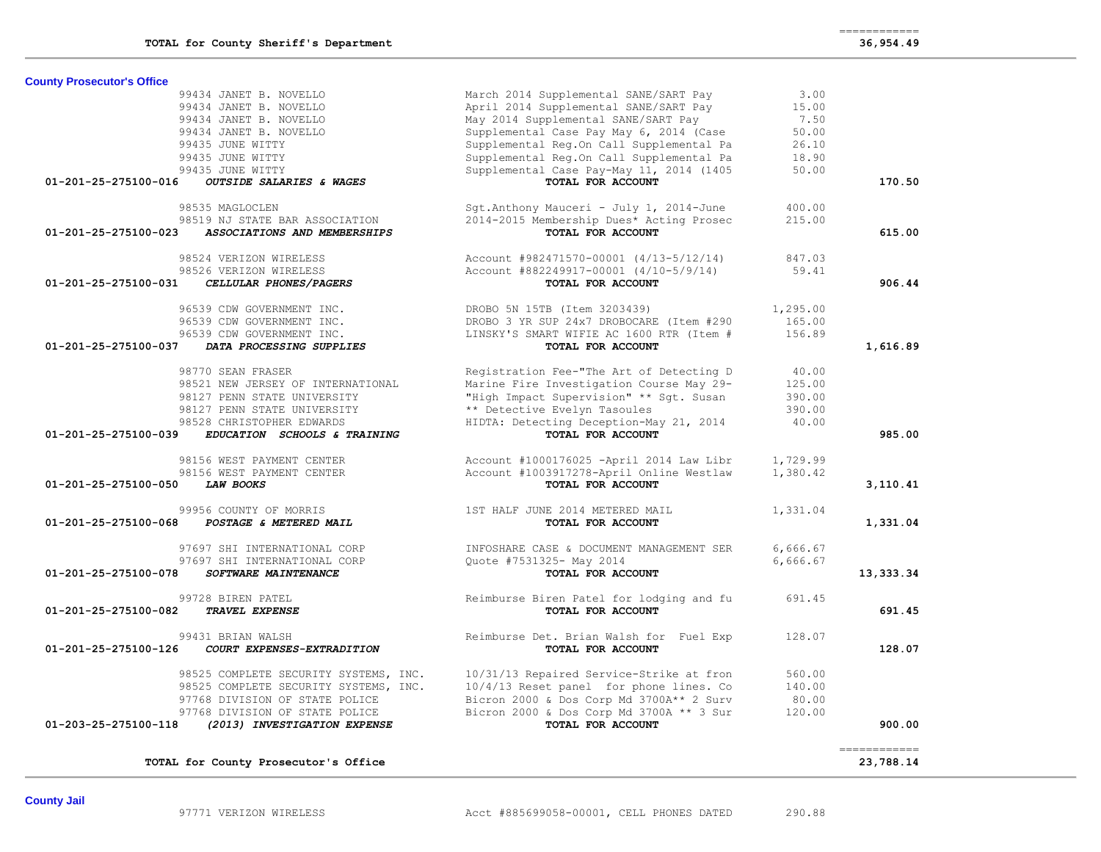| <b>County Prosecutor's Office</b>                    |                                                 |          |              |
|------------------------------------------------------|-------------------------------------------------|----------|--------------|
| 99434 JANET B. NOVELLO                               | March 2014 Supplemental SANE/SART Pay           | 3.00     |              |
| 99434 JANET B. NOVELLO                               | April 2014 Supplemental SANE/SART Pay           | 15.00    |              |
| 99434 JANET B. NOVELLO                               | May 2014 Supplemental SANE/SART Pay             | 7.50     |              |
| 99434 JANET B. NOVELLO                               | Supplemental Case Pay May 6, 2014 (Case         | 50.00    |              |
| 99435 JUNE WITTY                                     | Supplemental Reg.On Call Supplemental Pa        | 26.10    |              |
| 99435 JUNE WITTY                                     | Supplemental Req.On Call Supplemental Pa        | 18.90    |              |
| 99435 JUNE WITTY                                     | Supplemental Case Pay-May 11, 2014 (1405        | 50.00    |              |
| 01-201-25-275100-016<br>OUTSIDE SALARIES & WAGES     | TOTAL FOR ACCOUNT                               |          | 170.50       |
| 98535 MAGLOCLEN                                      | Sqt.Anthony Mauceri - July 1, 2014-June         | 400.00   |              |
| 98519 NJ STATE BAR ASSOCIATION                       | 2014-2015 Membership Dues* Acting Prosec        | 215.00   |              |
| 01-201-25-275100-023<br>ASSOCIATIONS AND MEMBERSHIPS | TOTAL FOR ACCOUNT                               |          | 615.00       |
| 98524 VERIZON WIRELESS                               | Account #982471570-00001 (4/13-5/12/14)         | 847.03   |              |
| 98526 VERIZON WIRELESS                               | Account #882249917-00001 (4/10-5/9/14)          | 59.41    |              |
| 01-201-25-275100-031<br>CELLULAR PHONES/PAGERS       | TOTAL FOR ACCOUNT                               |          | 906.44       |
| 96539 CDW GOVERNMENT INC.                            | DROBO 5N 15TB (Item 3203439)                    | 1,295.00 |              |
| 96539 CDW GOVERNMENT INC.                            | DROBO 3 YR SUP 24x7 DROBOCARE (Item #290        | 165.00   |              |
| 96539 CDW GOVERNMENT INC.                            | LINSKY'S SMART WIFIE AC 1600 RTR (Item #        | 156.89   |              |
| 01-201-25-275100-037<br>DATA PROCESSING SUPPLIES     | TOTAL FOR ACCOUNT                               |          | 1,616.89     |
|                                                      |                                                 |          |              |
| 98770 SEAN FRASER                                    | Registration Fee-"The Art of Detecting D        | 40.00    |              |
| 98521 NEW JERSEY OF INTERNATIONAL                    | Marine Fire Investigation Course May 29-        | 125.00   |              |
| 98127 PENN STATE UNIVERSITY                          | "High Impact Supervision" ** Sgt. Susan         | 390.00   |              |
| 98127 PENN STATE UNIVERSITY                          | ** Detective Evelyn Tasoules                    | 390.00   |              |
| 98528 CHRISTOPHER EDWARDS                            | HIDTA: Detecting Deception-May 21, 2014         | 40.00    |              |
| EDUCATION SCHOOLS & TRAINING<br>01-201-25-275100-039 | TOTAL FOR ACCOUNT                               |          | 985.00       |
| 98156 WEST PAYMENT CENTER                            | Account #1000176025 -April 2014 Law Libr        | 1,729.99 |              |
| 98156 WEST PAYMENT CENTER                            | Account #1003917278-April Online Westlaw        | 1,380.42 |              |
| 01-201-25-275100-050<br>LAW BOOKS                    | TOTAL FOR ACCOUNT                               |          | 3,110.41     |
| 99956 COUNTY OF MORRIS                               | 1ST HALF JUNE 2014 METERED MAIL                 | 1,331.04 |              |
| POSTAGE & METERED MAIL<br>01-201-25-275100-068       | TOTAL FOR ACCOUNT                               |          | 1,331.04     |
| 97697 SHI INTERNATIONAL CORP                         | INFOSHARE CASE & DOCUMENT MANAGEMENT SER        | 6,666.67 |              |
| 97697 SHI INTERNATIONAL CORP                         | Quote #7531325- May 2014                        | 6,666.67 |              |
| 01-201-25-275100-078<br>SOFTWARE MAINTENANCE         | TOTAL FOR ACCOUNT                               |          | 13,333.34    |
| 99728 BIREN PATEL                                    | Reimburse Biren Patel for lodging and fu 691.45 |          |              |
| 01-201-25-275100-082<br><b>TRAVEL EXPENSE</b>        | TOTAL FOR ACCOUNT                               |          | 691.45       |
| 99431 BRIAN WALSH                                    | Reimburse Det. Brian Walsh for Fuel Exp         | 128.07   |              |
| 01-201-25-275100-126 COURT EXPENSES-EXTRADITION      | TOTAL FOR ACCOUNT                               |          | 128.07       |
| 98525 COMPLETE SECURITY SYSTEMS, INC.                | 10/31/13 Repaired Service-Strike at fron        | 560.00   |              |
| 98525 COMPLETE SECURITY SYSTEMS, INC.                | 10/4/13 Reset panel for phone lines. Co         | 140.00   |              |
| 97768 DIVISION OF STATE POLICE                       | Bicron 2000 & Dos Corp Md 3700A** 2 Surv        | 80.00    |              |
| 97768 DIVISION OF STATE POLICE                       | Bicron 2000 & Dos Corp Md 3700A ** 3 Sur        | 120.00   |              |
| 01-203-25-275100-118<br>(2013) INVESTIGATION EXPENSE | TOTAL FOR ACCOUNT                               |          | 900.00       |
|                                                      |                                                 |          | ------------ |
| TOTAL for County Prosecutor's Office                 |                                                 |          | 23,788.14    |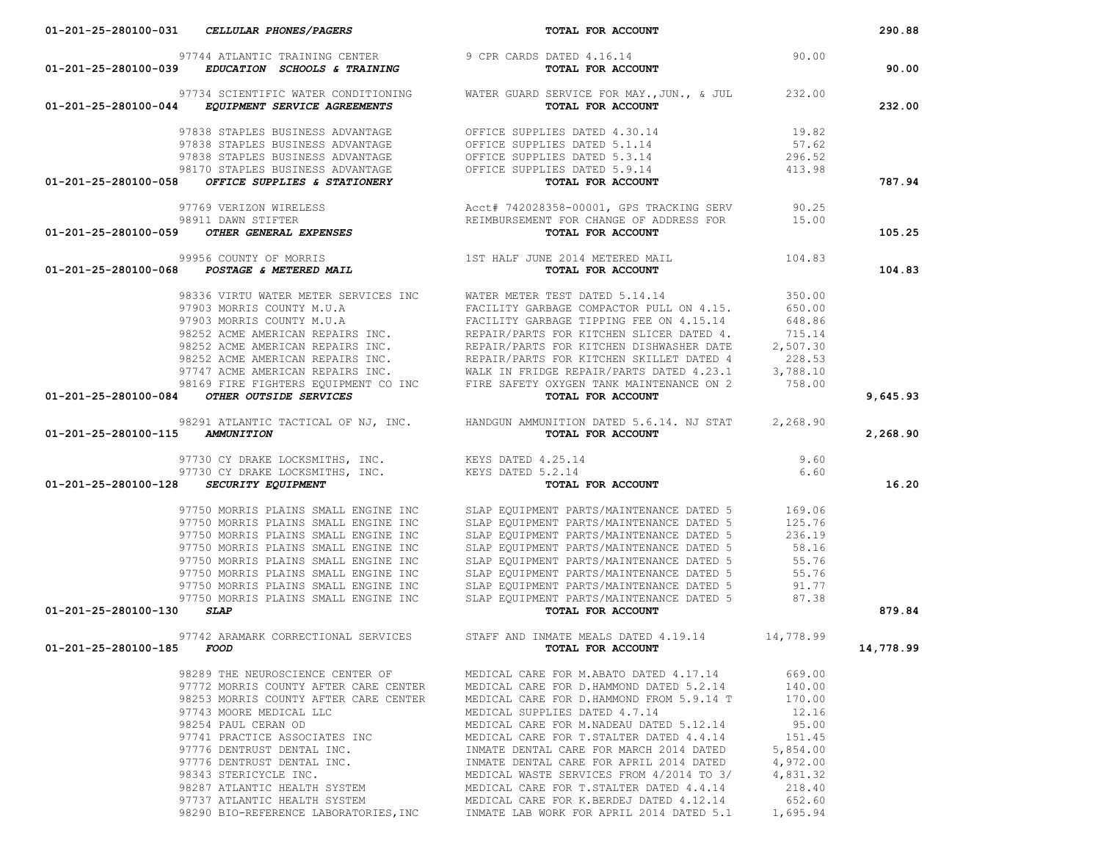| 97744 ATLANTIC TRAINING CENTER 9 CPR CARDS DATED $4.16.14$<br>01-201-25-280100-039 EDUCATION SCHOOLS & TRAINING TOTAL FOR ACCOUNT                                                                                                      | DATED 4.16.14<br><b>TOTAL FOR ACCOUNT</b>                                                                                                                                                                                            | 90.00              |           |
|----------------------------------------------------------------------------------------------------------------------------------------------------------------------------------------------------------------------------------------|--------------------------------------------------------------------------------------------------------------------------------------------------------------------------------------------------------------------------------------|--------------------|-----------|
|                                                                                                                                                                                                                                        |                                                                                                                                                                                                                                      |                    | 90.00     |
|                                                                                                                                                                                                                                        | 97734 SCIENTIFIC WATER CONDITIONING WATER GUARD SERVICE FOR MAY., JUN., & JUL 232.00                                                                                                                                                 |                    |           |
| 01-201-25-280100-044 EQUIPMENT SERVICE AGREEMENTS                                                                                                                                                                                      | TOTAL FOR ACCOUNT                                                                                                                                                                                                                    |                    | 232.00    |
|                                                                                                                                                                                                                                        |                                                                                                                                                                                                                                      |                    |           |
|                                                                                                                                                                                                                                        |                                                                                                                                                                                                                                      |                    |           |
|                                                                                                                                                                                                                                        |                                                                                                                                                                                                                                      |                    |           |
|                                                                                                                                                                                                                                        |                                                                                                                                                                                                                                      |                    |           |
|                                                                                                                                                                                                                                        | 97838 STAPLES BUSINESS ADVANTAGE OFFICE SUPPLIES DATED 4.30.14 19.82<br>97838 STAPLES BUSINESS ADVANTAGE OFFICE SUPPLIES DATED 5.1.14 57.62<br>97838 STAPLES BUSINESS ADVANTAGE OFFICE SUPPLIES DATED 5.3.14 296.52<br>98170 STAPLES |                    | 787.94    |
| 01-201-25-280100-058 OFFICE SUPPLIES & STATIONERY                                                                                                                                                                                      | TOTAL FOR ACCOUNT                                                                                                                                                                                                                    |                    |           |
|                                                                                                                                                                                                                                        |                                                                                                                                                                                                                                      |                    |           |
|                                                                                                                                                                                                                                        |                                                                                                                                                                                                                                      |                    |           |
| 97769 VERIZON WIRELESS Acct# 742028358-00001, GPS TRACKING SERV<br>98911 DAWN STIFTER PEIMBURSEMENT FOR CHANGE OF ADDRESS FOR 15.00<br><b>01-201-25-280100-059</b> OTHER GENERAL EXPENSES                                              |                                                                                                                                                                                                                                      |                    | 105.25    |
| 99956 COUNTY OF MORRIS<br>104.83 15T HALF JUNE 2014 METERED MAIL<br><b>104.83 TOTAL FOR ACCOUNT</b>                                                                                                                                    |                                                                                                                                                                                                                                      |                    |           |
|                                                                                                                                                                                                                                        |                                                                                                                                                                                                                                      |                    | 104.83    |
|                                                                                                                                                                                                                                        |                                                                                                                                                                                                                                      |                    |           |
|                                                                                                                                                                                                                                        | 98336 VIRTU WATER METER SERVICES INC WATER METER TEST DATED 5.14.14                                                                                                                                                                  | 350.00             |           |
|                                                                                                                                                                                                                                        |                                                                                                                                                                                                                                      |                    |           |
|                                                                                                                                                                                                                                        |                                                                                                                                                                                                                                      |                    |           |
|                                                                                                                                                                                                                                        |                                                                                                                                                                                                                                      |                    |           |
|                                                                                                                                                                                                                                        |                                                                                                                                                                                                                                      |                    |           |
|                                                                                                                                                                                                                                        |                                                                                                                                                                                                                                      |                    |           |
|                                                                                                                                                                                                                                        |                                                                                                                                                                                                                                      |                    |           |
|                                                                                                                                                                                                                                        |                                                                                                                                                                                                                                      |                    |           |
| 98336 VIRTU WATER METER SERVICES INCENTIFY CARBAGE COMPACTOR PULL ON 4.15. 650.00<br>97903 MORRIS COUNTY M.U.A<br>97903 MORRIS COUNTY M.U.A<br>98252 ACME AMERICAN REPAIRS INC.<br>98252 ACME AMERICAN REPAIRS INC. REPAIR/PARTS FOR K |                                                                                                                                                                                                                                      |                    | 9,645.93  |
|                                                                                                                                                                                                                                        | 98291 ATLANTIC TACTICAL OF NJ, INC. HANDGUN AMMUNITION DATED 5.6.14. NJ STAT 2,268.90                                                                                                                                                |                    |           |
| 01-201-25-280100-115 AMMUNITION                                                                                                                                                                                                        | TOTAL FOR ACCOUNT                                                                                                                                                                                                                    |                    | 2,268.90  |
|                                                                                                                                                                                                                                        |                                                                                                                                                                                                                                      |                    |           |
|                                                                                                                                                                                                                                        |                                                                                                                                                                                                                                      | 9.60               |           |
|                                                                                                                                                                                                                                        |                                                                                                                                                                                                                                      | 6.60               |           |
| 01-201-25-280100-128 SECURITY EQUIPMENT                                                                                                                                                                                                |                                                                                                                                                                                                                                      |                    | 16.20     |
| 97750 MORRIS PLAINS SMALL ENGINE INC                                                                                                                                                                                                   | SLAP EQUIPMENT PARTS/MAINTENANCE DATED 5 169.06<br>SLAP EOUIPMENT PARTS/MAINTENANCE DATED 5 125.76                                                                                                                                   |                    |           |
| 97750 MORRIS PLAINS SMALL ENGINE INC                                                                                                                                                                                                   |                                                                                                                                                                                                                                      |                    |           |
| 97750 MORRIS PLAINS SMALL ENGINE INC                                                                                                                                                                                                   | SLAP EQUIPMENT PARTS/MAINTENANCE DATED 5                                                                                                                                                                                             | 236.19             |           |
| 97750 MORRIS PLAINS SMALL ENGINE INC                                                                                                                                                                                                   | SLAP EQUIPMENT PARTS/MAINTENANCE DATED 5                                                                                                                                                                                             | 58.16              |           |
| 97750 MORRIS PLAINS SMALL ENGINE INC                                                                                                                                                                                                   | SLAP EQUIPMENT PARTS/MAINTENANCE DATED 5                                                                                                                                                                                             | 55.76              |           |
| 97750 MORRIS PLAINS SMALL ENGINE INC                                                                                                                                                                                                   | SLAP EQUIPMENT PARTS/MAINTENANCE DATED 5                                                                                                                                                                                             | 55.76              |           |
| 97750 MORRIS PLAINS SMALL ENGINE INC                                                                                                                                                                                                   |                                                                                                                                                                                                                                      |                    |           |
| 97750 MORRIS PLAINS SMALL ENGINE INC                                                                                                                                                                                                   | SLAP EQUIPMENT PARTS/MAINTENANCE DATED 5<br>SLAP EQUIPMENT PARTS/MAINTENANCE DATED 5 91.77<br>SLAP EQUIPMENT PARTS/MAINTENANCE DATED 5 87.38                                                                                         |                    |           |
| <b>SLAP</b><br>01-201-25-280100-130                                                                                                                                                                                                    | TOTAL FOR ACCOUNT                                                                                                                                                                                                                    |                    | 879.84    |
|                                                                                                                                                                                                                                        |                                                                                                                                                                                                                                      |                    |           |
| 01-201-25-280100-185 FOOD                                                                                                                                                                                                              | 97742 ARAMARK CORRECTIONAL SERVICES STAFF AND INMATE MEALS DATED 4.19.14 14,778.99<br>TOTAL FOR ACCOUNT                                                                                                                              |                    | 14,778.99 |
|                                                                                                                                                                                                                                        |                                                                                                                                                                                                                                      |                    |           |
| 98289 THE NEUROSCIENCE CENTER OF                                                                                                                                                                                                       | MEDICAL CARE FOR M.ABATO DATED 4.17.14                                                                                                                                                                                               | 669.00             |           |
|                                                                                                                                                                                                                                        | 97772 MORRIS COUNTY AFTER CARE CENTER MEDICAL CARE FOR D.HAMMOND DATED 5.2.14                                                                                                                                                        | 140.00             |           |
|                                                                                                                                                                                                                                        | 98253 MORRIS COUNTY AFTER CARE CENTER MEDICAL CARE FOR D.HAMMOND FROM 5.9.14 T                                                                                                                                                       | 170.00             |           |
| 97743 MOORE MEDICAL LLC                                                                                                                                                                                                                | MEDICAL SUPPLIES DATED 4.7.14                                                                                                                                                                                                        | 12.16              |           |
| 98254 PAUL CERAN OD                                                                                                                                                                                                                    | MEDICAL CARE FOR M.NADEAU DATED 5.12.14                                                                                                                                                                                              | 95.00              |           |
| 97741 PRACTICE ASSOCIATES INC                                                                                                                                                                                                          | MEDICAL CARE FOR T. STALTER DATED 4.4.14                                                                                                                                                                                             | 151.45             |           |
| 97776 DENTRUST DENTAL INC.                                                                                                                                                                                                             | INMATE DENTAL CARE FOR MARCH 2014 DATED                                                                                                                                                                                              | 5,854.00           |           |
| 97776 DENTRUST DENTAL INC.                                                                                                                                                                                                             | INMATE DENTAL CARE FOR APRIL 2014 DATED                                                                                                                                                                                              | 4,972.00           |           |
| 98343 STERICYCLE INC.                                                                                                                                                                                                                  | MEDICAL WASTE SERVICES FROM 4/2014 TO 3/                                                                                                                                                                                             | 4,831.32           |           |
| 98287 ATLANTIC HEALTH SYSTEM                                                                                                                                                                                                           | MEDICAL CARE FOR T. STALTER DATED 4.4.14                                                                                                                                                                                             | 218.40             |           |
| 97737 ATLANTIC HEALTH SYSTEM                                                                                                                                                                                                           |                                                                                                                                                                                                                                      |                    |           |
|                                                                                                                                                                                                                                        |                                                                                                                                                                                                                                      |                    |           |
| 98290 BIO-REFERENCE LABORATORIES, INC                                                                                                                                                                                                  | MEDICAL CARE FOR K.BERDEJ DATED 4.12.14<br>INMATE LAB WORK FOR APRIL 2014 DATED 5.1                                                                                                                                                  | 652.60<br>1,695.94 |           |

 **01-201-25-280100-031** *CELLULAR PHONES/PAGERS* **TOTAL FOR ACCOUNT 290.88**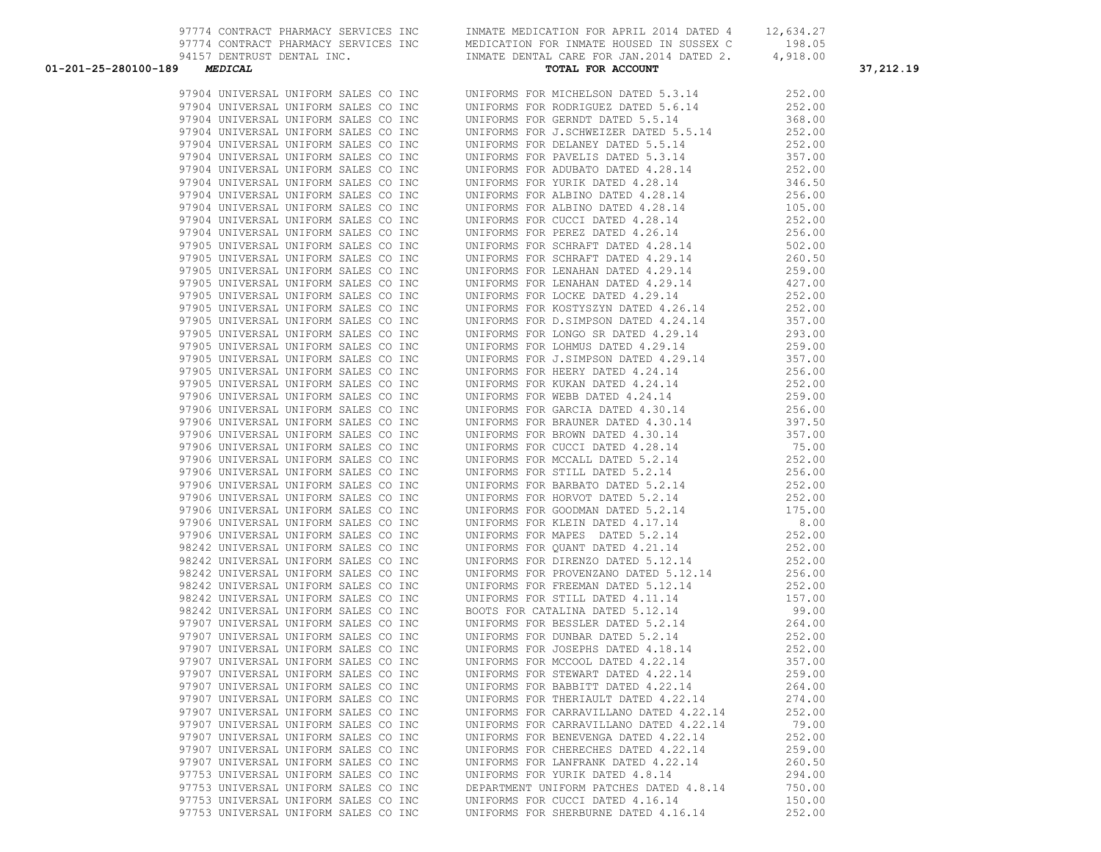| 01-201-25-280100-189 MEDICAL         | 94157 DENTRUST DENTAL INC.<br><b>MEDICAL</b> MERICAL TOTAL FOR ACCOUNT AND MEDICAL ALGEBRICAL TOTAL OR ACCOUNT<br>TOTAL FOR ACCOUNT<br>39 AMOTYCH REPAIR TWO. THE CAR IN THE CAR IN THE CAR IN THE ANIMAL COMPAIR IN THE CAR IN THE CAR IN THE CAR IN THE CAR IN THE CAR IN THE CAR IN THE CAR IN THE CAR IN THE CAR IN THE CAR IN THE CAR IN THE CAR IN THE CAR IN |        | 37,212.19 |
|--------------------------------------|---------------------------------------------------------------------------------------------------------------------------------------------------------------------------------------------------------------------------------------------------------------------------------------------------------------------------------------------------------------------|--------|-----------|
|                                      |                                                                                                                                                                                                                                                                                                                                                                     |        |           |
|                                      |                                                                                                                                                                                                                                                                                                                                                                     |        |           |
|                                      |                                                                                                                                                                                                                                                                                                                                                                     |        |           |
|                                      |                                                                                                                                                                                                                                                                                                                                                                     |        |           |
|                                      |                                                                                                                                                                                                                                                                                                                                                                     |        |           |
|                                      |                                                                                                                                                                                                                                                                                                                                                                     |        |           |
|                                      |                                                                                                                                                                                                                                                                                                                                                                     |        |           |
|                                      |                                                                                                                                                                                                                                                                                                                                                                     |        |           |
|                                      |                                                                                                                                                                                                                                                                                                                                                                     |        |           |
|                                      |                                                                                                                                                                                                                                                                                                                                                                     |        |           |
|                                      |                                                                                                                                                                                                                                                                                                                                                                     |        |           |
|                                      |                                                                                                                                                                                                                                                                                                                                                                     |        |           |
|                                      |                                                                                                                                                                                                                                                                                                                                                                     |        |           |
|                                      |                                                                                                                                                                                                                                                                                                                                                                     |        |           |
|                                      |                                                                                                                                                                                                                                                                                                                                                                     |        |           |
|                                      |                                                                                                                                                                                                                                                                                                                                                                     |        |           |
|                                      |                                                                                                                                                                                                                                                                                                                                                                     |        |           |
|                                      |                                                                                                                                                                                                                                                                                                                                                                     |        |           |
|                                      |                                                                                                                                                                                                                                                                                                                                                                     |        |           |
|                                      |                                                                                                                                                                                                                                                                                                                                                                     |        |           |
|                                      |                                                                                                                                                                                                                                                                                                                                                                     |        |           |
|                                      |                                                                                                                                                                                                                                                                                                                                                                     |        |           |
|                                      |                                                                                                                                                                                                                                                                                                                                                                     |        |           |
|                                      |                                                                                                                                                                                                                                                                                                                                                                     |        |           |
|                                      |                                                                                                                                                                                                                                                                                                                                                                     |        |           |
|                                      |                                                                                                                                                                                                                                                                                                                                                                     |        |           |
|                                      |                                                                                                                                                                                                                                                                                                                                                                     |        |           |
|                                      |                                                                                                                                                                                                                                                                                                                                                                     |        |           |
|                                      |                                                                                                                                                                                                                                                                                                                                                                     |        |           |
|                                      |                                                                                                                                                                                                                                                                                                                                                                     |        |           |
|                                      |                                                                                                                                                                                                                                                                                                                                                                     |        |           |
|                                      |                                                                                                                                                                                                                                                                                                                                                                     |        |           |
|                                      |                                                                                                                                                                                                                                                                                                                                                                     |        |           |
|                                      |                                                                                                                                                                                                                                                                                                                                                                     |        |           |
|                                      |                                                                                                                                                                                                                                                                                                                                                                     |        |           |
|                                      |                                                                                                                                                                                                                                                                                                                                                                     |        |           |
|                                      |                                                                                                                                                                                                                                                                                                                                                                     |        |           |
|                                      |                                                                                                                                                                                                                                                                                                                                                                     |        |           |
|                                      |                                                                                                                                                                                                                                                                                                                                                                     |        |           |
|                                      |                                                                                                                                                                                                                                                                                                                                                                     |        |           |
|                                      |                                                                                                                                                                                                                                                                                                                                                                     |        |           |
|                                      |                                                                                                                                                                                                                                                                                                                                                                     |        |           |
|                                      |                                                                                                                                                                                                                                                                                                                                                                     |        |           |
|                                      |                                                                                                                                                                                                                                                                                                                                                                     |        |           |
|                                      |                                                                                                                                                                                                                                                                                                                                                                     |        |           |
|                                      |                                                                                                                                                                                                                                                                                                                                                                     |        |           |
|                                      |                                                                                                                                                                                                                                                                                                                                                                     |        |           |
| 97907 UNIVERSAL UNIFORM SALES CO INC | UNIFORMS FOR BABBITT DATED 4.22.14                                                                                                                                                                                                                                                                                                                                  | 264.00 |           |
| 97907 UNIVERSAL UNIFORM SALES CO INC | UNIFORMS FOR THERIAULT DATED 4.22.14                                                                                                                                                                                                                                                                                                                                | 274.00 |           |
| 97907 UNIVERSAL UNIFORM SALES CO INC | UNIFORMS FOR CARRAVILLANO DATED 4.22.14                                                                                                                                                                                                                                                                                                                             | 252.00 |           |
| 97907 UNIVERSAL UNIFORM SALES CO INC | UNIFORMS FOR CARRAVILLANO DATED 4.22.14                                                                                                                                                                                                                                                                                                                             | 79.00  |           |
| 97907 UNIVERSAL UNIFORM SALES CO INC | UNIFORMS FOR BENEVENGA DATED 4.22.14                                                                                                                                                                                                                                                                                                                                | 252.00 |           |
| 97907 UNIVERSAL UNIFORM SALES CO INC | UNIFORMS FOR CHERECHES DATED 4.22.14                                                                                                                                                                                                                                                                                                                                | 259.00 |           |
| 97907 UNIVERSAL UNIFORM SALES CO INC | UNIFORMS FOR LANFRANK DATED 4.22.14                                                                                                                                                                                                                                                                                                                                 | 260.50 |           |
| 97753 UNIVERSAL UNIFORM SALES CO INC | UNIFORMS FOR YURIK DATED 4.8.14                                                                                                                                                                                                                                                                                                                                     | 294.00 |           |
| 97753 UNIVERSAL UNIFORM SALES CO INC | DEPARTMENT UNIFORM PATCHES DATED 4.8.14                                                                                                                                                                                                                                                                                                                             | 750.00 |           |
| 97753 UNIVERSAL UNIFORM SALES CO INC | UNIFORMS FOR CUCCI DATED 4.16.14                                                                                                                                                                                                                                                                                                                                    | 150.00 |           |
|                                      | 97753 UNIVERSAL UNIFORM SALES CO INC UNIFORMS FOR SHERBURNE DATED 4.16.14 252.00                                                                                                                                                                                                                                                                                    |        |           |
|                                      |                                                                                                                                                                                                                                                                                                                                                                     |        |           |

97774 CONTRACT PHARMACY SERVICES INC INMATE MEDICATION FOR APRIL 2014 DATED 4 12,634.27 97774 CONTRACT PHARMACY SERVICES INC MEDICATION FOR INMATE HOUSED IN SUSSEX C 198.05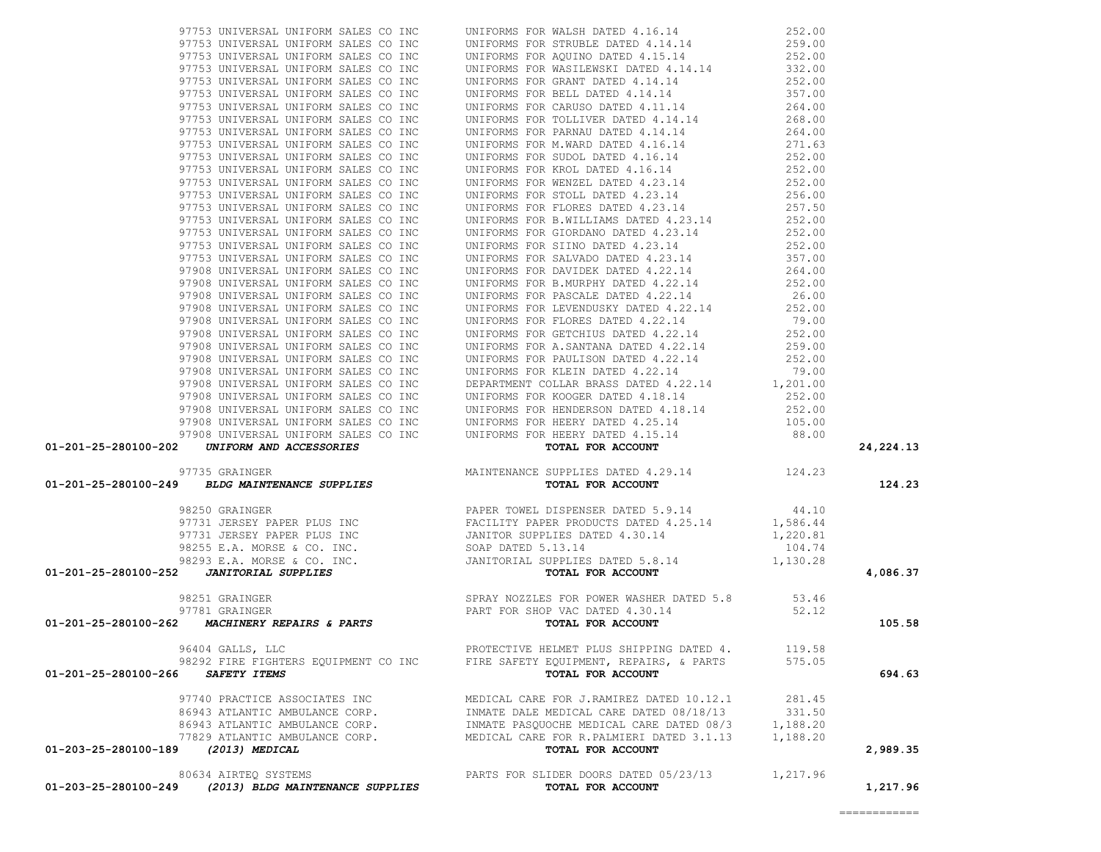|                                                                                                                                                                                                                                                                                         |                                                            |          | 24, 224. 13 |
|-----------------------------------------------------------------------------------------------------------------------------------------------------------------------------------------------------------------------------------------------------------------------------------------|------------------------------------------------------------|----------|-------------|
|                                                                                                                                                                                                                                                                                         |                                                            |          |             |
|                                                                                                                                                                                                                                                                                         |                                                            |          | 124.23      |
|                                                                                                                                                                                                                                                                                         |                                                            |          |             |
|                                                                                                                                                                                                                                                                                         |                                                            |          |             |
|                                                                                                                                                                                                                                                                                         |                                                            |          |             |
|                                                                                                                                                                                                                                                                                         |                                                            |          |             |
|                                                                                                                                                                                                                                                                                         |                                                            |          |             |
|                                                                                                                                                                                                                                                                                         |                                                            |          |             |
|                                                                                                                                                                                                                                                                                         |                                                            |          | 4,086.37    |
|                                                                                                                                                                                                                                                                                         |                                                            |          |             |
|                                                                                                                                                                                                                                                                                         |                                                            |          |             |
|                                                                                                                                                                                                                                                                                         |                                                            |          | 105.58      |
|                                                                                                                                                                                                                                                                                         |                                                            |          |             |
| 96404 GALLS, LLC                                                                                                                                                                                                                                                                        | PROTECTIVE HELMET PLUS SHIPPING DATED 4. 119.58            |          |             |
| 01-201-25-280100-202 UNIFORM AND ACCESSORIES<br>97735 GRAINGER<br>97735 GRAINGER<br>97731 JERSEY PAPER PLUS INC<br>97731 JERSEY PAPER PLUS INC<br>97731 JERSEY PAPER PLUS INC<br>97731 JERSEY PAPER PLUS INC<br>97731 JERSEY PAPER PLUS INC<br><br>98292 FIRE FIGHTERS EQUIPMENT CO INC | FIRE SAFETY EQUIPMENT, REPAIRS, & PARTS                    | 575.05   |             |
| 01-201-25-280100-266 SAFETY ITEMS                                                                                                                                                                                                                                                       | TOTAL FOR ACCOUNT                                          |          | 694.63      |
|                                                                                                                                                                                                                                                                                         |                                                            |          |             |
| 97740 PRACTICE ASSOCIATES INC                                                                                                                                                                                                                                                           | MEDICAL CARE FOR J.RAMIREZ DATED 10.12.1                   | 281.45   |             |
| 86943 ATLANTIC AMBULANCE CORP.                                                                                                                                                                                                                                                          | INMATE DALE MEDICAL CARE DATED 08/18/13                    | 331.50   |             |
| 86943 ATLANTIC AMBULANCE CORP.                                                                                                                                                                                                                                                          | INMATE PASOUOCHE MEDICAL CARE DATED 08/3                   | 1,188.20 |             |
| 77829 ATLANTIC AMBULANCE CORP.<br>01-203-25-280100-189                                                                                                                                                                                                                                  | MEDICAL CARE FOR R. PALMIERI DATED 3.1.13                  | 1,188.20 | 2,989.35    |
| 97753 MINITEERAL UUEFORM SALES CO INC UNIFIVAMS FOR MARIE BATED 414-14 220.00<br>97753 MINITEERAL UUEFORM SALES CO INC UNIFIVAMS FOR FACTOR ATA-14 220.00<br>97753 UNIFORM MARIEM CO INC UNIFIVAMS FOR ENGINEEE ATA-14 4223.00<br>9<br>(2013) MEDICAL                                   | TOTAL FOR ACCOUNT                                          |          |             |
|                                                                                                                                                                                                                                                                                         |                                                            |          |             |
| 80634 AIRTEQ SYSTEMS<br>01-203-25-280100-249<br>(2013) BLDG MAINTENANCE SUPPLIES                                                                                                                                                                                                        | PARTS FOR SLIDER DOORS DATED 05/23/13<br>TOTAL FOR ACCOUNT | 1,217.96 | 1,217.96    |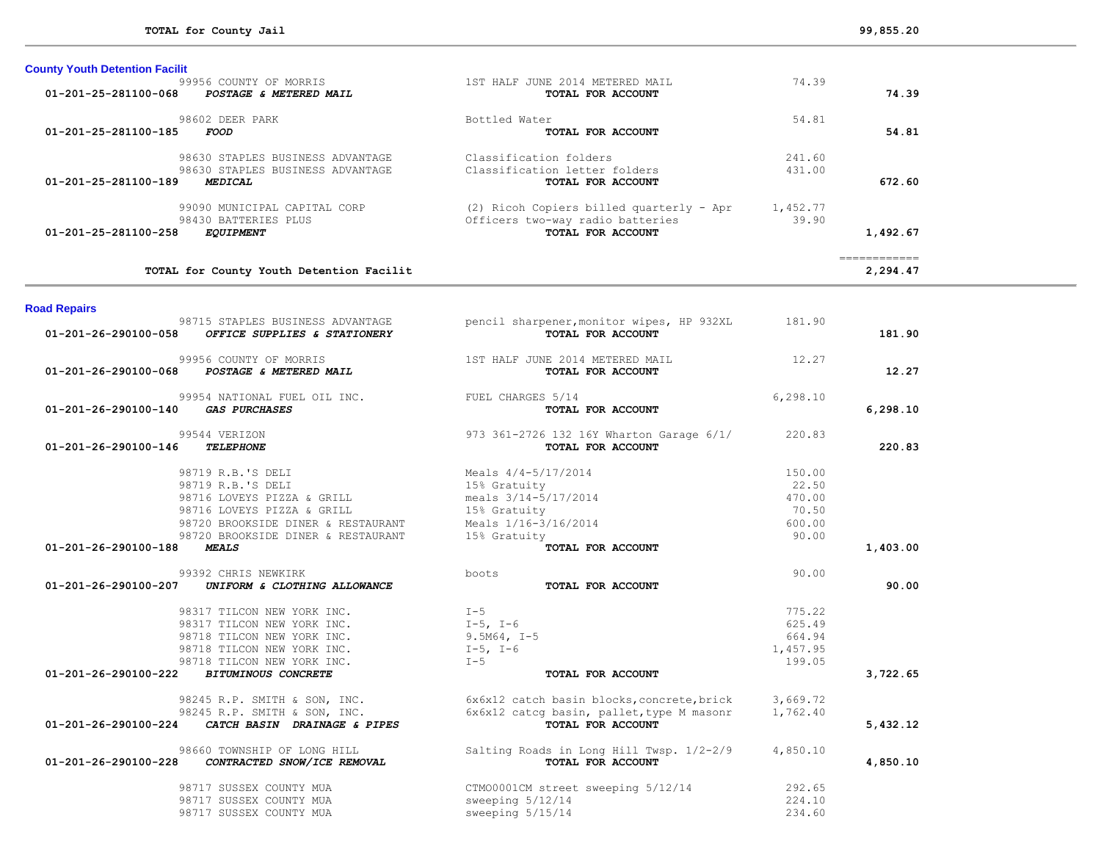| 01-201-25-281100-185 | FOOD                                                                                                                                                                           | TOTAL FOR ACCOUNT                                                                                                     |                                                       | 54.81                                                                                                                                                                                                                                                                                                                                                                                                                                                                                              |
|----------------------|--------------------------------------------------------------------------------------------------------------------------------------------------------------------------------|-----------------------------------------------------------------------------------------------------------------------|-------------------------------------------------------|----------------------------------------------------------------------------------------------------------------------------------------------------------------------------------------------------------------------------------------------------------------------------------------------------------------------------------------------------------------------------------------------------------------------------------------------------------------------------------------------------|
| 01-201-25-281100-189 | 98630 STAPLES BUSINESS ADVANTAGE<br>98630 STAPLES BUSINESS ADVANTAGE<br><b>MEDICAL</b>                                                                                         | Classification folders<br>Classification letter folders<br>TOTAL FOR ACCOUNT                                          | 241.60<br>431.00                                      | 672.60                                                                                                                                                                                                                                                                                                                                                                                                                                                                                             |
| 01-201-25-281100-258 | 99090 MUNICIPAL CAPITAL CORP<br>98430 BATTERIES PLUS<br><b>EQUIPMENT</b>                                                                                                       | (2) Ricoh Copiers billed quarterly - Apr<br>Officers two-way radio batteries<br>TOTAL FOR ACCOUNT                     | 1,452.77<br>39.90                                     | 1,492.67                                                                                                                                                                                                                                                                                                                                                                                                                                                                                           |
|                      | TOTAL for County Youth Detention Facilit                                                                                                                                       |                                                                                                                       |                                                       | $\begin{array}{cccccccccc} \multicolumn{2}{c}{} & \multicolumn{2}{c}{} & \multicolumn{2}{c}{} & \multicolumn{2}{c}{} & \multicolumn{2}{c}{} & \multicolumn{2}{c}{} & \multicolumn{2}{c}{} & \multicolumn{2}{c}{} & \multicolumn{2}{c}{} & \multicolumn{2}{c}{} & \multicolumn{2}{c}{} & \multicolumn{2}{c}{} & \multicolumn{2}{c}{} & \multicolumn{2}{c}{} & \multicolumn{2}{c}{} & \multicolumn{2}{c}{} & \multicolumn{2}{c}{} & \multicolumn{2}{c}{} & \multicolumn{2}{c}{} & \mult$<br>2,294.47 |
| <b>Road Repairs</b>  |                                                                                                                                                                                |                                                                                                                       |                                                       |                                                                                                                                                                                                                                                                                                                                                                                                                                                                                                    |
| 01-201-26-290100-058 | 98715 STAPLES BUSINESS ADVANTAGE<br>OFFICE SUPPLIES & STATIONERY                                                                                                               | pencil sharpener, monitor wipes, HP 932XL<br>TOTAL FOR ACCOUNT                                                        | 181.90                                                | 181.90                                                                                                                                                                                                                                                                                                                                                                                                                                                                                             |
| 01-201-26-290100-068 | 99956 COUNTY OF MORRIS<br>POSTAGE & METERED MAIL                                                                                                                               | 1ST HALF JUNE 2014 METERED MAIL<br>TOTAL FOR ACCOUNT                                                                  | 12.27                                                 | 12.27                                                                                                                                                                                                                                                                                                                                                                                                                                                                                              |
| 01-201-26-290100-140 | 99954 NATIONAL FUEL OIL INC.<br><b>GAS PURCHASES</b>                                                                                                                           | FUEL CHARGES 5/14<br>TOTAL FOR ACCOUNT                                                                                | 6,298.10                                              | 6,298.10                                                                                                                                                                                                                                                                                                                                                                                                                                                                                           |
| 01-201-26-290100-146 | 99544 VERIZON<br><b>TELEPHONE</b>                                                                                                                                              | 973 361-2726 132 16Y Wharton Garage 6/1/<br>TOTAL FOR ACCOUNT                                                         | 220.83                                                | 220.83                                                                                                                                                                                                                                                                                                                                                                                                                                                                                             |
|                      | 98719 R.B.'S DELI<br>98719 R.B.'S DELI<br>98716 LOVEYS PIZZA & GRILL<br>98716 LOVEYS PIZZA & GRILL<br>98720 BROOKSIDE DINER & RESTAURANT<br>98720 BROOKSIDE DINER & RESTAURANT | Meals 4/4-5/17/2014<br>15% Gratuity<br>meals $3/14-5/17/2014$<br>15% Gratuity<br>Meals 1/16-3/16/2014<br>15% Gratuity | 150.00<br>22.50<br>470.00<br>70.50<br>600.00<br>90.00 |                                                                                                                                                                                                                                                                                                                                                                                                                                                                                                    |
| 01-201-26-290100-188 | <b>MEALS</b>                                                                                                                                                                   | TOTAL FOR ACCOUNT                                                                                                     |                                                       | 1,403.00                                                                                                                                                                                                                                                                                                                                                                                                                                                                                           |
| 01-201-26-290100-207 | 99392 CHRIS NEWKIRK<br>UNIFORM & CLOTHING ALLOWANCE                                                                                                                            | boots<br>TOTAL FOR ACCOUNT                                                                                            | 90.00                                                 | 90.00                                                                                                                                                                                                                                                                                                                                                                                                                                                                                              |
|                      | 98317 TILCON NEW YORK INC.<br>98317 TILCON NEW YORK INC.<br>98718 TILCON NEW YORK INC.<br>98718 TILCON NEW YORK INC.<br>98718 TILCON NEW YORK INC.                             | $I - 5$<br>$I-5$ , $I-6$<br>$9.5M64, I-5$<br>$I-5$ , $I-6$<br>$I - 5$                                                 | 775.22<br>625.49<br>664.94<br>1,457.95<br>199.05      |                                                                                                                                                                                                                                                                                                                                                                                                                                                                                                    |
| 01-201-26-290100-222 | <b>BITUMINOUS CONCRETE</b>                                                                                                                                                     | TOTAL FOR ACCOUNT                                                                                                     |                                                       | 3,722.65                                                                                                                                                                                                                                                                                                                                                                                                                                                                                           |
| 01-201-26-290100-224 | 98245 R.P. SMITH & SON, INC.<br>98245 R.P. SMITH & SON, INC.<br>CATCH BASIN DRAINAGE & PIPES                                                                                   | 6x6x12 catch basin blocks, concrete, brick<br>6x6x12 catcq basin, pallet, type M masonr<br>TOTAL FOR ACCOUNT          | 3,669.72<br>1,762.40                                  | 5,432.12                                                                                                                                                                                                                                                                                                                                                                                                                                                                                           |
| 01-201-26-290100-228 | 98660 TOWNSHIP OF LONG HILL<br>CONTRACTED SNOW/ICE REMOVAL                                                                                                                     | Salting Roads in Long Hill Twsp. 1/2-2/9<br>TOTAL FOR ACCOUNT                                                         | 4,850.10                                              | 4,850.10                                                                                                                                                                                                                                                                                                                                                                                                                                                                                           |
|                      | 98717 SUSSEX COUNTY MUA<br>98717 SUSSEX COUNTY MUA<br>98717 SUSSEX COUNTY MUA                                                                                                  | CTM00001CM street sweeping 5/12/14<br>sweeping $5/12/14$<br>sweeping 5/15/14                                          | 292.65<br>224.10<br>234.60                            |                                                                                                                                                                                                                                                                                                                                                                                                                                                                                                    |

99956 COUNTY OF MORRIS 1ST HALF JUNE 2014 METERED MAIL 74.39<br>1ST HALF JUNE 2014 METERED MAIL 74.39<br>**1ST HALF ON ACCOUNT** 

99956 COUNTY OF MORRIS **1**ST HALF JUNE 2014 METERED MAIL **74.39**<br>**8** *POSTAGE & METERED MAIL* **<b>74.39** 

98602 DEER PARK Bottled Water 54.81

**County Youth Detention Facilit**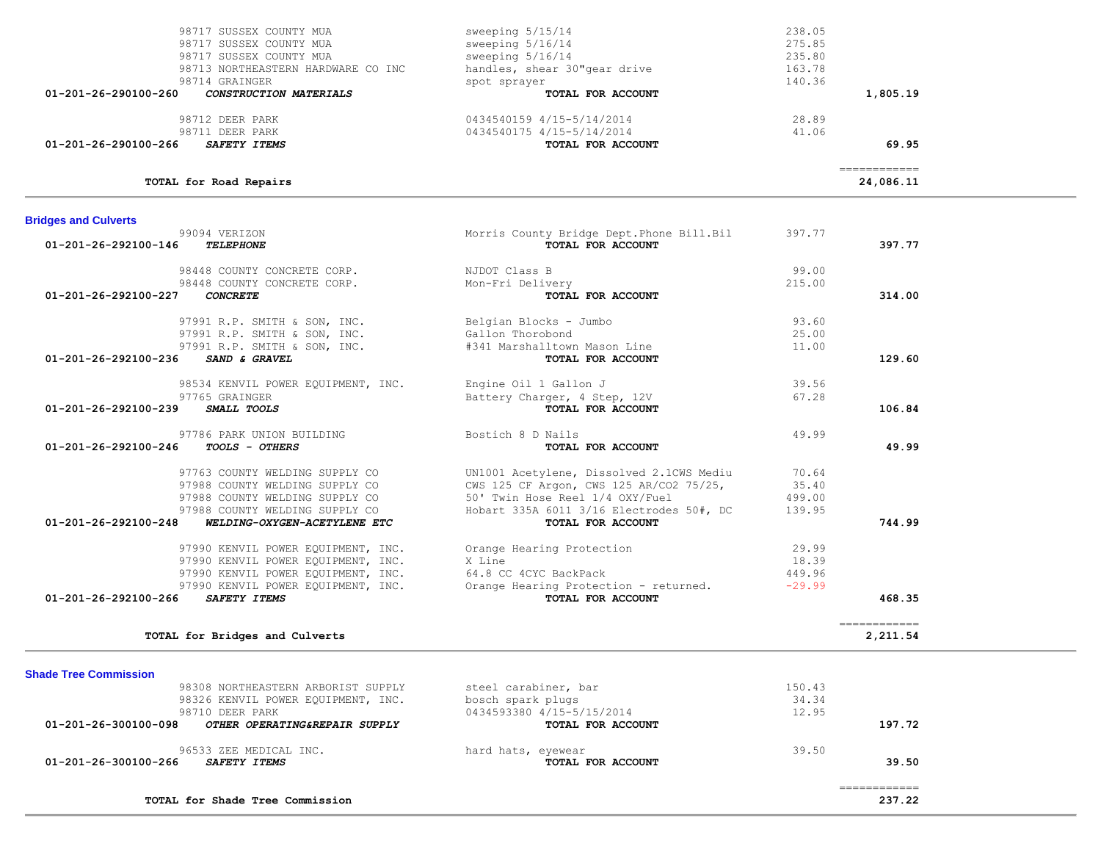| <b>Shade Tree Commission</b>                          |                           |        |        |
|-------------------------------------------------------|---------------------------|--------|--------|
| 98308 NORTHEASTERN ARBORIST SUPPLY                    | steel carabiner, bar      | 150.43 |        |
| 98326 KENVIL POWER EQUIPMENT, INC.                    | bosch spark plugs         | 34.34  |        |
| 98710 DEER PARK                                       | 0434593380 4/15-5/15/2014 | 12.95  |        |
| 01-201-26-300100-098<br>OTHER OPERATING&REPAIR SUPPLY | TOTAL FOR ACCOUNT         |        | 197.72 |
| 96533 ZEE MEDICAL INC.                                | hard hats, eyewear        | 39.50  |        |
| 01-201-26-300100-266<br><i>SAFETY ITEMS</i>           | TOTAL FOR ACCOUNT         |        | 39.50  |
|                                                       |                           |        |        |
| TOTAL for Shade Tree Commission                       |                           |        | 237.22 |

**TOTAL for Bridges and Culverts 2,211.54**

| 99094 VERIZON<br>01-201-26-292100-146<br><b>TELEPHONE</b> | Morris County Bridge Dept. Phone Bill. Bil<br>TOTAL FOR ACCOUNT | 397.77   | 397.77 |
|-----------------------------------------------------------|-----------------------------------------------------------------|----------|--------|
| 98448 COUNTY CONCRETE CORP.                               | NJDOT Class B                                                   | 99.00    |        |
| 98448 COUNTY CONCRETE CORP.                               | Mon-Fri Delivery                                                | 215.00   |        |
| 01-201-26-292100-227<br><b>CONCRETE</b>                   | TOTAL FOR ACCOUNT                                               |          | 314.00 |
| 97991 R.P. SMITH & SON, INC.                              | Belgian Blocks - Jumbo                                          | 93.60    |        |
| 97991 R.P. SMITH & SON, INC.                              | Gallon Thorobond                                                | 25.00    |        |
| 97991 R.P. SMITH & SON, INC.                              | #341 Marshalltown Mason Line                                    | 11.00    |        |
| 01-201-26-292100-236<br>SAND & GRAVEL                     | TOTAL FOR ACCOUNT                                               |          | 129.60 |
| 98534 KENVIL POWER EQUIPMENT, INC.                        | Engine Oil 1 Gallon J                                           | 39.56    |        |
| 97765 GRAINGER                                            | Battery Charger, 4 Step, 12V                                    | 67.28    |        |
| 01-201-26-292100-239<br><i>SMALL TOOLS</i>                | TOTAL FOR ACCOUNT                                               |          | 106.84 |
| 97786 PARK UNION BUILDING                                 | Bostich 8 D Nails                                               | 49.99    |        |
| 01-201-26-292100-246<br>TOOLS - OTHERS                    | TOTAL FOR ACCOUNT                                               |          | 49.99  |
| 97763 COUNTY WELDING SUPPLY CO                            | UN1001 Acetylene, Dissolved 2.1CWS Mediu                        | 70.64    |        |
| 97988 COUNTY WELDING SUPPLY CO                            | CWS 125 CF Argon, CWS 125 AR/CO2 75/25,                         | 35.40    |        |
| 97988 COUNTY WELDING SUPPLY CO                            | 50' Twin Hose Reel 1/4 OXY/Fuel                                 | 499.00   |        |
| 97988 COUNTY WELDING SUPPLY CO                            | Hobart 335A 6011 3/16 Electrodes 50#, DC                        | 139.95   |        |
| 01-201-26-292100-248<br>WELDING-OXYGEN-ACETYLENE ETC      | TOTAL FOR ACCOUNT                                               |          | 744.99 |
| 97990 KENVIL POWER EOUIPMENT, INC.                        | Orange Hearing Protection                                       | 29.99    |        |
| 97990 KENVIL POWER EOUIPMENT, INC.                        | X Line                                                          | 18.39    |        |
| 97990 KENVIL POWER EQUIPMENT, INC.                        | 64.8 CC 4CYC BackPack                                           | 449.96   |        |
|                                                           | Orange Hearing Protection - returned.                           | $-29.99$ |        |
| 97990 KENVIL POWER EQUIPMENT, INC.                        |                                                                 |          |        |

| <b>Bridges and Culverts</b> |  |
|-----------------------------|--|

| TOTAL for Road Repairs                                |                              | ============<br>24,086.11 |  |
|-------------------------------------------------------|------------------------------|---------------------------|--|
| 01-201-26-290100-266<br><i>SAFETY ITEMS</i>           | <b>TOTAL FOR ACCOUNT</b>     | 69.95                     |  |
| 98711 DEER PARK                                       | 0434540175 4/15-5/14/2014    | 41.06                     |  |
| 98712 DEER PARK                                       | 0434540159 4/15-5/14/2014    | 28.89                     |  |
| 01-201-26-290100-260<br><b>CONSTRUCTION MATERIALS</b> | TOTAL FOR ACCOUNT            | 1,805.19                  |  |
| 98714 GRAINGER                                        | spot sprayer                 | 140.36                    |  |
| 98713 NORTHEASTERN HARDWARE CO INC                    | handles, shear 30"gear drive | 163.78                    |  |
| 98717 SUSSEX COUNTY MUA                               | sweeping 5/16/14             | 235.80                    |  |
| 98717 SUSSEX COUNTY MUA                               | sweeping 5/16/14             | 275.85                    |  |
| 98717 SUSSEX COUNTY MUA                               | sweeping 5/15/14             | 238.05                    |  |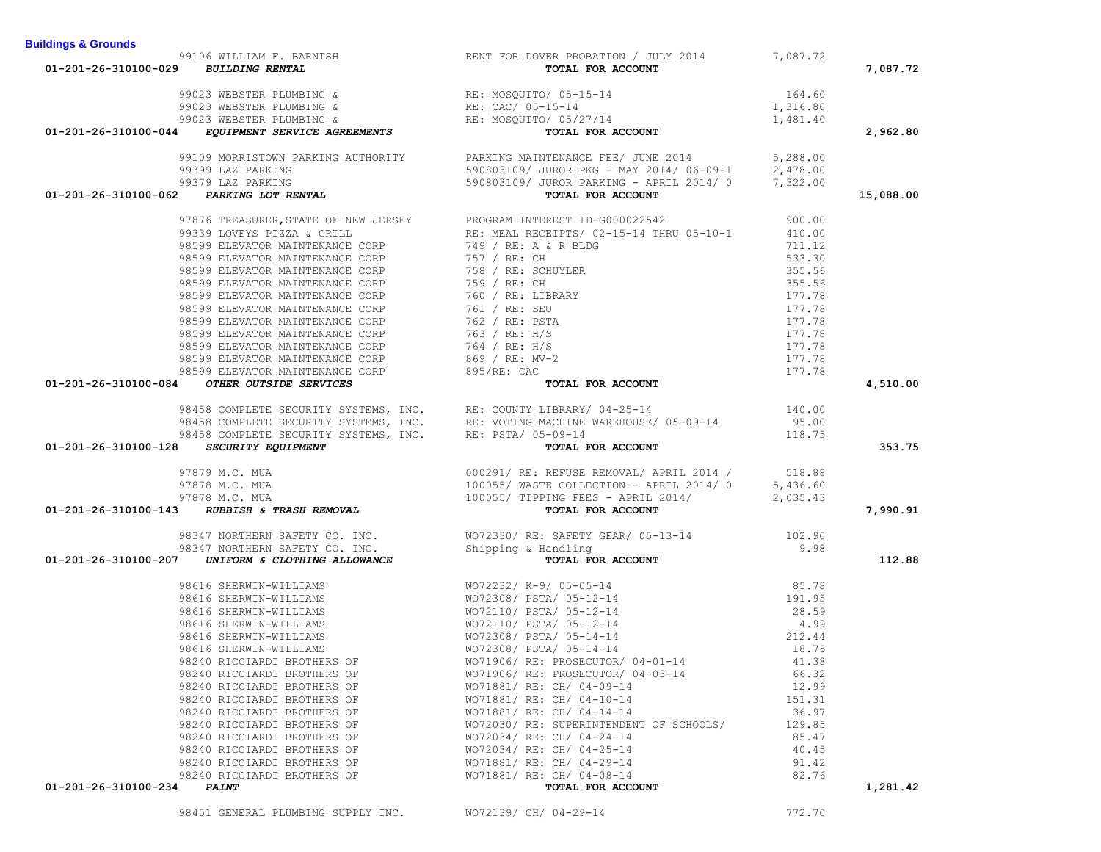|                                                                                                                                                                                                                                                            | 99106 WILLIAM F. BARNISH RENT FOR DOVER PROBATION / JULY 2014 7,087.72<br><b>BUILDING RENTAL</b><br><b>BUILDING RENTAL</b>                                                                                                                    |                           |           |
|------------------------------------------------------------------------------------------------------------------------------------------------------------------------------------------------------------------------------------------------------------|-----------------------------------------------------------------------------------------------------------------------------------------------------------------------------------------------------------------------------------------------|---------------------------|-----------|
| 01-201-26-310100-029 BUILDING RENTAL                                                                                                                                                                                                                       |                                                                                                                                                                                                                                               |                           | 7,087.72  |
|                                                                                                                                                                                                                                                            |                                                                                                                                                                                                                                               |                           |           |
|                                                                                                                                                                                                                                                            |                                                                                                                                                                                                                                               |                           |           |
|                                                                                                                                                                                                                                                            |                                                                                                                                                                                                                                               |                           |           |
| 99023 WEBSTER PLUMBING &<br>99023 WEBSTER PLUMBING &<br>99023 WEBSTER PLUMBING &<br>99023 WEBSTER PLUMBING &<br>99023 WEBSTER PLUMBING &<br>RE: CAC/ 05-15-14<br>RE: MOSQUITO/ 05/27/14<br>RE: MOSQUITO/ 05/27/14<br><b>TOTAL FOR ACCOUNT</b><br>TOT       |                                                                                                                                                                                                                                               |                           | 2,962.80  |
|                                                                                                                                                                                                                                                            |                                                                                                                                                                                                                                               |                           |           |
|                                                                                                                                                                                                                                                            |                                                                                                                                                                                                                                               |                           |           |
|                                                                                                                                                                                                                                                            |                                                                                                                                                                                                                                               |                           |           |
| 01-201-26-310100-044 EQUIPERT SERVICE AGREEMENTS<br>91299 102 PARKING AUTHORITY<br>91299 102 PARKING AUTHORITY<br>92919 102 PARKING AUTHORITY<br>92919 102 PARKING AUTHORITY<br>92919 102 PARKING AUTHORITY<br>92919 102 PARKING AUTHORIT                  |                                                                                                                                                                                                                                               |                           | 15,088.00 |
|                                                                                                                                                                                                                                                            |                                                                                                                                                                                                                                               |                           |           |
|                                                                                                                                                                                                                                                            |                                                                                                                                                                                                                                               |                           |           |
|                                                                                                                                                                                                                                                            |                                                                                                                                                                                                                                               |                           |           |
|                                                                                                                                                                                                                                                            |                                                                                                                                                                                                                                               |                           |           |
|                                                                                                                                                                                                                                                            |                                                                                                                                                                                                                                               |                           |           |
|                                                                                                                                                                                                                                                            |                                                                                                                                                                                                                                               |                           |           |
|                                                                                                                                                                                                                                                            |                                                                                                                                                                                                                                               |                           |           |
|                                                                                                                                                                                                                                                            |                                                                                                                                                                                                                                               |                           |           |
|                                                                                                                                                                                                                                                            |                                                                                                                                                                                                                                               |                           |           |
|                                                                                                                                                                                                                                                            |                                                                                                                                                                                                                                               |                           |           |
|                                                                                                                                                                                                                                                            |                                                                                                                                                                                                                                               |                           |           |
|                                                                                                                                                                                                                                                            |                                                                                                                                                                                                                                               |                           |           |
|                                                                                                                                                                                                                                                            |                                                                                                                                                                                                                                               |                           |           |
|                                                                                                                                                                                                                                                            |                                                                                                                                                                                                                                               |                           | 4,510.00  |
|                                                                                                                                                                                                                                                            |                                                                                                                                                                                                                                               | 140.00<br>95.00<br>118.75 |           |
|                                                                                                                                                                                                                                                            |                                                                                                                                                                                                                                               |                           |           |
|                                                                                                                                                                                                                                                            |                                                                                                                                                                                                                                               |                           |           |
|                                                                                                                                                                                                                                                            | 98458 COMPLETE SECURITY SYSTEMS, INC. RE: COUNTY LIBRARY/ 04-25-14<br>98458 COMPLETE SECURITY SYSTEMS, INC. RE: VOTING MACHINE WAREHOUSE/ 05-09-14<br>98458 COMPLETE SECURITY SYSTEMS, INC. RE: PSTA/ 05-09-14<br><b>62 SECURITY EQUIPMEN</b> |                           | 353.75    |
|                                                                                                                                                                                                                                                            |                                                                                                                                                                                                                                               |                           |           |
|                                                                                                                                                                                                                                                            |                                                                                                                                                                                                                                               |                           |           |
|                                                                                                                                                                                                                                                            |                                                                                                                                                                                                                                               |                           |           |
| <b>01-201-26-310100-128 SECURITY EQUIPMENT</b><br>97879 M.C. MUA<br>97878 M.C. MUA<br>97878 M.C. MUA<br>97878 M.C. MUA<br>97878 M.C. MUA<br>97878 M.C. MUA<br>97878 M.C. MUA<br>97878 M.C. MUA<br>97878 M.C. MUA<br>97878 M.C. MUA<br>97878 M.C. MUA<br>97 |                                                                                                                                                                                                                                               |                           | 7,990.91  |
|                                                                                                                                                                                                                                                            |                                                                                                                                                                                                                                               |                           |           |
|                                                                                                                                                                                                                                                            |                                                                                                                                                                                                                                               |                           |           |
|                                                                                                                                                                                                                                                            |                                                                                                                                                                                                                                               |                           | 112.88    |
|                                                                                                                                                                                                                                                            |                                                                                                                                                                                                                                               |                           |           |
|                                                                                                                                                                                                                                                            |                                                                                                                                                                                                                                               |                           |           |
|                                                                                                                                                                                                                                                            |                                                                                                                                                                                                                                               |                           |           |
|                                                                                                                                                                                                                                                            |                                                                                                                                                                                                                                               |                           |           |
|                                                                                                                                                                                                                                                            |                                                                                                                                                                                                                                               |                           |           |
|                                                                                                                                                                                                                                                            |                                                                                                                                                                                                                                               |                           |           |
|                                                                                                                                                                                                                                                            |                                                                                                                                                                                                                                               |                           |           |
| 98240 RICCIARDI BROTHERS OF                                                                                                                                                                                                                                | WO71906/ RE: PROSECUTOR/ 04-03-14                                                                                                                                                                                                             | 66.32                     |           |
| 98240 RICCIARDI BROTHERS OF                                                                                                                                                                                                                                | WO71881/ RE: CH/ 04-09-14                                                                                                                                                                                                                     | 12.99                     |           |
| 98240 RICCIARDI BROTHERS OF                                                                                                                                                                                                                                | WO71881/ RE: CH/ 04-10-14                                                                                                                                                                                                                     | 151.31                    |           |
| 98240 RICCIARDI BROTHERS OF                                                                                                                                                                                                                                | WO71881/ RE: CH/ 04-14-14                                                                                                                                                                                                                     | 36.97                     |           |
| 98240 RICCIARDI BROTHERS OF                                                                                                                                                                                                                                | WO72030/ RE: SUPERINTENDENT OF SCHOOLS/                                                                                                                                                                                                       | 129.85                    |           |
| 98240 RICCIARDI BROTHERS OF                                                                                                                                                                                                                                | WO72034/ RE: CH/ 04-24-14                                                                                                                                                                                                                     | 85.47                     |           |
| 98240 RICCIARDI BROTHERS OF                                                                                                                                                                                                                                | WO72034/ RE: CH/ 04-25-14                                                                                                                                                                                                                     | 40.45                     |           |
| 98240 RICCIARDI BROTHERS OF                                                                                                                                                                                                                                | WO71881/ RE: CH/ 04-29-14                                                                                                                                                                                                                     | 91.42                     |           |
| 98240 RICCIARDI BROTHERS OF                                                                                                                                                                                                                                | WO71881/ RE: CH/ 04-08-14                                                                                                                                                                                                                     | 82.76                     |           |
| $01-201-26-310100-234$ PAINT                                                                                                                                                                                                                               | TOTAL FOR ACCOUNT                                                                                                                                                                                                                             |                           | 1,281.42  |
| 98451 GENERAL PLUMBING SUPPLY INC. WO72139/ CH/ 04-29-14                                                                                                                                                                                                   |                                                                                                                                                                                                                                               | 772.70                    |           |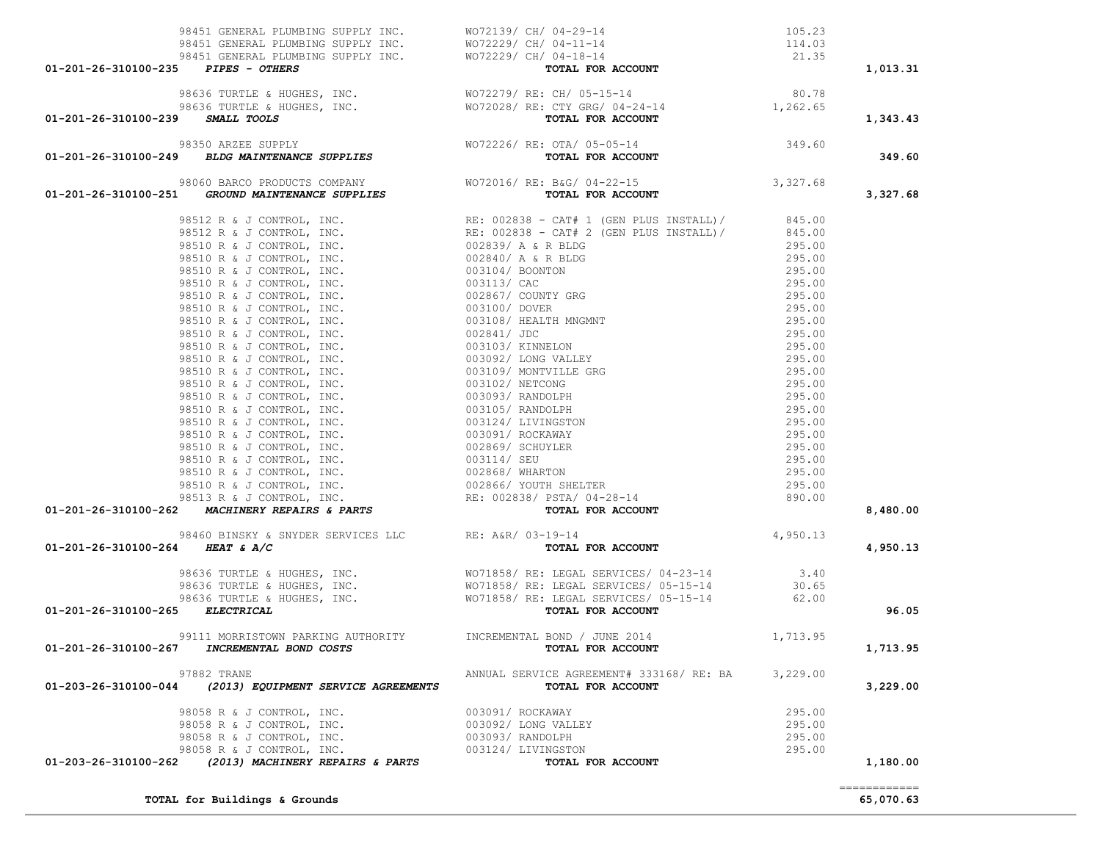|                                 |                                                        |                                                                                                                                                                                                                                                  |                  | 1,013.31 |
|---------------------------------|--------------------------------------------------------|--------------------------------------------------------------------------------------------------------------------------------------------------------------------------------------------------------------------------------------------------|------------------|----------|
|                                 |                                                        | 98451 GENERAL PLUMBING SUPPLY INC.<br>98451 GENERAL PLUMBING SUPPLY INC.<br>98451 GENERAL PLUMBING SUPPLY INC.<br>98451 GENERAL PLUMBING SUPPLY INC.<br>98636 TURTLE & HUGHES, INC.<br>98636 TURTLE & HUGHES, INC.<br>98636 TURTLE & HUGHE       |                  | 1,343.43 |
|                                 |                                                        |                                                                                                                                                                                                                                                  |                  | 349.60   |
|                                 |                                                        | 98060 BARCO PRODUCTS COMPANY WOT2016/RE: B&G/04-22-15 98060 98060 BARCO PRODUCTS COMPANY WOT2016/RE: B&G/04-22-15 3,327.68                                                                                                                       |                  | 3,327.68 |
|                                 |                                                        |                                                                                                                                                                                                                                                  |                  |          |
|                                 |                                                        |                                                                                                                                                                                                                                                  |                  |          |
|                                 |                                                        |                                                                                                                                                                                                                                                  |                  |          |
|                                 |                                                        |                                                                                                                                                                                                                                                  |                  |          |
|                                 |                                                        |                                                                                                                                                                                                                                                  |                  |          |
|                                 |                                                        |                                                                                                                                                                                                                                                  |                  |          |
|                                 |                                                        |                                                                                                                                                                                                                                                  |                  |          |
|                                 |                                                        |                                                                                                                                                                                                                                                  |                  |          |
|                                 |                                                        |                                                                                                                                                                                                                                                  |                  |          |
|                                 |                                                        |                                                                                                                                                                                                                                                  |                  |          |
|                                 |                                                        |                                                                                                                                                                                                                                                  |                  |          |
|                                 |                                                        |                                                                                                                                                                                                                                                  |                  |          |
|                                 |                                                        |                                                                                                                                                                                                                                                  |                  |          |
|                                 |                                                        |                                                                                                                                                                                                                                                  |                  |          |
|                                 |                                                        |                                                                                                                                                                                                                                                  |                  |          |
|                                 |                                                        |                                                                                                                                                                                                                                                  |                  |          |
|                                 |                                                        |                                                                                                                                                                                                                                                  |                  |          |
|                                 |                                                        |                                                                                                                                                                                                                                                  |                  |          |
|                                 |                                                        |                                                                                                                                                                                                                                                  |                  |          |
|                                 |                                                        |                                                                                                                                                                                                                                                  |                  |          |
|                                 |                                                        |                                                                                                                                                                                                                                                  |                  |          |
|                                 |                                                        | 01-201-26-310100-251 <i>GROUND MAINTENANCE SUPPLIES</i><br>9212 A & JONYSON, 1NC.<br>93512 A & JONYSON, 1NC.<br>93512 A & JONYSON, 1NC.<br>93512 A & JONYSON, 1NC.<br>93510 R & JONYSON, 1NC.<br>93510 R & JONYSON, 1NC.<br>93510 R & JONYSON, 1 |                  | 8,480.00 |
|                                 |                                                        | 98460 BINSKY & SNYDER SERVICES LLC RE: A&R/ 03-19-14<br><b>64</b> HEAT & A/C <b>COUNT</b>                                                                                                                                                        |                  |          |
|                                 |                                                        |                                                                                                                                                                                                                                                  |                  | 4,950.13 |
| 01-201-26-310100-264 HEAT & A/C |                                                        |                                                                                                                                                                                                                                                  |                  |          |
|                                 |                                                        |                                                                                                                                                                                                                                                  |                  |          |
|                                 |                                                        |                                                                                                                                                                                                                                                  |                  |          |
|                                 |                                                        |                                                                                                                                                                                                                                                  |                  |          |
| 01-201-26-310100-265 ELECTRICAL |                                                        |                                                                                                                                                                                                                                                  |                  | 96.05    |
| 01-201-26-310100-267            | INCREMENTAL BOND COSTS                                 | 99111 MORRISTOWN PARKING AUTHORITY <b>INCREMENTAL BOND / JUNE 2014</b> 1,713.95<br>TOTAL FOR ACCOUNT                                                                                                                                             |                  | 1,713.95 |
| 01-203-26-310100-044            | 97882 TRANE<br>(2013) EQUIPMENT SERVICE AGREEMENTS     | ANNUAL SERVICE AGREEMENT# 333168/ RE: BA<br>TOTAL FOR ACCOUNT                                                                                                                                                                                    | 3,229.00         |          |
|                                 |                                                        |                                                                                                                                                                                                                                                  |                  | 3,229.00 |
|                                 | 98058 R & J CONTROL, INC.                              | 003091/ ROCKAWAY                                                                                                                                                                                                                                 | 295.00           |          |
|                                 | 98058 R & J CONTROL, INC.                              | 003092/ LONG VALLEY                                                                                                                                                                                                                              | 295.00           |          |
|                                 | 98058 R & J CONTROL, INC.<br>98058 R & J CONTROL, INC. | 003093/ RANDOLPH<br>003124/ LIVINGSTON                                                                                                                                                                                                           | 295.00<br>295.00 |          |

**TOTAL for Buildings & Grounds 65,070.63**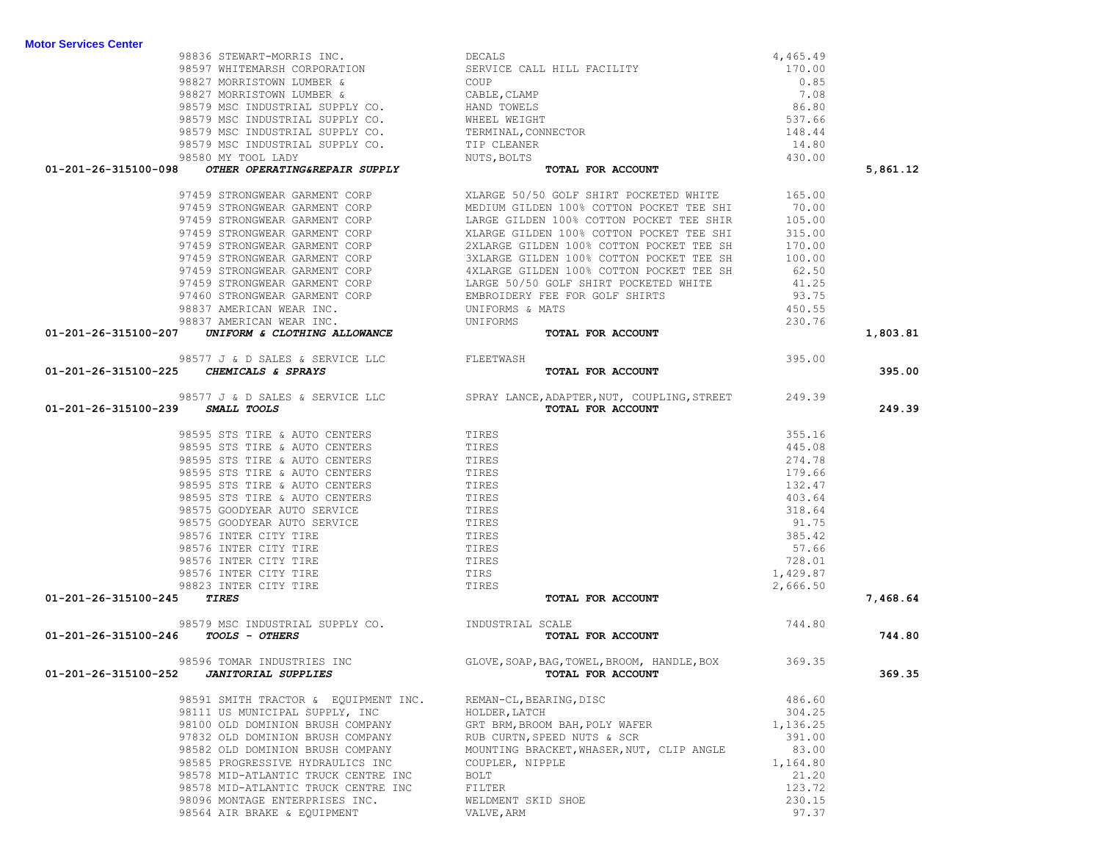| 98827 MORRISTOWN LUMBER &                                                                                                                                                                                                                                                                    | COUP                                                                                                       | 0.85     |          |
|----------------------------------------------------------------------------------------------------------------------------------------------------------------------------------------------------------------------------------------------------------------------------------------------|------------------------------------------------------------------------------------------------------------|----------|----------|
|                                                                                                                                                                                                                                                                                              |                                                                                                            | 7.08     |          |
|                                                                                                                                                                                                                                                                                              |                                                                                                            | 86.80    |          |
|                                                                                                                                                                                                                                                                                              |                                                                                                            | 537.66   |          |
|                                                                                                                                                                                                                                                                                              |                                                                                                            | 148.44   |          |
|                                                                                                                                                                                                                                                                                              |                                                                                                            | 14.80    |          |
|                                                                                                                                                                                                                                                                                              |                                                                                                            | 430.00   |          |
| 98827 MORRISTOWN LUMBER & CABLE, CLAMP<br>98579 MSC INDUSTRIAL SUPPLY CO. HAND TOWELS<br>98579 MSC INDUSTRIAL SUPPLY CO. WHEEL WEIGHT<br>98579 MSC INDUSTRIAL SUPPLY CO. TERMINAL, CONNECTOR<br>98579 MSC INDUSTRIAL SUPPLY CO. TIP CL<br>01-201-26-315100-098 OTHER OPERATING&REPAIR SUPPLY | TOTAL FOR ACCOUNT                                                                                          |          | 5,861.12 |
|                                                                                                                                                                                                                                                                                              |                                                                                                            |          |          |
|                                                                                                                                                                                                                                                                                              |                                                                                                            |          |          |
|                                                                                                                                                                                                                                                                                              |                                                                                                            |          |          |
|                                                                                                                                                                                                                                                                                              |                                                                                                            |          |          |
|                                                                                                                                                                                                                                                                                              |                                                                                                            |          |          |
|                                                                                                                                                                                                                                                                                              |                                                                                                            |          |          |
|                                                                                                                                                                                                                                                                                              |                                                                                                            |          |          |
|                                                                                                                                                                                                                                                                                              |                                                                                                            |          |          |
|                                                                                                                                                                                                                                                                                              |                                                                                                            |          |          |
|                                                                                                                                                                                                                                                                                              |                                                                                                            |          |          |
|                                                                                                                                                                                                                                                                                              |                                                                                                            |          |          |
| 01-201-26-315100-207 UNIFORM & CLOTHING ALLOWANCE                                                                                                                                                                                                                                            |                                                                                                            |          | 1,803.81 |
|                                                                                                                                                                                                                                                                                              |                                                                                                            | 395.00   |          |
| 98577 J & D SALES & SERVICE LLC<br>5 CHEMICALS & SPRAYS<br>01-201-26-315100-225 CHEMICALS & SPRAYS                                                                                                                                                                                           | TOTAL FOR ACCOUNT                                                                                          |          | 395.00   |
|                                                                                                                                                                                                                                                                                              |                                                                                                            |          |          |
| 01-201-26-315100-239 SMALL TOOLS                                                                                                                                                                                                                                                             | 98577 J & D SALES & SERVICE LLC<br>SPRAY LANCE, ADAPTER, NUT, COUPLING, STREET 249.39<br>TOTAL FOR ACCOUNT |          | 249.39   |
|                                                                                                                                                                                                                                                                                              |                                                                                                            |          |          |
| 98595 STS TIRE & AUTO CENTERS                                                                                                                                                                                                                                                                | TIRES                                                                                                      | 355.16   |          |
|                                                                                                                                                                                                                                                                                              |                                                                                                            | 445.08   |          |
|                                                                                                                                                                                                                                                                                              |                                                                                                            | 274.78   |          |
|                                                                                                                                                                                                                                                                                              |                                                                                                            | 179.66   |          |
|                                                                                                                                                                                                                                                                                              |                                                                                                            | 132.47   |          |
|                                                                                                                                                                                                                                                                                              |                                                                                                            | 403.64   |          |
|                                                                                                                                                                                                                                                                                              |                                                                                                            | 318.64   |          |
|                                                                                                                                                                                                                                                                                              |                                                                                                            | 91.75    |          |
|                                                                                                                                                                                                                                                                                              |                                                                                                            | 385.42   |          |
|                                                                                                                                                                                                                                                                                              |                                                                                                            | 57.66    |          |
|                                                                                                                                                                                                                                                                                              |                                                                                                            | 728.01   |          |
|                                                                                                                                                                                                                                                                                              |                                                                                                            | 1,429.87 |          |
| TIRES                                                                                                                                                                                                                                                                                        |                                                                                                            | 2,666.50 |          |
| 01-201-26-315100-245                                                                                                                                                                                                                                                                         | TOTAL FOR ACCOUNT                                                                                          |          | 7,468.64 |
| 98579 MSC INDUSTRIAL SUPPLY CO. INDUSTRIAL SCALE                                                                                                                                                                                                                                             |                                                                                                            | 744.80   |          |
| 01-201-26-315100-246 TOOLS - OTHERS                                                                                                                                                                                                                                                          | TOTAL FOR ACCOUNT                                                                                          |          | 744.80   |
| 98596 TOMAR INDUSTRIES INC<br>CONTINUES IN SUPPLIES                                                                                                                                                                                                                                          | GLOVE, SOAP, BAG, TOWEL, BROOM, HANDLE, BOX 369.35                                                         |          |          |
| 01-201-26-315100-252 JANITORIAL SUPPLIES                                                                                                                                                                                                                                                     | TOTAL FOR ACCOUNT                                                                                          |          | 369.35   |
| 98591 SMITH TRACTOR & EQUIPMENT INC. REMAN-CL, BEARING, DISC                                                                                                                                                                                                                                 |                                                                                                            | 486.60   |          |
| 98111 US MUNICIPAL SUPPLY, INC                                                                                                                                                                                                                                                               | HOLDER, LATCH                                                                                              | 304.25   |          |
| 98100 OLD DOMINION BRUSH COMPANY                                                                                                                                                                                                                                                             | GRT BRM, BROOM BAH, POLY WAFER                                                                             | 1,136.25 |          |
| 97832 OLD DOMINION BRUSH COMPANY                                                                                                                                                                                                                                                             | RUB CURTN, SPEED NUTS & SCR                                                                                | 391.00   |          |
| 98582 OLD DOMINION BRUSH COMPANY                                                                                                                                                                                                                                                             | MOUNTING BRACKET, WHASER, NUT, CLIP ANGLE                                                                  | 83.00    |          |
| 98585 PROGRESSIVE HYDRAULICS INC                                                                                                                                                                                                                                                             | COUPLER, NIPPLE                                                                                            | 1,164.80 |          |
| 98578 MID-ATLANTIC TRUCK CENTRE INC                                                                                                                                                                                                                                                          | BOLT                                                                                                       | 21.20    |          |
| 98578 MID-ATLANTIC TRUCK CENTRE INC                                                                                                                                                                                                                                                          | FILTER                                                                                                     | 123.72   |          |
| 98096 MONTAGE ENTERPRISES INC.                                                                                                                                                                                                                                                               | WELDMENT SKID SHOE                                                                                         | 230.15   |          |
| 98564 AIR BRAKE & EQUIPMENT                                                                                                                                                                                                                                                                  | VALVE, ARM                                                                                                 | 97.37    |          |

98836 STEWART-MORRIS INC. DECALS DECALS DECALS 4,465.49 98597 WHITEMARSH CORPORATION SERVICE CALL HILL FACILITY 170.00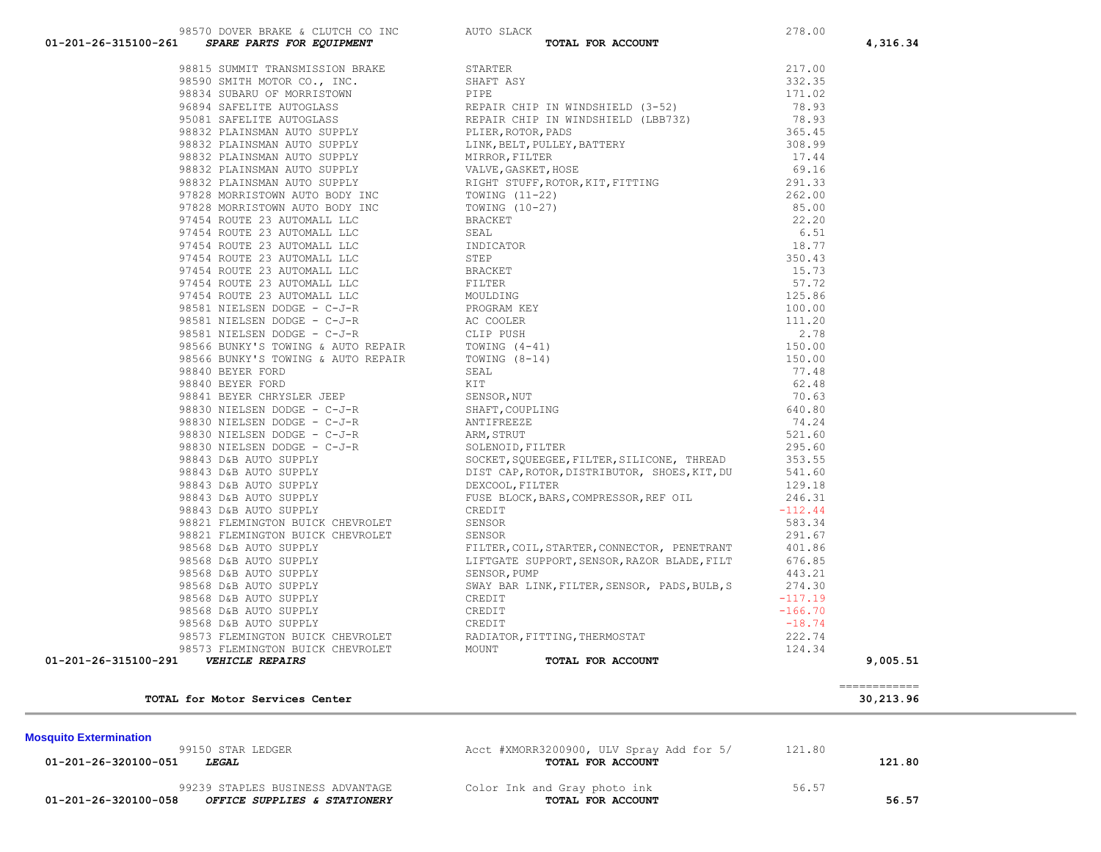| <b>MUSUURU EALEHIIIII</b> QUUI<br>99150 STAR LEDGER<br>01-201-26-320100-051<br><i><b>LEGAL</b></i> | Acct #XMORR3200900, ULV Spray Add for 5/<br>TOTAL FOR ACCOUNT | 121.80 | 121.80 |  |
|----------------------------------------------------------------------------------------------------|---------------------------------------------------------------|--------|--------|--|
| 99239 STAPLES BUSINESS ADVANTAGE<br>01-201-26-320100-058<br>OFFICE SUPPLIES & STATIONERY           | Color Ink and Gray photo ink<br>TOTAL FOR ACCOUNT             | 56.57  | 56.57  |  |

**Mosquito Extermination** 

 ============ **TOTAL for Motor Services Center 30,213.96**

| 98815 SUMMIT TRANSMISSION BRAKE    | S              |
|------------------------------------|----------------|
| 98590 SMITH MOTOR CO., INC.        | S              |
| 98834 SUBARU OF MORRISTOWN         | E              |
| 96894 SAFELITE AUTOGLASS           | F              |
| 95081 SAFELITE AUTOGLASS           | F              |
| 98832 PLAINSMAN AUTO SUPPLY        | E              |
| 98832 PLAINSMAN AUTO SUPPLY        | I              |
| 98832 PLAINSMAN AUTO SUPPLY        | Ņ              |
| 98832 PLAINSMAN AUTO SUPPLY        | V              |
| 98832 PLAINSMAN AUTO SUPPLY        | F              |
| 97828 MORRISTOWN AUTO BODY INC     | Ţ              |
| 97828 MORRISTOWN AUTO BODY INC     | I              |
| 97454 ROUTE 23 AUTOMALL LLC        | E              |
| 97454 ROUTE 23 AUTOMALL LLC        | S              |
| 97454 ROUTE 23 AUTOMALL LLC        | $\mathbb{I}%$  |
| 97454 ROUTE 23 AUTOMALL LLC        | S              |
| 97454 ROUTE 23 AUTOMALL LLC        | E              |
| 97454 ROUTE 23 AUTOMALL LLC        | F              |
| 97454 ROUTE 23 AUTOMALL LLC        | Ņ              |
| 98581 NIELSEN DODGE - C-J-R        | $\mathbb{E}$   |
| 98581 NIELSEN DODGE - C-J-R        | P              |
| 98581 NIELSEN DODGE - C-J-R        | $\subset$      |
| 98566 BUNKY'S TOWING & AUTO REPAIR | $\mathbb{I}$   |
| 98566 BUNKY'S TOWING & AUTO REPAIR | $\mathbb{I}$   |
| 98840 BEYER FORD                   | S              |
| 98840 BEYER FORD                   | F              |
| 98841 BEYER CHRYSLER JEEP          | S              |
| 98830 NIELSEN DODGE - C-J-R        | S              |
| 98830 NIELSEN DODGE - C-J-R        | P              |
| 98830 NIELSEN DODGE - C-J-R        | $\overline{P}$ |
| 98830 NIELSEN DODGE - C-J-R        | S              |
| 98843 D&B AUTO SUPPLY              | S              |
| 98843 D&B AUTO SUPPLY              | Γ              |
| 98843 D&B AUTO SUPPLY              | $\Gamma$       |
| 98843 D&B AUTO SUPPLY              | F              |
| 98843 D&B AUTO SUPPLY              | $\mathsf{C}$   |
| 98821 FLEMINGTON BUICK CHEVROLET   | S              |
| 98821 FLEMINGTON BUICK CHEVROLET   | S              |
| 98568 D&B AUTO SUPPLY              | E              |
| 98568 D&B AUTO SUPPLY              | I              |
| 98568 D&B AUTO SUPPLY              | S              |
| 98568 D&B AUTO SUPPLY              | S              |
| 98568 D&B AUTO SUPPLY              | C              |
| 98568 D&B AUTO SUPPLY              | C              |
| 98568 D&B AUTO SUPPLY              | C              |
| 98573 FLEMINGTON BUICK CHEVROLET   | F              |
| 98573 FLEMINGTON BUICK CHEVROLET   | Ņ              |

| 01-201-26-315100-261 SPARE PARTS FOR EQUIPMENT | TOTAL FOR ACCOUNT                                                                                                                                                                                                                                                                                                   |                  | 4,316.34 |
|------------------------------------------------|---------------------------------------------------------------------------------------------------------------------------------------------------------------------------------------------------------------------------------------------------------------------------------------------------------------------|------------------|----------|
|                                                | 97818 PARTIS VOR KOLONISMO<br>97813 SURELLY TRANSPORTED BRAIN (1978)<br>97813 SURELLY TRANSPORTED BRAIN (1978)<br>97834 SURELLY ROTOGRAFIC SURELLY CONTRIBUTED (1979)<br>97834 SURELLY ANTOSOLASS NOTE TRANSPORT CONTRIBUTED (1989-22                                                                               |                  |          |
|                                                |                                                                                                                                                                                                                                                                                                                     |                  |          |
|                                                |                                                                                                                                                                                                                                                                                                                     |                  |          |
|                                                |                                                                                                                                                                                                                                                                                                                     |                  |          |
|                                                |                                                                                                                                                                                                                                                                                                                     |                  |          |
|                                                |                                                                                                                                                                                                                                                                                                                     |                  |          |
|                                                |                                                                                                                                                                                                                                                                                                                     |                  |          |
|                                                |                                                                                                                                                                                                                                                                                                                     |                  |          |
|                                                |                                                                                                                                                                                                                                                                                                                     |                  |          |
|                                                |                                                                                                                                                                                                                                                                                                                     |                  |          |
|                                                |                                                                                                                                                                                                                                                                                                                     |                  |          |
|                                                |                                                                                                                                                                                                                                                                                                                     |                  |          |
|                                                |                                                                                                                                                                                                                                                                                                                     |                  |          |
|                                                |                                                                                                                                                                                                                                                                                                                     |                  |          |
|                                                |                                                                                                                                                                                                                                                                                                                     |                  |          |
|                                                |                                                                                                                                                                                                                                                                                                                     |                  |          |
|                                                |                                                                                                                                                                                                                                                                                                                     |                  |          |
|                                                |                                                                                                                                                                                                                                                                                                                     |                  |          |
|                                                |                                                                                                                                                                                                                                                                                                                     |                  |          |
|                                                |                                                                                                                                                                                                                                                                                                                     |                  |          |
|                                                |                                                                                                                                                                                                                                                                                                                     |                  |          |
|                                                |                                                                                                                                                                                                                                                                                                                     |                  |          |
|                                                |                                                                                                                                                                                                                                                                                                                     |                  |          |
|                                                |                                                                                                                                                                                                                                                                                                                     |                  |          |
|                                                |                                                                                                                                                                                                                                                                                                                     |                  |          |
|                                                |                                                                                                                                                                                                                                                                                                                     |                  |          |
|                                                |                                                                                                                                                                                                                                                                                                                     |                  |          |
|                                                |                                                                                                                                                                                                                                                                                                                     |                  |          |
|                                                |                                                                                                                                                                                                                                                                                                                     |                  |          |
|                                                |                                                                                                                                                                                                                                                                                                                     |                  |          |
|                                                |                                                                                                                                                                                                                                                                                                                     |                  |          |
|                                                |                                                                                                                                                                                                                                                                                                                     |                  |          |
|                                                |                                                                                                                                                                                                                                                                                                                     |                  |          |
|                                                |                                                                                                                                                                                                                                                                                                                     |                  |          |
|                                                |                                                                                                                                                                                                                                                                                                                     |                  |          |
|                                                |                                                                                                                                                                                                                                                                                                                     |                  |          |
|                                                | $\frac{1}{2}$ $\frac{1}{2}$ $\frac{1}{2}$ $\frac{1}{2}$ $\frac{1}{2}$ $\frac{1}{2}$ $\frac{1}{2}$ $\frac{1}{2}$ $\frac{1}{2}$ $\frac{1}{2}$ $\frac{1}{2}$ $\frac{1}{2}$ $\frac{1}{2}$ $\frac{1}{2}$ $\frac{1}{2}$ $\frac{1}{2}$ $\frac{1}{2}$ $\frac{1}{2}$ $\frac{1}{2}$ $\frac{1}{2}$ $\frac{1}{2}$ $\frac{1}{2}$ |                  |          |
|                                                |                                                                                                                                                                                                                                                                                                                     |                  |          |
|                                                |                                                                                                                                                                                                                                                                                                                     |                  |          |
|                                                |                                                                                                                                                                                                                                                                                                                     |                  |          |
|                                                |                                                                                                                                                                                                                                                                                                                     |                  |          |
|                                                | 98821 FLEMINGTON BUICK CHEVROLET<br>98568 D&B AUTO SUPELY<br>98568 D&B AUTO SUPELY<br>98568 D&B AUTO SUPELY<br>98568 D&B AUTO SUPELY<br>98568 D&B AUTO SUPELY<br>98568 D&B AUTO SUPELY<br>98568 D&B AUTO SUPELY<br>98568 D&B AUTO SUPELY<br>9856                                                                    |                  |          |
|                                                | 98568 D&B AUTO SUPPLY<br>98568 D&B AUTO SUPPLY<br>98568 D&B AUTO SUPPLY<br>98568 D&B AUTO SUPPLY<br>98573 FLEMINGTON BUICK CHEVROLET<br>PADIATOR, FITTING, THERMOSTAT                                                                                                                                               |                  |          |
|                                                |                                                                                                                                                                                                                                                                                                                     |                  |          |
|                                                |                                                                                                                                                                                                                                                                                                                     |                  |          |
|                                                |                                                                                                                                                                                                                                                                                                                     | 222.74<br>124.34 |          |
| 01-201-26-315100-291<br><b>VEHICLE REPAIRS</b> | TOTAL FOR ACCOUNT                                                                                                                                                                                                                                                                                                   |                  | 9,005.51 |
|                                                |                                                                                                                                                                                                                                                                                                                     |                  |          |

#### 98570 DOVER BRAKE & CLUTCH CO INC AUTO SLACK<br>SUPPLY BRAFIC FOR FOUTDMENT CO INC  **01-201-26-315100-261** *SPARE PARTS FOR EQUIPMENT* **TOTAL FOR ACCOUNT 4,316.34**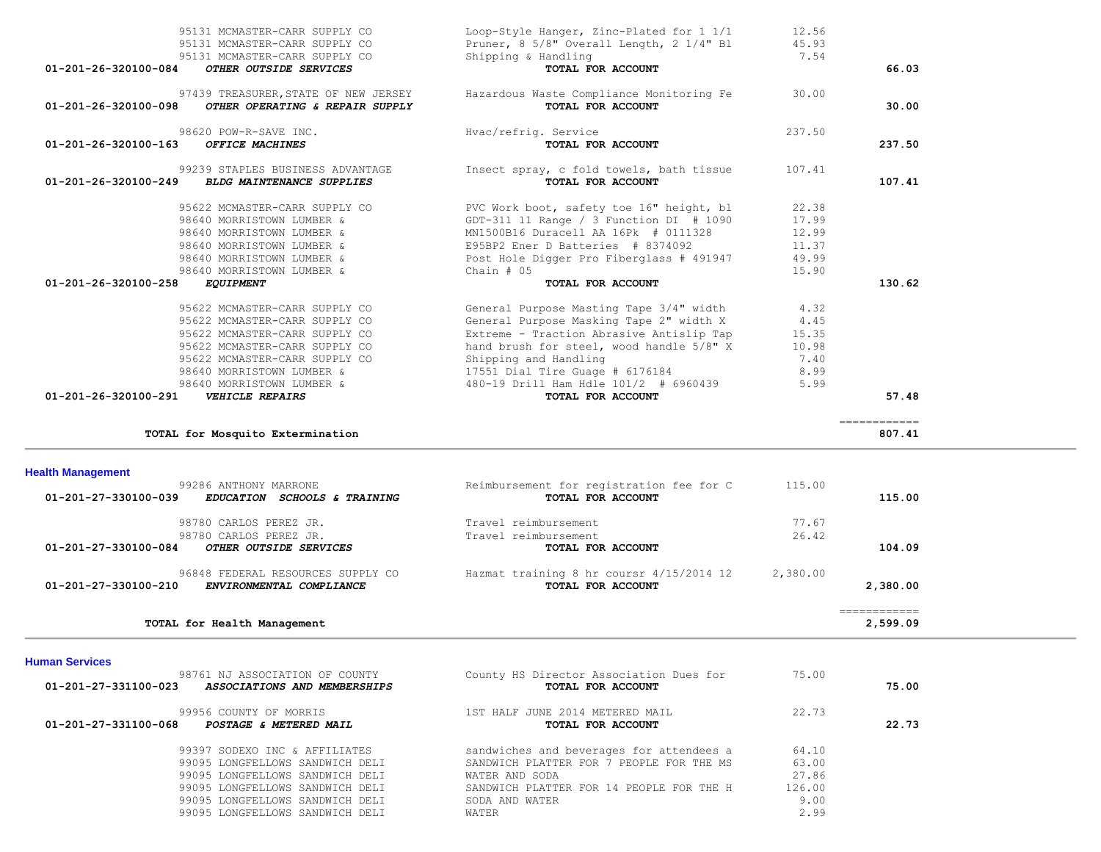| TOTAL for Mosquito Extermination                                                                                               |                                                                   |                | ___________<br>807.41    |  |
|--------------------------------------------------------------------------------------------------------------------------------|-------------------------------------------------------------------|----------------|--------------------------|--|
| <b>Health Management</b><br>99286 ANTHONY MARRONE<br>01-201-27-330100-039<br><i>EDUCATION</i><br><i>SCHOOLS &amp; TRAINING</i> | Reimbursement for registration fee for C<br>TOTAL FOR ACCOUNT     | 115.00         | 115.00                   |  |
| 98780 CARLOS PEREZ JR.<br>98780 CARLOS PEREZ JR.<br>01-201-27-330100-084<br>OTHER OUTSIDE SERVICES                             | Travel reimbursement<br>Travel reimbursement<br>TOTAL FOR ACCOUNT | 77.67<br>26.42 | 104.09                   |  |
| 96848 FEDERAL RESOURCES SUPPLY CO<br>01-201-27-330100-210<br>ENVIRONMENTAL COMPLIANCE                                          | Hazmat training 8 hr coursr 4/15/2014 12<br>TOTAL FOR ACCOUNT     | 2,380.00       | 2,380.00                 |  |
| TOTAL for Health Management                                                                                                    |                                                                   |                | ============<br>2,599.09 |  |
|                                                                                                                                |                                                                   |                |                          |  |

| 01-201-26-320100-163<br><b>OFFICE MACHINES</b>                                                         | TOTAL FOR ACCOUNT                                             |        | 237.50                                                                                                                           |
|--------------------------------------------------------------------------------------------------------|---------------------------------------------------------------|--------|----------------------------------------------------------------------------------------------------------------------------------|
| 99239 STAPLES BUSINESS ADVANTAGE<br>$01 - 201 - 26 - 320100 - 249$<br><b>BLDG MAINTENANCE SUPPLIES</b> | Insect spray, c fold towels, bath tissue<br>TOTAL FOR ACCOUNT | 107.41 | 107.41                                                                                                                           |
| 95622 MCMASTER-CARR SUPPLY CO                                                                          | PVC Work boot, safety toe 16" height, bl                      | 22.38  |                                                                                                                                  |
| 98640 MORRISTOWN LUMBER &                                                                              |                                                               | 17.99  |                                                                                                                                  |
| 98640 MORRISTOWN LUMBER &                                                                              | MN1500B16 Duracell AA 16Pk # 0111328                          | 12.99  |                                                                                                                                  |
| 98640 MORRISTOWN LUMBER &                                                                              | E95BP2 Ener D Batteries # 8374092                             | 11.37  |                                                                                                                                  |
| 98640 MORRISTOWN LUMBER &                                                                              |                                                               | 49.99  |                                                                                                                                  |
| 98640 MORRISTOWN LUMBER &                                                                              | Chain $#05$                                                   | 15.90  |                                                                                                                                  |
| 01-201-26-320100-258<br><i>EQUIPMENT</i>                                                               | TOTAL FOR ACCOUNT                                             |        | 130.62                                                                                                                           |
| 95622 MCMASTER-CARR SUPPLY CO                                                                          | General Purpose Masting Tape 3/4" width                       | 4.32   |                                                                                                                                  |
| 95622 MCMASTER-CARR SUPPLY CO                                                                          | General Purpose Masking Tape 2" width X                       | 4.45   |                                                                                                                                  |
| 95622 MCMASTER-CARR SUPPLY CO                                                                          |                                                               | 15.35  |                                                                                                                                  |
| 95622 MCMASTER-CARR SUPPLY CO                                                                          | hand brush for steel, wood handle 5/8" X                      | 10.98  |                                                                                                                                  |
| 95622 MCMASTER-CARR SUPPLY CO                                                                          | Shipping and Handling                                         | 7.40   |                                                                                                                                  |
| 98640 MORRISTOWN LUMBER &                                                                              | 17551 Dial Tire Guage # 6176184                               | 8.99   |                                                                                                                                  |
| 98640 MORRISTOWN LUMBER &                                                                              | 480-19 Drill Ham Hdle 101/2 # 6960439                         | 5.99   |                                                                                                                                  |
| 01-201-26-320100-291<br><b>VEHICLE REPAIRS</b>                                                         | TOTAL FOR ACCOUNT                                             |        | 57.48                                                                                                                            |
| TOTAL for Mosquito Extermination                                                                       |                                                               |        | ============<br>807.41                                                                                                           |
|                                                                                                        |                                                               |        | GDT-311 11 Range / 3 Function DI $#1090$<br>Post Hole Digger Pro Fiberglass # 491947<br>Extreme - Traction Abrasive Antislip Tap |

97439 TREASURER,STATE OF NEW JERSEY Hazardous Waste Compliance Monitoring Fe 30.00

 **01-201-26-320100-098** *OTHER OPERATING & REPAIR SUPPLY* **TOTAL FOR ACCOUNT 30.00**

98620 POW-R-SAVE INC. The external extended and Hvac/refrig. Service 237.50

## 95131 MCMASTER-CARR SUPPLY CO Loop-Style Hanger, Zinc-Plated for 1 1/1 12.56<br>95131 MCMASTER-CARR SUPPLY CO Pruner. 8 5/8" Overall Length, 2 1/4" Bl 45.93 95131 MCMASTER-CARR SUPPLY CO<br>95131 MCMASTER-CARR SUPPLY CO<br>95131 MCMASTER-CARR SUPPLY CO<br>95131 MCMASTER-CARR SUPPLY CO 95131 MCMASTER-CARR SUPPLY CO  **01-201-26-320100-084** *OTHER OUTSIDE SERVICES* **TOTAL FOR ACCOUNT 66.03**

| TOTAL for Health Management                                                            |                                                              |        | 2,599.09 |
|----------------------------------------------------------------------------------------|--------------------------------------------------------------|--------|----------|
| man Services                                                                           |                                                              |        |          |
| 98761 NJ ASSOCIATION OF COUNTY<br>01-201-27-331100-023<br>ASSOCIATIONS AND MEMBERSHIPS | County HS Director Association Dues for<br>TOTAL FOR ACCOUNT | 75.00  | 75.00    |
| 99956 COUNTY OF MORRIS<br>01-201-27-331100-068<br>POSTAGE & METERED MAIL               | 1ST HALF JUNE 2014 METERED MAIL<br>TOTAL FOR ACCOUNT         | 22.73  | 22.73    |
| 99397 SODEXO INC & AFFILIATES                                                          | sandwiches and beverages for attendees a                     | 64.10  |          |
| 99095 LONGFELLOWS SANDWICH DELI                                                        | SANDWICH PLATTER FOR 7 PEOPLE FOR THE MS                     | 63.00  |          |
| 99095 LONGFELLOWS SANDWICH DELI                                                        | WATER AND SODA                                               | 27.86  |          |
| 99095 LONGFELLOWS SANDWICH DELI                                                        | SANDWICH PLATTER FOR 14 PEOPLE FOR THE H                     | 126.00 |          |
| 99095 LONGFELLOWS SANDWICH DELI                                                        | SODA AND WATER                                               | 9.00   |          |
| 99095 LONGFELLOWS SANDWICH DELI                                                        | WATER                                                        | 2.99   |          |

#### **Human Services**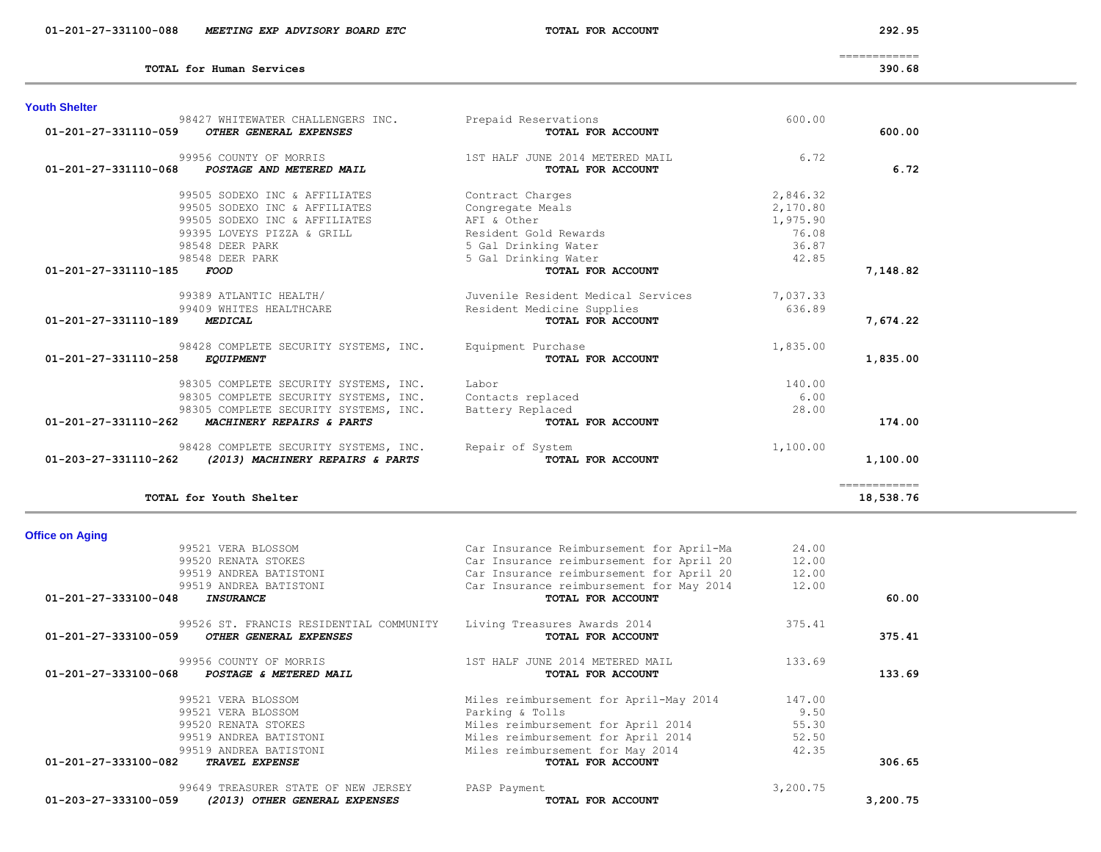| 99521 VERA BLOSSOM                                    | Car Insurance Reimbursement for April-Ma | 24.00    |          |
|-------------------------------------------------------|------------------------------------------|----------|----------|
| 99520 RENATA STOKES                                   | Car Insurance reimbursement for April 20 | 12.00    |          |
| 99519 ANDREA BATISTONI                                | Car Insurance reimbursement for April 20 | 12.00    |          |
| 99519 ANDREA BATISTONI                                | Car Insurance reimbursement for May 2014 | 12.00    |          |
| 01-201-27-333100-048<br><b>INSURANCE</b>              | TOTAL FOR ACCOUNT                        |          | 60.00    |
| 99526 ST. FRANCIS RESIDENTIAL COMMUNITY               | Living Treasures Awards 2014             | 375.41   |          |
| 01-201-27-333100-059<br>OTHER GENERAL EXPENSES        | TOTAL FOR ACCOUNT                        |          | 375.41   |
| 99956 COUNTY OF MORRIS                                | 1ST HALF JUNE 2014 METERED MAIL          | 133.69   |          |
| 01-201-27-333100-068<br>POSTAGE & METERED MAIL        | TOTAL FOR ACCOUNT                        |          | 133.69   |
| 99521 VERA BLOSSOM                                    | Miles reimbursement for April-May 2014   | 147.00   |          |
| 99521 VERA BLOSSOM                                    | Parking & Tolls                          | 9.50     |          |
| 99520 RENATA STOKES                                   | Miles reimbursement for April 2014       | 55.30    |          |
| 99519 ANDREA BATISTONI                                | Miles reimbursement for April 2014       | 52.50    |          |
| 99519 ANDREA BATISTONI                                | Miles reimbursement for May 2014         | 42.35    |          |
| 01-201-27-333100-082<br><b>TRAVEL EXPENSE</b>         | TOTAL FOR ACCOUNT                        |          | 306.65   |
| 99649 TREASURER STATE OF NEW JERSEY                   | PASP Payment                             | 3,200.75 |          |
| 01-203-27-333100-059<br>(2013) OTHER GENERAL EXPENSES | TOTAL FOR ACCOUNT                        |          | 3,200.75 |

| <b>Office on Aging</b> |  |
|------------------------|--|
|                        |  |

| <b>Youth Shelter</b>                                                                                                                                                |                                                                                                                         |                                                                                                                              |                                                             |                           |
|---------------------------------------------------------------------------------------------------------------------------------------------------------------------|-------------------------------------------------------------------------------------------------------------------------|------------------------------------------------------------------------------------------------------------------------------|-------------------------------------------------------------|---------------------------|
| 98427 WHITEWATER CHALLENGERS INC.<br>01-201-27-331110-059<br>OTHER GENERAL EXPENSES                                                                                 |                                                                                                                         | Prepaid Reservations<br>TOTAL FOR ACCOUNT                                                                                    | 600.00                                                      | 600.00                    |
| 99956 COUNTY OF MORRIS<br>$01 - 201 - 27 - 331110 - 068$<br>POSTAGE AND METERED MAIL                                                                                |                                                                                                                         | 1ST HALF JUNE 2014 METERED MAIL<br>TOTAL FOR ACCOUNT                                                                         | 6.72                                                        | 6.72                      |
| 99505 SODEXO INC & AFFILIATES<br>99505 SODEXO INC & AFFILIATES<br>99505 SODEXO INC & AFFILIATES<br>99395 LOVEYS PIZZA & GRILL<br>98548 DEER PARK<br>98548 DEER PARK |                                                                                                                         | Contract Charges<br>Congregate Meals<br>AFT & Other<br>Resident Gold Rewards<br>5 Gal Drinking Water<br>5 Gal Drinking Water | 2,846.32<br>2,170.80<br>1,975.90<br>76.08<br>36.87<br>42.85 |                           |
| 01-201-27-331110-185<br><i>FOOD</i>                                                                                                                                 |                                                                                                                         | TOTAL FOR ACCOUNT                                                                                                            |                                                             | 7,148.82                  |
| 99389 ATLANTIC HEALTH/<br>99409 WHITES HEALTHCARE<br>01-201-27-331110-189<br>MEDICAL                                                                                |                                                                                                                         | Juvenile Resident Medical Services<br>Resident Medicine Supplies<br>TOTAL FOR ACCOUNT                                        | 7,037.33<br>636.89                                          | 7,674.22                  |
| 01-201-27-331110-258<br><b>EQUIPMENT</b>                                                                                                                            | 98428 COMPLETE SECURITY SYSTEMS, INC.                                                                                   | Equipment Purchase<br>TOTAL FOR ACCOUNT                                                                                      | 1,835.00                                                    | 1,835.00                  |
| 01-201-27-331110-262<br>MACHINERY REPAIRS & PARTS                                                                                                                   | 98305 COMPLETE SECURITY SYSTEMS, INC.<br>98305 COMPLETE SECURITY SYSTEMS, INC.<br>98305 COMPLETE SECURITY SYSTEMS, INC. | Labor<br>Contacts replaced<br>Battery Replaced<br>TOTAL FOR ACCOUNT                                                          | 140.00<br>6.00<br>28.00                                     | 174.00                    |
| 01-203-27-331110-262                                                                                                                                                | 98428 COMPLETE SECURITY SYSTEMS, INC. Repair of System<br>(2013) MACHINERY REPAIRS & PARTS                              | <b>TOTAL FOR ACCOUNT</b>                                                                                                     | 1,100.00                                                    | 1,100.00                  |
| TOTAL for Youth Shelter                                                                                                                                             |                                                                                                                         |                                                                                                                              |                                                             | ------------<br>18,538.76 |

**TOTAL for Human Services 390.68**

============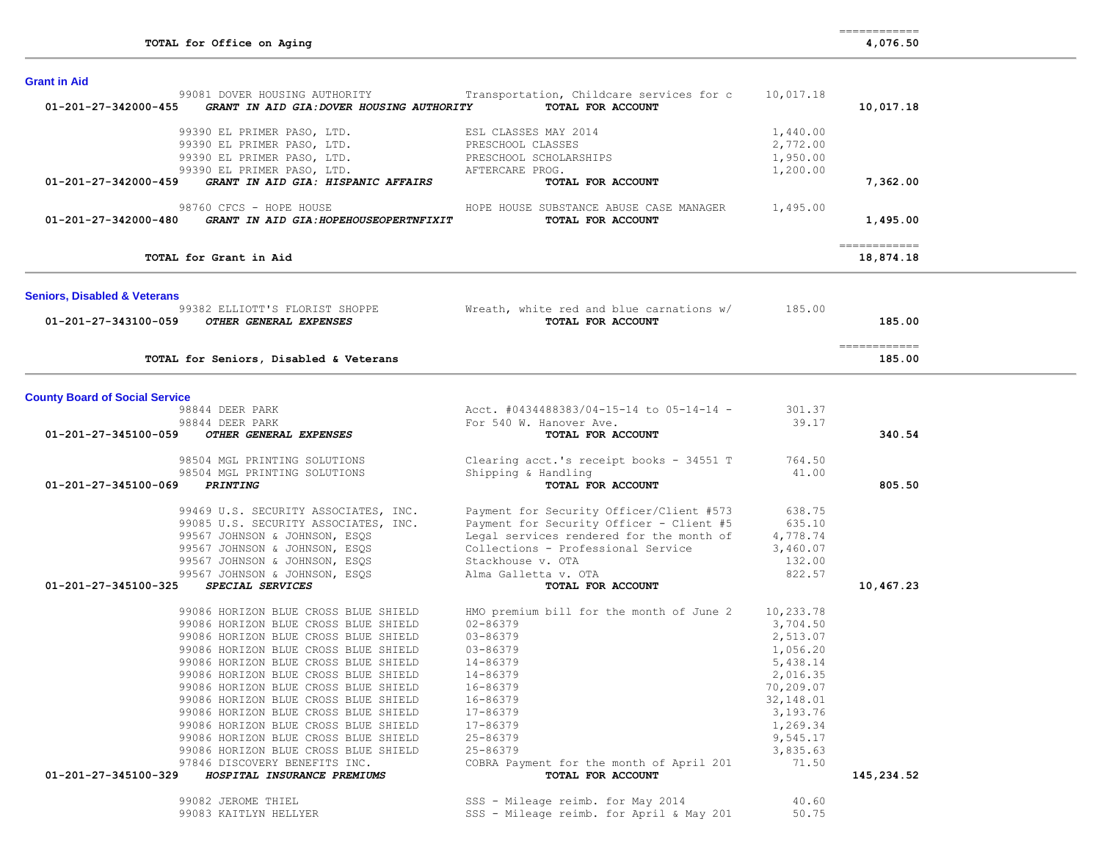**Grant in Aid** 

| 01-201-27-342000-455                    | 99081 DOVER HOUSING AUTHORITY<br>GRANT IN AID GIA: DOVER HOUSING AUTHORITY                                                                                                                                                                              | Transportation, Childcare services for c<br>TOTAL FOR ACCOUNT | 10,017.18 | 10,017.18                                                                                                                                                                                                                                                                                                                                                                                                                                                                              |
|-----------------------------------------|---------------------------------------------------------------------------------------------------------------------------------------------------------------------------------------------------------------------------------------------------------|---------------------------------------------------------------|-----------|----------------------------------------------------------------------------------------------------------------------------------------------------------------------------------------------------------------------------------------------------------------------------------------------------------------------------------------------------------------------------------------------------------------------------------------------------------------------------------------|
|                                         | 99390 EL PRIMER PASO, LTD.<br>99390 EL PRIMER PASO, LTD.<br>99390 EL PRIMER PASO, LTD.<br>99390 EL PRIMER PASO, LTD.<br>99390 EL PRIMER PASO, LTD.<br><b>GRANT IN AID GIA: HISPANIC AFFAIRS</b><br>PRESCHOOL SCHOLARSHIPS<br><b>GRANT IN AID GIA: H</b> |                                                               | 1,440.00  |                                                                                                                                                                                                                                                                                                                                                                                                                                                                                        |
|                                         |                                                                                                                                                                                                                                                         |                                                               | 2,772.00  |                                                                                                                                                                                                                                                                                                                                                                                                                                                                                        |
|                                         |                                                                                                                                                                                                                                                         |                                                               | 1,950.00  |                                                                                                                                                                                                                                                                                                                                                                                                                                                                                        |
|                                         |                                                                                                                                                                                                                                                         |                                                               | 1,200.00  |                                                                                                                                                                                                                                                                                                                                                                                                                                                                                        |
| 01-201-27-342000-459                    |                                                                                                                                                                                                                                                         | TOTAL FOR ACCOUNT                                             |           | 7,362.00                                                                                                                                                                                                                                                                                                                                                                                                                                                                               |
| 01-201-27-342000-480                    | 98760 CFCS - HOPE HOUSE<br>GRANT IN AID GIA: HOPEHOUSEOPERTNFIXIT                                                                                                                                                                                       | HOPE HOUSE SUBSTANCE ABUSE CASE MANAGER<br>TOTAL FOR ACCOUNT  | 1,495.00  | 1,495.00                                                                                                                                                                                                                                                                                                                                                                                                                                                                               |
|                                         | TOTAL for Grant in Aid                                                                                                                                                                                                                                  |                                                               |           | ============<br>18,874.18                                                                                                                                                                                                                                                                                                                                                                                                                                                              |
| <b>Seniors, Disabled &amp; Veterans</b> |                                                                                                                                                                                                                                                         |                                                               |           |                                                                                                                                                                                                                                                                                                                                                                                                                                                                                        |
|                                         | 99382 ELLIOTT'S FLORIST SHOPPE                                                                                                                                                                                                                          | Wreath, white red and blue carnations w/                      | 185.00    |                                                                                                                                                                                                                                                                                                                                                                                                                                                                                        |
| 01-201-27-343100-059                    | OTHER GENERAL EXPENSES                                                                                                                                                                                                                                  | TOTAL FOR ACCOUNT                                             |           | 185.00                                                                                                                                                                                                                                                                                                                                                                                                                                                                                 |
|                                         |                                                                                                                                                                                                                                                         |                                                               |           | $\begin{array}{cccccccccc} \multicolumn{2}{c}{} & \multicolumn{2}{c}{} & \multicolumn{2}{c}{} & \multicolumn{2}{c}{} & \multicolumn{2}{c}{} & \multicolumn{2}{c}{} & \multicolumn{2}{c}{} & \multicolumn{2}{c}{} & \multicolumn{2}{c}{} & \multicolumn{2}{c}{} & \multicolumn{2}{c}{} & \multicolumn{2}{c}{} & \multicolumn{2}{c}{} & \multicolumn{2}{c}{} & \multicolumn{2}{c}{} & \multicolumn{2}{c}{} & \multicolumn{2}{c}{} & \multicolumn{2}{c}{} & \multicolumn{2}{c}{} & \mult$ |
|                                         | TOTAL for Seniors, Disabled & Veterans                                                                                                                                                                                                                  |                                                               |           | 185.00                                                                                                                                                                                                                                                                                                                                                                                                                                                                                 |
| <b>County Board of Social Service</b>   |                                                                                                                                                                                                                                                         |                                                               |           |                                                                                                                                                                                                                                                                                                                                                                                                                                                                                        |
|                                         | 98844 DEER PARK                                                                                                                                                                                                                                         | Acct. #0434488383/04-15-14 to 05-14-14 -                      | 301.37    |                                                                                                                                                                                                                                                                                                                                                                                                                                                                                        |
|                                         | 98844 DEER PARK                                                                                                                                                                                                                                         | For 540 W. Hanover Ave.                                       | 39.17     |                                                                                                                                                                                                                                                                                                                                                                                                                                                                                        |
| 01-201-27-345100-059                    | <i><b>OTHER GENERAL EXPENSES</b></i>                                                                                                                                                                                                                    | TOTAL FOR ACCOUNT                                             |           | 340.54                                                                                                                                                                                                                                                                                                                                                                                                                                                                                 |
|                                         | 98504 MGL PRINTING SOLUTIONS                                                                                                                                                                                                                            | Clearing acct.'s receipt books - 34551 T                      | 764.50    |                                                                                                                                                                                                                                                                                                                                                                                                                                                                                        |
|                                         | 98504 MGL PRINTING SOLUTIONS                                                                                                                                                                                                                            | Shipping & Handling                                           | 41.00     |                                                                                                                                                                                                                                                                                                                                                                                                                                                                                        |
| 01-201-27-345100-069                    | PRINTING                                                                                                                                                                                                                                                | TOTAL FOR ACCOUNT                                             |           | 805.50                                                                                                                                                                                                                                                                                                                                                                                                                                                                                 |
|                                         | 99469 U.S. SECURITY ASSOCIATES, INC.                                                                                                                                                                                                                    | Payment for Security Officer/Client #573                      | 638.75    |                                                                                                                                                                                                                                                                                                                                                                                                                                                                                        |
|                                         | 99085 U.S. SECURITY ASSOCIATES, INC.                                                                                                                                                                                                                    | Payment for Security Officer - Client #5                      | 635.10    |                                                                                                                                                                                                                                                                                                                                                                                                                                                                                        |
|                                         | 99567 JOHNSON & JOHNSON, ESQS                                                                                                                                                                                                                           | Legal services rendered for the month of                      | 4,778.74  |                                                                                                                                                                                                                                                                                                                                                                                                                                                                                        |
|                                         | 99567 JOHNSON & JOHNSON, ESQS                                                                                                                                                                                                                           | Collections - Professional Service                            | 3,460.07  |                                                                                                                                                                                                                                                                                                                                                                                                                                                                                        |
|                                         | 99567 JOHNSON & JOHNSON, ESQS                                                                                                                                                                                                                           | Stackhouse v. OTA                                             | 132.00    |                                                                                                                                                                                                                                                                                                                                                                                                                                                                                        |
|                                         | 99567 JOHNSON & JOHNSON, ESQS                                                                                                                                                                                                                           | Alma Galletta v. OTA                                          | 822.57    |                                                                                                                                                                                                                                                                                                                                                                                                                                                                                        |
| 01-201-27-345100-325                    | SPECIAL SERVICES                                                                                                                                                                                                                                        | TOTAL FOR ACCOUNT                                             |           | 10,467.23                                                                                                                                                                                                                                                                                                                                                                                                                                                                              |
|                                         | 99086 HORIZON BLUE CROSS BLUE SHIELD                                                                                                                                                                                                                    | HMO premium bill for the month of June $2$ 10,233.78          |           |                                                                                                                                                                                                                                                                                                                                                                                                                                                                                        |
|                                         | 99086 HORIZON BLUE CROSS BLUE SHIELD                                                                                                                                                                                                                    | $02 - 86379$                                                  | 3,704.50  |                                                                                                                                                                                                                                                                                                                                                                                                                                                                                        |
|                                         | 99086 HORIZON BLUE CROSS BLUE SHIELD                                                                                                                                                                                                                    | 03-86379                                                      | 2,513.07  |                                                                                                                                                                                                                                                                                                                                                                                                                                                                                        |
|                                         | 99086 HORIZON BLUE CROSS BLUE SHIELD                                                                                                                                                                                                                    | 03-86379                                                      | 1,056.20  |                                                                                                                                                                                                                                                                                                                                                                                                                                                                                        |
|                                         | 99086 HORIZON BLUE CROSS BLUE SHIELD                                                                                                                                                                                                                    | 14-86379                                                      | 5,438.14  |                                                                                                                                                                                                                                                                                                                                                                                                                                                                                        |
|                                         | 99086 HORIZON BLUE CROSS BLUE SHIELD                                                                                                                                                                                                                    | 14-86379                                                      | 2,016.35  |                                                                                                                                                                                                                                                                                                                                                                                                                                                                                        |
|                                         | 99086 HORIZON BLUE CROSS BLUE SHIELD                                                                                                                                                                                                                    | 16-86379                                                      | 70,209.07 |                                                                                                                                                                                                                                                                                                                                                                                                                                                                                        |
|                                         | 99086 HORIZON BLUE CROSS BLUE SHIELD                                                                                                                                                                                                                    | 16-86379                                                      | 32,148.01 |                                                                                                                                                                                                                                                                                                                                                                                                                                                                                        |
|                                         | 99086 HORIZON BLUE CROSS BLUE SHIELD                                                                                                                                                                                                                    | 17-86379                                                      | 3,193.76  |                                                                                                                                                                                                                                                                                                                                                                                                                                                                                        |
|                                         | 99086 HORIZON BLUE CROSS BLUE SHIELD                                                                                                                                                                                                                    | 17-86379                                                      | 1,269.34  |                                                                                                                                                                                                                                                                                                                                                                                                                                                                                        |
|                                         | 99086 HORIZON BLUE CROSS BLUE SHIELD                                                                                                                                                                                                                    | $25 - 86379$                                                  | 9,545.17  |                                                                                                                                                                                                                                                                                                                                                                                                                                                                                        |
|                                         | 99086 HORIZON BLUE CROSS BLUE SHIELD                                                                                                                                                                                                                    | $25 - 86379$                                                  | 3,835.63  |                                                                                                                                                                                                                                                                                                                                                                                                                                                                                        |
|                                         | 97846 DISCOVERY BENEFITS INC.                                                                                                                                                                                                                           | COBRA Payment for the month of April 201                      | 71.50     |                                                                                                                                                                                                                                                                                                                                                                                                                                                                                        |
| 01-201-27-345100-329                    | HOSPITAL INSURANCE PREMIUMS                                                                                                                                                                                                                             | TOTAL FOR ACCOUNT                                             |           | 145,234.52                                                                                                                                                                                                                                                                                                                                                                                                                                                                             |
|                                         | 99082 JEROME THIEL                                                                                                                                                                                                                                      | SSS - Mileage reimb. for May 2014                             | 40.60     |                                                                                                                                                                                                                                                                                                                                                                                                                                                                                        |
|                                         | 99083 KAITLYN HELLYER                                                                                                                                                                                                                                   | SSS - Mileage reimb. for April & May 201                      | 50.75     |                                                                                                                                                                                                                                                                                                                                                                                                                                                                                        |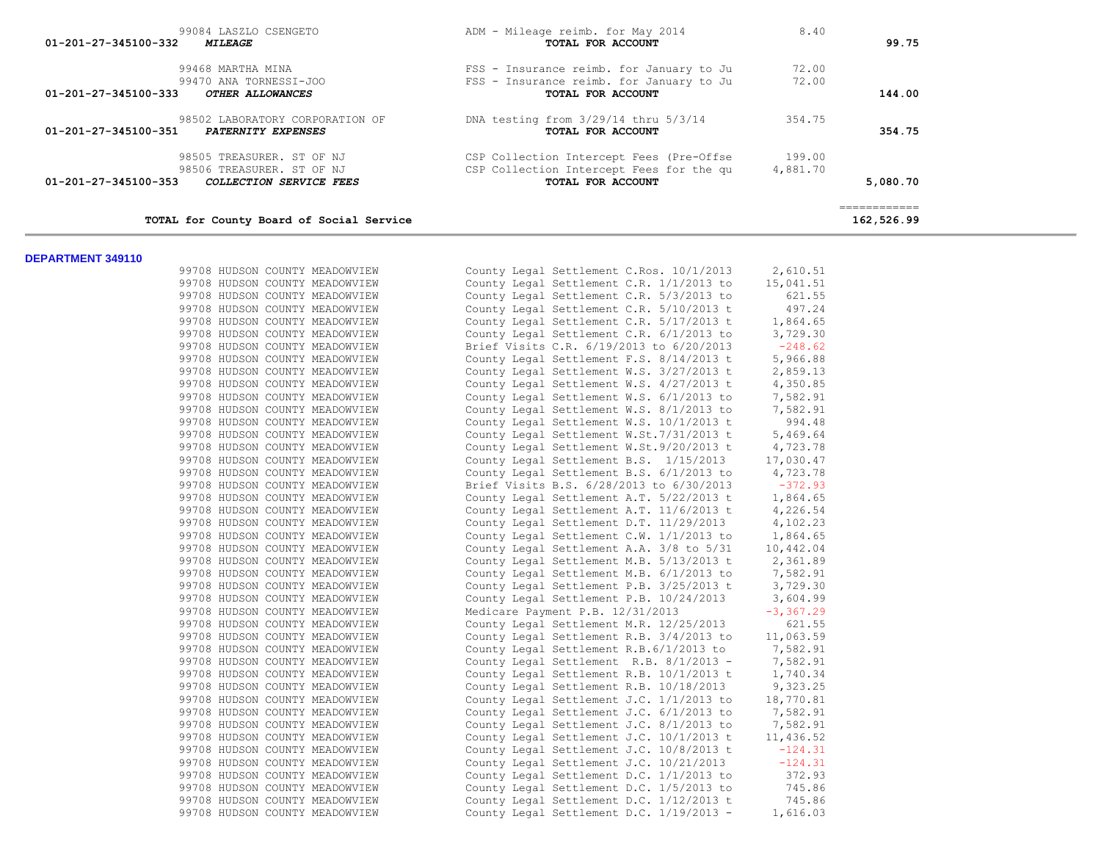|          | 8.40     | ADM - Mileage reimb. for May 2014        | 99084 LASZLO CSENGETO                             |
|----------|----------|------------------------------------------|---------------------------------------------------|
| 99.75    |          | TOTAL FOR ACCOUNT                        | 01-201-27-345100-332<br><i><b>MILEAGE</b></i>     |
|          | 72.00    | FSS - Insurance reimb. for January to Ju | 99468 MARTHA MINA                                 |
|          | 72.00    | FSS - Insurance reimb, for January to Ju | 99470 ANA TORNESSI-JOO                            |
| 144.00   |          | TOTAL FOR ACCOUNT                        | 01-201-27-345100-333<br>OTHER ALLOWANCES          |
|          | 354.75   | DNA testing from $3/29/14$ thru $5/3/14$ | 98502 LABORATORY CORPORATION OF                   |
| 354.75   |          | TOTAL FOR ACCOUNT                        | 01-201-27-345100-351<br><b>PATERNITY EXPENSES</b> |
|          | 199.00   | CSP Collection Intercept Fees (Pre-Offse | 98505 TREASURER. ST OF NJ                         |
|          | 4,881.70 | CSP Collection Intercept Fees for the qu | 98506 TREASURER. ST OF NJ                         |
| 5,080.70 |          | TOTAL FOR ACCOUNT                        | 01-201-27-345100-353<br>COLLECTION SERVICE FEES   |

| 99708 HUDSON COUNTY MEADOWVIEW |  | County Legal Settlement C.Ros. 10/1/2013 | 2,610.51     |
|--------------------------------|--|------------------------------------------|--------------|
| 99708 HUDSON COUNTY MEADOWVIEW |  | County Legal Settlement C.R. 1/1/2013 to | 15,041.51    |
| 99708 HUDSON COUNTY MEADOWVIEW |  | County Legal Settlement C.R. 5/3/2013 to | 621.55       |
| 99708 HUDSON COUNTY MEADOWVIEW |  | County Legal Settlement C.R. 5/10/2013 t | 497.24       |
| 99708 HUDSON COUNTY MEADOWVIEW |  | County Legal Settlement C.R. 5/17/2013 t | 1,864.65     |
| 99708 HUDSON COUNTY MEADOWVIEW |  | County Legal Settlement C.R. 6/1/2013 to | 3,729.30     |
| 99708 HUDSON COUNTY MEADOWVIEW |  | Brief Visits C.R. 6/19/2013 to 6/20/2013 | $-248.62$    |
| 99708 HUDSON COUNTY MEADOWVIEW |  | County Legal Settlement F.S. 8/14/2013 t | 5,966.88     |
| 99708 HUDSON COUNTY MEADOWVIEW |  | County Legal Settlement W.S. 3/27/2013 t | 2,859.13     |
| 99708 HUDSON COUNTY MEADOWVIEW |  | County Legal Settlement W.S. 4/27/2013 t | 4,350.85     |
| 99708 HUDSON COUNTY MEADOWVIEW |  | County Legal Settlement W.S. 6/1/2013 to | 7,582.91     |
| 99708 HUDSON COUNTY MEADOWVIEW |  | County Legal Settlement W.S. 8/1/2013 to | 7,582.91     |
| 99708 HUDSON COUNTY MEADOWVIEW |  | County Legal Settlement W.S. 10/1/2013 t | 994.48       |
| 99708 HUDSON COUNTY MEADOWVIEW |  | County Legal Settlement W.St.7/31/2013 t | 5,469.64     |
| 99708 HUDSON COUNTY MEADOWVIEW |  | County Legal Settlement W.St.9/20/2013 t | 4,723.78     |
| 99708 HUDSON COUNTY MEADOWVIEW |  | County Legal Settlement B.S. 1/15/2013   | 17,030.47    |
| 99708 HUDSON COUNTY MEADOWVIEW |  | County Legal Settlement B.S. 6/1/2013 to | 4,723.78     |
| 99708 HUDSON COUNTY MEADOWVIEW |  | Brief Visits B.S. 6/28/2013 to 6/30/2013 | $-372.93$    |
| 99708 HUDSON COUNTY MEADOWVIEW |  | County Legal Settlement A.T. 5/22/2013 t | 1,864.65     |
| 99708 HUDSON COUNTY MEADOWVIEW |  | County Legal Settlement A.T. 11/6/2013 t | 4,226.54     |
| 99708 HUDSON COUNTY MEADOWVIEW |  | County Legal Settlement D.T. 11/29/2013  | 4,102.23     |
| 99708 HUDSON COUNTY MEADOWVIEW |  | County Legal Settlement C.W. 1/1/2013 to | 1,864.65     |
| 99708 HUDSON COUNTY MEADOWVIEW |  | County Legal Settlement A.A. 3/8 to 5/31 | 10,442.04    |
| 99708 HUDSON COUNTY MEADOWVIEW |  | County Legal Settlement M.B. 5/13/2013 t | 2,361.89     |
| 99708 HUDSON COUNTY MEADOWVIEW |  | County Legal Settlement M.B. 6/1/2013 to | 7,582.91     |
| 99708 HUDSON COUNTY MEADOWVIEW |  | County Legal Settlement P.B. 3/25/2013 t | 3,729.30     |
| 99708 HUDSON COUNTY MEADOWVIEW |  | County Legal Settlement P.B. 10/24/2013  | 3,604.99     |
| 99708 HUDSON COUNTY MEADOWVIEW |  | Medicare Payment P.B. 12/31/2013         | $-3, 367.29$ |
| 99708 HUDSON COUNTY MEADOWVIEW |  | County Legal Settlement M.R. 12/25/2013  | 621.55       |
| 99708 HUDSON COUNTY MEADOWVIEW |  | County Legal Settlement R.B. 3/4/2013 to | 11,063.59    |
| 99708 HUDSON COUNTY MEADOWVIEW |  | County Legal Settlement R.B.6/1/2013 to  | 7,582.91     |
| 99708 HUDSON COUNTY MEADOWVIEW |  | County Legal Settlement R.B. 8/1/2013 -  | 7,582.91     |
| 99708 HUDSON COUNTY MEADOWVIEW |  | County Legal Settlement R.B. 10/1/2013 t | 1,740.34     |
| 99708 HUDSON COUNTY MEADOWVIEW |  | County Legal Settlement R.B. 10/18/2013  | 9,323.25     |
| 99708 HUDSON COUNTY MEADOWVIEW |  | County Legal Settlement J.C. 1/1/2013 to | 18,770.81    |
| 99708 HUDSON COUNTY MEADOWVIEW |  | County Legal Settlement J.C. 6/1/2013 to | 7,582.91     |
| 99708 HUDSON COUNTY MEADOWVIEW |  | County Legal Settlement J.C. 8/1/2013 to | 7,582.91     |
| 99708 HUDSON COUNTY MEADOWVIEW |  | County Legal Settlement J.C. 10/1/2013 t | 11,436.52    |
| 99708 HUDSON COUNTY MEADOWVIEW |  | County Legal Settlement J.C. 10/8/2013 t | $-124.31$    |
| 99708 HUDSON COUNTY MEADOWVIEW |  | County Legal Settlement J.C. 10/21/2013  | $-124.31$    |
| 99708 HUDSON COUNTY MEADOWVIEW |  | County Legal Settlement D.C. 1/1/2013 to | 372.93       |
| 99708 HUDSON COUNTY MEADOWVIEW |  | County Legal Settlement D.C. 1/5/2013 to | 745.86       |
| 99708 HUDSON COUNTY MEADOWVIEW |  | County Legal Settlement D.C. 1/12/2013 t | 745.86       |
| 99708 HUDSON COUNTY MEADOWVIEW |  | County Legal Settlement D.C. 1/19/2013 - | 1,616.03     |
|                                |  |                                          |              |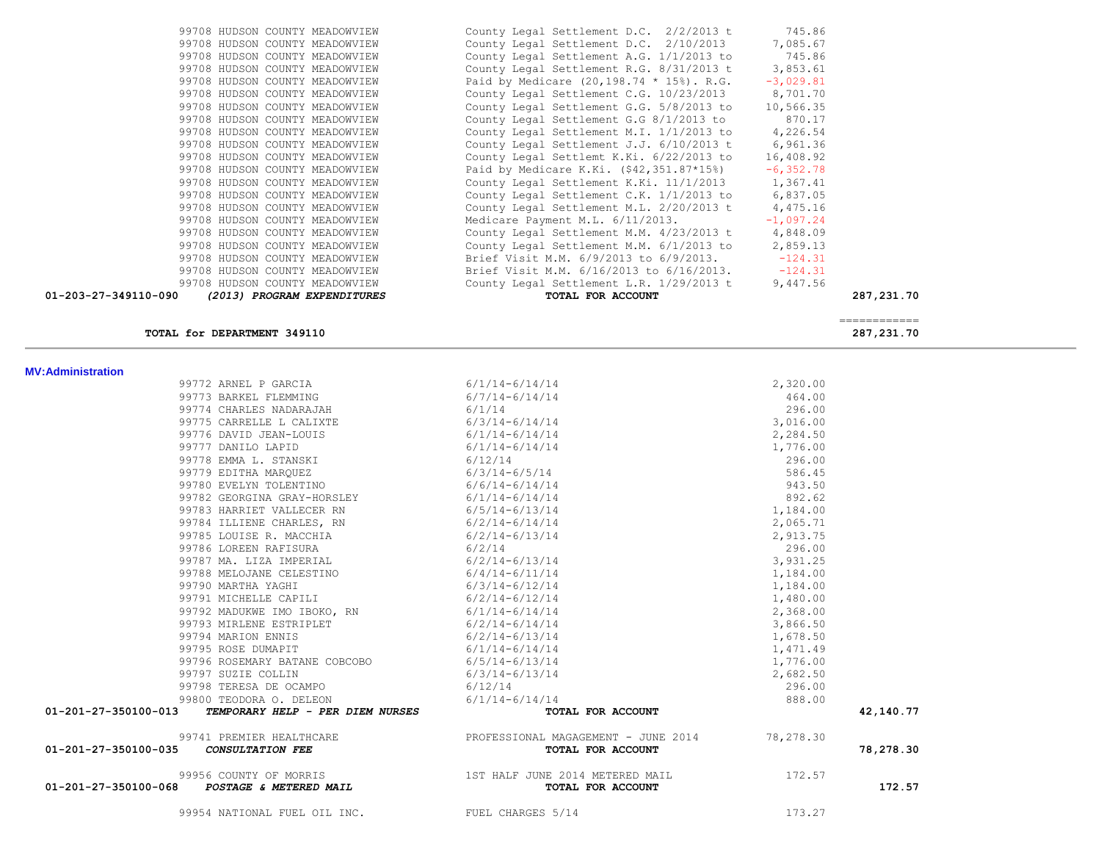| <b>MV:Administration</b>                                                                                                                                                                                                      |                                                                                                                                                                                                                |                                |           |
|-------------------------------------------------------------------------------------------------------------------------------------------------------------------------------------------------------------------------------|----------------------------------------------------------------------------------------------------------------------------------------------------------------------------------------------------------------|--------------------------------|-----------|
| 99772 ARNEL P GARCIA 6/1/14-6/14/14                                                                                                                                                                                           |                                                                                                                                                                                                                | 2,320.00                       |           |
| 99773 BARKEL FLEMMING                                                                                                                                                                                                         | $6/7/14 - 6/14/14$                                                                                                                                                                                             | 464.00                         |           |
| 99774 CHARLES NADARAJAH                                                                                                                                                                                                       |                                                                                                                                                                                                                | 296.00                         |           |
| 99775 CARRELLE L CALIXTE                                                                                                                                                                                                      |                                                                                                                                                                                                                | 3,016.00                       |           |
| 99776 DAVID JEAN-LOUIS                                                                                                                                                                                                        |                                                                                                                                                                                                                | 2,284.50                       |           |
|                                                                                                                                                                                                                               | $\begin{array}{c} 6/1/14 \\ 6/3/14 - 6/14/14 \\ 6/1/14 - 6/14/14 \\ 6/1/14 - 6/14/14 \end{array}$                                                                                                              | 1,776.00                       |           |
| 99776 DAVID JEAN-LOUIS<br>99777 DANILO LAPID<br>99778 EMMA L. STANSKI                                                                                                                                                         | 6/12/14                                                                                                                                                                                                        | 296.00                         |           |
| 99779 EDITHA MARQUEZ 6/3/14-6/5/14                                                                                                                                                                                            |                                                                                                                                                                                                                | 586.45                         |           |
| 99780 EVELYN TOLENTINO                                                                                                                                                                                                        | $6/6/14-6/14/14$                                                                                                                                                                                               | 943.50                         |           |
| 99782 GEORGINA GRAY-HORSLEY 6/1/14-6/14/14                                                                                                                                                                                    |                                                                                                                                                                                                                | 892.62                         |           |
| 99783 HARRIET VALLECER RN                                                                                                                                                                                                     |                                                                                                                                                                                                                | 1,184.00                       |           |
| 99784 ILLIENE CHARLES, RN                                                                                                                                                                                                     |                                                                                                                                                                                                                | 2,065.71                       |           |
| 99785 LOUISE R. MACCHIA                                                                                                                                                                                                       | $6/1/14 = 6/14/14$<br>$6/5/14 = 6/13/14$<br>$6/2/14 = 6/13/14$<br>$6/2/14 = 6/13/14$<br>$6/2/14$<br>$6/2/14 = 6/13/14$<br>$6/4/14 = 6/11/14$<br>$6/3/14 = 6/12/14$<br>$6/2/14 = 6/14/14$<br>$6/2/14 = 6/14/14$ | 2,913.75                       |           |
| 99786 LOREEN RAFISURA                                                                                                                                                                                                         |                                                                                                                                                                                                                | 296.00                         |           |
| 99787 MA. LIZA IMPERIAL                                                                                                                                                                                                       |                                                                                                                                                                                                                | 3,931.25                       |           |
| 99788 MELOJANE CELESTINO                                                                                                                                                                                                      |                                                                                                                                                                                                                | 1,184.00                       |           |
| 99790 MARTHA YAGHI                                                                                                                                                                                                            |                                                                                                                                                                                                                | 1,184.00                       |           |
| 99791 MICHELLE CAPILI                                                                                                                                                                                                         |                                                                                                                                                                                                                | 1,480.00                       |           |
| 99792 MADUKWE IMO IBOKO, RN                                                                                                                                                                                                   |                                                                                                                                                                                                                | 2,368.00                       |           |
| 99793 MIRLENE ESTRIPLET<br>99793 MIRLENE ESTRIPLET<br>99794 MARION ENNIS<br>99795 ROSE DUMAPIT<br>99796 ROSEMARY BATANE COBCOBO<br>6/5/14-6/13/14<br>99797 SUZIE COLLIN<br>6/3/14-6/13/14<br>6/3/14-6/13/14<br>6/3/14-6/13/14 |                                                                                                                                                                                                                | 3,866.50                       |           |
|                                                                                                                                                                                                                               |                                                                                                                                                                                                                | 1,678.50                       |           |
|                                                                                                                                                                                                                               |                                                                                                                                                                                                                | 1,471.49                       |           |
|                                                                                                                                                                                                                               |                                                                                                                                                                                                                |                                |           |
|                                                                                                                                                                                                                               |                                                                                                                                                                                                                |                                |           |
| 6/12/14<br>99798 TERESA DE OCAMPO                                                                                                                                                                                             |                                                                                                                                                                                                                | 1,776.00<br>2,682.50<br>296.00 |           |
| 99800 TEODORA O. DELEON                                                                                                                                                                                                       | $6/1/14-6/14/14$                                                                                                                                                                                               |                                |           |
| 01-201-27-350100-013<br>TEMPORARY HELP - PER DIEM NURSES                                                                                                                                                                      | TOTAL FOR ACCOUNT                                                                                                                                                                                              | 888.00                         | 42,140.77 |
| 99741 PREMIER HEALTHCARE                                                                                                                                                                                                      | PROFESSIONAL MAGAGEMENT - JUNE 2014 78,278.30                                                                                                                                                                  |                                |           |
| 01-201-27-350100-035<br>CONSULTATION FEE                                                                                                                                                                                      | TOTAL FOR ACCOUNT                                                                                                                                                                                              |                                | 78,278.30 |
| 99956 COUNTY OF MORRIS                                                                                                                                                                                                        | 1ST HALF JUNE 2014 METERED MAIL                                                                                                                                                                                | 172.57                         |           |
| 01-201-27-350100-068 POSTAGE & METERED MAIL                                                                                                                                                                                   | TOTAL FOR ACCOUNT                                                                                                                                                                                              |                                | 172.57    |
| 99954 NATIONAL FUEL OIL INC.                                                                                                                                                                                                  | FUEL CHARGES 5/14                                                                                                                                                                                              | 173.27                         |           |

 ============ **TOTAL for DEPARTMENT 349110 287,231.70**

|       |       |              | 99708 HUDSON COUNTY MEADOWVIEW | C٥           |
|-------|-------|--------------|--------------------------------|--------------|
|       |       |              | 99708 HUDSON COUNTY MEADOWVIEW | C            |
|       | 99708 | HUDSON       | COUNTY MEADOWVIEW              | C            |
|       | 99708 | HUDSON       | COUNTY MEADOWVIEW              | C            |
|       |       | 99708 HUDSON | COUNTY MEADOWVIEW              | P            |
|       |       |              | 99708 HUDSON COUNTY MEADOWVIEW | C            |
|       |       | 99708 HUDSON | COUNTY MEADOWVIEW              | C            |
|       | 99708 | HUDSON       | COUNTY MEADOWVIEW              | C            |
|       |       |              | 99708 HUDSON COUNTY MEADOWVIEW | C(           |
|       |       |              | 99708 HUDSON COUNTY MEADOWVIEW | C            |
|       |       |              | 99708 HUDSON COUNTY MEADOWVIEW | C            |
|       | 99708 | HUDSON       | COUNTY MEADOWVIEW              | P            |
|       |       |              | 99708 HUDSON COUNTY MEADOWVIEW | C(           |
|       | 99708 | HUDSON       | COUNTY MEADOWVIEW              | C            |
|       | 99708 |              | HUDSON COUNTY MEADOWVIEW       | C            |
|       |       |              | 99708 HUDSON COUNTY MEADOWVIEW | M            |
|       |       | 99708 HUDSON | COUNTY MEADOWVIEW              | C            |
|       |       |              | 99708 HUDSON COUNTY MEADOWVIEW | $\mathbb{C}$ |
|       |       | 99708 HUDSON | COUNTY MEADOWVIEW              | В:           |
|       |       |              | 99708 HUDSON COUNTY MEADOWVIEW | В:           |
|       |       |              | 99708 HUDSON COUNTY MEADOWVIEW | C            |
| n-nan |       |              | $(2013)$ PROCRAM EXPENDITURES  |              |

| 99708 HUDSON COUNTY MEADOWVIEW                      | County Legal Settlement D.C. 2/2/2013 t          | 745.86      |              |
|-----------------------------------------------------|--------------------------------------------------|-------------|--------------|
| 99708 HUDSON COUNTY MEADOWVIEW                      | County Legal Settlement D.C. 2/10/2013           | 7,085.67    |              |
| 99708 HUDSON COUNTY MEADOWVIEW                      | County Legal Settlement A.G. 1/1/2013 to         | 745.86      |              |
| 99708 HUDSON COUNTY MEADOWVIEW                      | County Legal Settlement R.G. 8/31/2013 t         | 3,853.61    |              |
| 99708 HUDSON COUNTY MEADOWVIEW                      | Paid by Medicare $(20, 198.74 * 15%)$ . R.G.     | $-3,029.81$ |              |
| 99708 HUDSON COUNTY MEADOWVIEW                      | County Legal Settlement C.G. 10/23/2013          | 8,701.70    |              |
| 99708 HUDSON COUNTY MEADOWVIEW                      | County Legal Settlement G.G. 5/8/2013 to         | 10,566.35   |              |
| 99708 HUDSON COUNTY MEADOWVIEW                      | County Legal Settlement G.G 8/1/2013 to          | 870.17      |              |
| 99708 HUDSON COUNTY MEADOWVIEW                      | County Legal Settlement M.I. 1/1/2013 to         | 4,226.54    |              |
| 99708 HUDSON COUNTY MEADOWVIEW                      | County Legal Settlement J.J. 6/10/2013 t         | 6,961.36    |              |
| 99708 HUDSON COUNTY MEADOWVIEW                      | County Legal Settlemt K.Ki. 6/22/2013 to         | 16,408.92   |              |
| 99708 HUDSON COUNTY MEADOWVIEW                      | Paid by Medicare K.Ki. (\$42,351.87*15%)         | $-6,352.78$ |              |
| 99708 HUDSON COUNTY MEADOWVIEW                      | County Legal Settlement K.Ki. 11/1/2013          | 1,367.41    |              |
| 99708 HUDSON COUNTY MEADOWVIEW                      | County Legal Settlement C.K. 1/1/2013 to         | 6,837.05    |              |
| 99708 HUDSON COUNTY MEADOWVIEW                      | County Legal Settlement M.L. 2/20/2013 t         | 4,475.16    |              |
| 99708 HUDSON COUNTY MEADOWVIEW                      | Medicare Payment M.L. 6/11/2013.                 | $-1,097.24$ |              |
| 99708 HUDSON COUNTY MEADOWVIEW                      | County Legal Settlement M.M. 4/23/2013 t         | 4,848.09    |              |
| 99708 HUDSON COUNTY MEADOWVIEW                      | County Legal Settlement M.M. 6/1/2013 to         | 2,859.13    |              |
| 99708 HUDSON COUNTY MEADOWVIEW                      | Brief Visit M.M. 6/9/2013 to 6/9/2013.           | $-124.31$   |              |
| 99708 HUDSON COUNTY MEADOWVIEW                      | Brief Visit M.M. 6/16/2013 to 6/16/2013. -124.31 |             |              |
| 99708 HUDSON COUNTY MEADOWVIEW                      | County Legal Settlement L.R. 1/29/2013 t         | 9,447.56    |              |
| 01-203-27-349110-090<br>(2013) PROGRAM EXPENDITURES | TOTAL FOR ACCOUNT                                |             | 287, 231. 70 |
|                                                     |                                                  |             |              |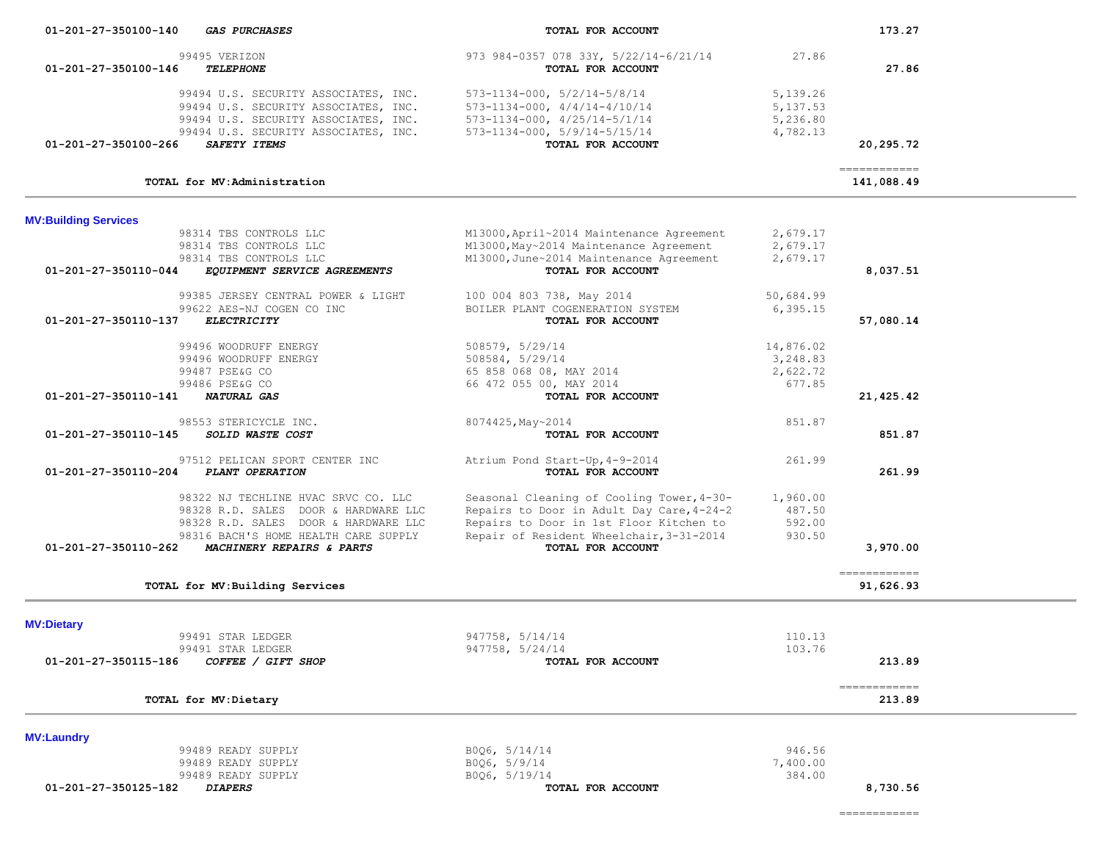============

| <b>MV:Laundry</b>                             |                   |          |
|-----------------------------------------------|-------------------|----------|
| 99489 READY SUPPLY                            | B006, 5/14/14     | 946.56   |
| 99489 READY SUPPLY                            | B006, 5/9/14      | 7,400.00 |
| 99489 READY SUPPLY                            | B006, 5/19/14     | 384.00   |
| 01-201-27-350125-182<br><i><b>DIAPERS</b></i> | TOTAL FOR ACCOUNT | 8,730.56 |

| ARDDR RIEKICICTE TMC.                             | 80/4425, May~2014                         | 851.87   |              |
|---------------------------------------------------|-------------------------------------------|----------|--------------|
| 01-201-27-350110-145<br><i>SOLID WASTE COST</i>   | TOTAL FOR ACCOUNT                         |          | 851.87       |
| 97512 PELICAN SPORT CENTER INC                    | Atrium Pond Start-Up, 4-9-2014            | 261.99   |              |
| 01-201-27-350110-204<br>PLANT OPERATION           | TOTAL FOR ACCOUNT                         |          | 261.99       |
| 98322 NJ TECHLINE HVAC SRVC CO. LLC               | Seasonal Cleaning of Cooling Tower, 4-30- | 1,960.00 |              |
| 98328 R.D. SALES DOOR & HARDWARE LLC              | Repairs to Door in Adult Day Care, 4-24-2 | 487.50   |              |
| 98328 R.D. SALES DOOR & HARDWARE LLC              | Repairs to Door in 1st Floor Kitchen to   | 592.00   |              |
| 98316 BACH'S HOME HEALTH CARE SUPPLY              | Repair of Resident Wheelchair, 3-31-2014  | 930.50   |              |
| 01-201-27-350110-262<br>MACHINERY REPAIRS & PARTS | TOTAL FOR ACCOUNT                         |          | 3,970.00     |
|                                                   |                                           |          | ------------ |
| TOTAL for MV: Building Services                   |                                           |          | 91,626.93    |
| <b>MV:Dietary</b>                                 |                                           |          |              |
| 99491 STAR LEDGER                                 | 947758, 5/14/14                           | 110.13   |              |
| 99491 STAR LEDGER                                 | 947758, 5/24/14                           | 103.76   |              |
|                                                   |                                           |          |              |
| 01-201-27-350115-186<br>COFFEE / GIFT SHOP        | TOTAL FOR ACCOUNT                         |          | 213.89       |
|                                                   |                                           |          | ------------ |

|                                                      |                                           |           | ------------ |
|------------------------------------------------------|-------------------------------------------|-----------|--------------|
| TOTAL for MV: Administration                         |                                           |           | 141,088.49   |
| <b>MV:Building Services</b>                          |                                           |           |              |
| 98314 TBS CONTROLS LLC                               | M13000, April~2014 Maintenance Agreement  | 2,679.17  |              |
| 98314 TBS CONTROLS LLC                               | M13000, May~2014 Maintenance Agreement    | 2,679.17  |              |
| 98314 TBS CONTROLS LLC                               | M13000, June~2014 Maintenance Agreement   | 2,679.17  |              |
| 01-201-27-350110-044<br>EQUIPMENT SERVICE AGREEMENTS | TOTAL FOR ACCOUNT                         |           | 8,037.51     |
| 99385 JERSEY CENTRAL POWER & LIGHT                   | 100 004 803 738, May 2014                 | 50,684.99 |              |
| 99622 AES-NJ COGEN CO INC                            | BOILER PLANT COGENERATION SYSTEM          | 6, 395.15 |              |
| 01-201-27-350110-137<br>ELECTRICITY                  | TOTAL FOR ACCOUNT                         |           | 57,080.14    |
| 99496 WOODRUFF ENERGY                                | 508579, 5/29/14                           | 14,876.02 |              |
| 99496 WOODRUFF ENERGY                                | 508584, 5/29/14                           | 3,248.83  |              |
| 99487 PSE&G CO                                       | 65 858 068 08, MAY 2014                   | 2,622.72  |              |
| 99486 PSE&G CO                                       | 66 472 055 00, MAY 2014                   | 677.85    |              |
| 01-201-27-350110-141<br><b>NATURAL GAS</b>           | TOTAL FOR ACCOUNT                         |           | 21,425.42    |
| 98553 STERICYCLE INC.                                | 8074425, May~2014                         | 851.87    |              |
| $01 - 201 - 27 - 350110 - 145$<br>SOLID WASTE COST   | TOTAL FOR ACCOUNT                         |           | 851.87       |
| 97512 PELICAN SPORT CENTER INC                       | Atrium Pond Start-Up, 4-9-2014            | 261.99    |              |
| 01-201-27-350110-204<br>PLANT OPERATION              | TOTAL FOR ACCOUNT                         |           | 261.99       |
| 98322 NJ TECHLINE HVAC SRVC CO. LLC                  | Seasonal Cleaning of Cooling Tower, 4-30- | 1,960.00  |              |

| 01-201-27-350100-140<br><i><b>GAS PURCHASES</b></i> | TOTAL FOR ACCOUNT                       |           | 173.27    |
|-----------------------------------------------------|-----------------------------------------|-----------|-----------|
| 99495 VERIZON                                       | 973 984-0357 078 33Y, 5/22/14-6/21/14   | 27.86     |           |
| 01-201-27-350100-146<br><b><i>TELEPHONE</i></b>     | TOTAL FOR ACCOUNT                       |           | 27.86     |
| 99494 U.S. SECURITY ASSOCIATES, INC.                | $573 - 1134 - 000$ , $5/2/14 - 5/8/14$  | 5,139.26  |           |
| 99494 U.S. SECURITY ASSOCIATES, INC.                | $573 - 1134 - 000$ , $4/4/14 - 4/10/14$ | 5, 137.53 |           |
| 99494 U.S. SECURITY ASSOCIATES, INC.                | $573 - 1134 - 000$ , $4/25/14 - 5/1/14$ | 5,236.80  |           |
| 99494 U.S. SECURITY ASSOCIATES, INC.                | $573 - 1134 - 000$ , $5/9/14 - 5/15/14$ | 4,782.13  |           |
| $01 - 201 - 27 - 350100 - 266$<br>SAFETY ITEMS      | TOTAL FOR ACCOUNT                       |           | 20,295.72 |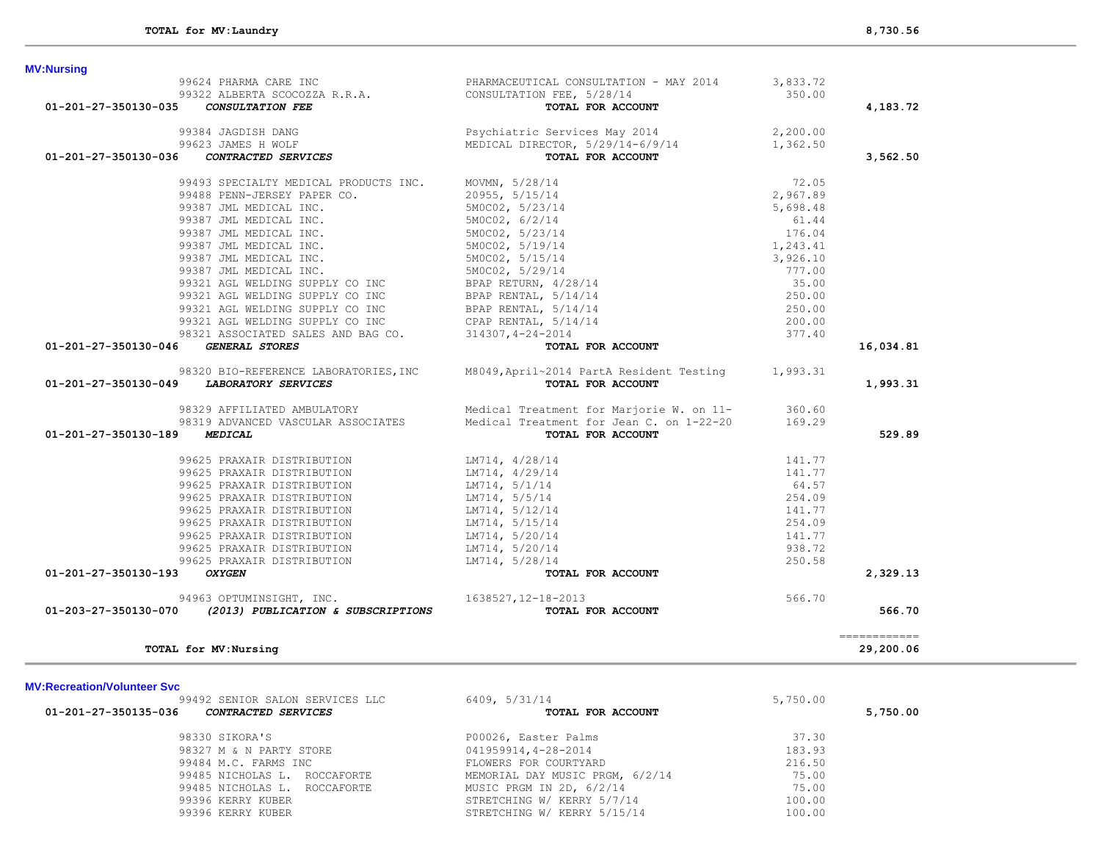| <b>MV:Recreation/Volunteer Svc</b>                 |                                 |          |          |
|----------------------------------------------------|---------------------------------|----------|----------|
| 99492 SENIOR SALON SERVICES LLC                    | 6409, 5/31/14                   | 5,750.00 |          |
| 01-201-27-350135-036<br><i>CONTRACTED SERVICES</i> | TOTAL FOR ACCOUNT               |          | 5,750.00 |
| 98330 SIKORA'S                                     | P00026, Easter Palms            | 37.30    |          |
| 98327 M & N PARTY STORE                            | 041959914,4-28-2014             | 183.93   |          |
| 99484 M.C. FARMS INC                               | FLOWERS FOR COURTYARD           | 216.50   |          |
| 99485 NICHOLAS L. ROCCAFORTE                       | MEMORIAL DAY MUSIC PRGM, 6/2/14 | 75.00    |          |
| 99485 NICHOLAS L. ROCCAFORTE                       | MUSIC PRGM IN 2D, 6/2/14        | 75.00    |          |
| 99396 KERRY KUBER                                  | STRETCHING W/ KERRY 5/7/14      | 100.00   |          |
| 99396 KERRY KUBER                                  | STRETCHING W/ KERRY 5/15/14     | 100.00   |          |
|                                                    |                                 |          |          |

============

94963 OPTUMINSIGHT, INC. 1638527,12-18-2013<br>**01-203-27-350130-070** *(2013) PUBLICATION & SUBSCRIPTIONS* **1638527,12-18-2013 FOR ACCOUNT** 

# **MV:Red**

| 99387 JML MEDICAL INC.                        | 5M0C02, 5/19/14                                                                         | 1,243.41 |           |
|-----------------------------------------------|-----------------------------------------------------------------------------------------|----------|-----------|
| 99387 JML MEDICAL INC.                        | 5M0C02, 5/15/14                                                                         | 3,926.10 |           |
| 99387 JML MEDICAL INC.                        | 5M0C02, 5/29/14                                                                         | 777.00   |           |
| 99321 AGL WELDING SUPPLY CO INC               | BPAP RETURN, 4/28/14                                                                    | 35.00    |           |
| 99321 AGL WELDING SUPPLY CO INC               | BPAP RENTAL, 5/14/14                                                                    | 250.00   |           |
| 99321 AGL WELDING SUPPLY CO INC               | BPAP RENTAL, 5/14/14                                                                    | 250.00   |           |
| 99321 AGL WELDING SUPPLY CO INC               | CPAP RENTAL, $5/14/14$                                                                  | 200.00   |           |
| 98321 ASSOCIATED SALES AND BAG CO.            | 314307, 4-24-2014                                                                       | 377.40   |           |
| 01-201-27-350130-046<br><i>GENERAL STORES</i> | TOTAL FOR ACCOUNT                                                                       |          | 16,034.81 |
|                                               | 98320 BIO-REFERENCE LABORATORIES, INC M8049, April~2014 PartA Resident Testing 1,993.31 |          |           |
| 01-201-27-350130-049 LABORATORY SERVICES      | TOTAL FOR ACCOUNT                                                                       |          | 1,993.31  |
| 98329 AFFILIATED AMBULATORY                   | Medical Treatment for Marjorie W. on 11- 360.60                                         |          |           |
| 98319 ADVANCED VASCULAR ASSOCIATES            | Medical Treatment for Jean C. on 1-22-20 169.29                                         |          |           |
| 01-201-27-350130-189<br><b>MEDICAL</b>        | TOTAL FOR ACCOUNT                                                                       |          | 529.89    |
| 99625 PRAXAIR DISTRIBUTION                    | LM714, 4/28/14                                                                          | 141.77   |           |
| 99625 PRAXAIR DISTRIBUTION                    | LM714, 4/29/14                                                                          | 141.77   |           |
| 99625 PRAXAIR DISTRIBUTION                    | LM714, 5/1/14                                                                           | 64.57    |           |
| 99625 PRAXAIR DISTRIBUTION                    | LM714, 5/5/14                                                                           | 254.09   |           |
| 99625 PRAXAIR DISTRIBUTION                    | LM714, 5/12/14                                                                          | 141.77   |           |
| 99625 PRAXAIR DISTRIBUTION                    | LM714, 5/15/14                                                                          | 254.09   |           |
| 99625 PRAXAIR DISTRIBUTION                    | LM714, 5/20/14                                                                          | 141.77   |           |
|                                               |                                                                                         |          |           |
| 99625 PRAXAIR DISTRIBUTION                    | LM714, 5/20/14                                                                          | 938.72   |           |
| 99625 PRAXAIR DISTRIBUTION                    | LM714, 5/28/14                                                                          | 250.58   |           |

 **01-203-27-350130-070** *(2013) PUBLICATION & SUBSCRIPTIONS* **TOTAL FOR ACCOUNT 566.70**

**TOTAL for MV:Nursing 29,200.06**

99387 JML MEDICAL INC. 5M0C02, 5/23/14 176.04

# 99624 PHARMA CARE INC **PHARMACEUTICAL CONSULTATION - MAY 2014** 3,833.72 99322 ALBERTA SCOCOZZA R.R.A. CONSULTATION FEE, 5/28/14 350.00  **01-201-27-350130-035** *CONSULTATION FEE* **TOTAL FOR ACCOUNT 4,183.72** 99384 JAGDISH DANG Psychiatric Services May 2014 2,200.00 MEDICAL DIRECTOR,  $5/29/14-6/9/14$ <br>**TOTAL FOR ACCOUNT 01-201-27-350130-036** *CONTRACTED SERVICES* **TOTAL FOR ACCOUNT 3,562.50** 99493 SPECIALTY MEDICAL PRODUCTS INC. MOVMN, 5/28/14 72.05 99488 PENN-JERSEY PAPER CO. 20955, 5/15/14 2,967.89 99387 JML MEDICAL INC. 5M0C02, 5/23/14 5,698.48 99387 JML MEDICAL INC. 5M0C02, 6/2/14 61.44

**MV:Nursing**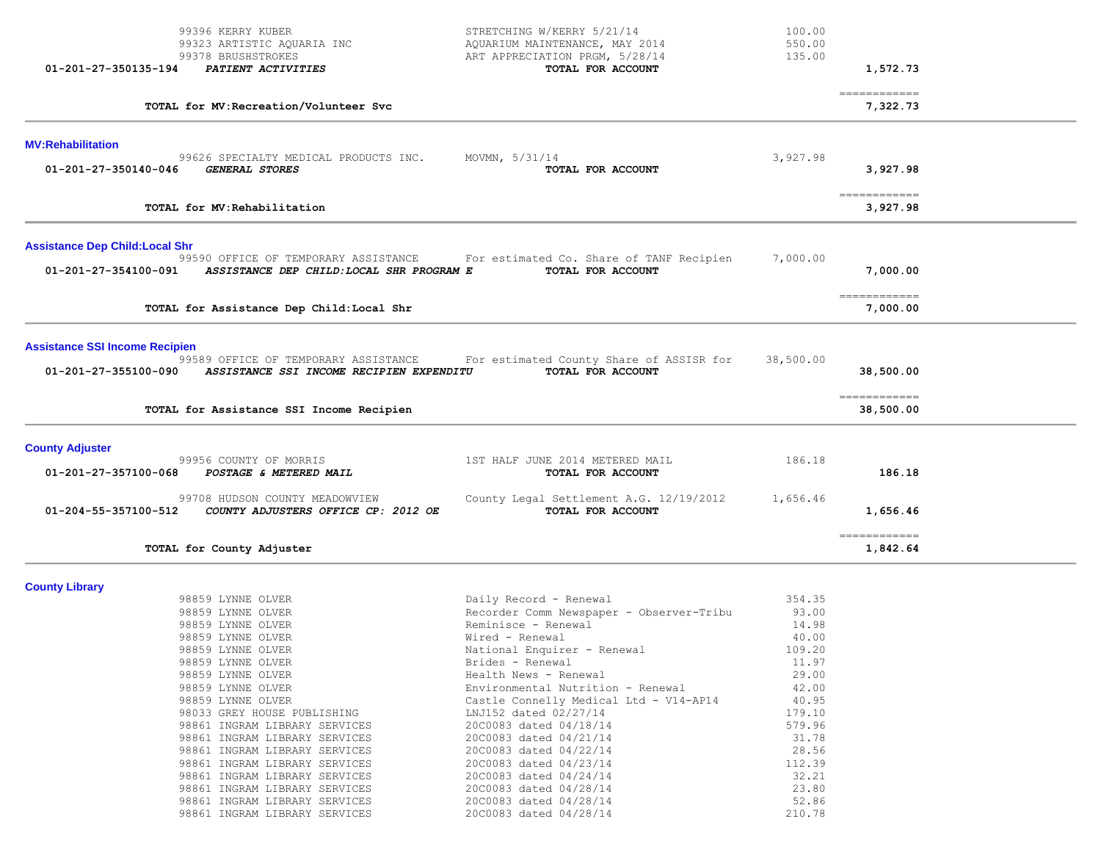| 01-201-27-350135-194                   | 99396 KERRY KUBER<br>99323 ARTISTIC AQUARIA INC<br>99378 BRUSHSTROKES<br>PATIENT ACTIVITIES                                                                                                                                                                                                                                                                                                                                    | STRETCHING W/KERRY 5/21/14<br>AQUARIUM MAINTENANCE, MAY 2014<br>ART APPRECIATION PRGM, 5/28/14<br>TOTAL FOR ACCOUNT                                                                                                                                                                                                                                                                                                                                          | 100.00<br>550.00<br>135.00                                                                                                                        | 1,572.73                   |  |
|----------------------------------------|--------------------------------------------------------------------------------------------------------------------------------------------------------------------------------------------------------------------------------------------------------------------------------------------------------------------------------------------------------------------------------------------------------------------------------|--------------------------------------------------------------------------------------------------------------------------------------------------------------------------------------------------------------------------------------------------------------------------------------------------------------------------------------------------------------------------------------------------------------------------------------------------------------|---------------------------------------------------------------------------------------------------------------------------------------------------|----------------------------|--|
|                                        | TOTAL for MV: Recreation/Volunteer Svc                                                                                                                                                                                                                                                                                                                                                                                         |                                                                                                                                                                                                                                                                                                                                                                                                                                                              |                                                                                                                                                   | -------------<br>7,322.73  |  |
| <b>MV:Rehabilitation</b>               |                                                                                                                                                                                                                                                                                                                                                                                                                                |                                                                                                                                                                                                                                                                                                                                                                                                                                                              |                                                                                                                                                   |                            |  |
| $01 - 201 - 27 - 350140 - 046$         | 99626 SPECIALTY MEDICAL PRODUCTS INC.<br><b>GENERAL STORES</b>                                                                                                                                                                                                                                                                                                                                                                 | MOVMN, $5/31/14$<br>TOTAL FOR ACCOUNT                                                                                                                                                                                                                                                                                                                                                                                                                        | 3,927.98                                                                                                                                          | 3,927.98                   |  |
|                                        | TOTAL for MV: Rehabilitation                                                                                                                                                                                                                                                                                                                                                                                                   |                                                                                                                                                                                                                                                                                                                                                                                                                                                              |                                                                                                                                                   | -------------<br>3,927.98  |  |
| <b>Assistance Dep Child: Local Shr</b> |                                                                                                                                                                                                                                                                                                                                                                                                                                |                                                                                                                                                                                                                                                                                                                                                                                                                                                              |                                                                                                                                                   |                            |  |
| 01-201-27-354100-091                   | ASSISTANCE DEP CHILD: LOCAL SHR PROGRAM E                                                                                                                                                                                                                                                                                                                                                                                      | 99590 OFFICE OF TEMPORARY ASSISTANCE For estimated Co. Share of TANF Recipien<br>TOTAL FOR ACCOUNT                                                                                                                                                                                                                                                                                                                                                           | 7,000.00                                                                                                                                          | 7,000.00                   |  |
|                                        | TOTAL for Assistance Dep Child: Local Shr                                                                                                                                                                                                                                                                                                                                                                                      |                                                                                                                                                                                                                                                                                                                                                                                                                                                              |                                                                                                                                                   | -------------<br>7,000.00  |  |
| <b>Assistance SSI Income Recipien</b>  |                                                                                                                                                                                                                                                                                                                                                                                                                                |                                                                                                                                                                                                                                                                                                                                                                                                                                                              |                                                                                                                                                   |                            |  |
| 01-201-27-355100-090                   | 99589 OFFICE OF TEMPORARY ASSISTANCE<br>ASSISTANCE SSI INCOME RECIPIEN EXPENDITU                                                                                                                                                                                                                                                                                                                                               | For estimated County Share of ASSISR for<br>TOTAL FOR ACCOUNT                                                                                                                                                                                                                                                                                                                                                                                                | 38,500.00                                                                                                                                         | 38,500.00                  |  |
|                                        | TOTAL for Assistance SSI Income Recipien                                                                                                                                                                                                                                                                                                                                                                                       |                                                                                                                                                                                                                                                                                                                                                                                                                                                              |                                                                                                                                                   | -------------<br>38,500.00 |  |
| <b>County Adjuster</b>                 |                                                                                                                                                                                                                                                                                                                                                                                                                                |                                                                                                                                                                                                                                                                                                                                                                                                                                                              |                                                                                                                                                   |                            |  |
| 01-201-27-357100-068                   | 99956 COUNTY OF MORRIS<br>POSTAGE & METERED MAIL                                                                                                                                                                                                                                                                                                                                                                               | 1ST HALF JUNE 2014 METERED MAIL<br>TOTAL FOR ACCOUNT                                                                                                                                                                                                                                                                                                                                                                                                         | 186.18                                                                                                                                            | 186.18                     |  |
| 01-204-55-357100-512                   | 99708 HUDSON COUNTY MEADOWVIEW<br>COUNTY ADJUSTERS OFFICE CP: 2012 OE                                                                                                                                                                                                                                                                                                                                                          | County Legal Settlement A.G. 12/19/2012<br>TOTAL FOR ACCOUNT                                                                                                                                                                                                                                                                                                                                                                                                 | 1,656.46                                                                                                                                          | 1,656.46                   |  |
|                                        | TOTAL for County Adjuster                                                                                                                                                                                                                                                                                                                                                                                                      |                                                                                                                                                                                                                                                                                                                                                                                                                                                              |                                                                                                                                                   | -------------<br>1,842.64  |  |
| <b>County Library</b>                  |                                                                                                                                                                                                                                                                                                                                                                                                                                |                                                                                                                                                                                                                                                                                                                                                                                                                                                              |                                                                                                                                                   |                            |  |
|                                        | 98859 LYNNE OLVER<br>98859 LYNNE OLVER<br>98859 LYNNE OLVER<br>98859 LYNNE OLVER<br>98859 LYNNE OLVER<br>98859 LYNNE OLVER<br>98859 LYNNE OLVER<br>98859 LYNNE OLVER<br>98859 LYNNE OLVER<br>98033 GREY HOUSE PUBLISHING<br>98861 INGRAM LIBRARY SERVICES<br>98861 INGRAM LIBRARY SERVICES<br>98861 INGRAM LIBRARY SERVICES<br>98861 INGRAM LIBRARY SERVICES<br>98861 INGRAM LIBRARY SERVICES<br>98861 INGRAM LIBRARY SERVICES | Daily Record - Renewal<br>Recorder Comm Newspaper - Observer-Tribu<br>Reminisce - Renewal<br>Wired - Renewal<br>National Enquirer - Renewal<br>Brides - Renewal<br>Health News - Renewal<br>Environmental Nutrition - Renewal<br>Castle Connelly Medical Ltd - V14-AP14<br>LNJ152 dated 02/27/14<br>20C0083 dated 04/18/14<br>20C0083 dated 04/21/14<br>20C0083 dated 04/22/14<br>20C0083 dated 04/23/14<br>20C0083 dated 04/24/14<br>20C0083 dated 04/28/14 | 354.35<br>93.00<br>14.98<br>40.00<br>109.20<br>11.97<br>29.00<br>42.00<br>40.95<br>179.10<br>579.96<br>31.78<br>28.56<br>112.39<br>32.21<br>23.80 |                            |  |
|                                        | 98861 INGRAM LIBRARY SERVICES<br>98861 INGRAM LIBRARY SERVICES                                                                                                                                                                                                                                                                                                                                                                 | 20C0083 dated 04/28/14<br>20C0083 dated 04/28/14                                                                                                                                                                                                                                                                                                                                                                                                             | 52.86<br>210.78                                                                                                                                   |                            |  |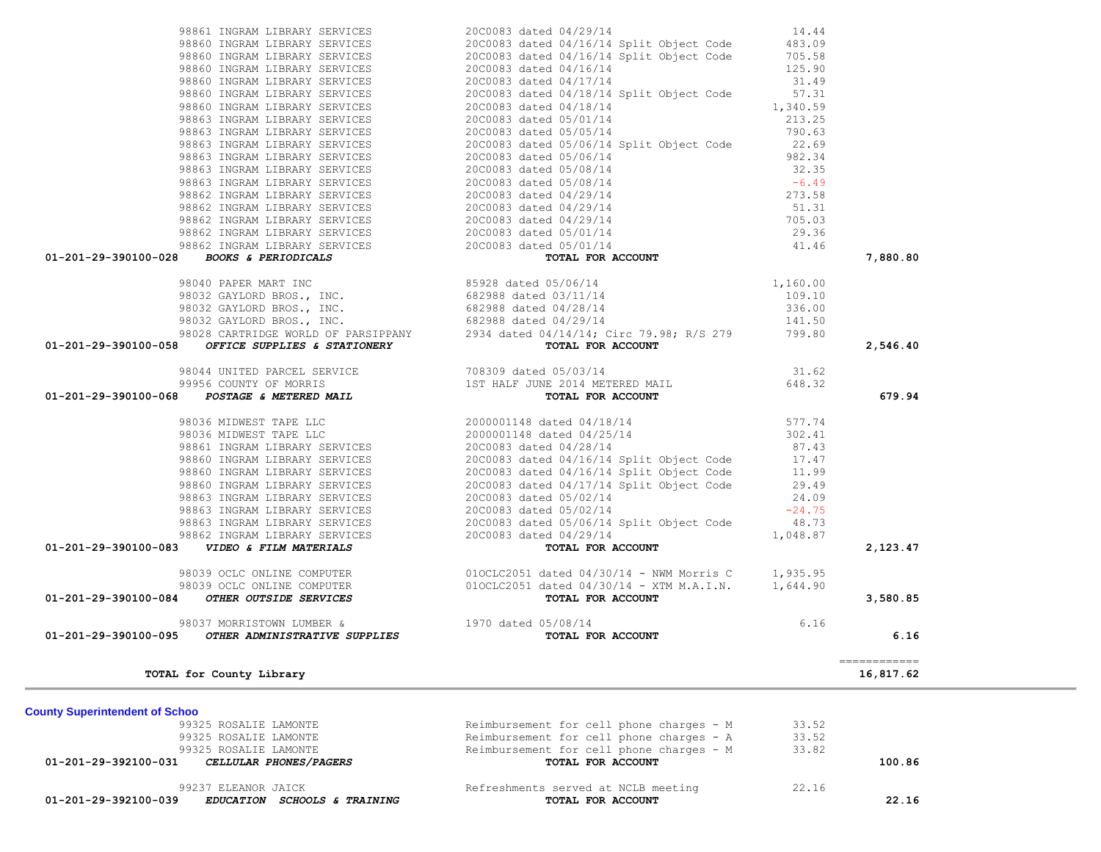| 98861 INGRAM LIBRARY SERVICES                                                                                                                                                                                                                | 20C0083 dated 04/29/14                                                                                                                                                                                                                      | 14.44 |                           |
|----------------------------------------------------------------------------------------------------------------------------------------------------------------------------------------------------------------------------------------------|---------------------------------------------------------------------------------------------------------------------------------------------------------------------------------------------------------------------------------------------|-------|---------------------------|
|                                                                                                                                                                                                                                              |                                                                                                                                                                                                                                             |       |                           |
|                                                                                                                                                                                                                                              |                                                                                                                                                                                                                                             |       |                           |
|                                                                                                                                                                                                                                              |                                                                                                                                                                                                                                             |       |                           |
|                                                                                                                                                                                                                                              |                                                                                                                                                                                                                                             |       |                           |
|                                                                                                                                                                                                                                              |                                                                                                                                                                                                                                             |       |                           |
|                                                                                                                                                                                                                                              |                                                                                                                                                                                                                                             |       |                           |
|                                                                                                                                                                                                                                              |                                                                                                                                                                                                                                             |       |                           |
|                                                                                                                                                                                                                                              |                                                                                                                                                                                                                                             |       |                           |
|                                                                                                                                                                                                                                              |                                                                                                                                                                                                                                             |       |                           |
|                                                                                                                                                                                                                                              |                                                                                                                                                                                                                                             |       |                           |
|                                                                                                                                                                                                                                              |                                                                                                                                                                                                                                             |       |                           |
|                                                                                                                                                                                                                                              |                                                                                                                                                                                                                                             |       |                           |
|                                                                                                                                                                                                                                              |                                                                                                                                                                                                                                             |       |                           |
|                                                                                                                                                                                                                                              |                                                                                                                                                                                                                                             |       |                           |
|                                                                                                                                                                                                                                              |                                                                                                                                                                                                                                             |       |                           |
|                                                                                                                                                                                                                                              |                                                                                                                                                                                                                                             |       |                           |
|                                                                                                                                                                                                                                              |                                                                                                                                                                                                                                             |       |                           |
| 01-201-29-390100-028 BOOKS & PERIODICALS                                                                                                                                                                                                     |                                                                                                                                                                                                                                             |       | 7,880.80                  |
|                                                                                                                                                                                                                                              | 98660 INGRAM LIBRARY SERVICES<br>98660 INGRAM LIBRARY SERVICES<br>98660 INGRAM LIBRARY SERVICES<br>98660 INGRAM LIBRARY SERVICES<br>98660 INGRAM LIBRARY SERVICES<br>98660 INGRAM LIBRARY SERVICES<br>98660 INGRAM LIBRARY SERVICES<br>9866 |       |                           |
|                                                                                                                                                                                                                                              |                                                                                                                                                                                                                                             |       |                           |
|                                                                                                                                                                                                                                              |                                                                                                                                                                                                                                             |       |                           |
|                                                                                                                                                                                                                                              |                                                                                                                                                                                                                                             |       |                           |
|                                                                                                                                                                                                                                              |                                                                                                                                                                                                                                             |       |                           |
| 01-201-29-390100-058                                                                                                                                                                                                                         |                                                                                                                                                                                                                                             |       | 2,546.40                  |
| 98044 UNITED PARCEL SERVICE 708309 dated 05/03/14<br>99956 COUNTY OF MORRIS 1ST HALF JUNE 2014 METERED MAIL 648.32<br><b>01-201-29-390100-068</b> <i>POSTAGE &amp; METERED MAIL</i> 1ST HALF JUNE 2014 METERED MAIL <b>TOTAL FOR ACCOUNT</b> |                                                                                                                                                                                                                                             |       |                           |
|                                                                                                                                                                                                                                              |                                                                                                                                                                                                                                             |       |                           |
|                                                                                                                                                                                                                                              |                                                                                                                                                                                                                                             |       | 679.94                    |
|                                                                                                                                                                                                                                              |                                                                                                                                                                                                                                             |       |                           |
|                                                                                                                                                                                                                                              |                                                                                                                                                                                                                                             |       |                           |
|                                                                                                                                                                                                                                              |                                                                                                                                                                                                                                             |       |                           |
|                                                                                                                                                                                                                                              |                                                                                                                                                                                                                                             |       |                           |
|                                                                                                                                                                                                                                              |                                                                                                                                                                                                                                             |       |                           |
|                                                                                                                                                                                                                                              |                                                                                                                                                                                                                                             |       |                           |
|                                                                                                                                                                                                                                              |                                                                                                                                                                                                                                             |       |                           |
|                                                                                                                                                                                                                                              |                                                                                                                                                                                                                                             |       |                           |
|                                                                                                                                                                                                                                              |                                                                                                                                                                                                                                             |       |                           |
|                                                                                                                                                                                                                                              |                                                                                                                                                                                                                                             |       |                           |
|                                                                                                                                                                                                                                              |                                                                                                                                                                                                                                             |       |                           |
|                                                                                                                                                                                                                                              |                                                                                                                                                                                                                                             |       | 2,123.47                  |
| 01-201-29-390100-068 POSTAGE WETERED MALL<br>98036 NIDWEST TAPE LIC<br>98036 NIDWEST TAPE LIC<br>98036 NIDWEST TAPE LIC<br>98041 INGRAM LIERARY SERVICES<br>98661 INGRAM LIERARY SERVICES<br>98660 INGRAM LIERARY SERVICES<br>98660 INGRAM   |                                                                                                                                                                                                                                             |       |                           |
|                                                                                                                                                                                                                                              |                                                                                                                                                                                                                                             |       |                           |
|                                                                                                                                                                                                                                              | TOTAL FOR ACCOUNT<br>05/08/14<br>TOTAL FOR ACCOUNT                                                                                                                                                                                          |       | 3,580.85                  |
| 98037 MORRISTOWN LUMBER & 1970 dated 05/08/14                                                                                                                                                                                                |                                                                                                                                                                                                                                             | 6.16  |                           |
| 01-201-29-390100-095 OTHER ADMINISTRATIVE SUPPLIES                                                                                                                                                                                           |                                                                                                                                                                                                                                             |       | 6.16                      |
|                                                                                                                                                                                                                                              |                                                                                                                                                                                                                                             |       |                           |
|                                                                                                                                                                                                                                              |                                                                                                                                                                                                                                             |       | ------------<br>16,817.62 |
| TOTAL for County Library                                                                                                                                                                                                                     |                                                                                                                                                                                                                                             |       |                           |
|                                                                                                                                                                                                                                              |                                                                                                                                                                                                                                             |       |                           |
| <b>County Superintendent of Schoo</b><br>99325 ROSALIE LAMONTE                                                                                                                                                                               | Reimbursement for cell phone charges - M                                                                                                                                                                                                    | 33.52 |                           |
| 99325 ROSALIE LAMONTE                                                                                                                                                                                                                        | Reimbursement for cell phone charges - A                                                                                                                                                                                                    | 33.52 |                           |
| 99325 ROSALIE LAMONTE                                                                                                                                                                                                                        | Reimbursement for cell phone charges - M                                                                                                                                                                                                    | 33.82 |                           |
| 01-201-29-392100-031<br>CELLULAR PHONES/PAGERS                                                                                                                                                                                               | TOTAL FOR ACCOUNT                                                                                                                                                                                                                           |       | 100.86                    |
|                                                                                                                                                                                                                                              |                                                                                                                                                                                                                                             |       |                           |
| 99237 ELEANOR JAICK                                                                                                                                                                                                                          | Refreshments served at NCLB meeting                                                                                                                                                                                                         | 22.16 |                           |
| $01-201-29-392100-039$ EDUCATION SCHOOLS & TRAINING                                                                                                                                                                                          | TOTAL FOR ACCOUNT                                                                                                                                                                                                                           |       | 22, 16                    |

 **01-201-29-392100-039** *EDUCATION SCHOOLS & TRAINING* **TOTAL FOR ACCOUNT 22.16**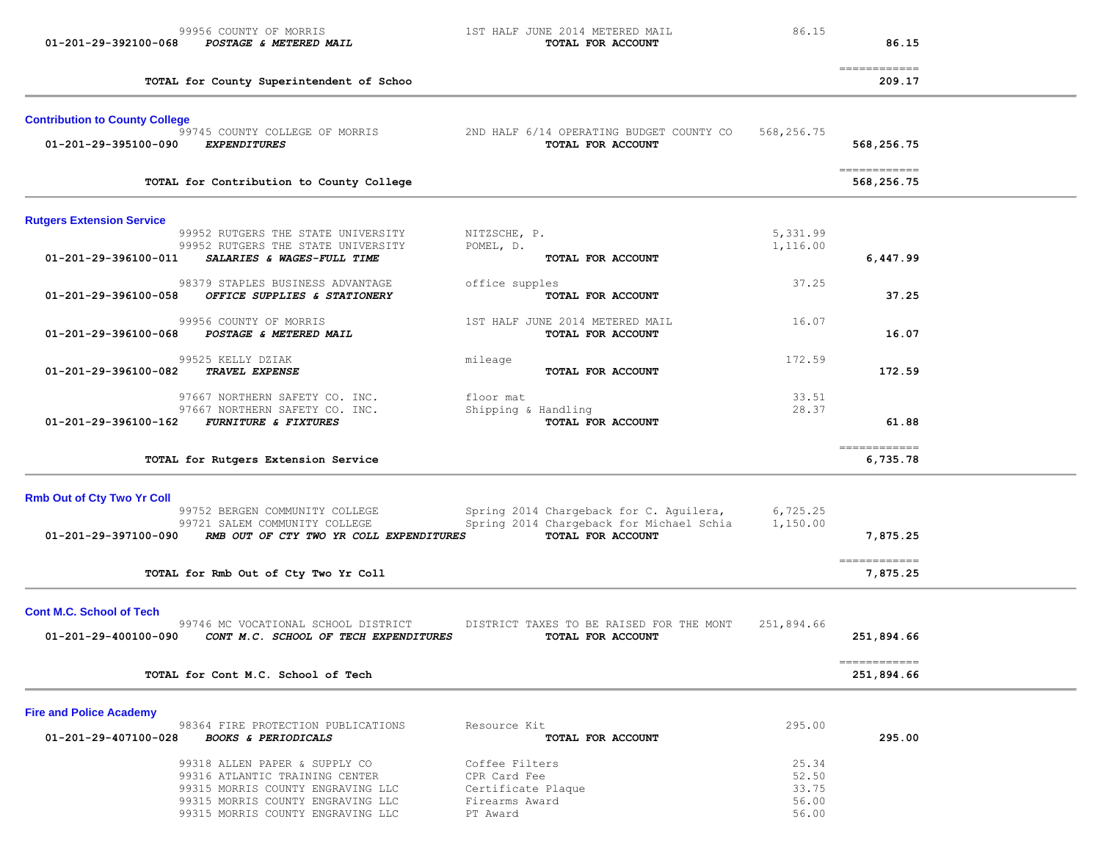| 01-201-29-392100-068                  | 99956 COUNTY OF MORRIS<br>POSTAGE & METERED MAIL                         |                           | 1ST HALF JUNE 2014 METERED MAIL<br>TOTAL FOR ACCOUNT          | 86.15                | 86.15                                 |  |
|---------------------------------------|--------------------------------------------------------------------------|---------------------------|---------------------------------------------------------------|----------------------|---------------------------------------|--|
|                                       | TOTAL for County Superintendent of Schoo                                 |                           |                                                               |                      | $=$ = = = = = = = = = = = =<br>209.17 |  |
| <b>Contribution to County College</b> | 99745 COUNTY COLLEGE OF MORRIS                                           |                           | 2ND HALF 6/14 OPERATING BUDGET COUNTY CO                      | 568,256.75           |                                       |  |
| 01-201-29-395100-090                  | <b>EXPENDITURES</b>                                                      |                           | TOTAL FOR ACCOUNT                                             |                      | 568,256.75                            |  |
|                                       | TOTAL for Contribution to County College                                 |                           |                                                               |                      | -------------<br>568,256.75           |  |
| <b>Rutgers Extension Service</b>      |                                                                          |                           |                                                               |                      |                                       |  |
|                                       | 99952 RUTGERS THE STATE UNIVERSITY<br>99952 RUTGERS THE STATE UNIVERSITY | NITZSCHE, P.<br>POMEL, D. |                                                               | 5,331.99<br>1,116.00 |                                       |  |
| 01-201-29-396100-011                  | SALARIES & WAGES-FULL TIME                                               |                           | TOTAL FOR ACCOUNT                                             |                      | 6,447.99                              |  |
|                                       | 98379 STAPLES BUSINESS ADVANTAGE                                         | office supples            |                                                               | 37.25                |                                       |  |
| 01-201-29-396100-058                  | OFFICE SUPPLIES & STATIONERY                                             |                           | TOTAL FOR ACCOUNT                                             |                      | 37.25                                 |  |
|                                       | 99956 COUNTY OF MORRIS                                                   |                           | 1ST HALF JUNE 2014 METERED MAIL                               | 16.07                |                                       |  |
| 01-201-29-396100-068                  | POSTAGE & METERED MAIL                                                   |                           | TOTAL FOR ACCOUNT                                             |                      | 16.07                                 |  |
|                                       | 99525 KELLY DZIAK                                                        | mileage                   |                                                               | 172.59               |                                       |  |
| 01-201-29-396100-082                  | TRAVEL EXPENSE                                                           |                           | TOTAL FOR ACCOUNT                                             |                      | 172.59                                |  |
|                                       | 97667 NORTHERN SAFETY CO. INC.                                           | floor mat                 |                                                               | 33.51                |                                       |  |
| 01-201-29-396100-162                  | 97667 NORTHERN SAFETY CO. INC.<br><b>FURNITURE &amp; FIXTURES</b>        | Shipping & Handling       | TOTAL FOR ACCOUNT                                             | 28.37                | 61.88                                 |  |
|                                       |                                                                          |                           |                                                               |                      |                                       |  |
|                                       | TOTAL for Rutgers Extension Service                                      |                           |                                                               |                      | ------------<br>6,735.78              |  |
| <b>Rmb Out of Cty Two Yr Coll</b>     |                                                                          |                           |                                                               |                      |                                       |  |
|                                       | 99752 BERGEN COMMUNITY COLLEGE                                           |                           | Spring 2014 Chargeback for C. Aguilera,                       | 6,725.25             |                                       |  |
| 01-201-29-397100-090                  | 99721 SALEM COMMUNITY COLLEGE<br>RMB OUT OF CTY TWO YR COLL EXPENDITURES |                           | Spring 2014 Chargeback for Michael Schia<br>TOTAL FOR ACCOUNT | 1,150.00             | 7,875.25                              |  |
|                                       |                                                                          |                           |                                                               |                      |                                       |  |
|                                       | TOTAL for Rmb Out of Cty Two Yr Coll                                     |                           |                                                               |                      | ============<br>7,875.25              |  |
| <b>Cont M.C. School of Tech</b>       |                                                                          |                           |                                                               |                      |                                       |  |
|                                       | 99746 MC VOCATIONAL SCHOOL DISTRICT                                      |                           | DISTRICT TAXES TO BE RAISED FOR THE MONT                      | 251,894.66           |                                       |  |
| 01-201-29-400100-090                  | CONT M.C. SCHOOL OF TECH EXPENDITURES                                    |                           | TOTAL FOR ACCOUNT                                             |                      | 251,894.66                            |  |
|                                       | TOTAL for Cont M.C. School of Tech                                       |                           |                                                               |                      | ------------<br>251,894.66            |  |
| <b>Fire and Police Academy</b>        |                                                                          |                           |                                                               |                      |                                       |  |
|                                       | 98364 FIRE PROTECTION PUBLICATIONS                                       | Resource Kit              |                                                               | 295.00               |                                       |  |
| 01-201-29-407100-028                  | <b>BOOKS &amp; PERIODICALS</b>                                           |                           | TOTAL FOR ACCOUNT                                             |                      | 295.00                                |  |
|                                       | 99318 ALLEN PAPER & SUPPLY CO                                            | Coffee Filters            |                                                               | 25.34                |                                       |  |
|                                       | 99316 ATLANTIC TRAINING CENTER                                           | CPR Card Fee              |                                                               | 52.50                |                                       |  |
|                                       | 99315 MORRIS COUNTY ENGRAVING LLC                                        | Certificate Plaque        |                                                               | 33.75                |                                       |  |

 99315 MORRIS COUNTY ENGRAVING LLC Firearms Award 56.00 99315 MORRIS COUNTY ENGRAVING LLC PT Award 56.00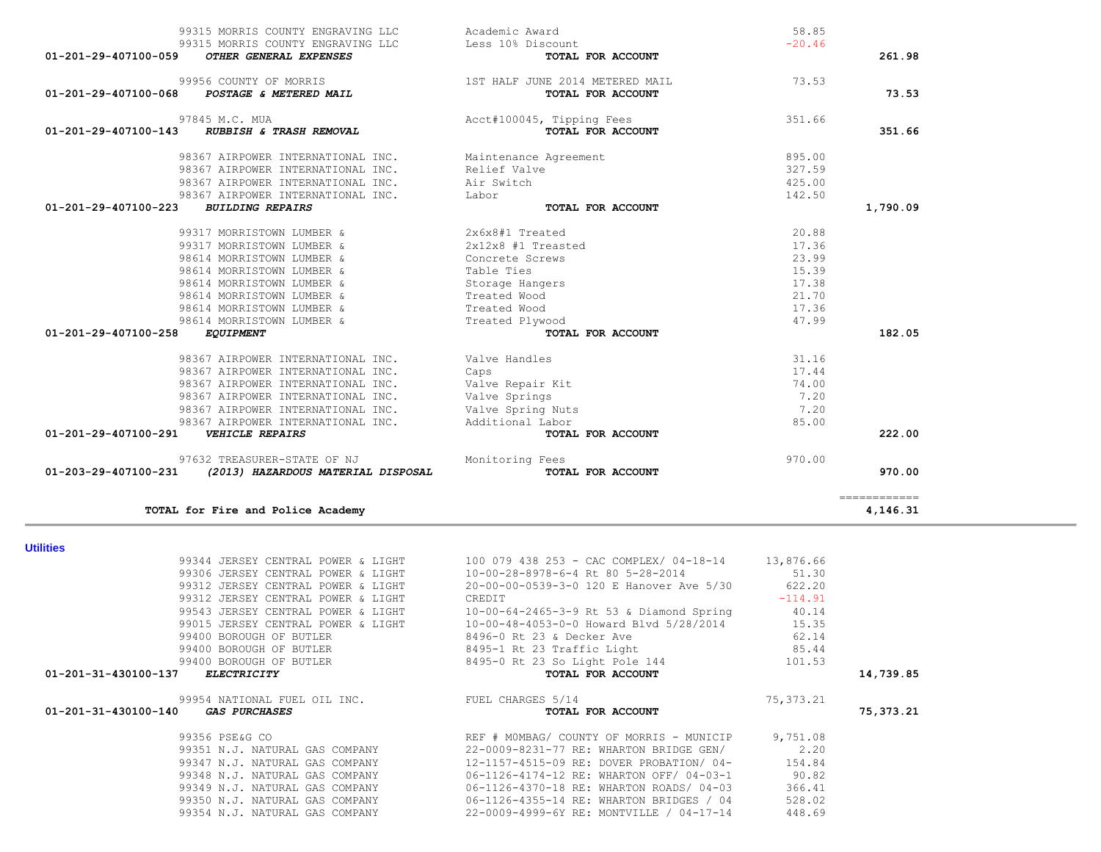| 01-201-31-430100-140<br><i>GAS PURCHASES</i> | TOTAL FOR ACCOUNT                        | 75,373.21 |
|----------------------------------------------|------------------------------------------|-----------|
| 99356 PSE&G CO                               | REF # MOMBAG/ COUNTY OF MORRIS - MUNICIP | 9,751.08  |
| 99351 N.J. NATURAL GAS COMPANY               | 22-0009-8231-77 RE: WHARTON BRIDGE GEN/  | 2,20      |
| 99347 N.J. NATURAL GAS COMPANY               | 12-1157-4515-09 RE: DOVER PROBATION/ 04- | 154.84    |
| 99348 N.J. NATURAL GAS COMPANY               | 06-1126-4174-12 RE: WHARTON OFF/ 04-03-1 | 90.82     |
| 99349 N.J. NATURAL GAS COMPANY               | 06-1126-4370-18 RE: WHARTON ROADS/ 04-03 | 366.41    |
| 99350 N.J. NATURAL GAS COMPANY               | 06-1126-4355-14 RE: WHARTON BRIDGES / 04 | 528.02    |
| 99354 N.J. NATURAL GAS COMPANY               | 22-0009-4999-6Y RE: MONTVILLE / 04-17-14 | 448.69    |

| <b>Utilities</b>                    |                                            |             |           |
|-------------------------------------|--------------------------------------------|-------------|-----------|
| 99344 JERSEY CENTRAL POWER & LIGHT  | 100 079 438 253 - CAC COMPLEX/ 04-18-14    | 13,876.66   |           |
| 99306 JERSEY CENTRAL POWER & LIGHT  | 10-00-28-8978-6-4 Rt 80 5-28-2014          | 51.30       |           |
| 99312 JERSEY CENTRAL POWER & LIGHT  | 20-00-00-0539-3-0 120 E Hanover Ave 5/30   | 622.20      |           |
| 99312 JERSEY CENTRAL POWER & LIGHT  | CREDIT                                     | $-114.91$   |           |
| 99543 JERSEY CENTRAL POWER & LIGHT  | $10-00-64-2465-3-9$ Rt 53 & Diamond Spring | 40.14       |           |
| 99015 JERSEY CENTRAL POWER & LIGHT  | 10-00-48-4053-0-0 Howard Blvd 5/28/2014    | 15.35       |           |
| 99400 BOROUGH OF BUTLER             | 8496-0 Rt 23 & Decker Ave                  | 62.14       |           |
| 99400 BOROUGH OF BUTLER             | 8495-1 Rt 23 Traffic Light                 | 85.44       |           |
| 99400 BOROUGH OF BUTLER             | 8495-0 Rt 23 So Light Pole 144             | 101.53      |           |
| 01-201-31-430100-137<br>ELECTRICITY | TOTAL FOR ACCOUNT                          |             | 14,739.85 |
| 99954 NATIONAL FUEL OIL INC.        | FUEL CHARGES 5/14                          | 75, 373. 21 |           |
|                                     |                                            |             |           |

**Utilities** 

| 99315 MORRIS COUNTY ENGRAVING LLC<br>99315 MORRIS COUNTY ENGRAVING LLC   | Academic Award<br>Less 10% Discount                  | 58.85<br>$-20.46$ |              |
|--------------------------------------------------------------------------|------------------------------------------------------|-------------------|--------------|
| 01-201-29-407100-059<br>OTHER GENERAL EXPENSES                           | TOTAL FOR ACCOUNT                                    |                   | 261.98       |
| 99956 COUNTY OF MORRIS<br>POSTAGE & METERED MAIL<br>01-201-29-407100-068 | 1ST HALF JUNE 2014 METERED MAIL<br>TOTAL FOR ACCOUNT | 73.53             | 73.53        |
| 97845 M.C. MUA<br>01-201-29-407100-143<br>RUBBISH & TRASH REMOVAL        | Acct#100045, Tipping Fees<br>TOTAL FOR ACCOUNT       | 351.66            | 351.66       |
| 98367 AIRPOWER INTERNATIONAL INC.                                        | Maintenance Agreement                                | 895.00            |              |
| 98367 AIRPOWER INTERNATIONAL INC.                                        | Relief Valve                                         | 327.59            |              |
| 98367 AIRPOWER INTERNATIONAL INC.                                        | Air Switch                                           | 425.00            |              |
| 98367 AIRPOWER INTERNATIONAL INC.                                        | Labor                                                | 142.50            |              |
| $01 - 201 - 29 - 407100 - 223$<br><b>BUILDING REPAIRS</b>                | TOTAL FOR ACCOUNT                                    |                   | 1,790.09     |
| 99317 MORRISTOWN LUMBER &                                                | 2x6x8#1 Treated                                      | 20.88             |              |
| 99317 MORRISTOWN LUMBER &                                                | 2x12x8 #1 Treasted                                   | 17.36             |              |
| 98614 MORRISTOWN LUMBER &                                                | Concrete Screws                                      | 23.99             |              |
| 98614 MORRISTOWN LUMBER &                                                | Table Ties                                           | 15.39             |              |
| 98614 MORRISTOWN LUMBER &                                                | Storage Hangers                                      | 17.38             |              |
| 98614 MORRISTOWN LUMBER &                                                | Treated Wood                                         | 21.70             |              |
| 98614 MORRISTOWN LUMBER &                                                | Treated Wood                                         | 17.36             |              |
| 98614 MORRISTOWN LUMBER &                                                | Treated Plywood                                      | 47.99             |              |
| 01-201-29-407100-258<br><b>EQUIPMENT</b>                                 | <b>TOTAL FOR ACCOUNT</b>                             |                   | 182.05       |
| 98367 AIRPOWER INTERNATIONAL INC.                                        | Valve Handles                                        | 31.16             |              |
| 98367 AIRPOWER INTERNATIONAL INC.                                        | Caps                                                 | 17.44             |              |
| 98367 AIRPOWER INTERNATIONAL INC.                                        | Valve Repair Kit                                     | 74.00             |              |
| 98367 AIRPOWER INTERNATIONAL INC.                                        | Valve Springs                                        | 7.20              |              |
| 98367 AIRPOWER INTERNATIONAL INC.                                        | Valve Spring Nuts                                    | 7.20              |              |
| 98367 AIRPOWER INTERNATIONAL INC.                                        | Additional Labor                                     | 85.00             |              |
| 01-201-29-407100-291<br><b>VEHICLE REPAIRS</b>                           | TOTAL FOR ACCOUNT                                    |                   | 222.00       |
| 97632 TREASURER-STATE OF NJ                                              | Monitoring Fees                                      | 970.00            |              |
| 01-203-29-407100-231<br>(2013) HAZARDOUS MATERIAL DISPOSAL               | TOTAL FOR ACCOUNT                                    |                   | 970.00       |
|                                                                          |                                                      |                   | ============ |
| TOTAL for Fire and Police Academy                                        |                                                      |                   | 4,146.31     |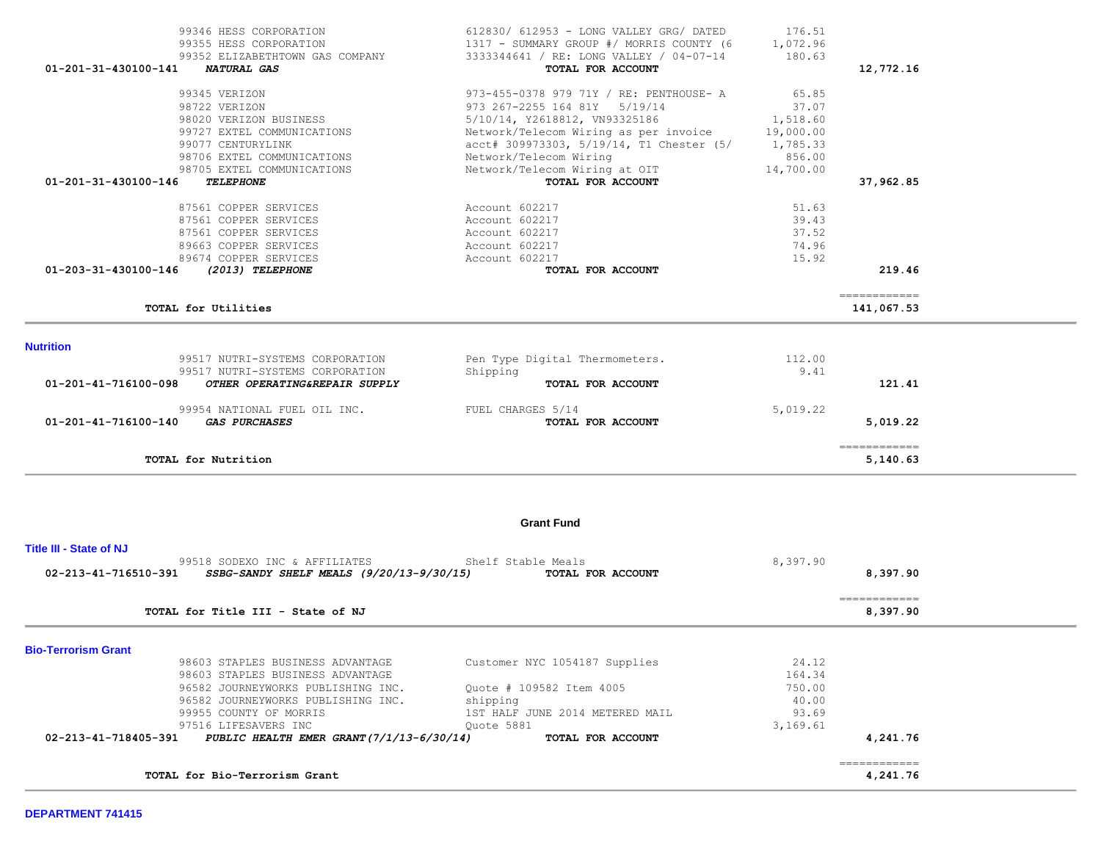| 99352 ELIZABETHTOWN GAS COMPANY<br>01-201-31-430100-141<br>NATURAL GAS                                | 3333344641 / RE: LONG VALLEY / 04-07-14<br>TOTAL FOR ACCOUNT                      | 180.63             | 12,772.16                               |  |
|-------------------------------------------------------------------------------------------------------|-----------------------------------------------------------------------------------|--------------------|-----------------------------------------|--|
|                                                                                                       |                                                                                   |                    |                                         |  |
| 99345 VERIZON                                                                                         | 973-455-0378 979 71Y / RE: PENTHOUSE- A                                           | 65.85              |                                         |  |
| 98722 VERIZON                                                                                         | 973 267-2255 164 81Y 5/19/14                                                      | 37.07              |                                         |  |
| 98020 VERIZON BUSINESS                                                                                | 5/10/14, Y2618812, VN93325186                                                     | 1,518.60           |                                         |  |
| 99727 EXTEL COMMUNICATIONS<br>99077 CENTURYLINK                                                       | Network/Telecom Wiring as per invoice<br>acct# 309973303, 5/19/14, T1 Chester (5/ | 19,000.00          |                                         |  |
| 98706 EXTEL COMMUNICATIONS                                                                            | Network/Telecom Wiring                                                            | 1,785.33<br>856.00 |                                         |  |
| 98705 EXTEL COMMUNICATIONS                                                                            | Network/Telecom Wiring at OIT                                                     | 14,700.00          |                                         |  |
| 01-201-31-430100-146<br><b>TELEPHONE</b>                                                              | TOTAL FOR ACCOUNT                                                                 |                    | 37,962.85                               |  |
| 87561 COPPER SERVICES                                                                                 |                                                                                   | 51.63              |                                         |  |
| 87561 COPPER SERVICES                                                                                 | Account 602217<br>Account 602217                                                  | 39.43              |                                         |  |
| 87561 COPPER SERVICES                                                                                 | Account 602217                                                                    | 37.52              |                                         |  |
| 89663 COPPER SERVICES                                                                                 | Account 602217                                                                    | 74.96              |                                         |  |
| 89674 COPPER SERVICES                                                                                 | Account 602217                                                                    | 15.92              |                                         |  |
| 01-203-31-430100-146<br>(2013) TELEPHONE                                                              | TOTAL FOR ACCOUNT                                                                 |                    | 219.46                                  |  |
|                                                                                                       |                                                                                   |                    | -------------                           |  |
| TOTAL for Utilities                                                                                   |                                                                                   |                    | 141,067.53                              |  |
| <b>Nutrition</b>                                                                                      |                                                                                   |                    |                                         |  |
| 99517 NUTRI-SYSTEMS CORPORATION                                                                       | Pen Type Digital Thermometers.                                                    | 112.00             |                                         |  |
| 99517 NUTRI-SYSTEMS CORPORATION                                                                       | Shipping                                                                          | 9.41               |                                         |  |
| 01-201-41-716100-098<br>OTHER OPERATING&REPAIR SUPPLY                                                 | TOTAL FOR ACCOUNT                                                                 |                    | 121.41                                  |  |
| 99954 NATIONAL FUEL OIL INC.                                                                          | FUEL CHARGES 5/14                                                                 | 5,019.22           |                                         |  |
| 01-201-41-716100-140<br><b>GAS PURCHASES</b>                                                          | TOTAL FOR ACCOUNT                                                                 |                    | 5,019.22                                |  |
| TOTAL for Nutrition                                                                                   |                                                                                   |                    | 5,140.63                                |  |
|                                                                                                       | <b>Grant Fund</b>                                                                 |                    |                                         |  |
| <b>Title III - State of NJ</b>                                                                        |                                                                                   |                    |                                         |  |
| 99518 SODEXO INC & AFFILIATES<br>02-213-41-716510-391<br>$SSBG-SANDY$ SHELF MEALS $(9/20/13-9/30/15)$ | Shelf Stable Meals<br>TOTAL FOR ACCOUNT                                           | 8,397.90           | 8,397.90                                |  |
| TOTAL for Title III - State of NJ                                                                     |                                                                                   |                    | $=$ = = = = = = = = = = = =<br>8,397.90 |  |
| <b>Bio-Terrorism Grant</b>                                                                            |                                                                                   |                    |                                         |  |
| 98603 STAPLES BUSINESS ADVANTAGE                                                                      | Customer NYC 1054187 Supplies                                                     | 24.12              |                                         |  |
| 98603 STAPLES BUSINESS ADVANTAGE                                                                      |                                                                                   | 164.34             |                                         |  |
| 96582 JOURNEYWORKS PUBLISHING INC.                                                                    | Quote # 109582 Item 4005                                                          | 750.00             |                                         |  |
| 96582 JOURNEYWORKS PUBLISHING INC.                                                                    | shipping                                                                          | 40.00              |                                         |  |
| 99955 COUNTY OF MORRIS                                                                                | 1ST HALF JUNE 2014 METERED MAIL                                                   | 93.69              |                                         |  |
| 97516 LIFESAVERS INC                                                                                  | Quote 5881                                                                        | 3,169.61           |                                         |  |
| PUBLIC HEALTH EMER GRANT (7/1/13-6/30/14)<br>02-213-41-718405-391                                     | TOTAL FOR ACCOUNT                                                                 |                    | 4,241.76                                |  |
| TOTAL for Bio-Terrorism Grant                                                                         |                                                                                   |                    | -------------<br>4,241.76               |  |
|                                                                                                       |                                                                                   |                    |                                         |  |

99346 HESS CORPORATION 612830/ 612953 - LONG VALLEY GRG/ DATED 176.51

99355 HESS CORPORATION 1317 - SUMMARY GROUP #/ MORRIS COUNTY (6 1,072.96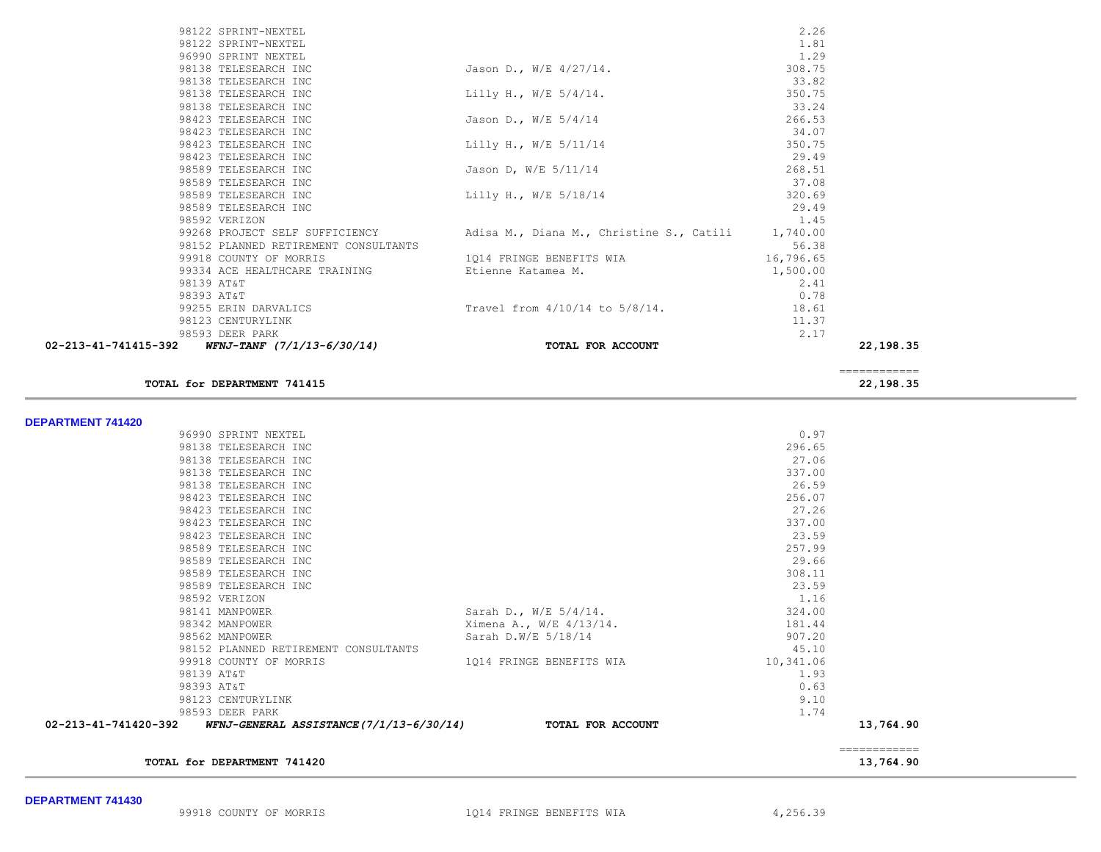### **TOTAL for DEPARTMENT 741420** 13,764.90

| ____________<br>_____________ |                             |
|-------------------------------|-----------------------------|
| 13 764 QO                     | TOTAL for DEDAPTMENT 741420 |

|                 | 96990 SPRINT NEXTEL                                           |                          | 0.97      |           |
|-----------------|---------------------------------------------------------------|--------------------------|-----------|-----------|
|                 | 98138 TELESEARCH INC                                          |                          | 296.65    |           |
|                 | 98138 TELESEARCH INC                                          |                          | 27.06     |           |
|                 | 98138 TELESEARCH INC                                          |                          | 337.00    |           |
|                 | 98138 TELESEARCH INC                                          |                          | 26.59     |           |
|                 | 98423 TELESEARCH INC                                          |                          | 256.07    |           |
|                 | 98423 TELESEARCH INC                                          |                          | 27.26     |           |
|                 | 98423 TELESEARCH INC                                          |                          | 337.00    |           |
|                 | 98423 TELESEARCH INC                                          |                          | 23.59     |           |
|                 | 98589 TELESEARCH INC                                          |                          | 257.99    |           |
|                 | 98589 TELESEARCH INC                                          |                          | 29.66     |           |
|                 | 98589 TELESEARCH INC                                          |                          | 308.11    |           |
|                 | 98589 TELESEARCH INC                                          |                          | 23.59     |           |
| 98592 VERIZON   |                                                               |                          | 1.16      |           |
| 98141 MANPOWER  |                                                               | Sarah D., W/E $5/4/14$ . | 324.00    |           |
| 98342 MANPOWER  |                                                               | Ximena A., W/E 4/13/14.  | 181.44    |           |
| 98562 MANPOWER  |                                                               | Sarah D.W/E 5/18/14      | 907.20    |           |
|                 | 98152 PLANNED RETIREMENT CONSULTANTS                          |                          | 45.10     |           |
|                 | 99918 COUNTY OF MORRIS                                        | 1014 FRINGE BENEFITS WIA | 10,341.06 |           |
| 98139 AT&T      |                                                               |                          | 1.93      |           |
| 98393 AT&T      |                                                               |                          | 0.63      |           |
|                 | 98123 CENTURYLINK                                             |                          | 9.10      |           |
| 98593 DEER PARK |                                                               |                          | 1.74      |           |
|                 | 02-213-41-741420-392 WFNJ-GENERAL ASSISTANCE (7/1/13-6/30/14) | TOTAL FOR ACCOUNT        |           | 13,764.90 |
|                 |                                                               |                          |           |           |

**TOTAL for DEPARTMENT 741415 22,198.35**

| 99268 PROJECT SELF SUFFICIENCY<br>98152 PLANNED RETIREMENT CONSULTANTS | Adisa M., Diana M., Christine S., Catili | 1,740.00<br>56.38 |
|------------------------------------------------------------------------|------------------------------------------|-------------------|
| 98592 VERIZON                                                          |                                          | 1.45              |
| 98589 TELESEARCH INC                                                   |                                          | 29.49             |
| 98589 TELESEARCH INC                                                   | Lilly H., W/E 5/18/14                    | 320.69            |
| 98589 TELESEARCH INC                                                   |                                          | 37.08             |
| 98589 TELESEARCH INC                                                   | Jason D, W/E 5/11/14                     | 268.51            |
| 98423 TELESEARCH INC                                                   |                                          | 29.49             |
|                                                                        | Lilly H., W/E 5/11/14                    |                   |
| 98423 TELESEARCH INC                                                   |                                          | 350.75            |
| 98423 TELESEARCH INC                                                   |                                          | 34.07             |
| 98423 TELESEARCH INC                                                   | Jason D., W/E 5/4/14                     | 266.53            |
| 98138 TELESEARCH INC                                                   |                                          | 33.24             |
| 98138 TELESEARCH INC                                                   | Lilly H., W/E $5/4/14$ .                 | 350.75            |
| 98138 TELESEARCH INC                                                   |                                          | 33.82             |
|                                                                        |                                          |                   |
| 98138 TELESEARCH INC                                                   | Jason D., W/E 4/27/14.                   | 308.75            |
| 96990 SPRINT NEXTEL                                                    |                                          | 1.29              |
| 98122 SPRINT-NEXTEL                                                    |                                          | 1.81              |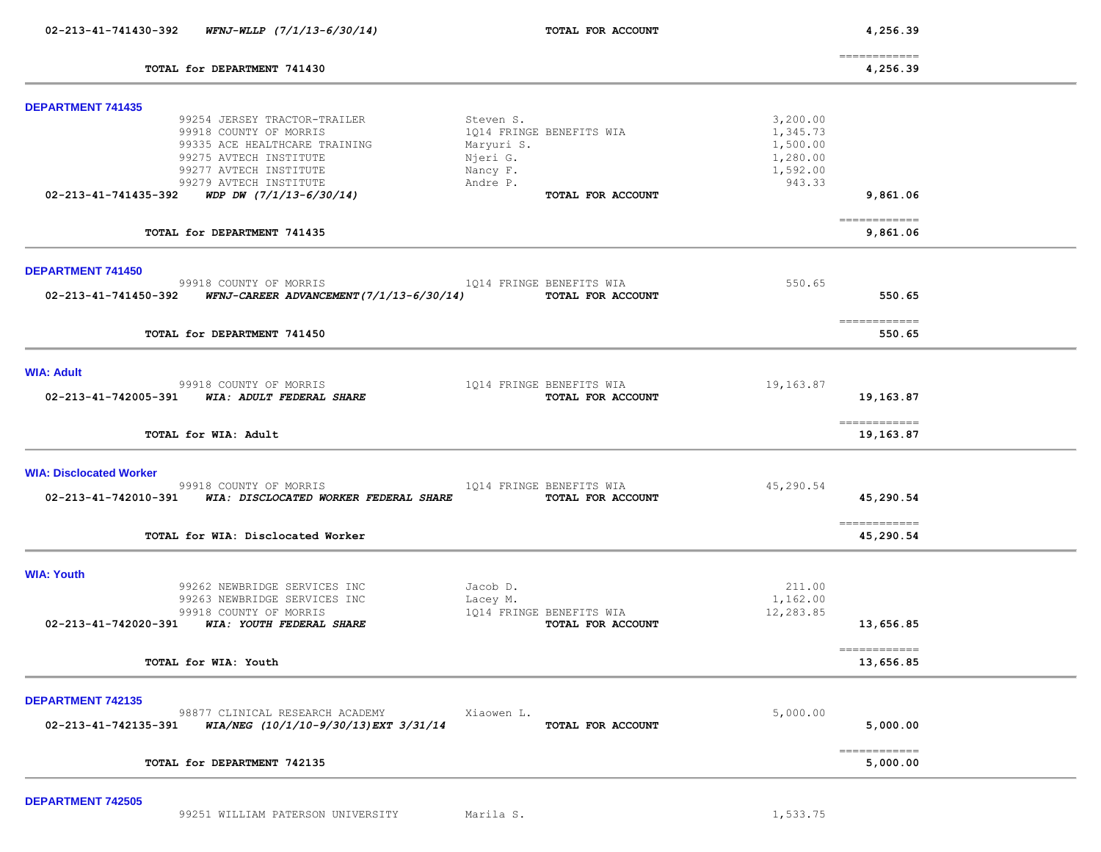| $WFNJ-WLLP$ $(7/1/13-6/30/14)$<br>02-213-41-741430-392                                                                                                          | TOTAL FOR ACCOUNT                                                     |                                  | 4,256.39                   |  |
|-----------------------------------------------------------------------------------------------------------------------------------------------------------------|-----------------------------------------------------------------------|----------------------------------|----------------------------|--|
| TOTAL for DEPARTMENT 741430                                                                                                                                     |                                                                       |                                  | -------------<br>4,256.39  |  |
| <b>DEPARTMENT 741435</b><br>99254 JERSEY TRACTOR-TRAILER<br>99918 COUNTY OF MORRIS<br>99335 ACE HEALTHCARE TRAINING                                             | Steven S.<br>1Q14 FRINGE BENEFITS WIA<br>Maryuri S.                   | 3,200.00<br>1,345.73<br>1,500.00 |                            |  |
| 99275 AVTECH INSTITUTE<br>99277 AVTECH INSTITUTE<br>99279 AVTECH INSTITUTE<br>WDP DW (7/1/13-6/30/14)<br>02-213-41-741435-392                                   | Njeri G.<br>Nancy F.<br>Andre P.<br>TOTAL FOR ACCOUNT                 | 1,280.00<br>1,592.00<br>943.33   | 9,861.06                   |  |
| TOTAL for DEPARTMENT 741435                                                                                                                                     |                                                                       |                                  | ------------<br>9,861.06   |  |
| <b>DEPARTMENT 741450</b><br>99918 COUNTY OF MORRIS<br>02-213-41-741450-392 WFNJ-CAREER ADVANCEMENT(7/1/13-6/30/14)                                              | 1Q14 FRINGE BENEFITS WIA<br>TOTAL FOR ACCOUNT                         | 550.65                           | 550.65                     |  |
| TOTAL for DEPARTMENT 741450                                                                                                                                     |                                                                       |                                  | -------------<br>550.65    |  |
| <b>WIA: Adult</b><br>99918 COUNTY OF MORRIS<br>02-213-41-742005-391 WIA: ADULT FEDERAL SHARE                                                                    | 1014 FRINGE BENEFITS WIA<br>TOTAL FOR ACCOUNT                         | 19,163.87                        | 19,163.87                  |  |
| TOTAL for WIA: Adult                                                                                                                                            |                                                                       |                                  | ============<br>19,163.87  |  |
| <b>WIA: Disclocated Worker</b><br>99918 COUNTY OF MORRIS<br>02-213-41-742010-391 WIA: DISCLOCATED WORKER FEDERAL SHARE                                          | 1014 FRINGE BENEFITS WIA<br>TOTAL FOR ACCOUNT                         | 45,290.54                        | 45,290.54                  |  |
| TOTAL for WIA: Disclocated Worker                                                                                                                               |                                                                       |                                  | -------------<br>45,290.54 |  |
| <b>WIA: Youth</b><br>99262 NEWBRIDGE SERVICES INC<br>99263 NEWBRIDGE SERVICES INC<br>99918 COUNTY OF MORRIS<br>02-213-41-742020-391<br>WIA: YOUTH FEDERAL SHARE | Jacob D.<br>Lacey M.<br>1014 FRINGE BENEFITS WIA<br>TOTAL FOR ACCOUNT | 211.00<br>1,162.00<br>12,283.85  | 13,656.85                  |  |
| TOTAL for WIA: Youth                                                                                                                                            |                                                                       |                                  | ============<br>13,656.85  |  |
| <b>DEPARTMENT 742135</b><br>98877 CLINICAL RESEARCH ACADEMY<br>WIA/NEG (10/1/10-9/30/13) EXT 3/31/14<br>02-213-41-742135-391                                    | Xiaowen L.<br>TOTAL FOR ACCOUNT                                       | 5,000.00                         | 5,000.00                   |  |
| TOTAL for DEPARTMENT 742135                                                                                                                                     |                                                                       |                                  | ============<br>5,000.00   |  |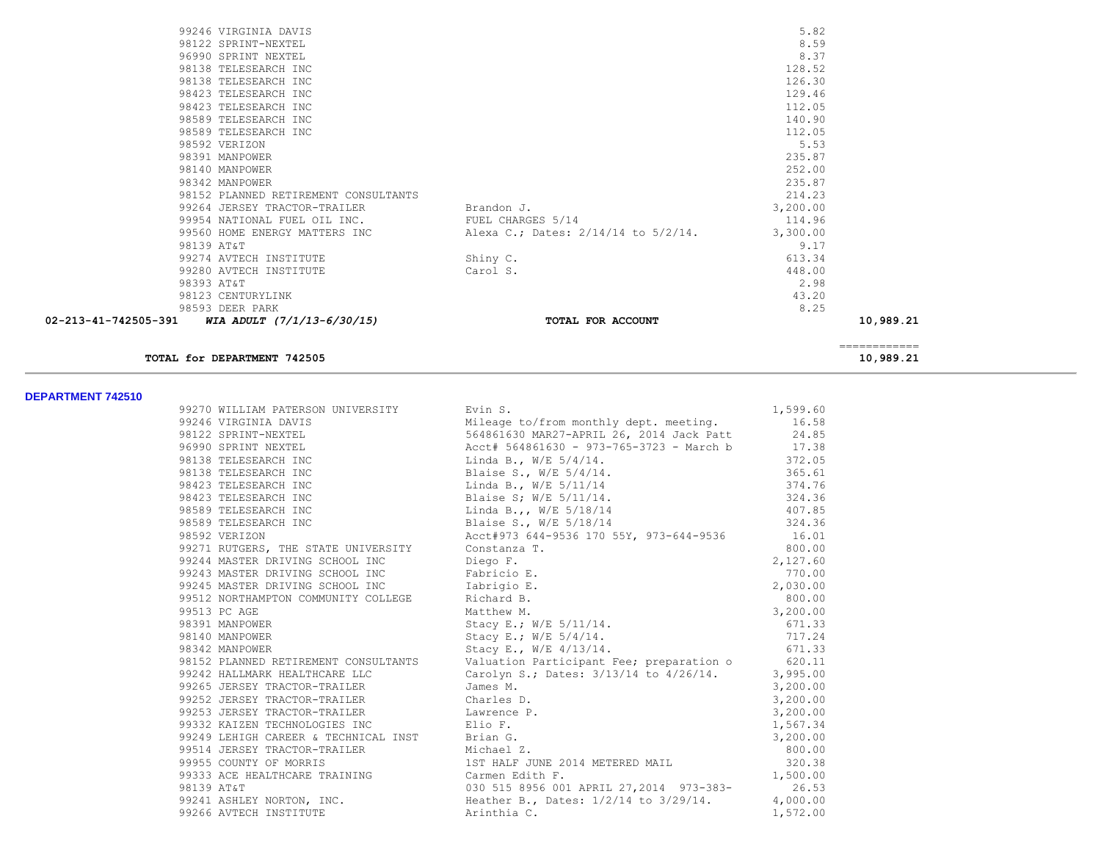|                                                   | 99246 VIRGINIA DAVIS                           |                                     | 5.82     |              |
|---------------------------------------------------|------------------------------------------------|-------------------------------------|----------|--------------|
|                                                   | 98122 SPRINT-NEXTEL                            |                                     | 8.59     |              |
|                                                   | 96990 SPRINT NEXTEL                            |                                     | 8.37     |              |
|                                                   | 98138 TELESEARCH INC                           |                                     | 128.52   |              |
|                                                   | 98138 TELESEARCH INC                           |                                     | 126.30   |              |
|                                                   | 98423 TELESEARCH INC                           |                                     | 129.46   |              |
|                                                   | 98423 TELESEARCH INC                           |                                     | 112.05   |              |
|                                                   | 98589 TELESEARCH INC                           |                                     | 140.90   |              |
|                                                   | 98589 TELESEARCH INC                           |                                     | 112.05   |              |
|                                                   | 98592 VERIZON                                  |                                     | 5.53     |              |
|                                                   | 98391 MANPOWER                                 |                                     | 235.87   |              |
|                                                   | 98140 MANPOWER                                 |                                     | 252.00   |              |
|                                                   | 98342 MANPOWER                                 |                                     | 235.87   |              |
|                                                   | 98152 PLANNED RETIREMENT CONSULTANTS           |                                     | 214.23   |              |
|                                                   | 99264 JERSEY TRACTOR-TRAILER Brandon J.        |                                     | 3,200.00 |              |
|                                                   | 99954 NATIONAL FUEL OIL INC. TUEL CHARGES 5/14 |                                     | 114.96   |              |
|                                                   | 99560 HOME ENERGY MATTERS INC                  | Alexa C.; Dates: 2/14/14 to 5/2/14. | 3,300.00 |              |
| 98139 AT&T                                        |                                                |                                     | 9.17     |              |
|                                                   | 99274 AVTECH INSTITUTE                         | Shiny C.                            | 613.34   |              |
|                                                   | 99280 AVTECH INSTITUTE                         | Carol S.                            | 448.00   |              |
|                                                   | 98393 AT&T                                     |                                     | 2.98     |              |
|                                                   | 98123 CENTURYLINK                              |                                     | 43.20    |              |
|                                                   | 98593 DEER PARK                                |                                     | 8.25     |              |
| 02-213-41-742505-391 WIA ADULT $(7/1/13-6/30/15)$ |                                                | TOTAL FOR ACCOUNT                   |          | 10,989.21    |
|                                                   |                                                |                                     |          |              |
|                                                   |                                                |                                     |          | ------------ |

**TOTAL for DEPARTMENT 742505 10,989.21**

|            | 99270 WILLIAM PATERSON UNIVERSITY                | Evin S.                                                                              | 1,599.60 |
|------------|--------------------------------------------------|--------------------------------------------------------------------------------------|----------|
|            | 99246 VIRGINIA DAVIS                             | Mileage to/from monthly dept. meeting. 16.58                                         |          |
|            | 98122 SPRINT-NEXTEL                              | 564861630 MAR27-APRIL 26, 2014 Jack Patt 24.85                                       |          |
|            | 96990 SPRINT NEXTEL                              | Acct# 564861630 - 973-765-3723 - March b 17.38                                       |          |
|            | 98138 TELESEARCH INC                             | Linda B., W/E 5/4/14.                                                                | 372.05   |
|            | 98138 TELESEARCH INC                             | Blaise S., W/E 5/4/14.                                                               | 365.61   |
|            | 98423 TELESEARCH INC                             | Linda B., W/E 5/11/14                                                                | 374.76   |
|            | 98423 TELESEARCH INC                             | Blaise S; W/E 5/11/14.                                                               | 324.36   |
|            | 98589 TELESEARCH INC                             | Linda B.,, W/E 5/18/14                                                               | 407.85   |
|            | 98589 TELESEARCH INC                             | Blaise S., $W/E = 5/18/14$                                                           | 324.36   |
|            | 98592 VERIZON                                    | Acct#973 644-9536 170 55Y, 973-644-9536 16.01                                        |          |
|            | 99271 RUTGERS, THE STATE UNIVERSITY Constanza T. |                                                                                      | 800.00   |
|            | 99244 MASTER DRIVING SCHOOL INC Diego F.         |                                                                                      | 2,127.60 |
|            | 99243 MASTER DRIVING SCHOOL INC Fabricio E.      |                                                                                      | 770.00   |
|            | 99245 MASTER DRIVING SCHOOL INC [abrigio E.      |                                                                                      | 2,030.00 |
|            | 99512 NORTHAMPTON COMMUNITY COLLEGE Richard B.   |                                                                                      | 800.00   |
|            | 99513 PC AGE                                     | Matthew M.                                                                           | 3,200.00 |
|            | 98391 MANPOWER                                   | Stacy E.; W/E 5/11/14.                                                               | 671.33   |
|            | 98140 MANPOWER                                   | Stacy E.; W/E 5/11/17.<br>Stacy E.; W/E 5/4/14.<br>Stacy E W/E 4/13/14.              | 717.24   |
|            | 98342 MANPOWER                                   | Stacy E., W/E 4/13/14.                                                               | 671.33   |
|            |                                                  | 98152 PLANNED RETIREMENT CONSULTANTS Valuation Participant Fee; preparation o 620.11 |          |
|            |                                                  | 99242 HALLMARK HEALTHCARE LLC Carolyn S.; Dates: 3/13/14 to 4/26/14. 3,995.00        |          |
|            | 99265 JERSEY TRACTOR-TRAILER                     | James M.                                                                             | 3,200.00 |
|            | 99252 JERSEY TRACTOR-TRAILER Charles D.          |                                                                                      | 3,200.00 |
|            | 99253 JERSEY TRACTOR-TRAILER Lawrence P.         |                                                                                      | 3,200.00 |
|            | 99332 KAIZEN TECHNOLOGIES INC                    | Elio F.                                                                              | 1,567.34 |
|            | 99249 LEHIGH CAREER & TECHNICAL INST Brian G.    |                                                                                      | 3,200.00 |
|            | 99514 JERSEY TRACTOR-TRAILER Michael Z.          |                                                                                      | 800.00   |
|            | 99955 COUNTY OF MORRIS                           | 1ST HALF JUNE 2014 METERED MAIL                                                      | 320.38   |
|            | 99333 ACE HEALTHCARE TRAINING Carmen Edith F.    |                                                                                      | 1,500.00 |
| 98139 AT&T |                                                  | 030 515 8956 001 APRIL 27,2014 973-383- 26.53                                        |          |
|            |                                                  | 99241 ASHLEY NORTON, INC. The Heather B., Dates: 1/2/14 to 3/29/14. 4,000.00         |          |
|            | 99266 AVTECH INSTITUTE                           | Arinthia C.                                                                          | 1,572.00 |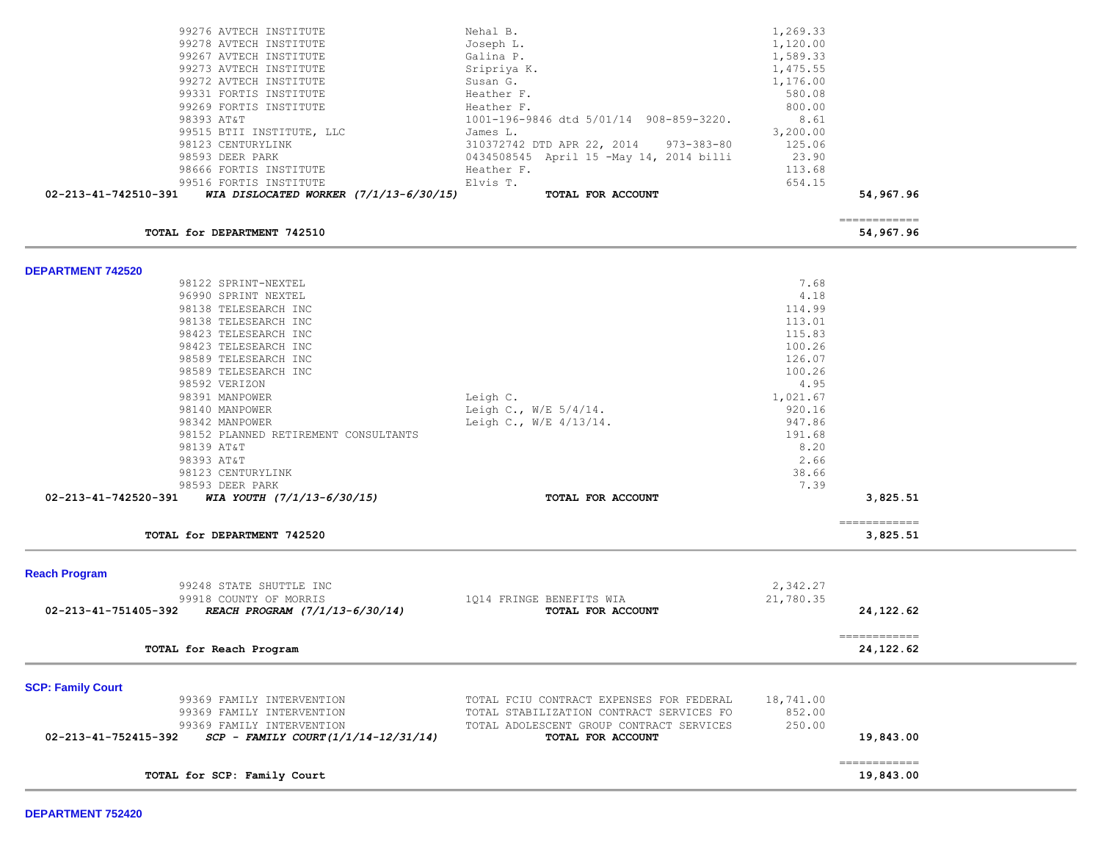| 99276 AVTECH INSTITUTE<br>99278 AVTECH INSTITUTE<br>99267 AVTECH INSTITUTE<br>99273 AVTECH INSTITUTE<br>99272 AVTECH INSTITUTE<br>99331 FORTIS INSTITUTE<br>99269 FORTIS INSTITUTE<br>98393 AT&T<br>99515 BTII INSTITUTE, LLC<br>98123 CENTURYLINK<br>98593 DEER PARK<br>98666 FORTIS INSTITUTE<br>99516 FORTIS INSTITUTE<br>02-213-41-742510-391<br>WIA DISLOCATED WORKER $(7/1/13-6/30/15)$                                                                | Nehal B.<br>Joseph L.<br>Galina P.<br>Sripriya K.<br>Susan G.<br>Heather F.<br>Heather F.<br>1001-196-9846 dtd 5/01/14 908-859-3220.<br>James L.<br>310372742 DTD APR 22, 2014 973-383-80<br>0434508545 April 15 -May 14, 2014 billi<br>Heather F.<br>Elvis T.<br>TOTAL FOR ACCOUNT | 1,269.33<br>1,120.00<br>1,589.33<br>1,475.55<br>1,176.00<br>580.08<br>800.00<br>8.61<br>3,200.00<br>125.06<br>23.90<br>113.68<br>654.15                     | 54,967.96<br>$=$ = = = = = = = = = = = = |  |
|--------------------------------------------------------------------------------------------------------------------------------------------------------------------------------------------------------------------------------------------------------------------------------------------------------------------------------------------------------------------------------------------------------------------------------------------------------------|-------------------------------------------------------------------------------------------------------------------------------------------------------------------------------------------------------------------------------------------------------------------------------------|-------------------------------------------------------------------------------------------------------------------------------------------------------------|------------------------------------------|--|
| TOTAL for DEPARTMENT 742510                                                                                                                                                                                                                                                                                                                                                                                                                                  |                                                                                                                                                                                                                                                                                     |                                                                                                                                                             | 54,967.96                                |  |
| <b>DEPARTMENT 742520</b><br>98122 SPRINT-NEXTEL<br>96990 SPRINT NEXTEL<br>98138 TELESEARCH INC<br>98138 TELESEARCH INC<br>98423 TELESEARCH INC<br>98423 TELESEARCH INC<br>98589 TELESEARCH INC<br>98589 TELESEARCH INC<br>98592 VERIZON<br>98391 MANPOWER<br>98140 MANPOWER<br>98342 MANPOWER<br>98152 PLANNED RETIREMENT CONSULTANTS<br>98139 AT&T<br>98393 AT&T<br>98123 CENTURYLINK<br>98593 DEER PARK<br>02-213-41-742520-391 WIA YOUTH (7/1/13-6/30/15) | Leigh C.<br>Leigh C., $W/E = 5/4/14$ .<br>Leigh C., W/E 4/13/14.<br>TOTAL FOR ACCOUNT                                                                                                                                                                                               | 7.68<br>4.18<br>114.99<br>113.01<br>115.83<br>100.26<br>126.07<br>100.26<br>4.95<br>1,021.67<br>920.16<br>947.86<br>191.68<br>8.20<br>2.66<br>38.66<br>7.39 | 3,825.51<br>------------                 |  |
| TOTAL for DEPARTMENT 742520                                                                                                                                                                                                                                                                                                                                                                                                                                  |                                                                                                                                                                                                                                                                                     |                                                                                                                                                             | 3,825.51                                 |  |
| <b>Reach Program</b><br>99248 STATE SHUTTLE INC<br>99918 COUNTY OF MORRIS<br>02-213-41-751405-392 REACH PROGRAM (7/1/13-6/30/14)<br>TOTAL for Reach Program                                                                                                                                                                                                                                                                                                  | 1014 FRINGE BENEFITS WIA<br>TOTAL FOR ACCOUNT                                                                                                                                                                                                                                       | 2,342.27<br>21,780.35                                                                                                                                       | 24,122.62<br>------------<br>24, 122.62  |  |
| <b>SCP: Family Court</b><br>99369 FAMILY INTERVENTION<br>99369 FAMILY INTERVENTION<br>99369 FAMILY INTERVENTION<br>02-213-41-752415-392<br>$SCP - FAMILY \; COUNT (1/1/14-12/31/14)$<br>TOTAL for SCP: Family Court                                                                                                                                                                                                                                          | TOTAL FCIU CONTRACT EXPENSES FOR FEDERAL<br>TOTAL STABILIZATION CONTRACT SERVICES FO<br>TOTAL ADOLESCENT GROUP CONTRACT SERVICES<br>TOTAL FOR ACCOUNT                                                                                                                               | 18,741.00<br>852.00<br>250.00                                                                                                                               | 19,843.00<br>-------------<br>19,843.00  |  |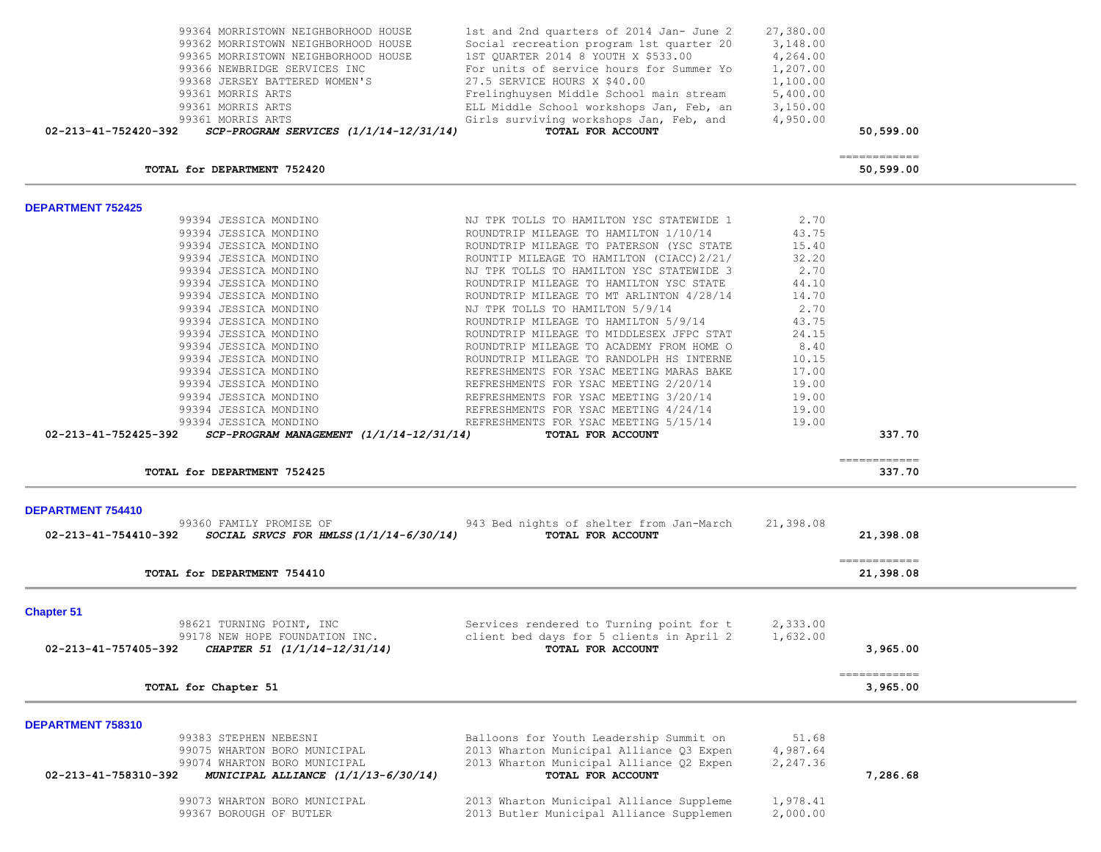|                          | 99362 MORRISTOWN NEIGHBORHOOD HOUSE<br>99365 MORRISTOWN NEIGHBORHOOD HOUSE<br>99366 NEWBRIDGE SERVICES INC<br>99368 JERSEY BATTERED WOMEN'S<br>99361 MORRIS ARTS<br>99361 MORRIS ARTS<br>99361 MORRIS ARTS | Social recreation program 1st quarter 20<br>1ST QUARTER 2014 8 YOUTH X \$533.00<br>For units of service hours for Summer Yo<br>27.5 SERVICE HOURS X \$40.00<br>Frelinghuysen Middle School main stream<br>ELL Middle School workshops Jan, Feb, an<br>Girls surviving workshops Jan, Feb, and | 3,148.00<br>4,264.00<br>1,207.00<br>1,100.00<br>5,400.00<br>3,150.00<br>4,950.00 |                          |  |
|--------------------------|------------------------------------------------------------------------------------------------------------------------------------------------------------------------------------------------------------|-----------------------------------------------------------------------------------------------------------------------------------------------------------------------------------------------------------------------------------------------------------------------------------------------|----------------------------------------------------------------------------------|--------------------------|--|
| 02-213-41-752420-392     | $SCP-PROGRAM$ SERVICES $(1/1/14-12/31/14)$                                                                                                                                                                 | TOTAL FOR ACCOUNT                                                                                                                                                                                                                                                                             |                                                                                  | 50,599.00                |  |
|                          |                                                                                                                                                                                                            |                                                                                                                                                                                                                                                                                               |                                                                                  | -------------            |  |
|                          | TOTAL for DEPARTMENT 752420                                                                                                                                                                                |                                                                                                                                                                                                                                                                                               |                                                                                  | 50,599.00                |  |
| <b>DEPARTMENT 752425</b> |                                                                                                                                                                                                            |                                                                                                                                                                                                                                                                                               |                                                                                  |                          |  |
|                          | 99394 JESSICA MONDINO                                                                                                                                                                                      | NJ TPK TOLLS TO HAMILTON YSC STATEWIDE 1                                                                                                                                                                                                                                                      | 2.70                                                                             |                          |  |
|                          | 99394 JESSICA MONDINO                                                                                                                                                                                      | ROUNDTRIP MILEAGE TO HAMILTON 1/10/14                                                                                                                                                                                                                                                         | 43.75                                                                            |                          |  |
|                          | 99394 JESSICA MONDINO                                                                                                                                                                                      | ROUNDTRIP MILEAGE TO PATERSON (YSC STATE                                                                                                                                                                                                                                                      | 15.40                                                                            |                          |  |
|                          | 99394 JESSICA MONDINO                                                                                                                                                                                      | ROUNTIP MILEAGE TO HAMILTON (CIACC) 2/21/                                                                                                                                                                                                                                                     | 32.20                                                                            |                          |  |
|                          | 99394 JESSICA MONDINO                                                                                                                                                                                      | NJ TPK TOLLS TO HAMILTON YSC STATEWIDE 3                                                                                                                                                                                                                                                      | 2.70                                                                             |                          |  |
|                          | 99394 JESSICA MONDINO                                                                                                                                                                                      | ROUNDTRIP MILEAGE TO HAMILTON YSC STATE                                                                                                                                                                                                                                                       | 44.10                                                                            |                          |  |
|                          | 99394 JESSICA MONDINO                                                                                                                                                                                      | ROUNDTRIP MILEAGE TO MT ARLINTON 4/28/14                                                                                                                                                                                                                                                      | 14.70                                                                            |                          |  |
|                          | 99394 JESSICA MONDINO                                                                                                                                                                                      | NJ TPK TOLLS TO HAMILTON 5/9/14                                                                                                                                                                                                                                                               | 2.70                                                                             |                          |  |
|                          | 99394 JESSICA MONDINO                                                                                                                                                                                      | ROUNDTRIP MILEAGE TO HAMILTON 5/9/14                                                                                                                                                                                                                                                          | 43.75                                                                            |                          |  |
|                          | 99394 JESSICA MONDINO                                                                                                                                                                                      | ROUNDTRIP MILEAGE TO MIDDLESEX JFPC STAT                                                                                                                                                                                                                                                      | 24.15                                                                            |                          |  |
|                          | 99394 JESSICA MONDINO                                                                                                                                                                                      | ROUNDTRIP MILEAGE TO ACADEMY FROM HOME O                                                                                                                                                                                                                                                      | 8.40                                                                             |                          |  |
|                          | 99394 JESSICA MONDINO                                                                                                                                                                                      | ROUNDTRIP MILEAGE TO RANDOLPH HS INTERNE                                                                                                                                                                                                                                                      | 10.15                                                                            |                          |  |
|                          | 99394 JESSICA MONDINO                                                                                                                                                                                      | REFRESHMENTS FOR YSAC MEETING MARAS BAKE                                                                                                                                                                                                                                                      | 17.00                                                                            |                          |  |
|                          | 99394 JESSICA MONDINO                                                                                                                                                                                      | REFRESHMENTS FOR YSAC MEETING 2/20/14                                                                                                                                                                                                                                                         | 19.00                                                                            |                          |  |
|                          | 99394 JESSICA MONDINO                                                                                                                                                                                      | REFRESHMENTS FOR YSAC MEETING 3/20/14                                                                                                                                                                                                                                                         | 19.00                                                                            |                          |  |
|                          | 99394 JESSICA MONDINO                                                                                                                                                                                      | REFRESHMENTS FOR YSAC MEETING 4/24/14                                                                                                                                                                                                                                                         | 19.00                                                                            |                          |  |
|                          | 99394 JESSICA MONDINO                                                                                                                                                                                      | REFRESHMENTS FOR YSAC MEETING 5/15/14                                                                                                                                                                                                                                                         | 19.00                                                                            |                          |  |
| 02-213-41-752425-392     | $SCP-PROGRAM$ MANAGEMENT $(1/1/14-12/31/14)$                                                                                                                                                               | TOTAL FOR ACCOUNT                                                                                                                                                                                                                                                                             |                                                                                  | 337.70                   |  |
|                          |                                                                                                                                                                                                            |                                                                                                                                                                                                                                                                                               |                                                                                  |                          |  |
|                          | TOTAL for DEPARTMENT 752425                                                                                                                                                                                |                                                                                                                                                                                                                                                                                               |                                                                                  | ------------<br>337.70   |  |
|                          |                                                                                                                                                                                                            |                                                                                                                                                                                                                                                                                               |                                                                                  |                          |  |
| DEPARTMENT 754410        |                                                                                                                                                                                                            |                                                                                                                                                                                                                                                                                               |                                                                                  |                          |  |
| 02-213-41-754410-392     | 99360 FAMILY PROMISE OF<br>SOCIAL SRVCS FOR HMLSS $(1/1/14-6/30/14)$                                                                                                                                       | 943 Bed nights of shelter from Jan-March<br>TOTAL FOR ACCOUNT                                                                                                                                                                                                                                 | 21,398.08                                                                        | 21,398.08                |  |
|                          |                                                                                                                                                                                                            |                                                                                                                                                                                                                                                                                               |                                                                                  |                          |  |
|                          |                                                                                                                                                                                                            |                                                                                                                                                                                                                                                                                               |                                                                                  | ------------             |  |
|                          | TOTAL for DEPARTMENT 754410                                                                                                                                                                                |                                                                                                                                                                                                                                                                                               |                                                                                  | 21,398.08                |  |
| <b>Chapter 51</b>        |                                                                                                                                                                                                            |                                                                                                                                                                                                                                                                                               |                                                                                  |                          |  |
|                          | 98621 TURNING POINT, INC                                                                                                                                                                                   | Services rendered to Turning point for t                                                                                                                                                                                                                                                      | 2,333.00                                                                         |                          |  |
|                          | 99178 NEW HOPE FOUNDATION INC.                                                                                                                                                                             | client bed days for 5 clients in April 2                                                                                                                                                                                                                                                      | 1,632.00                                                                         |                          |  |
| 02-213-41-757405-392     | CHAPTER 51 (1/1/14-12/31/14)                                                                                                                                                                               | TOTAL FOR ACCOUNT                                                                                                                                                                                                                                                                             |                                                                                  | 3,965.00                 |  |
|                          |                                                                                                                                                                                                            |                                                                                                                                                                                                                                                                                               |                                                                                  |                          |  |
|                          | TOTAL for Chapter 51                                                                                                                                                                                       |                                                                                                                                                                                                                                                                                               |                                                                                  | ------------<br>3,965.00 |  |
|                          |                                                                                                                                                                                                            |                                                                                                                                                                                                                                                                                               |                                                                                  |                          |  |
| DEPARTMENT 758310        |                                                                                                                                                                                                            |                                                                                                                                                                                                                                                                                               |                                                                                  |                          |  |
|                          | 99383 STEPHEN NEBESNI                                                                                                                                                                                      | Balloons for Youth Leadership Summit on                                                                                                                                                                                                                                                       | 51.68                                                                            |                          |  |
|                          | 99075 WHARTON BORO MUNICIPAL                                                                                                                                                                               | 2013 Wharton Municipal Alliance Q3 Expen                                                                                                                                                                                                                                                      | 4,987.64                                                                         |                          |  |
|                          | 99074 WHARTON BORO MUNICIPAL                                                                                                                                                                               | 2013 Wharton Municipal Alliance Q2 Expen                                                                                                                                                                                                                                                      | 2,247.36                                                                         |                          |  |
| 02-213-41-758310-392     | MUNICIPAL ALLIANCE (1/1/13-6/30/14)                                                                                                                                                                        | TOTAL FOR ACCOUNT                                                                                                                                                                                                                                                                             |                                                                                  | 7,286.68                 |  |
|                          |                                                                                                                                                                                                            |                                                                                                                                                                                                                                                                                               |                                                                                  |                          |  |
|                          | 99073 WHARTON BORO MUNICIPAL                                                                                                                                                                               | 2013 Wharton Municipal Alliance Suppleme                                                                                                                                                                                                                                                      | 1,978.41                                                                         |                          |  |
|                          | 99367 BOROUGH OF BUTLER                                                                                                                                                                                    | 2013 Butler Municipal Alliance Supplemen                                                                                                                                                                                                                                                      | 2,000.00                                                                         |                          |  |

99364 MORRISTOWN NEIGHBORHOOD HOUSE 1st and 2nd quarters of 2014 Jan- June 2 27,380.00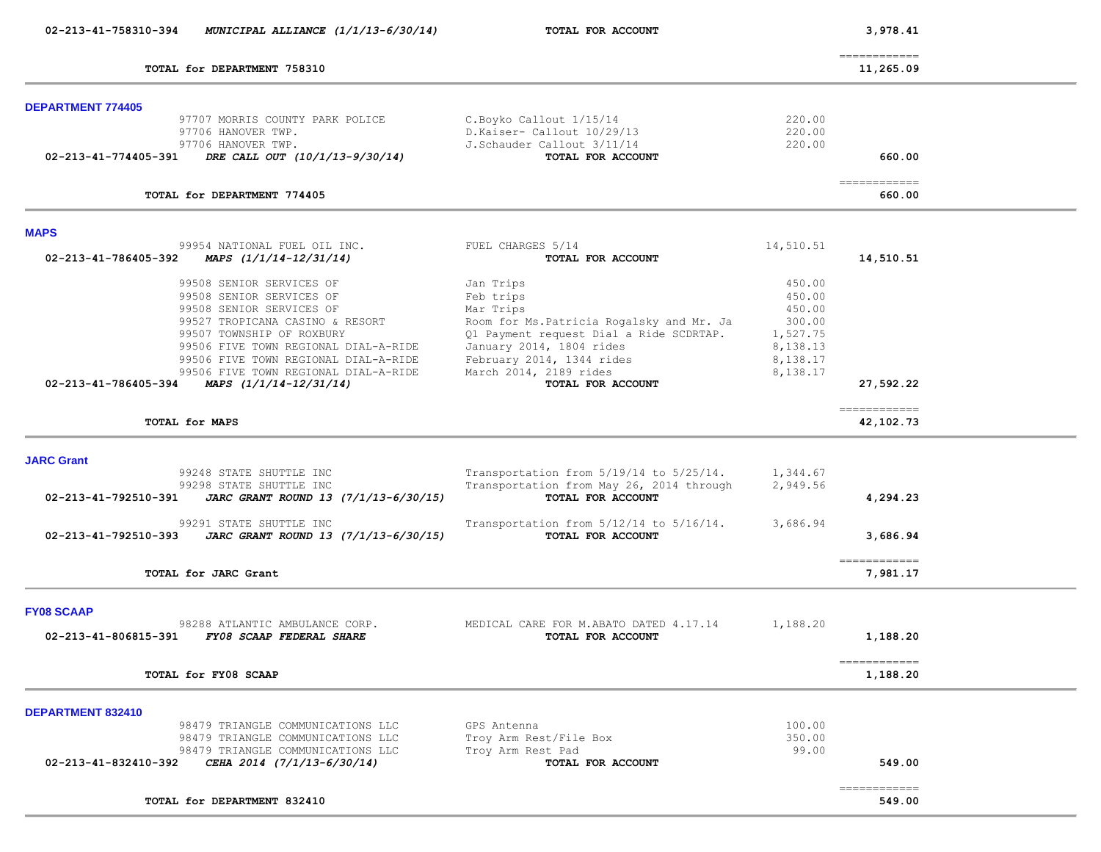| 02-213-41-758310-394<br>MUNICIPAL ALLIANCE $(1/1/13-6/30/14)$                                | TOTAL FOR ACCOUNT                                            |                      | 3,978.41                    |  |
|----------------------------------------------------------------------------------------------|--------------------------------------------------------------|----------------------|-----------------------------|--|
| TOTAL for DEPARTMENT 758310                                                                  |                                                              |                      | -------------<br>11,265.09  |  |
| <b>DEPARTMENT 774405</b>                                                                     |                                                              |                      |                             |  |
| 97707 MORRIS COUNTY PARK POLICE<br>97706 HANOVER TWP.                                        | C.Boyko Callout 1/15/14<br>D.Kaiser- Callout 10/29/13        | 220.00<br>220.00     |                             |  |
| 97706 HANOVER TWP.<br>02-213-41-774405-391 DRE CALL OUT (10/1/13-9/30/14)                    | J.Schauder Callout 3/11/14<br>TOTAL FOR ACCOUNT              | 220.00               | 660.00                      |  |
| TOTAL for DEPARTMENT 774405                                                                  |                                                              |                      | ============<br>660.00      |  |
|                                                                                              |                                                              |                      |                             |  |
| <b>MAPS</b><br>99954 NATIONAL FUEL OIL INC.<br>02-213-41-786405-392 MAPS $(1/1/14-12/31/14)$ | FUEL CHARGES 5/14<br>TOTAL FOR ACCOUNT                       | 14,510.51            | 14,510.51                   |  |
| 99508 SENIOR SERVICES OF                                                                     | Jan Trips                                                    | 450.00               |                             |  |
| 99508 SENIOR SERVICES OF<br>99508 SENIOR SERVICES OF                                         | Feb trips<br>Mar Trips                                       | 450.00<br>450.00     |                             |  |
| 99527 TROPICANA CASINO & RESORT                                                              | Room for Ms. Patricia Rogalsky and Mr. Ja                    | 300.00               |                             |  |
| 99507 TOWNSHIP OF ROXBURY                                                                    | Q1 Payment request Dial a Ride SCDRTAP.                      | 1,527.75             |                             |  |
| 99506 FIVE TOWN REGIONAL DIAL-A-RIDE<br>99506 FIVE TOWN REGIONAL DIAL-A-RIDE                 | January 2014, 1804 rides<br>February 2014, 1344 rides        | 8,138.13<br>8,138.17 |                             |  |
| 99506 FIVE TOWN REGIONAL DIAL-A-RIDE                                                         | March 2014, 2189 rides                                       | 8,138.17             |                             |  |
| 02-213-41-786405-394 MAPS $(1/1/14-12/31/14)$                                                | TOTAL FOR ACCOUNT                                            |                      | 27,592.22                   |  |
| TOTAL for MAPS                                                                               |                                                              |                      | -------------<br>42,102.73  |  |
|                                                                                              |                                                              |                      |                             |  |
| <b>JARC Grant</b><br>99248 STATE SHUTTLE INC                                                 | Transportation from $5/19/14$ to $5/25/14$ .                 | 1,344.67             |                             |  |
| 99298 STATE SHUTTLE INC                                                                      | Transportation from May 26, 2014 through                     | 2,949.56             |                             |  |
| 02-213-41-792510-391<br>JARC GRANT ROUND 13 (7/1/13-6/30/15)                                 | TOTAL FOR ACCOUNT                                            |                      | 4,294.23                    |  |
| 99291 STATE SHUTTLE INC<br>02-213-41-792510-393<br>JARC GRANT ROUND 13 (7/1/13-6/30/15)      | Transportation from 5/12/14 to 5/16/14.<br>TOTAL FOR ACCOUNT | 3,686.94             | 3,686.94                    |  |
| TOTAL for JARC Grant                                                                         |                                                              |                      | -------------<br>7,981.17   |  |
| <b>FY08 SCAAP</b>                                                                            |                                                              |                      |                             |  |
| 98288 ATLANTIC AMBULANCE CORP.                                                               | MEDICAL CARE FOR M.ABATO DATED 4.17.14                       | 1,188.20             |                             |  |
| 02-213-41-806815-391<br>FY08 SCAAP FEDERAL SHARE                                             | TOTAL FOR ACCOUNT                                            |                      | 1,188.20                    |  |
| TOTAL for FY08 SCAAP                                                                         |                                                              |                      | ------------<br>1,188.20    |  |
| <b>DEPARTMENT 832410</b>                                                                     |                                                              |                      |                             |  |
| 98479 TRIANGLE COMMUNICATIONS LLC                                                            | GPS Antenna                                                  | 100.00               |                             |  |
| 98479 TRIANGLE COMMUNICATIONS LLC                                                            | Troy Arm Rest/File Box                                       | 350.00               |                             |  |
| 98479 TRIANGLE COMMUNICATIONS LLC<br>02-213-41-832410-392<br>CEHA 2014 (7/1/13-6/30/14)      | Troy Arm Rest Pad<br>TOTAL FOR ACCOUNT                       | 99.00                | 549.00                      |  |
|                                                                                              |                                                              |                      | $=$ = = = = = = = = = = = = |  |
| TOTAL for DEPARTMENT 832410                                                                  |                                                              |                      | 549.00                      |  |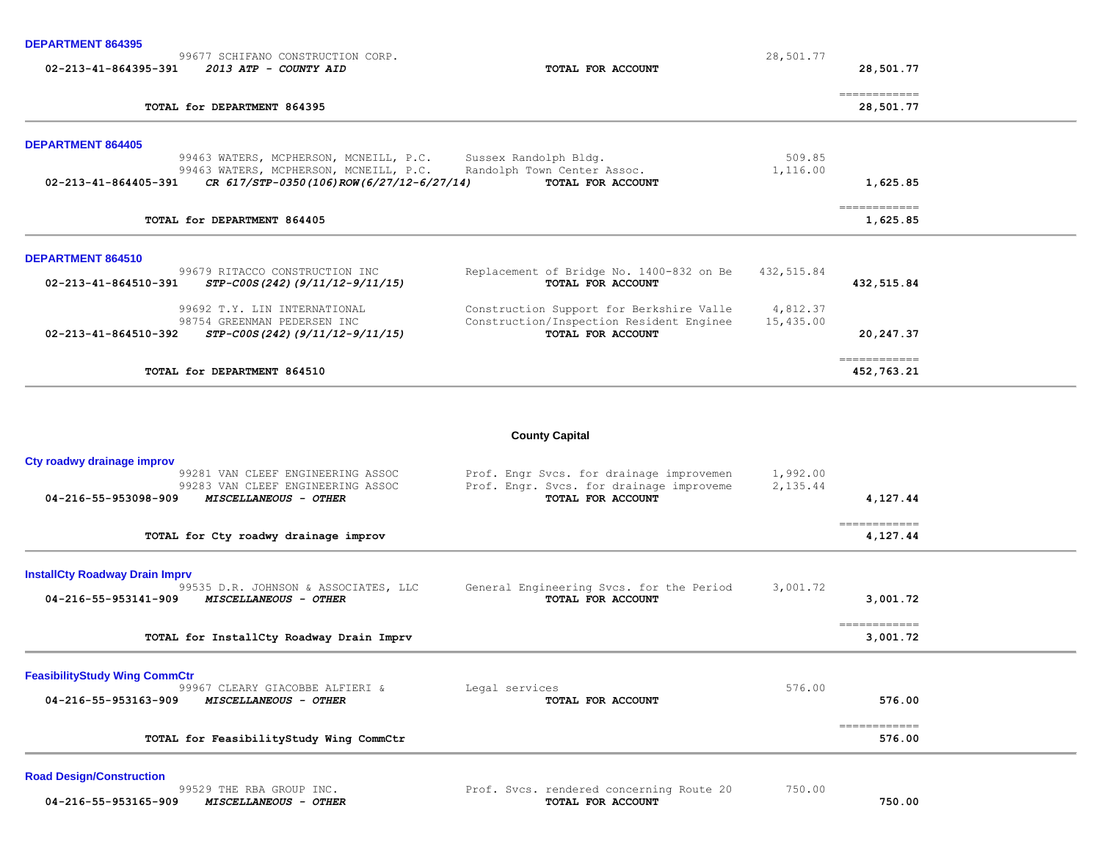**DEPARTMENT 864395** 

|                                | 99677 SCHIFANO CONSTRUCTION CORP.        |                                          | 28,501.77  |                            |
|--------------------------------|------------------------------------------|------------------------------------------|------------|----------------------------|
| 02-213-41-864395-391           | 2013 ATP - COUNTY AID                    | TOTAL FOR ACCOUNT                        |            | 28,501.77                  |
|                                | TOTAL for DEPARTMENT 864395              |                                          |            | ============<br>28,501.77  |
| <b>DEPARTMENT 864405</b>       |                                          |                                          |            |                            |
|                                | 99463 WATERS, MCPHERSON, MCNEILL, P.C.   | Sussex Randolph Bldg.                    | 509.85     |                            |
|                                | 99463 WATERS, MCPHERSON, MCNEILL, P.C.   | Randolph Town Center Assoc.              | 1,116.00   |                            |
| $02 - 213 - 41 - 864405 - 391$ | CR 617/STP-0350(106)ROW(6/27/12-6/27/14) | TOTAL FOR ACCOUNT                        |            | 1,625.85                   |
|                                | TOTAL for DEPARTMENT 864405              |                                          |            | ============               |
|                                |                                          |                                          |            | 1,625.85                   |
| <b>DEPARTMENT 864510</b>       |                                          |                                          |            |                            |
|                                | 99679 RITACCO CONSTRUCTION INC           | Replacement of Bridge No. 1400-832 on Be | 432,515.84 |                            |
| 02-213-41-864510-391           | STP-C00S(242)(9/11/12-9/11/15)           | TOTAL FOR ACCOUNT                        |            | 432,515.84                 |
|                                | 99692 T.Y. LIN INTERNATIONAL             | Construction Support for Berkshire Valle | 4,812.37   |                            |
|                                | 98754 GREENMAN PEDERSEN INC              | Construction/Inspection Resident Enginee | 15,435.00  |                            |
| 02-213-41-864510-392           | STP-C00S(242)(9/11/12-9/11/15)           | TOTAL FOR ACCOUNT                        |            | 20,247.37                  |
|                                | TOTAL for DEPARTMENT 864510              |                                          |            | ============<br>452,763.21 |
|                                |                                          |                                          |            |                            |
|                                |                                          | <b>County Capital</b>                    |            |                            |
| Cty roadwy drainage improv     |                                          |                                          |            |                            |
|                                | 99281 VAN CLEEF ENGINEERING ASSOC        | Prof. Engr Svcs. for drainage improvemen | 1,992.00   |                            |

| 99283 VAN CLEEF ENGINEERING ASSOC<br>04-216-55-953098-909<br><i>MISCELLANEOUS - OTHER</i> | Prof. Engr. Svcs. for drainage improveme<br>TOTAL FOR ACCOUNT | 2,135.44<br>4,127.44 |
|-------------------------------------------------------------------------------------------|---------------------------------------------------------------|----------------------|
|                                                                                           |                                                               |                      |
| TOTAL for Ctv roadwy drainage improv                                                      |                                                               | 4.127.44             |

**InstallCty Roadway Drain Imprv**

| 04-216-55-953141-909<br><i>MISCELLANEOUS - OTHER</i> | TOTAL FOR ACCOUNT | 3,001.72<br>============ |  |
|------------------------------------------------------|-------------------|--------------------------|--|
| TOTAL for InstallCty Roadway Drain Imprv             |                   | 3,001.72                 |  |
| <b>FeasibilityStudy Wing CommCtr</b>                 |                   |                          |  |

99967 CLEARY GIACOBBE ALFIERI & Legal services 676.00  **04-216-55-953163-909** *MISCELLANEOUS - OTHER* **TOTAL FOR ACCOUNT 576.00** ============ **TOTAL for FeasibilityStudy Wing CommCtr 576.00**

**Road Design/Construction** 

99529 THE RBA GROUP INC.<br> **99529 THE RBA GROUP INC.** Prof. Svcs. rendered concerning Route 20 750.00  **04-216-55-953165-909** *MISCELLANEOUS - OTHER* **TOTAL FOR ACCOUNT 750.00**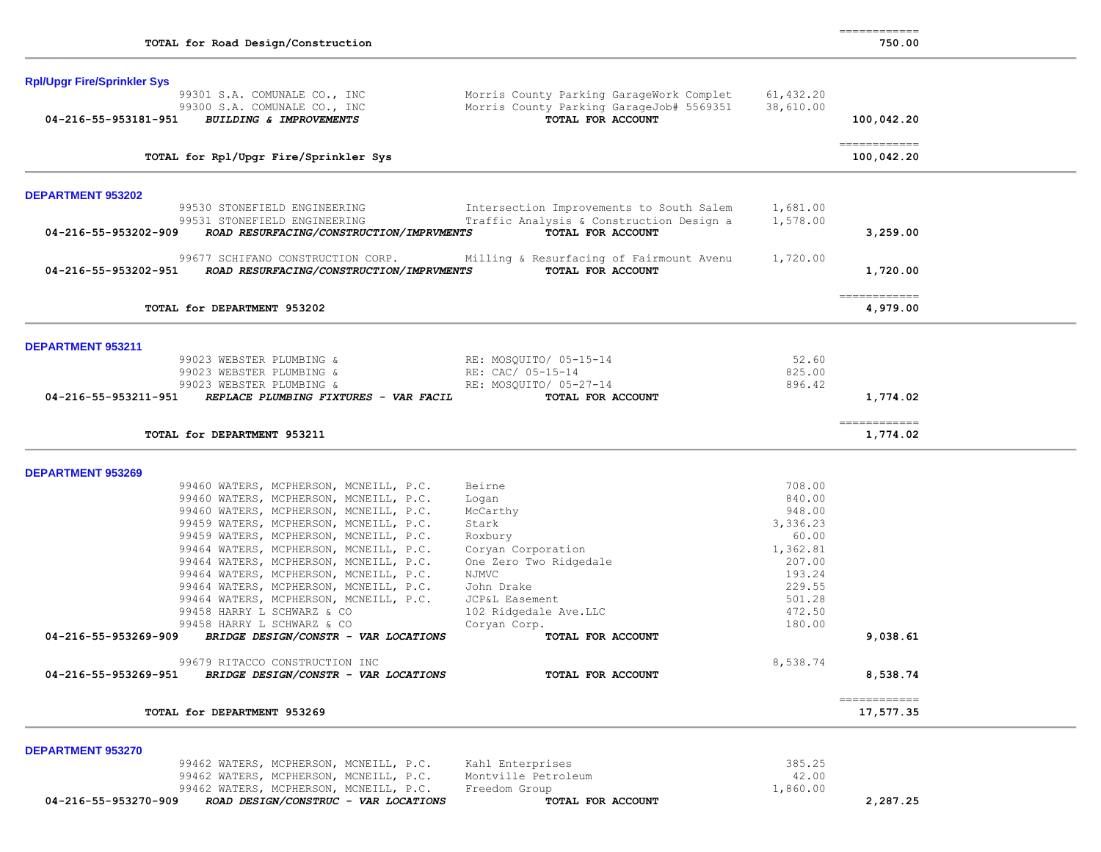| 750 |  | 00 |  |
|-----|--|----|--|
|     |  |    |  |

| <b>Rpl/Upgr Fire/Sprinkler Sys</b>                                                                           |                                                                                                           |                        |                            |
|--------------------------------------------------------------------------------------------------------------|-----------------------------------------------------------------------------------------------------------|------------------------|----------------------------|
| 99301 S.A. COMUNALE CO., INC<br>99300 S.A. COMUNALE CO., INC<br>04-216-55-953181-951 BUILDING & IMPROVEMENTS | Morris County Parking GarageWork Complet<br>Morris County Parking GarageJob# 5569351<br>TOTAL FOR ACCOUNT | 61,432.20<br>38,610.00 | 100,042.20                 |
|                                                                                                              |                                                                                                           |                        |                            |
| TOTAL for Rpl/Upgr Fire/Sprinkler Sys                                                                        |                                                                                                           |                        | ------------<br>100,042.20 |
| <b>DEPARTMENT 953202</b>                                                                                     |                                                                                                           |                        |                            |
| 99530 STONEFIELD ENGINEERING                                                                                 | Intersection Improvements to South Salem                                                                  | 1,681.00               |                            |
| 99531 STONEFIELD ENGINEERING<br>04-216-55-953202-909<br>ROAD RESURFACING/CONSTRUCTION/IMPRVMENTS             | Traffic Analysis & Construction Design a<br>TOTAL FOR ACCOUNT                                             | 1,578.00               | 3,259.00                   |
| 99677 SCHIFANO CONSTRUCTION CORP.                                                                            | Milling & Resurfacing of Fairmount Avenu                                                                  | 1,720.00               |                            |
| 04-216-55-953202-951 ROAD RESURFACING/CONSTRUCTION/IMPRVMENTS                                                | TOTAL FOR ACCOUNT                                                                                         |                        | 1,720.00                   |
| TOTAL for DEPARTMENT 953202                                                                                  |                                                                                                           |                        | ------------<br>4,979.00   |
| DEPARTMENT 953211                                                                                            |                                                                                                           |                        |                            |
| 99023 WEBSTER PLUMBING &                                                                                     | RE: MOSQUITO/ 05-15-14                                                                                    | 52.60                  |                            |
| 99023 WEBSTER PLUMBING &                                                                                     | RE: CAC/ 05-15-14                                                                                         | 825.00                 |                            |
| 99023 WEBSTER PLUMBING &                                                                                     | RE: MOSOUITO/ 05-27-14                                                                                    | 896.42                 |                            |
| 04-216-55-953211-951<br>REPLACE PLUMBING FIXTURES - VAR FACIL                                                | TOTAL FOR ACCOUNT                                                                                         |                        | 1,774.02                   |
| TOTAL for DEPARTMENT 953211                                                                                  |                                                                                                           |                        | ------------<br>1,774.02   |
| <b>DEPARTMENT 953269</b>                                                                                     |                                                                                                           |                        |                            |
| 99460 WATERS, MCPHERSON, MCNEILL, P.C.                                                                       | Beirne                                                                                                    | 708.00                 |                            |
| 99460 WATERS, MCPHERSON, MCNEILL, P.C.                                                                       | Logan                                                                                                     | 840.00                 |                            |
| 99460 WATERS, MCPHERSON, MCNEILL, P.C.                                                                       | McCarthy                                                                                                  | 948.00                 |                            |
| 99459 WATERS, MCPHERSON, MCNEILL, P.C.                                                                       | Stark                                                                                                     | 3,336.23               |                            |
| 99459 WATERS, MCPHERSON, MCNEILL, P.C.                                                                       | Roxbury                                                                                                   | 60.00                  |                            |
| 99464 WATERS, MCPHERSON, MCNEILL, P.C.<br>99464 WATERS, MCPHERSON, MCNEILL, P.C.                             | Coryan Corporation<br>One Zero Two Ridgedale                                                              | 1,362.81<br>207.00     |                            |
| 99464 WATERS, MCPHERSON, MCNEILL, P.C.                                                                       | NJMVC                                                                                                     | 193.24                 |                            |
| 99464 WATERS, MCPHERSON, MCNEILL, P.C.                                                                       | John Drake                                                                                                | 229.55                 |                            |
| 99464 WATERS, MCPHERSON, MCNEILL, P.C.                                                                       | JCP&L Easement                                                                                            | 501.28                 |                            |
| 99458 HARRY L SCHWARZ & CO                                                                                   | 102 Ridgedale Ave.LLC                                                                                     | 472.50                 |                            |
| 99458 HARRY L SCHWARZ & CO                                                                                   | Corvan Corp.                                                                                              | 180.00                 |                            |
| 04-216-55-953269-909<br>BRIDGE DESIGN/CONSTR - VAR LOCATIONS                                                 | TOTAL FOR ACCOUNT                                                                                         |                        | 9,038.61                   |
| 99679 RITACCO CONSTRUCTION INC                                                                               |                                                                                                           | 8,538.74               |                            |
| 04-216-55-953269-951<br>BRIDGE DESIGN/CONSTR - VAR LOCATIONS                                                 | TOTAL FOR ACCOUNT                                                                                         |                        | 8,538.74                   |
| TOTAL for DEPARTMENT 953269                                                                                  |                                                                                                           |                        | ------------<br>17,577.35  |
| <b>DEPARTMENT 953270</b>                                                                                     |                                                                                                           |                        |                            |
| 99462 WATERS, MCPHERSON, MCNEILL, P.C.                                                                       | Kahl Enterprises                                                                                          | 385.25                 |                            |
| 99462 WATERS, MCPHERSON, MCNEILL, P.C.                                                                       | Montville Petroleum                                                                                       | 42.00                  |                            |
| 99462 WATERS, MCPHERSON, MCNEILL, P.C.                                                                       | Freedom Group                                                                                             | 1,860.00               |                            |
| ROAD DESIGN/CONSTRUC - VAR LOCATIONS<br>04-216-55-953270-909                                                 | TOTAL FOR ACCOUNT                                                                                         |                        | 2,287.25                   |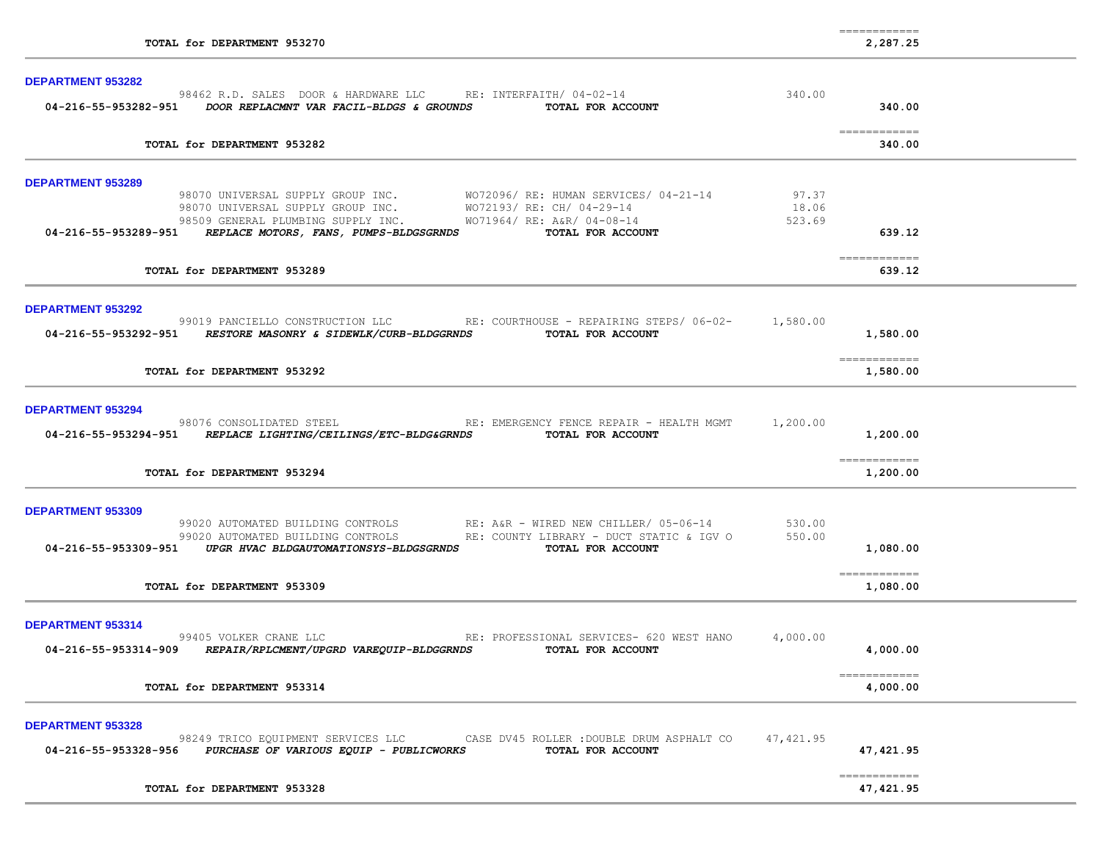| TOTAL for DEPARTMENT 953270                                                                                                                                                                                                                                                                            |           | ------------<br>2,287.25  |  |
|--------------------------------------------------------------------------------------------------------------------------------------------------------------------------------------------------------------------------------------------------------------------------------------------------------|-----------|---------------------------|--|
| DEPARTMENT 953282                                                                                                                                                                                                                                                                                      |           |                           |  |
| 98462 R.D. SALES DOOR & HARDWARE LLC RE: INTERFAITH/ 04-02-14<br>04-216-55-953282-951 DOOR REPLACMNT VAR FACIL-BLDGS & GROUNDS<br>TOTAL FOR ACCOUNT                                                                                                                                                    | 340.00    | 340.00                    |  |
| TOTAL for DEPARTMENT 953282                                                                                                                                                                                                                                                                            |           | 340.00                    |  |
| <b>DEPARTMENT 953289</b>                                                                                                                                                                                                                                                                               |           |                           |  |
| 98070 UNIVERSAL SUPPLY GROUP INC. WO72096/RE: HUMAN SERVICES/04-21-14 97.37<br>98070 UNIVERSAL SUPPLY GROUP INC. WO72193/RE: CH/04-29-14 18.06<br>98509 GENERAL PLUMBING SUPPLY INC. WO71964/ RE: A&R/ 04-08-14<br>04-216-55-953289-951 REPLACE MOTORS, FANS, PUMPS-BLDGSGRNDS TOTAL FOR ACCOUNT       | 523.69    | 639.12                    |  |
| TOTAL for DEPARTMENT 953289                                                                                                                                                                                                                                                                            |           | ------------<br>639.12    |  |
| <b>DEPARTMENT 953292</b>                                                                                                                                                                                                                                                                               |           |                           |  |
| 99019 PANCIELLO CONSTRUCTION LLC RE: COURTHOUSE - REPAIRING STEPS/ 06-02- 1,580.00<br>04-216-55-953292-951 RESTORE MASONRY & SIDEWLK/CURB-BLDGGRNDS TOTAL FOR ACCOUNT                                                                                                                                  |           | 1,580.00                  |  |
| TOTAL for DEPARTMENT 953292                                                                                                                                                                                                                                                                            |           | 1,580.00                  |  |
| <b>DEPARTMENT 953294</b>                                                                                                                                                                                                                                                                               |           |                           |  |
| RE: EMERGENCY FENCE REPAIR - HEALTH MGMT<br>98076 CONSOLIDATED STEEL<br>04-216-55-953294-951 REPLACE LIGHTING/CEILINGS/ETC-BLDG&GRNDS<br>TOTAL FOR ACCOUNT                                                                                                                                             | 1,200.00  | 1,200.00                  |  |
| TOTAL for DEPARTMENT 953294                                                                                                                                                                                                                                                                            |           | ------------<br>1,200.00  |  |
| DEPARTMENT 953309                                                                                                                                                                                                                                                                                      |           |                           |  |
| 99020 AUTOMATED BUILDING CONTROLS              RE: A&R - WIRED NEW CHILLER/ 05-06-14              530.00<br>99020 AUTOMATED BUILDING CONTROLS             RE: COUNTY LIBRARY - DUCT STATIC & IGV 0          550.00<br>04-216-55-953309-951 UPGR HVAC BLDGAUTOMATIONSYS-BLDGSGRNDS<br>TOTAL FOR ACCOUNT |           | 1,080.00                  |  |
| TOTAL for DEPARTMENT 953309                                                                                                                                                                                                                                                                            |           | 1,080.00                  |  |
| <b>DEPARTMENT 953314</b>                                                                                                                                                                                                                                                                               |           |                           |  |
| 99405 VOLKER CRANE LLC<br>RE: PROFESSIONAL SERVICES- 620 WEST HANO<br>04-216-55-953314-909<br>TOTAL FOR ACCOUNT<br>REPAIR/RPLCMENT/UPGRD VAREQUIP-BLDGGRNDS                                                                                                                                            | 4,000.00  | 4,000.00                  |  |
| TOTAL for DEPARTMENT 953314                                                                                                                                                                                                                                                                            |           | ------------<br>4,000.00  |  |
| <b>DEPARTMENT 953328</b><br>98249 TRICO EQUIPMENT SERVICES LLC<br>CASE DV45 ROLLER : DOUBLE DRUM ASPHALT CO<br>04-216-55-953328-956<br>PURCHASE OF VARIOUS EQUIP - PUBLICWORKS<br>TOTAL FOR ACCOUNT                                                                                                    | 47,421.95 | 47,421.95                 |  |
| TOTAL for DEPARTMENT 953328                                                                                                                                                                                                                                                                            |           | ============<br>47,421.95 |  |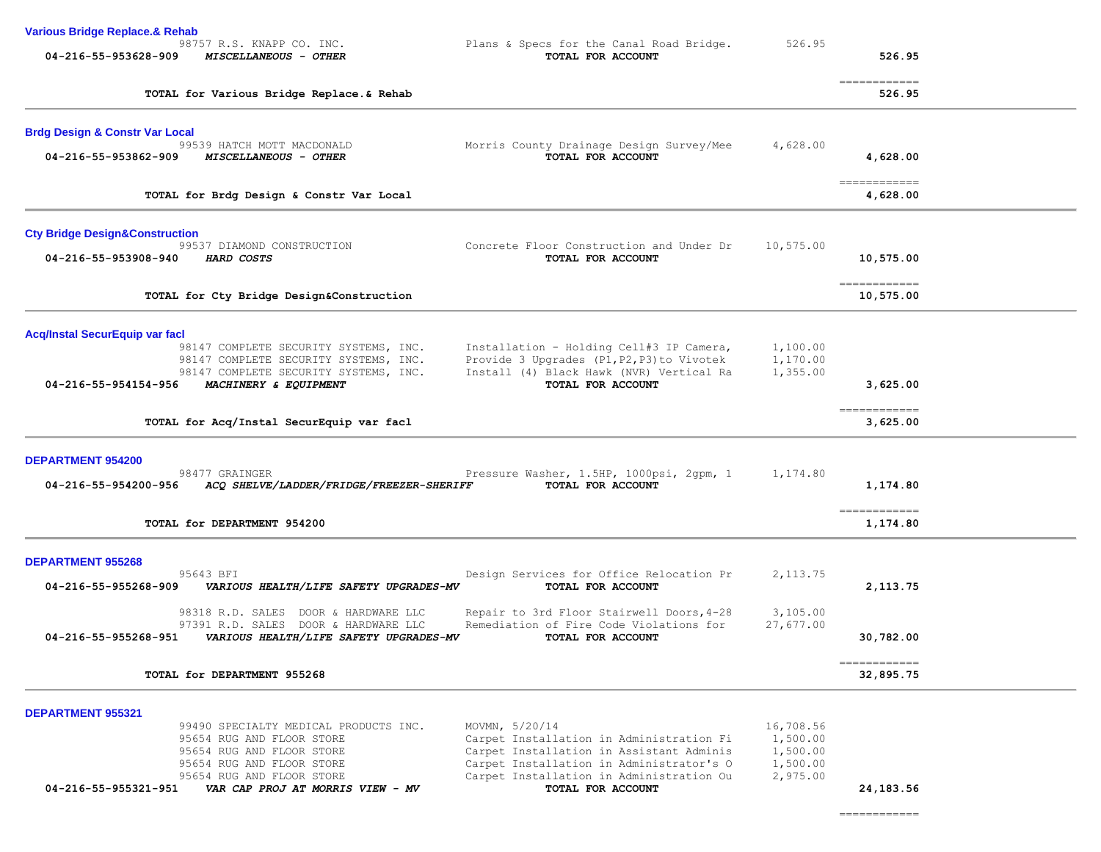| <b>Various Bridge Replace.&amp; Rehab</b>                                                                                    |                                                                                                                                                    |                                               |                                                                                                                                                                                                                                                                                                                                                                                                                                                                                                  |  |
|------------------------------------------------------------------------------------------------------------------------------|----------------------------------------------------------------------------------------------------------------------------------------------------|-----------------------------------------------|--------------------------------------------------------------------------------------------------------------------------------------------------------------------------------------------------------------------------------------------------------------------------------------------------------------------------------------------------------------------------------------------------------------------------------------------------------------------------------------------------|--|
| 98757 R.S. KNAPP CO. INC.<br>04-216-55-953628-909<br>MISCELLANEOUS - OTHER                                                   | Plans & Specs for the Canal Road Bridge.<br>TOTAL FOR ACCOUNT                                                                                      | 526.95                                        | 526.95                                                                                                                                                                                                                                                                                                                                                                                                                                                                                           |  |
| TOTAL for Various Bridge Replace.& Rehab                                                                                     |                                                                                                                                                    |                                               | $\begin{array}{cccccccccc} \multicolumn{2}{c}{} & \multicolumn{2}{c}{} & \multicolumn{2}{c}{} & \multicolumn{2}{c}{} & \multicolumn{2}{c}{} & \multicolumn{2}{c}{} & \multicolumn{2}{c}{} & \multicolumn{2}{c}{} & \multicolumn{2}{c}{} & \multicolumn{2}{c}{} & \multicolumn{2}{c}{} & \multicolumn{2}{c}{} & \multicolumn{2}{c}{} & \multicolumn{2}{c}{} & \multicolumn{2}{c}{} & \multicolumn{2}{c}{} & \multicolumn{2}{c}{} & \multicolumn{2}{c}{} & \multicolumn{2}{c}{} & \mult$<br>526.95 |  |
| <b>Brdg Design &amp; Constr Var Local</b>                                                                                    |                                                                                                                                                    |                                               |                                                                                                                                                                                                                                                                                                                                                                                                                                                                                                  |  |
| 99539 HATCH MOTT MACDONALD<br>04-216-55-953862-909<br>MISCELLANEOUS - OTHER                                                  | Morris County Drainage Design Survey/Mee<br>TOTAL FOR ACCOUNT                                                                                      | 4,628.00                                      | 4,628.00                                                                                                                                                                                                                                                                                                                                                                                                                                                                                         |  |
| TOTAL for Brdg Design & Constr Var Local                                                                                     |                                                                                                                                                    |                                               | ============<br>4,628.00                                                                                                                                                                                                                                                                                                                                                                                                                                                                         |  |
| <b>Cty Bridge Design&amp;Construction</b>                                                                                    |                                                                                                                                                    |                                               |                                                                                                                                                                                                                                                                                                                                                                                                                                                                                                  |  |
| 99537 DIAMOND CONSTRUCTION<br>04-216-55-953908-940<br>HARD COSTS                                                             | Concrete Floor Construction and Under Dr<br>TOTAL FOR ACCOUNT                                                                                      | 10,575.00                                     | 10,575.00                                                                                                                                                                                                                                                                                                                                                                                                                                                                                        |  |
| TOTAL for Cty Bridge Design&Construction                                                                                     |                                                                                                                                                    |                                               | ------------<br>10,575.00                                                                                                                                                                                                                                                                                                                                                                                                                                                                        |  |
| <b>Acq/Instal SecurEquip var facl</b>                                                                                        |                                                                                                                                                    |                                               |                                                                                                                                                                                                                                                                                                                                                                                                                                                                                                  |  |
| 98147 COMPLETE SECURITY SYSTEMS, INC.<br>98147 COMPLETE SECURITY SYSTEMS, INC.<br>98147 COMPLETE SECURITY SYSTEMS, INC.      | Installation - Holding Cell#3 IP Camera,<br>Provide 3 Upgrades (P1, P2, P3) to Vivotek<br>Install (4) Black Hawk (NVR) Vertical Ra                 | 1,100.00<br>1,170.00<br>1,355.00              |                                                                                                                                                                                                                                                                                                                                                                                                                                                                                                  |  |
| 04-216-55-954154-956<br>MACHINERY & EQUIPMENT                                                                                | TOTAL FOR ACCOUNT                                                                                                                                  |                                               | 3,625.00                                                                                                                                                                                                                                                                                                                                                                                                                                                                                         |  |
| TOTAL for Acq/Instal SecurEquip var facl                                                                                     |                                                                                                                                                    |                                               | $=$ = = = = = = = = = = = =<br>3,625.00                                                                                                                                                                                                                                                                                                                                                                                                                                                          |  |
| <b>DEPARTMENT 954200</b><br>98477 GRAINGER                                                                                   | Pressure Washer, 1.5HP, 1000psi, 2gpm, 1                                                                                                           | 1,174.80                                      |                                                                                                                                                                                                                                                                                                                                                                                                                                                                                                  |  |
| ACQ SHELVE/LADDER/FRIDGE/FREEZER-SHERIFF<br>04-216-55-954200-956                                                             | TOTAL FOR ACCOUNT                                                                                                                                  |                                               | 1,174.80                                                                                                                                                                                                                                                                                                                                                                                                                                                                                         |  |
| TOTAL for DEPARTMENT 954200                                                                                                  |                                                                                                                                                    |                                               | ------------<br>1,174.80                                                                                                                                                                                                                                                                                                                                                                                                                                                                         |  |
| <b>DEPARTMENT 955268</b>                                                                                                     |                                                                                                                                                    |                                               |                                                                                                                                                                                                                                                                                                                                                                                                                                                                                                  |  |
| 95643 BFI<br>04-216-55-955268-909<br>VARIOUS HEALTH/LIFE SAFETY UPGRADES-MV                                                  | Design Services for Office Relocation Pr<br>TOTAL FOR ACCOUNT                                                                                      | 2, 113.75                                     | 2,113.75                                                                                                                                                                                                                                                                                                                                                                                                                                                                                         |  |
| 98318 R.D. SALES<br>DOOR & HARDWARE LLC                                                                                      | Repair to 3rd Floor Stairwell Doors, 4-28<br>Remediation of Fire Code Violations for                                                               | 3,105.00                                      |                                                                                                                                                                                                                                                                                                                                                                                                                                                                                                  |  |
| 97391 R.D. SALES DOOR & HARDWARE LLC<br>04-216-55-955268-951<br>VARIOUS HEALTH/LIFE SAFETY UPGRADES-MV                       | TOTAL FOR ACCOUNT                                                                                                                                  | 27,677.00                                     | 30,782.00                                                                                                                                                                                                                                                                                                                                                                                                                                                                                        |  |
| TOTAL for DEPARTMENT 955268                                                                                                  |                                                                                                                                                    |                                               | -------------<br>32,895.75                                                                                                                                                                                                                                                                                                                                                                                                                                                                       |  |
| <b>DEPARTMENT 955321</b>                                                                                                     |                                                                                                                                                    |                                               |                                                                                                                                                                                                                                                                                                                                                                                                                                                                                                  |  |
| 99490 SPECIALTY MEDICAL PRODUCTS INC.<br>95654 RUG AND FLOOR STORE<br>95654 RUG AND FLOOR STORE<br>95654 RUG AND FLOOR STORE | MOVMN, 5/20/14<br>Carpet Installation in Administration Fi<br>Carpet Installation in Assistant Adminis<br>Carpet Installation in Administrator's O | 16,708.56<br>1,500.00<br>1,500.00<br>1,500.00 |                                                                                                                                                                                                                                                                                                                                                                                                                                                                                                  |  |
| 95654 RUG AND FLOOR STORE<br>04-216-55-955321-951<br>VAR CAP PROJ AT MORRIS VIEW - MV                                        | Carpet Installation in Administration Ou<br>TOTAL FOR ACCOUNT                                                                                      | 2,975.00                                      | 24,183.56                                                                                                                                                                                                                                                                                                                                                                                                                                                                                        |  |
|                                                                                                                              |                                                                                                                                                    |                                               | $\begin{array}{cccccccccc} \multicolumn{2}{c}{} & \multicolumn{2}{c}{} & \multicolumn{2}{c}{} & \multicolumn{2}{c}{} & \multicolumn{2}{c}{} & \multicolumn{2}{c}{} & \multicolumn{2}{c}{} & \multicolumn{2}{c}{} & \multicolumn{2}{c}{} & \multicolumn{2}{c}{} & \multicolumn{2}{c}{} & \multicolumn{2}{c}{} & \multicolumn{2}{c}{} & \multicolumn{2}{c}{} & \multicolumn{2}{c}{} & \multicolumn{2}{c}{} & \multicolumn{2}{c}{} & \multicolumn{2}{c}{} & \multicolumn{2}{c}{} & \mult$           |  |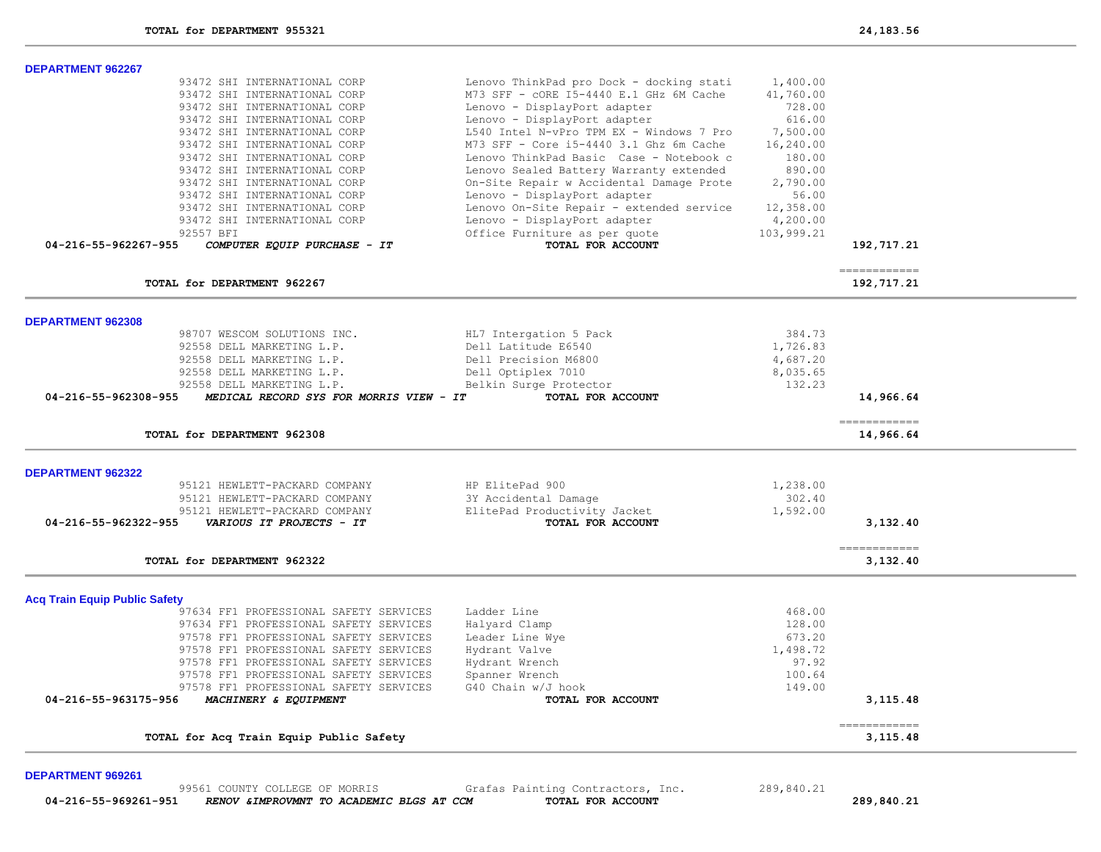| TOTAL for DEPARTMENT 962267                          |                                          |            | 192,717.21   |
|------------------------------------------------------|------------------------------------------|------------|--------------|
|                                                      |                                          |            | ------------ |
| 04-216-55-962267-955<br>COMPUTER EQUIP PURCHASE - IT | TOTAL FOR ACCOUNT                        |            | 192,717.21   |
| 92557 BFI                                            | Office Furniture as per quote            | 103,999.21 |              |
| 93472 SHI INTERNATIONAL CORP                         | Lenovo - DisplayPort adapter             | 4,200.00   |              |
| 93472 SHI INTERNATIONAL CORP                         | Lenovo On-Site Repair - extended service | 12,358.00  |              |
| 93472 SHI INTERNATIONAL CORP                         | Lenovo - DisplayPort adapter             | 56.00      |              |
| 93472 SHI INTERNATIONAL CORP                         | On-Site Repair w Accidental Damage Prote | 2,790.00   |              |
| 93472 SHI INTERNATIONAL CORP                         | Lenovo Sealed Battery Warranty extended  | 890.00     |              |
| 93472 SHI INTERNATIONAL CORP                         | Lenovo ThinkPad Basic Case - Notebook c  | 180.00     |              |
| 93472 SHI INTERNATIONAL CORP                         | M73 SFF - Core i5-4440 3.1 Ghz 6m Cache  | 16,240.00  |              |
| 93472 SHI INTERNATIONAL CORP                         | L540 Intel N-vPro TPM EX - Windows 7 Pro | 7,500.00   |              |
| 93472 SHI INTERNATIONAL CORP                         | Lenovo - DisplayPort adapter             | 616.00     |              |
| 93472 SHI INTERNATIONAL CORP                         | Lenovo - DisplayPort adapter             | 728.00     |              |
| 93472 SHI INTERNATIONAL CORP                         | M73 SFF - CORE 15-4440 E.1 GHz 6M Cache  | 41,760.00  |              |
| 93472 SHI INTERNATIONAL CORP                         | Lenovo ThinkPad pro Dock - docking stati | 1,400.00   |              |

98707 WESCOM SOLUTIONS INC. HL7 Intergation 5 Pack 384.73 92558 DELL MARKETING L.P. Dell Latitude E6540 1,726.83 92558 DELL MARKETING L.P. Dell Precision M6800 4,687.20

95121 HEWLETT-PACKARD COMPANY ElitePad Productivity Jacket 1,592.00  **04-216-55-962322-955** *VARIOUS IT PROJECTS - IT* **TOTAL FOR ACCOUNT 3,132.40**

> 97634 FF1 PROFESSIONAL SAFETY SERVICES Ladder Line 468.00 97634 FF1 PROFESSIONAL SAFETY SERVICES Halyard Clamp 128.00 97578 FF1 PROFESSIONAL SAFETY SERVICES Leader Line Wye 673.20 97578 FF1 PROFESSIONAL SAFETY SERVICES by Hydrant Valve 1, 198.72<br>97578 FF1 PROFESSIONAL SAFETY SERVICES by Hydrant Wrench 1,499.92.92 97578 FF1 PROFESSIONAL SAFETY SERVICES by Hydrant Wrench (1999) 197.92<br>97578 FF1 PROFESSIONAL SAFETY SERVICES (1999) Spanner Wrench (1999) 199.64

97578 FF1 PROFESSIONAL SAFETY SERVICES G40 Chain w/J hook 149.00  **04-216-55-963175-956** *MACHINERY & EQUIPMENT* **TOTAL FOR ACCOUNT 3,115.48**

**TOTAL for DEPARTMENT 962308 14,966.64**

**TOTAL for DEPARTMENT 962322 3,132.40**

 **04-216-55-962308-955** *MEDICAL RECORD SYS FOR MORRIS VIEW - IT* **TOTAL FOR ACCOUNT 14,966.64**

============

============

============

 92558 DELL MARKETING L.P. Dell Optiplex 7010 8,035.65 92558 DELL MARKETING L.P. Belkin Surge Protector 132.23

 95121 HEWLETT-PACKARD COMPANY HP ElitePad 900 1,238.00 95121 HEWLETT-PACKARD COMPANY 3Y Accidental Damage 302.40

#### **DEPARTMENT 969261**

**DEPARTMENT 962322** 

**Acq Train Equip Public Safety**

99561 COUNTY COLLEGE OF MORRIS Grafas Painting Contractors, Inc. 289,840.21<br>RENOV & IMPROVMNT TO ACADEMIC BLGS AT CCM TOTAL FOR ACCOUNT  **04-216-55-969261-951** *RENOV &IMPROVMNT TO ACADEMIC BLGS AT CCM* **TOTAL FOR ACCOUNT 289,840.21**

97578 FF1 PROFESSIONAL SAFETY SERVICES Spanner Wrench

**TOTAL for Acq Train Equip Public Safety 3,115.48**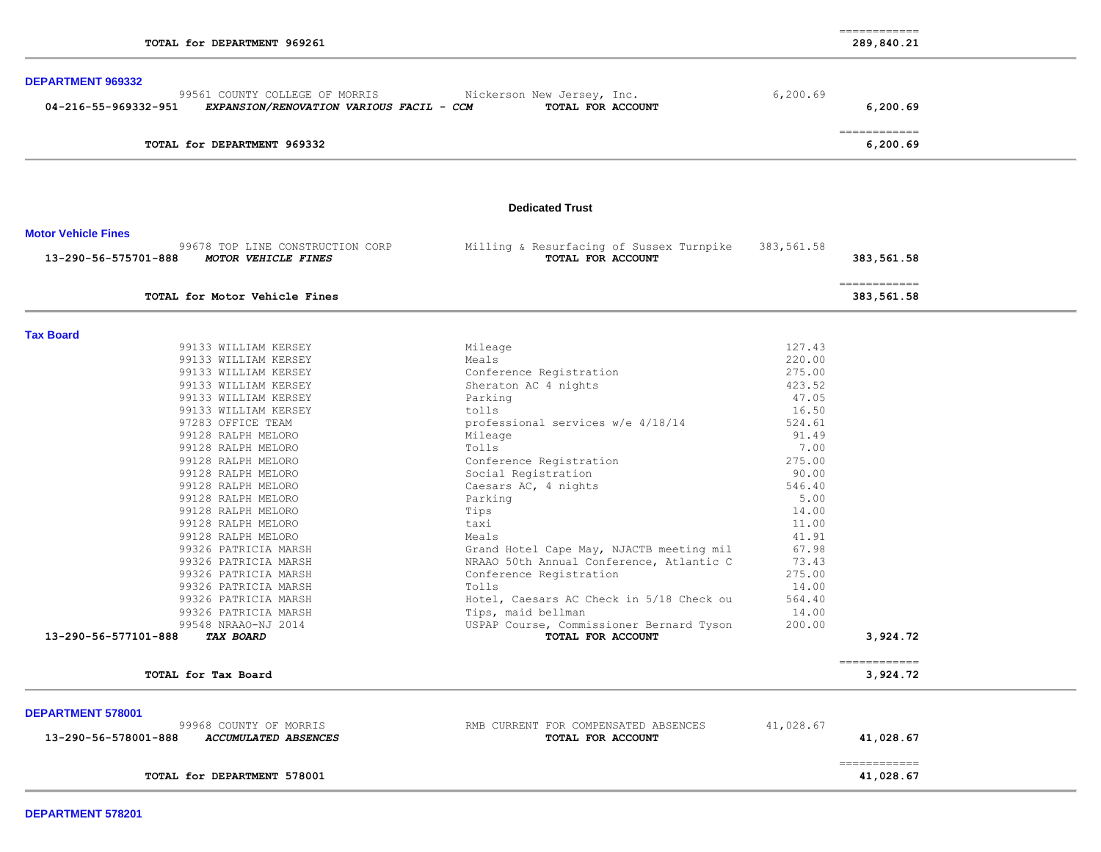|                                                                                 |                                                               |            | $\begin{array}{cccccccccc} \multicolumn{2}{c}{} & \multicolumn{2}{c}{} & \multicolumn{2}{c}{} & \multicolumn{2}{c}{} & \multicolumn{2}{c}{} & \multicolumn{2}{c}{} & \multicolumn{2}{c}{} & \multicolumn{2}{c}{} & \multicolumn{2}{c}{} & \multicolumn{2}{c}{} & \multicolumn{2}{c}{} & \multicolumn{2}{c}{} & \multicolumn{2}{c}{} & \multicolumn{2}{c}{} & \multicolumn{2}{c}{} & \multicolumn{2}{c}{} & \multicolumn{2}{c}{} & \multicolumn{2}{c}{} & \multicolumn{2}{c}{} & \mult$ |
|---------------------------------------------------------------------------------|---------------------------------------------------------------|------------|----------------------------------------------------------------------------------------------------------------------------------------------------------------------------------------------------------------------------------------------------------------------------------------------------------------------------------------------------------------------------------------------------------------------------------------------------------------------------------------|
| TOTAL for DEPARTMENT 969261                                                     | 289,840.21                                                    |            |                                                                                                                                                                                                                                                                                                                                                                                                                                                                                        |
| <b>DEPARTMENT 969332</b>                                                        |                                                               |            |                                                                                                                                                                                                                                                                                                                                                                                                                                                                                        |
| 99561 COUNTY COLLEGE OF MORRIS                                                  | Nickerson New Jersey, Inc.                                    | 6, 200.69  |                                                                                                                                                                                                                                                                                                                                                                                                                                                                                        |
| 04-216-55-969332-951<br>EXPANSION/RENOVATION VARIOUS FACIL - CCM                | TOTAL FOR ACCOUNT                                             |            | 6,200.69                                                                                                                                                                                                                                                                                                                                                                                                                                                                               |
|                                                                                 |                                                               |            | $=$ = = = = = = = = = = = =                                                                                                                                                                                                                                                                                                                                                                                                                                                            |
| TOTAL for DEPARTMENT 969332                                                     |                                                               |            | 6,200.69                                                                                                                                                                                                                                                                                                                                                                                                                                                                               |
|                                                                                 | <b>Dedicated Trust</b>                                        |            |                                                                                                                                                                                                                                                                                                                                                                                                                                                                                        |
|                                                                                 |                                                               |            |                                                                                                                                                                                                                                                                                                                                                                                                                                                                                        |
| <b>Motor Vehicle Fines</b>                                                      |                                                               |            |                                                                                                                                                                                                                                                                                                                                                                                                                                                                                        |
| 99678 TOP LINE CONSTRUCTION CORP<br>MOTOR VEHICLE FINES<br>13-290-56-575701-888 | Milling & Resurfacing of Sussex Turnpike<br>TOTAL FOR ACCOUNT | 383,561.58 | 383,561.58                                                                                                                                                                                                                                                                                                                                                                                                                                                                             |
| TOTAL for Motor Vehicle Fines                                                   |                                                               |            | -------------<br>383,561.58                                                                                                                                                                                                                                                                                                                                                                                                                                                            |
|                                                                                 |                                                               |            |                                                                                                                                                                                                                                                                                                                                                                                                                                                                                        |
| <b>Tax Board</b><br>99133 WILLIAM KERSEY                                        | Mileage                                                       | 127.43     |                                                                                                                                                                                                                                                                                                                                                                                                                                                                                        |
| 99133 WILLIAM KERSEY                                                            | Meals                                                         | 220.00     |                                                                                                                                                                                                                                                                                                                                                                                                                                                                                        |
| 99133 WILLIAM KERSEY                                                            | Conference Registration                                       | 275.00     |                                                                                                                                                                                                                                                                                                                                                                                                                                                                                        |
| 99133 WILLIAM KERSEY                                                            | Sheraton AC 4 nights                                          | 423.52     |                                                                                                                                                                                                                                                                                                                                                                                                                                                                                        |
| 99133 WILLIAM KERSEY                                                            | Parking                                                       | 47.05      |                                                                                                                                                                                                                                                                                                                                                                                                                                                                                        |
| 99133 WILLIAM KERSEY                                                            | tolls                                                         | 16.50      |                                                                                                                                                                                                                                                                                                                                                                                                                                                                                        |
| 97283 OFFICE TEAM                                                               | professional services w/e 4/18/14                             | 524.61     |                                                                                                                                                                                                                                                                                                                                                                                                                                                                                        |
| 99128 RALPH MELORO                                                              | Mileage                                                       | 91.49      |                                                                                                                                                                                                                                                                                                                                                                                                                                                                                        |
| 99128 RALPH MELORO                                                              | Tolls                                                         | 7.00       |                                                                                                                                                                                                                                                                                                                                                                                                                                                                                        |
| 99128 RALPH MELORO                                                              | Conference Registration                                       | 275.00     |                                                                                                                                                                                                                                                                                                                                                                                                                                                                                        |
| 99128 RALPH MELORO                                                              | Social Registration                                           | 90.00      |                                                                                                                                                                                                                                                                                                                                                                                                                                                                                        |
| 99128 RALPH MELORO                                                              | Caesars AC, 4 nights                                          | 546.40     |                                                                                                                                                                                                                                                                                                                                                                                                                                                                                        |
| 99128 RALPH MELORO                                                              | Parking                                                       | 5.00       |                                                                                                                                                                                                                                                                                                                                                                                                                                                                                        |
| 99128 RALPH MELORO                                                              | Tips                                                          | 14.00      |                                                                                                                                                                                                                                                                                                                                                                                                                                                                                        |
| 99128 RALPH MELORO                                                              | taxi                                                          | 11.00      |                                                                                                                                                                                                                                                                                                                                                                                                                                                                                        |
| 99128 RALPH MELORO                                                              | Meals                                                         | 41.91      |                                                                                                                                                                                                                                                                                                                                                                                                                                                                                        |
| 99326 PATRICIA MARSH                                                            | Grand Hotel Cape May, NJACTB meeting mil                      | 67.98      |                                                                                                                                                                                                                                                                                                                                                                                                                                                                                        |
| 99326 PATRICIA MARSH                                                            | NRAAO 50th Annual Conference, Atlantic C                      | 73.43      |                                                                                                                                                                                                                                                                                                                                                                                                                                                                                        |
| 99326 PATRICIA MARSH                                                            | Conference Registration                                       | 275.00     |                                                                                                                                                                                                                                                                                                                                                                                                                                                                                        |
| 99326 PATRICIA MARSH                                                            | Tolls                                                         | 14.00      |                                                                                                                                                                                                                                                                                                                                                                                                                                                                                        |
| 99326 PATRICIA MARSH                                                            | Hotel, Caesars AC Check in 5/18 Check ou                      | 564.40     |                                                                                                                                                                                                                                                                                                                                                                                                                                                                                        |
| 99326 PATRICIA MARSH                                                            | Tips, maid bellman                                            | 14.00      |                                                                                                                                                                                                                                                                                                                                                                                                                                                                                        |
| 99548 NRAAO-NJ 2014                                                             | USPAP Course, Commissioner Bernard Tyson                      | 200.00     |                                                                                                                                                                                                                                                                                                                                                                                                                                                                                        |
| 13-290-56-577101-888<br><i>TAX BOARD</i>                                        | TOTAL FOR ACCOUNT                                             |            | 3,924.72                                                                                                                                                                                                                                                                                                                                                                                                                                                                               |
| TOTAL for Tax Board                                                             |                                                               |            | ============<br>3,924.72                                                                                                                                                                                                                                                                                                                                                                                                                                                               |
|                                                                                 |                                                               |            |                                                                                                                                                                                                                                                                                                                                                                                                                                                                                        |
| <b>DEPARTMENT 578001</b>                                                        |                                                               | 41,028.67  |                                                                                                                                                                                                                                                                                                                                                                                                                                                                                        |
| 99968 COUNTY OF MORRIS<br>13-290-56-578001-888<br>ACCUMULATED ABSENCES          | RMB CURRENT FOR COMPENSATED ABSENCES<br>TOTAL FOR ACCOUNT     |            | 41,028.67                                                                                                                                                                                                                                                                                                                                                                                                                                                                              |
|                                                                                 |                                                               |            | ------------                                                                                                                                                                                                                                                                                                                                                                                                                                                                           |
| TOTAL for DEPARTMENT 578001                                                     |                                                               |            | 41,028.67                                                                                                                                                                                                                                                                                                                                                                                                                                                                              |